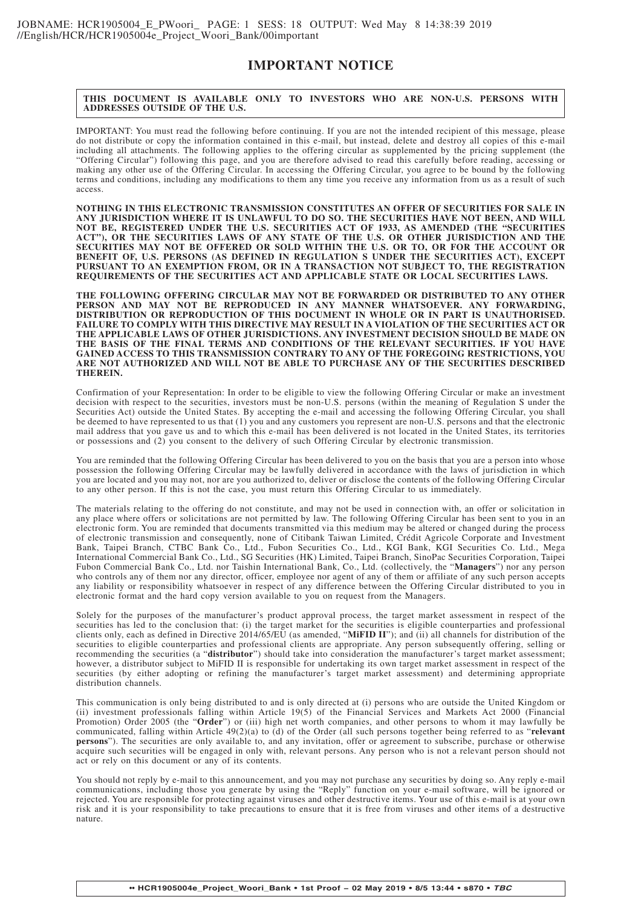# **IMPORTANT NOTICE**

#### **THIS DOCUMENT IS AVAILABLE ONLY TO INVESTORS WHO ARE NON-U.S. PERSONS WITH ADDRESSES OUTSIDE OF THE U.S.**

IMPORTANT: You must read the following before continuing. If you are not the intended recipient of this message, please do not distribute or copy the information contained in this e-mail, but instead, delete and destroy all copies of this e-mail including all attachments. The following applies to the offering circular as supplemented by the pricing supplement (the "Offering Circular") following this page, and you are therefore advised to read this carefully before reading, accessing or making any other use of the Offering Circular. In accessing the Offering Circular, you agree to be bound by the following terms and conditions, including any modifications to them any time you receive any information from us as a result of such access.

**NOTHING IN THIS ELECTRONIC TRANSMISSION CONSTITUTES AN OFFER OF SECURITIES FOR SALE IN ANY JURISDICTION WHERE IT IS UNLAWFUL TO DO SO. THE SECURITIES HAVE NOT BEEN, AND WILL NOT BE, REGISTERED UNDER THE U.S. SECURITIES ACT OF 1933, AS AMENDED (THE "SECURITIES ACT"), OR THE SECURITIES LAWS OF ANY STATE OF THE U.S. OR OTHER JURISDICTION AND THE SECURITIES MAY NOT BE OFFERED OR SOLD WITHIN THE U.S. OR TO, OR FOR THE ACCOUNT OR BENEFIT OF, U.S. PERSONS (AS DEFINED IN REGULATION S UNDER THE SECURITIES ACT), EXCEPT PURSUANT TO AN EXEMPTION FROM, OR IN A TRANSACTION NOT SUBJECT TO, THE REGISTRATION REQUIREMENTS OF THE SECURITIES ACT AND APPLICABLE STATE OR LOCAL SECURITIES LAWS.**

**THE FOLLOWING OFFERING CIRCULAR MAY NOT BE FORWARDED OR DISTRIBUTED TO ANY OTHER PERSON AND MAY NOT BE REPRODUCED IN ANY MANNER WHATSOEVER. ANY FORWARDING, DISTRIBUTION OR REPRODUCTION OF THIS DOCUMENT IN WHOLE OR IN PART IS UNAUTHORISED. FAILURE TO COMPLY WITH THIS DIRECTIVE MAY RESULT IN A VIOLATION OF THE SECURITIES ACT OR THE APPLICABLE LAWS OF OTHER JURISDICTIONS. ANY INVESTMENT DECISION SHOULD BE MADE ON THE BASIS OF THE FINAL TERMS AND CONDITIONS OF THE RELEVANT SECURITIES. IF YOU HAVE GAINED ACCESS TO THIS TRANSMISSION CONTRARY TO ANY OF THE FOREGOING RESTRICTIONS, YOU ARE NOT AUTHORIZED AND WILL NOT BE ABLE TO PURCHASE ANY OF THE SECURITIES DESCRIBED THEREIN.**

Confirmation of your Representation: In order to be eligible to view the following Offering Circular or make an investment decision with respect to the securities, investors must be non-U.S. persons (within the meaning of Regulation S under the Securities Act) outside the United States. By accepting the e-mail and accessing the following Offering Circular, you shall be deemed to have represented to us that (1) you and any customers you represent are non-U.S. persons and that the electronic mail address that you gave us and to which this e-mail has been delivered is not located in the United States, its territories or possessions and (2) you consent to the delivery of such Offering Circular by electronic transmission.

You are reminded that the following Offering Circular has been delivered to you on the basis that you are a person into whose possession the following Offering Circular may be lawfully delivered in accordance with the laws of jurisdiction in which you are located and you may not, nor are you authorized to, deliver or disclose the contents of the following Offering Circular to any other person. If this is not the case, you must return this Offering Circular to us immediately.

The materials relating to the offering do not constitute, and may not be used in connection with, an offer or solicitation in any place where offers or solicitations are not permitted by law. The following Offering Circular has been sent to you in an electronic form. You are reminded that documents transmitted via this medium may be altered or changed during the process of electronic transmission and consequently, none of Citibank Taiwan Limited, Crédit Agricole Corporate and Investment Bank, Taipei Branch, CTBC Bank Co., Ltd., Fubon Securities Co., Ltd., KGI Bank, KGI Securities Co. Ltd., Mega International Commercial Bank Co., Ltd., SG Securities (HK) Limited, Taipei Branch, SinoPac Securities Corporation, Taipei Fubon Commercial Bank Co., Ltd. nor Taishin International Bank, Co., Ltd. (collectively, the "**Managers**") nor any person who controls any of them nor any director, officer, employee nor agent of any of them or affiliate of any such person accepts any liability or responsibility whatsoever in respect of any difference between the Offering Circular distributed to you in electronic format and the hard copy version available to you on request from the Managers.

Solely for the purposes of the manufacturer's product approval process, the target market assessment in respect of the securities has led to the conclusion that: (i) the target market for the securities is eligible counterparties and professional clients only, each as defined in Directive 2014/65/EU (as amended, "**MiFID II**"); and (ii) all channels for distribution of the securities to eligible counterparties and professional clients are appropriate. Any person subsequently offering, selling or recommending the securities (a "**distributor**") should take into consideration the manufacturer's target market assessment; however, a distributor subject to MiFID II is responsible for undertaking its own target market assessment in respect of the securities (by either adopting or refining the manufacturer's target market assessment) and determining appropriate distribution channels.

This communication is only being distributed to and is only directed at (i) persons who are outside the United Kingdom or (ii) investment professionals falling within Article 19(5) of the Financial Services and Markets Act 2000 (Financial Promotion) Order 2005 (the "**Order**") or (iii) high net worth companies, and other persons to whom it may lawfully be communicated, falling within Article 49(2)(a) to (d) of the Order (all such persons together being referred to as "**relevant persons**"). The securities are only available to, and any invitation, offer or agreement to subscribe, purchase or otherwise acquire such securities will be engaged in only with, relevant persons. Any person who is not a relevant person should not act or rely on this document or any of its contents.

You should not reply by e-mail to this announcement, and you may not purchase any securities by doing so. Any reply e-mail communications, including those you generate by using the "Reply" function on your e-mail software, will be ignored or rejected. You are responsible for protecting against viruses and other destructive items. Your use of this e-mail is at your own risk and it is your responsibility to take precautions to ensure that it is free from viruses and other items of a destructive nature.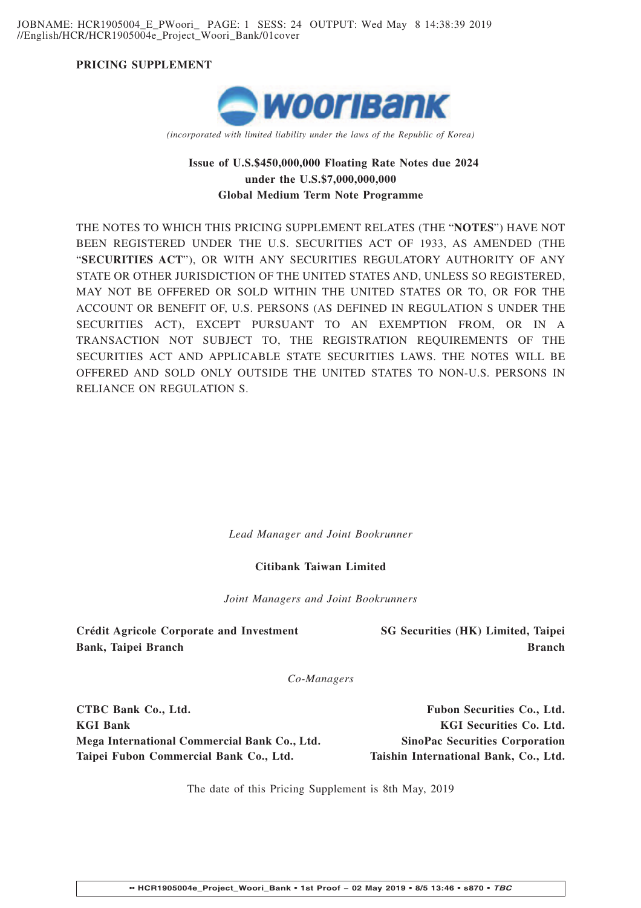JOBNAME: HCR1905004\_E\_PWoori\_ PAGE: 1 SESS: 24 OUTPUT: Wed May 8 14:38:39 2019 //English/HCR/HCR1905004e\_Project\_Woori\_Bank/01cover

**PRICING SUPPLEMENT**



*(incorporated with limited liability under the laws of the Republic of Korea)*

# **Issue of U.S.\$450,000,000 Floating Rate Notes due 2024 under the U.S.\$7,000,000,000 Global Medium Term Note Programme**

THE NOTES TO WHICH THIS PRICING SUPPLEMENT RELATES (THE "**NOTES**") HAVE NOT BEEN REGISTERED UNDER THE U.S. SECURITIES ACT OF 1933, AS AMENDED (THE "**SECURITIES ACT**"), OR WITH ANY SECURITIES REGULATORY AUTHORITY OF ANY STATE OR OTHER JURISDICTION OF THE UNITED STATES AND, UNLESS SO REGISTERED, MAY NOT BE OFFERED OR SOLD WITHIN THE UNITED STATES OR TO, OR FOR THE ACCOUNT OR BENEFIT OF, U.S. PERSONS (AS DEFINED IN REGULATION S UNDER THE SECURITIES ACT), EXCEPT PURSUANT TO AN EXEMPTION FROM, OR IN A TRANSACTION NOT SUBJECT TO, THE REGISTRATION REQUIREMENTS OF THE SECURITIES ACT AND APPLICABLE STATE SECURITIES LAWS. THE NOTES WILL BE OFFERED AND SOLD ONLY OUTSIDE THE UNITED STATES TO NON-U.S. PERSONS IN RELIANCE ON REGULATION S.

*Lead Manager and Joint Bookrunner*

### **Citibank Taiwan Limited**

*Joint Managers and Joint Bookrunners*

**Crédit Agricole Corporate and Investment Bank, Taipei Branch**

**SG Securities (HK) Limited, Taipei Branch**

*Co-Managers*

**CTBC Bank Co., Ltd. Fubon Securities Co., Ltd. KGI Bank** KGI Securities Co. Ltd. **Mega International Commercial Bank Co., Ltd. SinoPac Securities Corporation Taipei Fubon Commercial Bank Co., Ltd. Taishin International Bank, Co., Ltd.**

The date of this Pricing Supplement is 8th May, 2019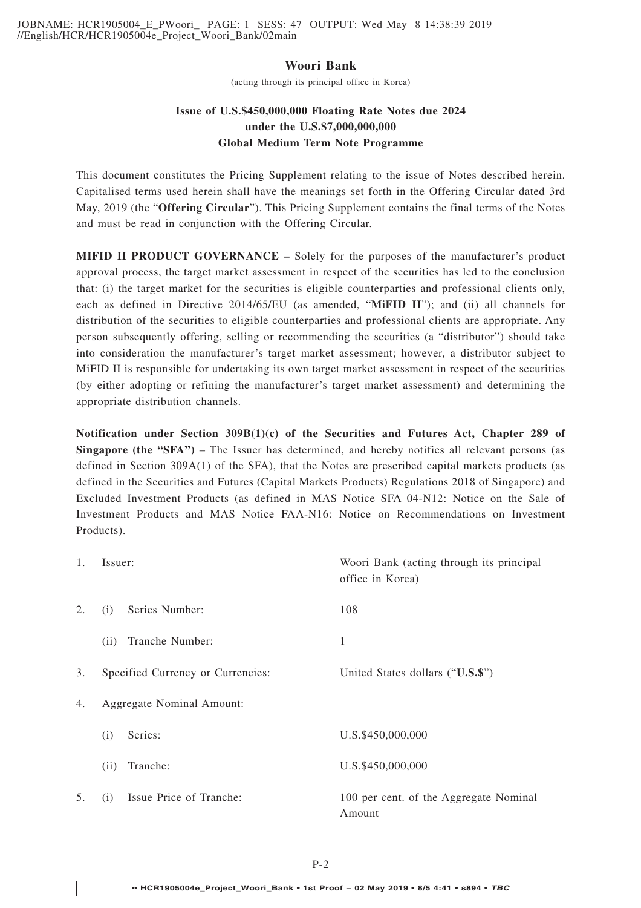JOBNAME: HCR1905004\_E\_PWoori\_ PAGE: 1 SESS: 47 OUTPUT: Wed May 8 14:38:39 2019 //English/HCR/HCR1905004e\_Project\_Woori\_Bank/02main

# **Woori Bank**

(acting through its principal office in Korea)

# **Issue of U.S.\$450,000,000 Floating Rate Notes due 2024 under the U.S.\$7,000,000,000 Global Medium Term Note Programme**

This document constitutes the Pricing Supplement relating to the issue of Notes described herein. Capitalised terms used herein shall have the meanings set forth in the Offering Circular dated 3rd May, 2019 (the "**Offering Circular**"). This Pricing Supplement contains the final terms of the Notes and must be read in conjunction with the Offering Circular.

**MIFID II PRODUCT GOVERNANCE –** Solely for the purposes of the manufacturer's product approval process, the target market assessment in respect of the securities has led to the conclusion that: (i) the target market for the securities is eligible counterparties and professional clients only, each as defined in Directive 2014/65/EU (as amended, "**MiFID II**"); and (ii) all channels for distribution of the securities to eligible counterparties and professional clients are appropriate. Any person subsequently offering, selling or recommending the securities (a "distributor") should take into consideration the manufacturer's target market assessment; however, a distributor subject to MiFID II is responsible for undertaking its own target market assessment in respect of the securities (by either adopting or refining the manufacturer's target market assessment) and determining the appropriate distribution channels.

**Notification under Section 309B(1)(c) of the Securities and Futures Act, Chapter 289 of Singapore (the "SFA")** – The Issuer has determined, and hereby notifies all relevant persons (as defined in Section 309A(1) of the SFA), that the Notes are prescribed capital markets products (as defined in the Securities and Futures (Capital Markets Products) Regulations 2018 of Singapore) and Excluded Investment Products (as defined in MAS Notice SFA 04-N12: Notice on the Sale of Investment Products and MAS Notice FAA-N16: Notice on Recommendations on Investment Products).

| 1. | Issuer:                           | Woori Bank (acting through its principal<br>office in Korea) |
|----|-----------------------------------|--------------------------------------------------------------|
| 2. | Series Number:<br>(i)             | 108                                                          |
|    | Tranche Number:<br>(ii)           | 1                                                            |
| 3. | Specified Currency or Currencies: | United States dollars ("U.S.\$")                             |
| 4. | Aggregate Nominal Amount:         |                                                              |
|    | Series:<br>(i)                    | U.S.\$450,000,000                                            |
|    | (ii)<br>Tranche:                  | U.S.\$450,000,000                                            |
| 5. | Issue Price of Tranche:<br>(i)    | 100 per cent. of the Aggregate Nominal<br>Amount             |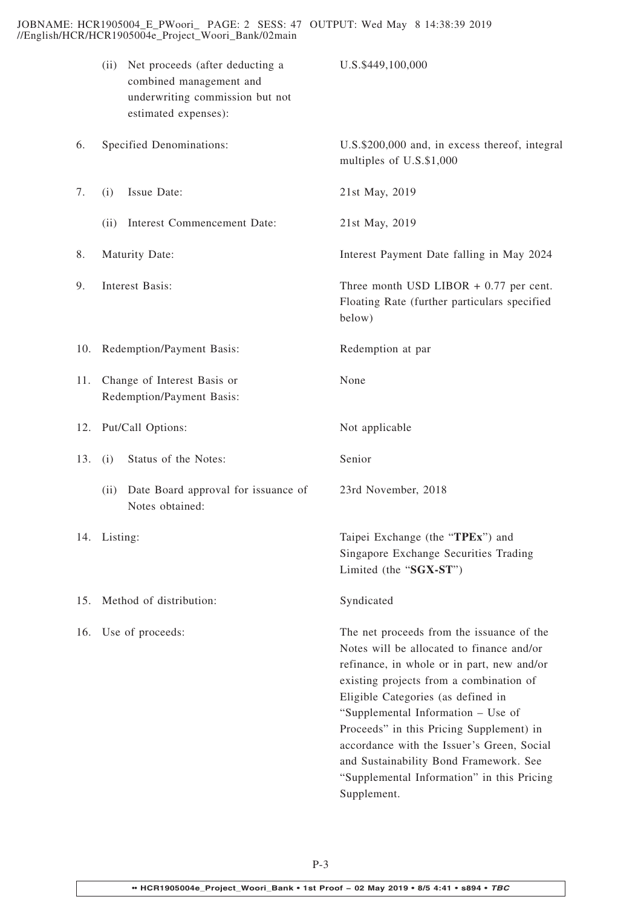JOBNAME: HCR1905004\_E\_PWoori\_ PAGE: 2 SESS: 47 OUTPUT: Wed May 8 14:38:39 2019 //English/HCR/HCR1905004e\_Project\_Woori\_Bank/02main

|     | Net proceeds (after deducting a<br>(ii)<br>combined management and<br>underwriting commission but not<br>estimated expenses): | U.S.\$449,100,000                                                                                                                                                                                                                                                                                                                                                                                                                                            |
|-----|-------------------------------------------------------------------------------------------------------------------------------|--------------------------------------------------------------------------------------------------------------------------------------------------------------------------------------------------------------------------------------------------------------------------------------------------------------------------------------------------------------------------------------------------------------------------------------------------------------|
| 6.  | Specified Denominations:                                                                                                      | U.S.\$200,000 and, in excess thereof, integral<br>multiples of U.S.\$1,000                                                                                                                                                                                                                                                                                                                                                                                   |
| 7.  | Issue Date:<br>(i)                                                                                                            | 21st May, 2019                                                                                                                                                                                                                                                                                                                                                                                                                                               |
|     | Interest Commencement Date:<br>(ii)                                                                                           | 21st May, 2019                                                                                                                                                                                                                                                                                                                                                                                                                                               |
| 8.  | Maturity Date:                                                                                                                | Interest Payment Date falling in May 2024                                                                                                                                                                                                                                                                                                                                                                                                                    |
| 9.  | Interest Basis:                                                                                                               | Three month USD LIBOR $+$ 0.77 per cent.<br>Floating Rate (further particulars specified<br>below)                                                                                                                                                                                                                                                                                                                                                           |
| 10. | Redemption/Payment Basis:                                                                                                     | Redemption at par                                                                                                                                                                                                                                                                                                                                                                                                                                            |
| 11. | Change of Interest Basis or<br>Redemption/Payment Basis:                                                                      | None                                                                                                                                                                                                                                                                                                                                                                                                                                                         |
| 12. | Put/Call Options:                                                                                                             | Not applicable                                                                                                                                                                                                                                                                                                                                                                                                                                               |
| 13. | Status of the Notes:<br>(i)                                                                                                   | Senior                                                                                                                                                                                                                                                                                                                                                                                                                                                       |
|     | Date Board approval for issuance of<br>(ii)<br>Notes obtained:                                                                | 23rd November, 2018                                                                                                                                                                                                                                                                                                                                                                                                                                          |
|     | 14. Listing:                                                                                                                  | Taipei Exchange (the "TPEx") and<br>Singapore Exchange Securities Trading<br>Limited (the "SGX-ST")                                                                                                                                                                                                                                                                                                                                                          |
| 15. | Method of distribution:                                                                                                       | Syndicated                                                                                                                                                                                                                                                                                                                                                                                                                                                   |
| 16. | Use of proceeds:                                                                                                              | The net proceeds from the issuance of the<br>Notes will be allocated to finance and/or<br>refinance, in whole or in part, new and/or<br>existing projects from a combination of<br>Eligible Categories (as defined in<br>"Supplemental Information - Use of<br>Proceeds" in this Pricing Supplement) in<br>accordance with the Issuer's Green, Social<br>and Sustainability Bond Framework. See<br>"Supplemental Information" in this Pricing<br>Supplement. |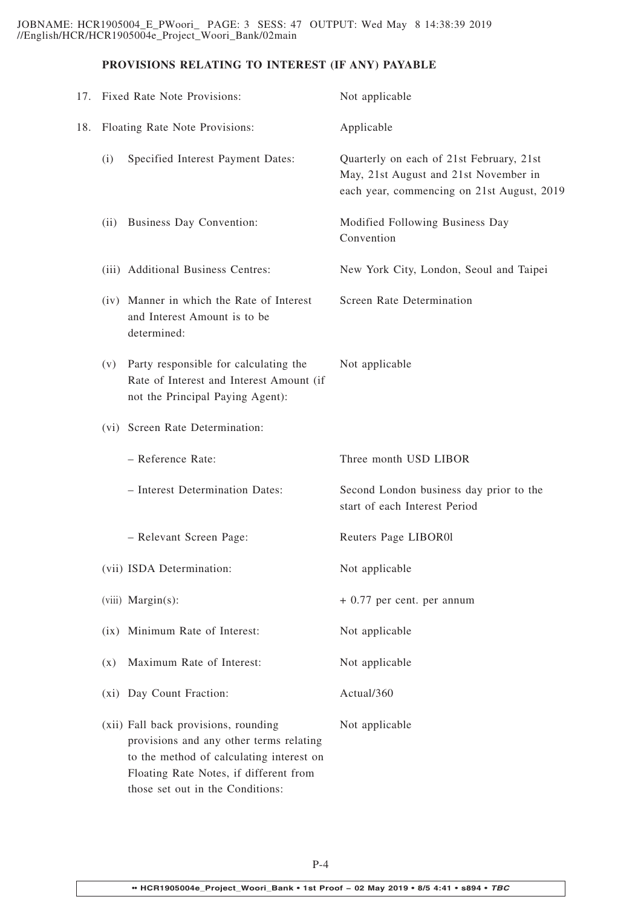# **PROVISIONS RELATING TO INTEREST (IF ANY) PAYABLE**

|     |                | 17. Fixed Rate Note Provisions:                                                                                                                                                                           | Not applicable                                                                                                                  |
|-----|----------------|-----------------------------------------------------------------------------------------------------------------------------------------------------------------------------------------------------------|---------------------------------------------------------------------------------------------------------------------------------|
| 18. |                | Floating Rate Note Provisions:                                                                                                                                                                            | Applicable                                                                                                                      |
|     | (i)            | Specified Interest Payment Dates:                                                                                                                                                                         | Quarterly on each of 21st February, 21st<br>May, 21st August and 21st November in<br>each year, commencing on 21st August, 2019 |
|     | (ii)           | Business Day Convention:                                                                                                                                                                                  | Modified Following Business Day<br>Convention                                                                                   |
|     |                | (iii) Additional Business Centres:                                                                                                                                                                        | New York City, London, Seoul and Taipei                                                                                         |
|     |                | (iv) Manner in which the Rate of Interest<br>and Interest Amount is to be<br>determined:                                                                                                                  | Screen Rate Determination                                                                                                       |
|     | (V)            | Party responsible for calculating the<br>Rate of Interest and Interest Amount (if<br>not the Principal Paying Agent):                                                                                     | Not applicable                                                                                                                  |
|     |                | (vi) Screen Rate Determination:                                                                                                                                                                           |                                                                                                                                 |
|     |                | - Reference Rate:                                                                                                                                                                                         | Three month USD LIBOR                                                                                                           |
|     |                | - Interest Determination Dates:                                                                                                                                                                           | Second London business day prior to the<br>start of each Interest Period                                                        |
|     |                | - Relevant Screen Page:                                                                                                                                                                                   | Reuters Page LIBOR01                                                                                                            |
|     |                | (vii) ISDA Determination:                                                                                                                                                                                 | Not applicable                                                                                                                  |
|     |                | (viii) Margin(s):                                                                                                                                                                                         | $+0.77$ per cent. per annum                                                                                                     |
|     |                | (ix) Minimum Rate of Interest:                                                                                                                                                                            | Not applicable                                                                                                                  |
|     | $(\mathbf{x})$ | Maximum Rate of Interest:                                                                                                                                                                                 | Not applicable                                                                                                                  |
|     |                | (xi) Day Count Fraction:                                                                                                                                                                                  | Actual/360                                                                                                                      |
|     |                | (xii) Fall back provisions, rounding<br>provisions and any other terms relating<br>to the method of calculating interest on<br>Floating Rate Notes, if different from<br>those set out in the Conditions: | Not applicable                                                                                                                  |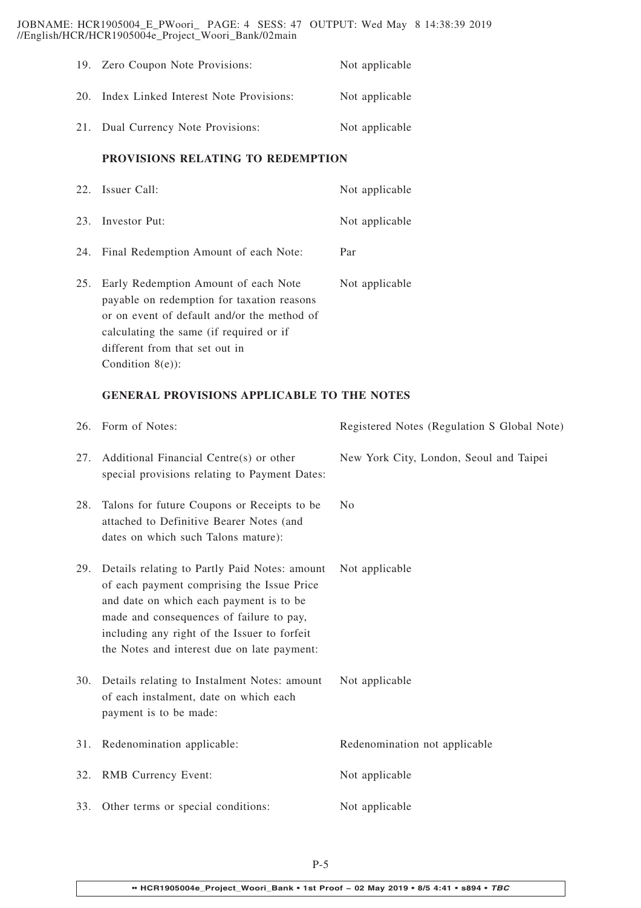JOBNAME: HCR1905004\_E\_PWoori\_ PAGE: 4 SESS: 47 OUTPUT: Wed May 8 14:38:39 2019 //English/HCR/HCR1905004e\_Project\_Woori\_Bank/02main

|     | 19. Zero Coupon Note Provisions:       | Not applicable |
|-----|----------------------------------------|----------------|
| 20. | Index Linked Interest Note Provisions: | Not applicable |
|     | 21. Dual Currency Note Provisions:     | Not applicable |

### **PROVISIONS RELATING TO REDEMPTION**

|     | 22. Issuer Call:                                                                                                                                                                                                                     | Not applicable |
|-----|--------------------------------------------------------------------------------------------------------------------------------------------------------------------------------------------------------------------------------------|----------------|
|     | 23. Investor Put:                                                                                                                                                                                                                    | Not applicable |
|     | 24. Final Redemption Amount of each Note:                                                                                                                                                                                            | Par            |
| 25. | Early Redemption Amount of each Note<br>payable on redemption for taxation reasons<br>or on event of default and/or the method of<br>calculating the same (if required or if<br>different from that set out in<br>Condition $8(e)$ : | Not applicable |

# **GENERAL PROVISIONS APPLICABLE TO THE NOTES**

|     | 26. Form of Notes:                                                                                                                                                                                                                                                                | Registered Notes (Regulation S Global Note) |
|-----|-----------------------------------------------------------------------------------------------------------------------------------------------------------------------------------------------------------------------------------------------------------------------------------|---------------------------------------------|
| 27. | Additional Financial Centre(s) or other<br>special provisions relating to Payment Dates:                                                                                                                                                                                          | New York City, London, Seoul and Taipei     |
| 28. | Talons for future Coupons or Receipts to be<br>attached to Definitive Bearer Notes (and<br>dates on which such Talons mature):                                                                                                                                                    | No                                          |
| 29. | Details relating to Partly Paid Notes: amount<br>of each payment comprising the Issue Price<br>and date on which each payment is to be<br>made and consequences of failure to pay,<br>including any right of the Issuer to forfeit<br>the Notes and interest due on late payment: | Not applicable                              |
| 30. | Details relating to Instalment Notes: amount<br>of each instalment, date on which each<br>payment is to be made:                                                                                                                                                                  | Not applicable                              |
| 31. | Redenomination applicable:                                                                                                                                                                                                                                                        | Redenomination not applicable               |
| 32. | <b>RMB</b> Currency Event:                                                                                                                                                                                                                                                        | Not applicable                              |
|     | 33. Other terms or special conditions:                                                                                                                                                                                                                                            | Not applicable                              |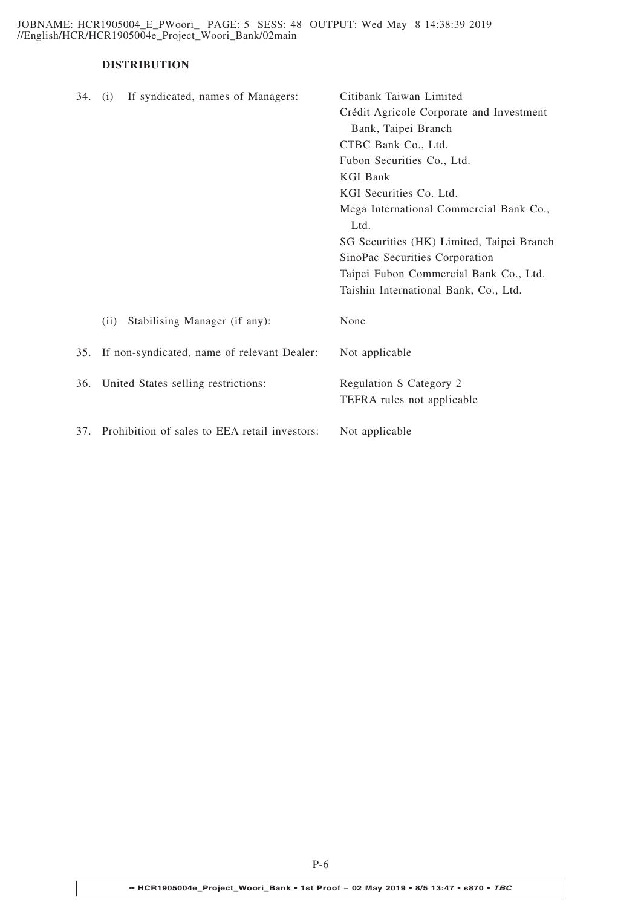JOBNAME: HCR1905004\_E\_PWoori\_ PAGE: 5 SESS: 48 OUTPUT: Wed May 8 14:38:39 2019 //English/HCR/HCR1905004e\_Project\_Woori\_Bank/02main

# **DISTRIBUTION**

| Crédit Agricole Corporate and Investment                        |
|-----------------------------------------------------------------|
| Bank, Taipei Branch                                             |
| CTBC Bank Co., Ltd.                                             |
| Fubon Securities Co., Ltd.                                      |
| <b>KGI Bank</b>                                                 |
| KGI Securities Co. Ltd.                                         |
| Mega International Commercial Bank Co.,<br>Ltd.                 |
| SG Securities (HK) Limited, Taipei Branch                       |
| SinoPac Securities Corporation                                  |
| Taipei Fubon Commercial Bank Co., Ltd.                          |
| Taishin International Bank, Co., Ltd.                           |
| None                                                            |
| If non-syndicated, name of relevant Dealer:<br>Not applicable   |
| Regulation S Category 2                                         |
| TEFRA rules not applicable                                      |
|                                                                 |
| Prohibition of sales to EEA retail investors:<br>Not applicable |
|                                                                 |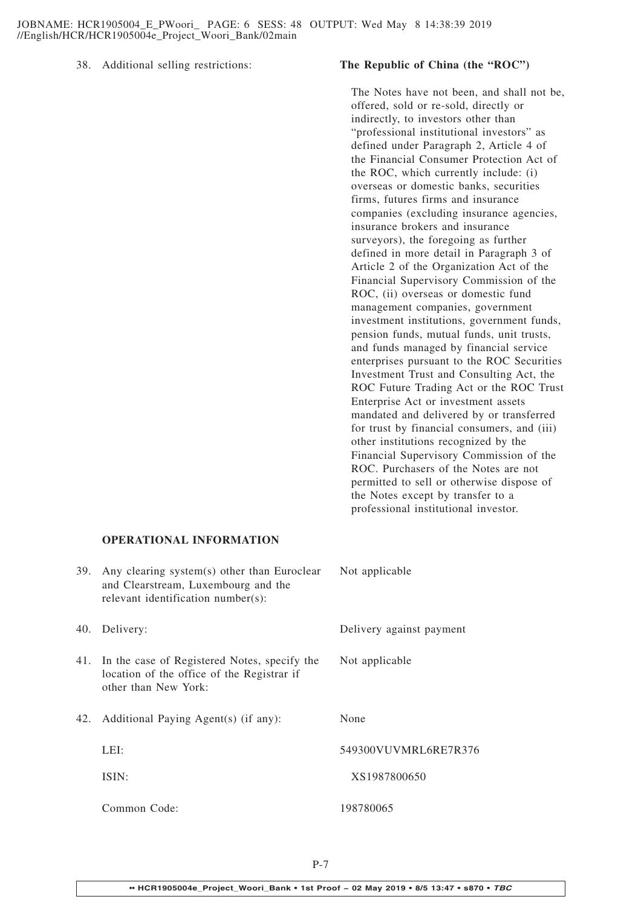### 38. Additional selling restrictions: **The Republic of China (the "ROC")**

The Notes have not been, and shall not be, offered, sold or re-sold, directly or indirectly, to investors other than "professional institutional investors" as defined under Paragraph 2, Article 4 of the Financial Consumer Protection Act of the ROC, which currently include: (i) overseas or domestic banks, securities firms, futures firms and insurance companies (excluding insurance agencies, insurance brokers and insurance surveyors), the foregoing as further defined in more detail in Paragraph 3 of Article 2 of the Organization Act of the Financial Supervisory Commission of the ROC, (ii) overseas or domestic fund management companies, government investment institutions, government funds, pension funds, mutual funds, unit trusts, and funds managed by financial service enterprises pursuant to the ROC Securities Investment Trust and Consulting Act, the ROC Future Trading Act or the ROC Trust Enterprise Act or investment assets mandated and delivered by or transferred for trust by financial consumers, and (iii) other institutions recognized by the Financial Supervisory Commission of the ROC. Purchasers of the Notes are not permitted to sell or otherwise dispose of the Notes except by transfer to a professional institutional investor.

# **OPERATIONAL INFORMATION**

| 39. | Any clearing system(s) other than Euroclear<br>and Clearstream, Luxembourg and the<br>relevant identification number(s): | Not applicable           |
|-----|--------------------------------------------------------------------------------------------------------------------------|--------------------------|
| 40. | Delivery:                                                                                                                | Delivery against payment |
|     | 41. In the case of Registered Notes, specify the<br>location of the office of the Registrar if<br>other than New York:   | Not applicable           |
| 42. | Additional Paying Agent(s) (if any):                                                                                     | None                     |
|     | LEI:                                                                                                                     | 549300VUVMRL6RE7R376     |
|     | ISIN:                                                                                                                    | XS1987800650             |
|     | Common Code:                                                                                                             | 198780065                |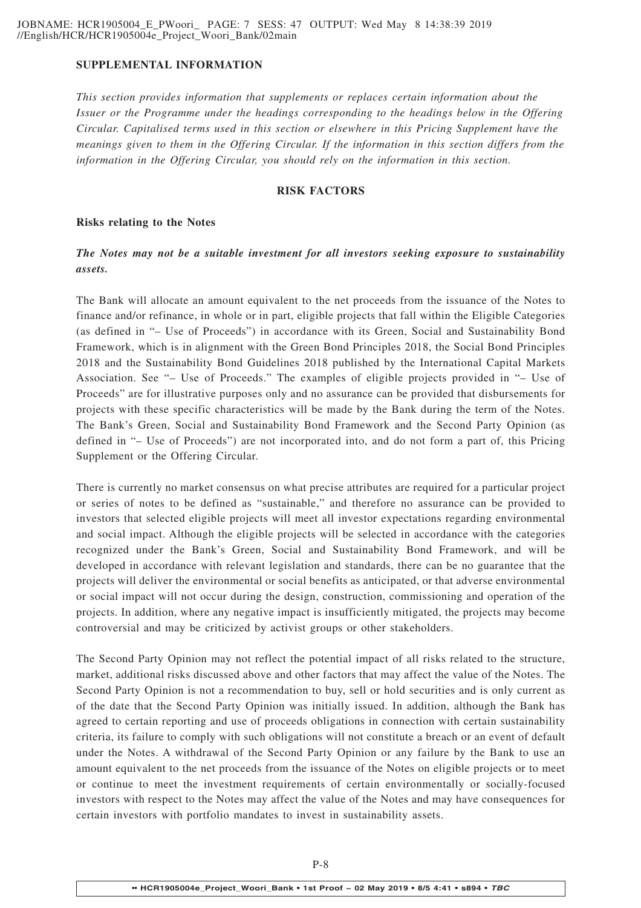# **SUPPLEMENTAL INFORMATION**

*This section provides information that supplements or replaces certain information about the Issuer or the Programme under the headings corresponding to the headings below in the Offering Circular. Capitalised terms used in this section or elsewhere in this Pricing Supplement have the meanings given to them in the Offering Circular. If the information in this section differs from the information in the Offering Circular, you should rely on the information in this section.*

### **RISK FACTORS**

### **Risks relating to the Notes**

# *The Notes may not be a suitable investment for all investors seeking exposure to sustainability assets.*

The Bank will allocate an amount equivalent to the net proceeds from the issuance of the Notes to finance and/or refinance, in whole or in part, eligible projects that fall within the Eligible Categories (as defined in "– Use of Proceeds") in accordance with its Green, Social and Sustainability Bond Framework, which is in alignment with the Green Bond Principles 2018, the Social Bond Principles 2018 and the Sustainability Bond Guidelines 2018 published by the International Capital Markets Association. See "– Use of Proceeds." The examples of eligible projects provided in "– Use of Proceeds" are for illustrative purposes only and no assurance can be provided that disbursements for projects with these specific characteristics will be made by the Bank during the term of the Notes. The Bank's Green, Social and Sustainability Bond Framework and the Second Party Opinion (as defined in "– Use of Proceeds") are not incorporated into, and do not form a part of, this Pricing Supplement or the Offering Circular.

There is currently no market consensus on what precise attributes are required for a particular project or series of notes to be defined as "sustainable," and therefore no assurance can be provided to investors that selected eligible projects will meet all investor expectations regarding environmental and social impact. Although the eligible projects will be selected in accordance with the categories recognized under the Bank's Green, Social and Sustainability Bond Framework, and will be developed in accordance with relevant legislation and standards, there can be no guarantee that the projects will deliver the environmental or social benefits as anticipated, or that adverse environmental or social impact will not occur during the design, construction, commissioning and operation of the projects. In addition, where any negative impact is insufficiently mitigated, the projects may become controversial and may be criticized by activist groups or other stakeholders.

The Second Party Opinion may not reflect the potential impact of all risks related to the structure, market, additional risks discussed above and other factors that may affect the value of the Notes. The Second Party Opinion is not a recommendation to buy, sell or hold securities and is only current as of the date that the Second Party Opinion was initially issued. In addition, although the Bank has agreed to certain reporting and use of proceeds obligations in connection with certain sustainability criteria, its failure to comply with such obligations will not constitute a breach or an event of default under the Notes. A withdrawal of the Second Party Opinion or any failure by the Bank to use an amount equivalent to the net proceeds from the issuance of the Notes on eligible projects or to meet or continue to meet the investment requirements of certain environmentally or socially-focused investors with respect to the Notes may affect the value of the Notes and may have consequences for certain investors with portfolio mandates to invest in sustainability assets.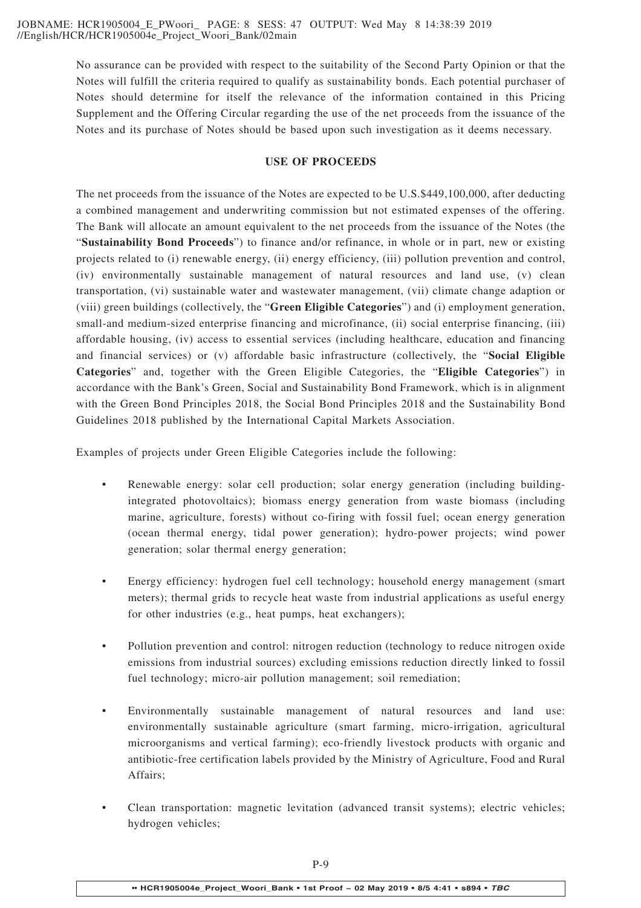No assurance can be provided with respect to the suitability of the Second Party Opinion or that the Notes will fulfill the criteria required to qualify as sustainability bonds. Each potential purchaser of Notes should determine for itself the relevance of the information contained in this Pricing Supplement and the Offering Circular regarding the use of the net proceeds from the issuance of the Notes and its purchase of Notes should be based upon such investigation as it deems necessary.

# **USE OF PROCEEDS**

The net proceeds from the issuance of the Notes are expected to be U.S.\$449,100,000, after deducting a combined management and underwriting commission but not estimated expenses of the offering. The Bank will allocate an amount equivalent to the net proceeds from the issuance of the Notes (the "**Sustainability Bond Proceeds**") to finance and/or refinance, in whole or in part, new or existing projects related to (i) renewable energy, (ii) energy efficiency, (iii) pollution prevention and control, (iv) environmentally sustainable management of natural resources and land use, (v) clean transportation, (vi) sustainable water and wastewater management, (vii) climate change adaption or (viii) green buildings (collectively, the "**Green Eligible Categories**") and (i) employment generation, small-and medium-sized enterprise financing and microfinance, (ii) social enterprise financing, (iii) affordable housing, (iv) access to essential services (including healthcare, education and financing and financial services) or (v) affordable basic infrastructure (collectively, the "**Social Eligible Categories**" and, together with the Green Eligible Categories, the "**Eligible Categories**") in accordance with the Bank's Green, Social and Sustainability Bond Framework, which is in alignment with the Green Bond Principles 2018, the Social Bond Principles 2018 and the Sustainability Bond Guidelines 2018 published by the International Capital Markets Association.

Examples of projects under Green Eligible Categories include the following:

- Renewable energy: solar cell production; solar energy generation (including buildingintegrated photovoltaics); biomass energy generation from waste biomass (including marine, agriculture, forests) without co-firing with fossil fuel; ocean energy generation (ocean thermal energy, tidal power generation); hydro-power projects; wind power generation; solar thermal energy generation;
- Energy efficiency: hydrogen fuel cell technology; household energy management (smart meters); thermal grids to recycle heat waste from industrial applications as useful energy for other industries (e.g., heat pumps, heat exchangers);
- Pollution prevention and control: nitrogen reduction (technology to reduce nitrogen oxide emissions from industrial sources) excluding emissions reduction directly linked to fossil fuel technology; micro-air pollution management; soil remediation;
- Environmentally sustainable management of natural resources and land use: environmentally sustainable agriculture (smart farming, micro-irrigation, agricultural microorganisms and vertical farming); eco-friendly livestock products with organic and antibiotic-free certification labels provided by the Ministry of Agriculture, Food and Rural Affairs;
- Clean transportation: magnetic levitation (advanced transit systems); electric vehicles; hydrogen vehicles;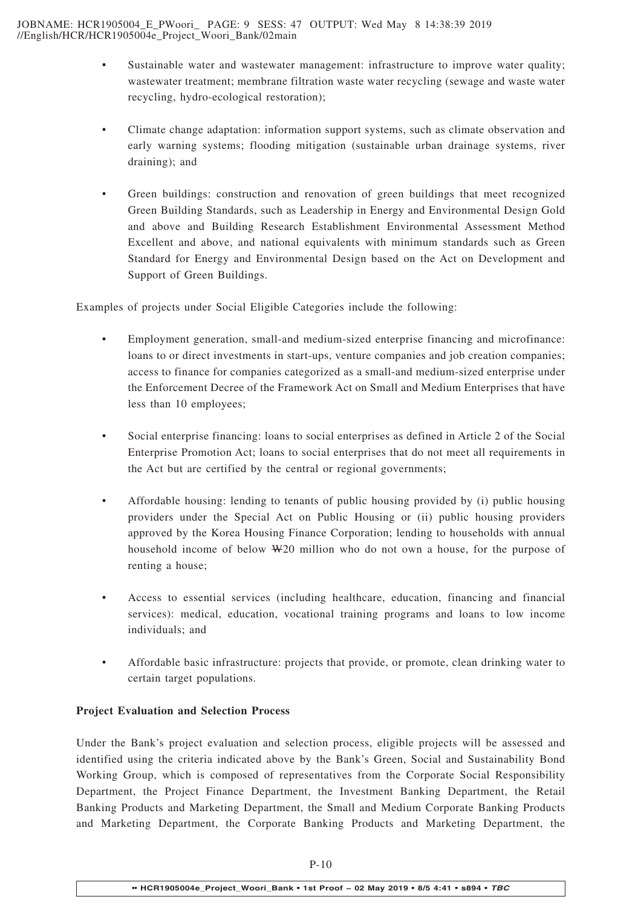- Sustainable water and wastewater management: infrastructure to improve water quality; wastewater treatment; membrane filtration waste water recycling (sewage and waste water recycling, hydro-ecological restoration);
- Climate change adaptation: information support systems, such as climate observation and early warning systems; flooding mitigation (sustainable urban drainage systems, river draining); and
- Green buildings: construction and renovation of green buildings that meet recognized Green Building Standards, such as Leadership in Energy and Environmental Design Gold and above and Building Research Establishment Environmental Assessment Method Excellent and above, and national equivalents with minimum standards such as Green Standard for Energy and Environmental Design based on the Act on Development and Support of Green Buildings.

Examples of projects under Social Eligible Categories include the following:

- Employment generation, small-and medium-sized enterprise financing and microfinance: loans to or direct investments in start-ups, venture companies and job creation companies; access to finance for companies categorized as a small-and medium-sized enterprise under the Enforcement Decree of the Framework Act on Small and Medium Enterprises that have less than 10 employees;
- Social enterprise financing: loans to social enterprises as defined in Article 2 of the Social Enterprise Promotion Act; loans to social enterprises that do not meet all requirements in the Act but are certified by the central or regional governments;
- Affordable housing: lending to tenants of public housing provided by (i) public housing providers under the Special Act on Public Housing or (ii) public housing providers approved by the Korea Housing Finance Corporation; lending to households with annual household income of below W20 million who do not own a house, for the purpose of renting a house;
- Access to essential services (including healthcare, education, financing and financial services): medical, education, vocational training programs and loans to low income individuals; and
- Affordable basic infrastructure: projects that provide, or promote, clean drinking water to certain target populations.

# **Project Evaluation and Selection Process**

Under the Bank's project evaluation and selection process, eligible projects will be assessed and identified using the criteria indicated above by the Bank's Green, Social and Sustainability Bond Working Group, which is composed of representatives from the Corporate Social Responsibility Department, the Project Finance Department, the Investment Banking Department, the Retail Banking Products and Marketing Department, the Small and Medium Corporate Banking Products and Marketing Department, the Corporate Banking Products and Marketing Department, the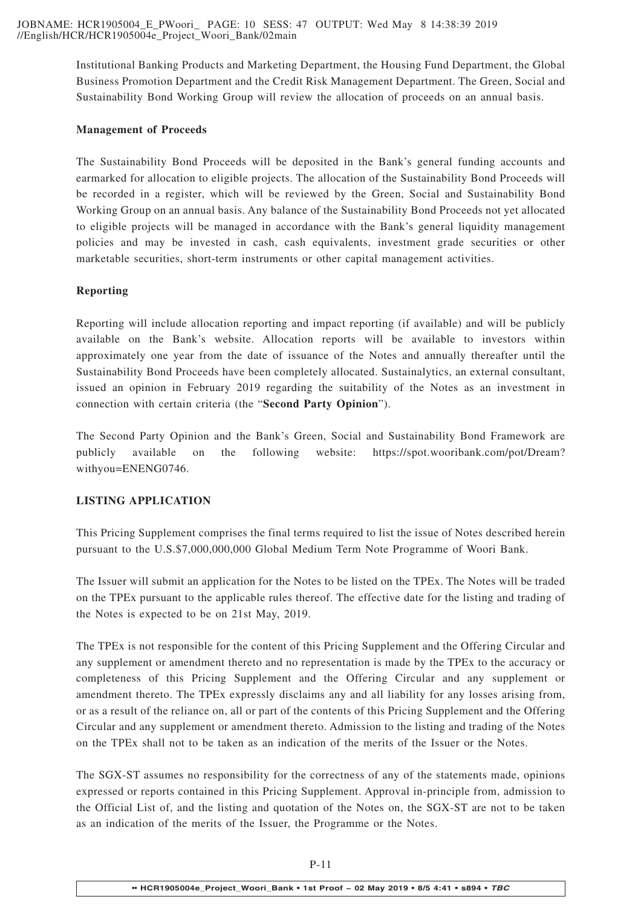Institutional Banking Products and Marketing Department, the Housing Fund Department, the Global Business Promotion Department and the Credit Risk Management Department. The Green, Social and Sustainability Bond Working Group will review the allocation of proceeds on an annual basis.

# **Management of Proceeds**

The Sustainability Bond Proceeds will be deposited in the Bank's general funding accounts and earmarked for allocation to eligible projects. The allocation of the Sustainability Bond Proceeds will be recorded in a register, which will be reviewed by the Green, Social and Sustainability Bond Working Group on an annual basis. Any balance of the Sustainability Bond Proceeds not yet allocated to eligible projects will be managed in accordance with the Bank's general liquidity management policies and may be invested in cash, cash equivalents, investment grade securities or other marketable securities, short-term instruments or other capital management activities.

# **Reporting**

Reporting will include allocation reporting and impact reporting (if available) and will be publicly available on the Bank's website. Allocation reports will be available to investors within approximately one year from the date of issuance of the Notes and annually thereafter until the Sustainability Bond Proceeds have been completely allocated. Sustainalytics, an external consultant, issued an opinion in February 2019 regarding the suitability of the Notes as an investment in connection with certain criteria (the "**Second Party Opinion**").

The Second Party Opinion and the Bank's Green, Social and Sustainability Bond Framework are publicly available on the following website: https://spot.wooribank.com/pot/Dream? withyou=ENENG0746.

# **LISTING APPLICATION**

This Pricing Supplement comprises the final terms required to list the issue of Notes described herein pursuant to the U.S.\$7,000,000,000 Global Medium Term Note Programme of Woori Bank.

The Issuer will submit an application for the Notes to be listed on the TPEx. The Notes will be traded on the TPEx pursuant to the applicable rules thereof. The effective date for the listing and trading of the Notes is expected to be on 21st May, 2019.

The TPEx is not responsible for the content of this Pricing Supplement and the Offering Circular and any supplement or amendment thereto and no representation is made by the TPEx to the accuracy or completeness of this Pricing Supplement and the Offering Circular and any supplement or amendment thereto. The TPEx expressly disclaims any and all liability for any losses arising from, or as a result of the reliance on, all or part of the contents of this Pricing Supplement and the Offering Circular and any supplement or amendment thereto. Admission to the listing and trading of the Notes on the TPEx shall not to be taken as an indication of the merits of the Issuer or the Notes.

The SGX-ST assumes no responsibility for the correctness of any of the statements made, opinions expressed or reports contained in this Pricing Supplement. Approval in-principle from, admission to the Official List of, and the listing and quotation of the Notes on, the SGX-ST are not to be taken as an indication of the merits of the Issuer, the Programme or the Notes.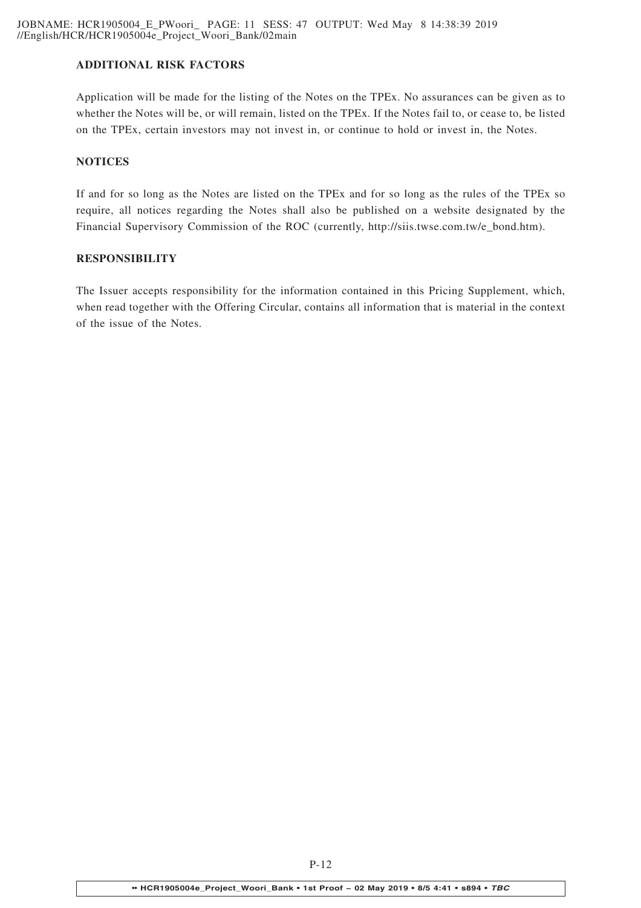# **ADDITIONAL RISK FACTORS**

Application will be made for the listing of the Notes on the TPEx. No assurances can be given as to whether the Notes will be, or will remain, listed on the TPEx. If the Notes fail to, or cease to, be listed on the TPEx, certain investors may not invest in, or continue to hold or invest in, the Notes.

# **NOTICES**

If and for so long as the Notes are listed on the TPEx and for so long as the rules of the TPEx so require, all notices regarding the Notes shall also be published on a website designated by the Financial Supervisory Commission of the ROC (currently, http://siis.twse.com.tw/e\_bond.htm).

# **RESPONSIBILITY**

The Issuer accepts responsibility for the information contained in this Pricing Supplement, which, when read together with the Offering Circular, contains all information that is material in the context of the issue of the Notes.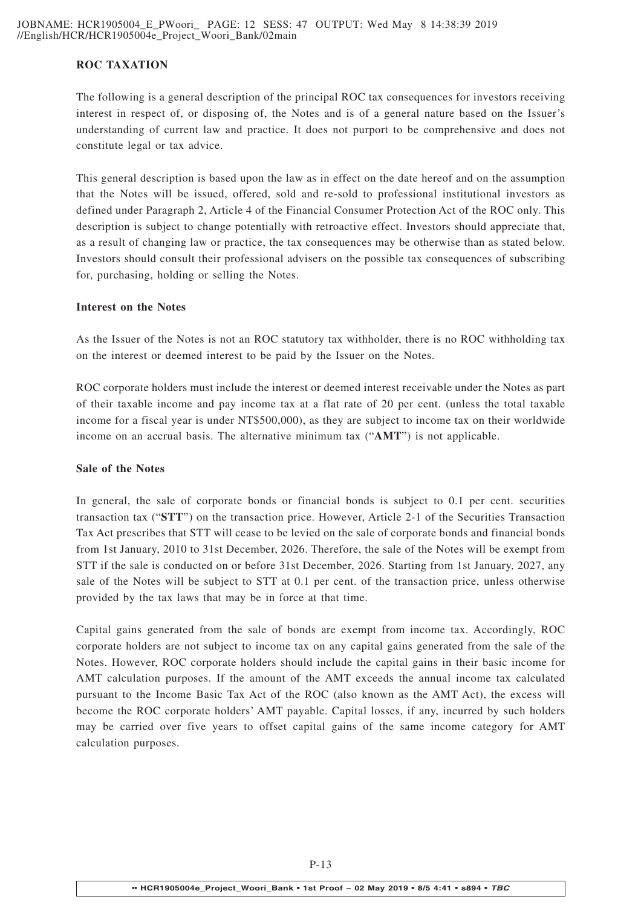# **ROC TAXATION**

The following is a general description of the principal ROC tax consequences for investors receiving interest in respect of, or disposing of, the Notes and is of a general nature based on the Issuer's understanding of current law and practice. It does not purport to be comprehensive and does not constitute legal or tax advice.

This general description is based upon the law as in effect on the date hereof and on the assumption that the Notes will be issued, offered, sold and re-sold to professional institutional investors as defined under Paragraph 2, Article 4 of the Financial Consumer Protection Act of the ROC only. This description is subject to change potentially with retroactive effect. Investors should appreciate that, as a result of changing law or practice, the tax consequences may be otherwise than as stated below. Investors should consult their professional advisers on the possible tax consequences of subscribing for, purchasing, holding or selling the Notes.

#### **Interest on the Notes**

As the Issuer of the Notes is not an ROC statutory tax withholder, there is no ROC withholding tax on the interest or deemed interest to be paid by the Issuer on the Notes.

ROC corporate holders must include the interest or deemed interest receivable under the Notes as part of their taxable income and pay income tax at a flat rate of 20 per cent. (unless the total taxable income for a fiscal year is under NT\$500,000), as they are subject to income tax on their worldwide income on an accrual basis. The alternative minimum tax ("**AMT**") is not applicable.

#### **Sale of the Notes**

In general, the sale of corporate bonds or financial bonds is subject to 0.1 per cent. securities transaction tax ("**STT**") on the transaction price. However, Article 2-1 of the Securities Transaction Tax Act prescribes that STT will cease to be levied on the sale of corporate bonds and financial bonds from 1st January, 2010 to 31st December, 2026. Therefore, the sale of the Notes will be exempt from STT if the sale is conducted on or before 31st December, 2026. Starting from 1st January, 2027, any sale of the Notes will be subject to STT at 0.1 per cent. of the transaction price, unless otherwise provided by the tax laws that may be in force at that time.

Capital gains generated from the sale of bonds are exempt from income tax. Accordingly, ROC corporate holders are not subject to income tax on any capital gains generated from the sale of the Notes. However, ROC corporate holders should include the capital gains in their basic income for AMT calculation purposes. If the amount of the AMT exceeds the annual income tax calculated pursuant to the Income Basic Tax Act of the ROC (also known as the AMT Act), the excess will become the ROC corporate holders' AMT payable. Capital losses, if any, incurred by such holders may be carried over five years to offset capital gains of the same income category for AMT calculation purposes.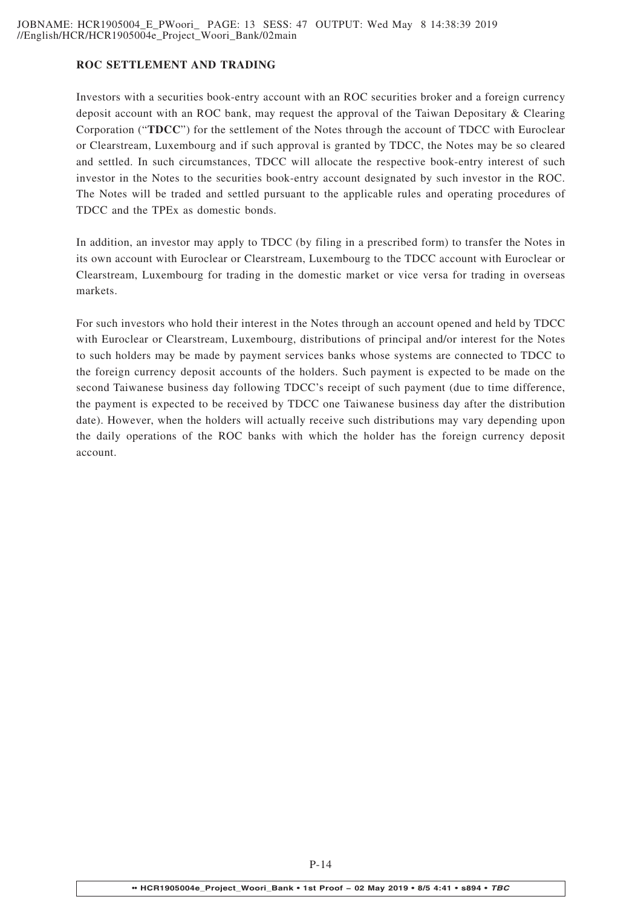# **ROC SETTLEMENT AND TRADING**

Investors with a securities book-entry account with an ROC securities broker and a foreign currency deposit account with an ROC bank, may request the approval of the Taiwan Depositary & Clearing Corporation ("**TDCC**") for the settlement of the Notes through the account of TDCC with Euroclear or Clearstream, Luxembourg and if such approval is granted by TDCC, the Notes may be so cleared and settled. In such circumstances, TDCC will allocate the respective book-entry interest of such investor in the Notes to the securities book-entry account designated by such investor in the ROC. The Notes will be traded and settled pursuant to the applicable rules and operating procedures of TDCC and the TPEx as domestic bonds.

In addition, an investor may apply to TDCC (by filing in a prescribed form) to transfer the Notes in its own account with Euroclear or Clearstream, Luxembourg to the TDCC account with Euroclear or Clearstream, Luxembourg for trading in the domestic market or vice versa for trading in overseas markets.

For such investors who hold their interest in the Notes through an account opened and held by TDCC with Euroclear or Clearstream, Luxembourg, distributions of principal and/or interest for the Notes to such holders may be made by payment services banks whose systems are connected to TDCC to the foreign currency deposit accounts of the holders. Such payment is expected to be made on the second Taiwanese business day following TDCC's receipt of such payment (due to time difference, the payment is expected to be received by TDCC one Taiwanese business day after the distribution date). However, when the holders will actually receive such distributions may vary depending upon the daily operations of the ROC banks with which the holder has the foreign currency deposit account.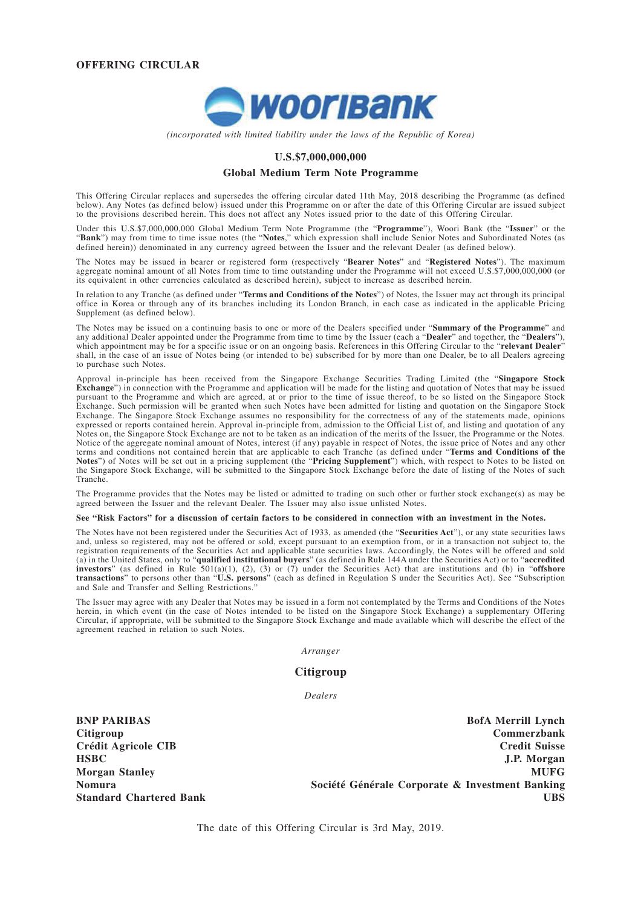

*(incorporated with limited liability under the laws of the Republic of Korea)*

#### **U.S.\$7,000,000,000**

#### **Global Medium Term Note Programme**

This Offering Circular replaces and supersedes the offering circular dated 11th May, 2018 describing the Programme (as defined below). Any Notes (as defined below) issued under this Programme on or after the date of this Offering Circular are issued subject to the provisions described herein. This does not affect any Notes issued prior to the date of this Offering Circular.

Under this U.S.\$7,000,000,000 Global Medium Term Note Programme (the "**Programme**"), Woori Bank (the "**Issuer**" or the "**Bank**") may from time to time issue notes (the "**Notes**," which expression shall include Senior Notes and Subordinated Notes (as defined herein)) denominated in any currency agreed between the Issuer and the relevant Dealer (as defined below).

The Notes may be issued in bearer or registered form (respectively "**Bearer Notes**" and "**Registered Notes**"). The maximum aggregate nominal amount of all Notes from time to time outstanding under the Programme will not exceed U.S.\$7,000,000,000 (or its equivalent in other currencies calculated as described herein), subject to increase as described herein.

In relation to any Tranche (as defined under "**Terms and Conditions of the Notes**") of Notes, the Issuer may act through its principal office in Korea or through any of its branches including its London Branch, in each case as indicated in the applicable Pricing Supplement (as defined below).

The Notes may be issued on a continuing basis to one or more of the Dealers specified under "**Summary of the Programme**" and any additional Dealer appointed under the Programme from time to time by the Issuer (each a "**Dealer**" and together, the "**Dealers**"), which appointment may be for a specific issue or on an ongoing basis. References in this Offering Circular to the "**relevant Dealer**" shall, in the case of an issue of Notes being (or intended to be) subscribed for by more than one Dealer, be to all Dealers agreeing to purchase such Notes.

Approval in-principle has been received from the Singapore Exchange Securities Trading Limited (the "**Singapore Stock Exchange**") in connection with the Programme and application will be made for the listing and quotation of Notes that may be issued pursuant to the Programme and which are agreed, at or prior to the time of issue thereof, to be so listed on the Singapore Stock Exchange. Such permission will be granted when such Notes have been admitted for listing and quotation on the Singapore Stock Exchange. The Singapore Stock Exchange assumes no responsibility for the correctness of any of the statements made, opinions expressed or reports contained herein. Approval in-principle from, admission to the Official List of, and listing and quotation of any Notes on, the Singapore Stock Exchange are not to be taken as an indication of the merits of the Issuer, the Programme or the Notes. Notice of the aggregate nominal amount of Notes, interest (if any) payable in respect of Notes, the issue price of Notes and any other terms and conditions not contained herein that are applicable to each Tranche (as defined under "**Terms and Conditions of the Notes**") of Notes will be set out in a pricing supplement (the "**Pricing Supplement**") which, with respect to Notes to be listed on the Singapore Stock Exchange, will be submitted to the Singapore Stock Exchange before the date of listing of the Notes of such Tranche.

The Programme provides that the Notes may be listed or admitted to trading on such other or further stock exchange(s) as may be agreed between the Issuer and the relevant Dealer. The Issuer may also issue unlisted Notes.

#### **See "Risk Factors" for a discussion of certain factors to be considered in connection with an investment in the Notes.**

The Notes have not been registered under the Securities Act of 1933, as amended (the "**Securities Act**"), or any state securities laws and, unless so registered, may not be offered or sold, except pursuant to an exemption from, or in a transaction not subject to, the registration requirements of the Securities Act and applicable state securities laws. Accordingly, the Notes will be offered and sold (a) in the United States, only to "**qualified institutional buyers**" (as defined in Rule 144A under the Securities Act) or to "**accredited investors**" (as defined in Rule 501(a)(1), (2), (3) or (7) under the Securities Act) that are institutions and (b) in "**offshore transactions**" to persons other than "**U.S. persons**" (each as defined in Regulation S under the Securities Act). See "Subscription and Sale and Transfer and Selling Restrictions."

The Issuer may agree with any Dealer that Notes may be issued in a form not contemplated by the Terms and Conditions of the Notes herein, in which event (in the case of Notes intended to be listed on the Singapore Stock Exchange) a supplementary Offering Circular, if appropriate, will be submitted to the Singapore Stock Exchange and made available which will describe the effect of the agreement reached in relation to such Notes.

*Arranger*

#### **Citigroup**

*Dealers*

**BNP PARIBAS Citigroup Crédit Agricole CIB HSBC Morgan Stanley Nomura Standard Chartered Bank**

**BofA Merrill Lynch Commerzbank Credit Suisse J.P. Morgan MUFG Société Générale Corporate & Investment Banking UBS**

The date of this Offering Circular is 3rd May, 2019.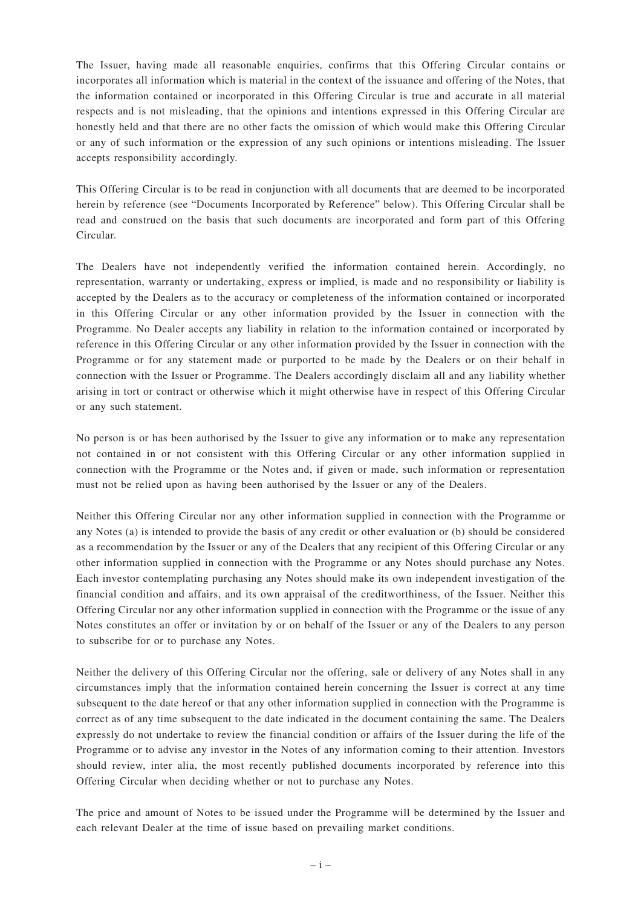The Issuer, having made all reasonable enquiries, confirms that this Offering Circular contains or incorporates all information which is material in the context of the issuance and offering of the Notes, that the information contained or incorporated in this Offering Circular is true and accurate in all material respects and is not misleading, that the opinions and intentions expressed in this Offering Circular are honestly held and that there are no other facts the omission of which would make this Offering Circular or any of such information or the expression of any such opinions or intentions misleading. The Issuer accepts responsibility accordingly.

This Offering Circular is to be read in conjunction with all documents that are deemed to be incorporated herein by reference (see "Documents Incorporated by Reference" below). This Offering Circular shall be read and construed on the basis that such documents are incorporated and form part of this Offering Circular.

The Dealers have not independently verified the information contained herein. Accordingly, no representation, warranty or undertaking, express or implied, is made and no responsibility or liability is accepted by the Dealers as to the accuracy or completeness of the information contained or incorporated in this Offering Circular or any other information provided by the Issuer in connection with the Programme. No Dealer accepts any liability in relation to the information contained or incorporated by reference in this Offering Circular or any other information provided by the Issuer in connection with the Programme or for any statement made or purported to be made by the Dealers or on their behalf in connection with the Issuer or Programme. The Dealers accordingly disclaim all and any liability whether arising in tort or contract or otherwise which it might otherwise have in respect of this Offering Circular or any such statement.

No person is or has been authorised by the Issuer to give any information or to make any representation not contained in or not consistent with this Offering Circular or any other information supplied in connection with the Programme or the Notes and, if given or made, such information or representation must not be relied upon as having been authorised by the Issuer or any of the Dealers.

Neither this Offering Circular nor any other information supplied in connection with the Programme or any Notes (a) is intended to provide the basis of any credit or other evaluation or (b) should be considered as a recommendation by the Issuer or any of the Dealers that any recipient of this Offering Circular or any other information supplied in connection with the Programme or any Notes should purchase any Notes. Each investor contemplating purchasing any Notes should make its own independent investigation of the financial condition and affairs, and its own appraisal of the creditworthiness, of the Issuer. Neither this Offering Circular nor any other information supplied in connection with the Programme or the issue of any Notes constitutes an offer or invitation by or on behalf of the Issuer or any of the Dealers to any person to subscribe for or to purchase any Notes.

Neither the delivery of this Offering Circular nor the offering, sale or delivery of any Notes shall in any circumstances imply that the information contained herein concerning the Issuer is correct at any time subsequent to the date hereof or that any other information supplied in connection with the Programme is correct as of any time subsequent to the date indicated in the document containing the same. The Dealers expressly do not undertake to review the financial condition or affairs of the Issuer during the life of the Programme or to advise any investor in the Notes of any information coming to their attention. Investors should review, inter alia, the most recently published documents incorporated by reference into this Offering Circular when deciding whether or not to purchase any Notes.

The price and amount of Notes to be issued under the Programme will be determined by the Issuer and each relevant Dealer at the time of issue based on prevailing market conditions.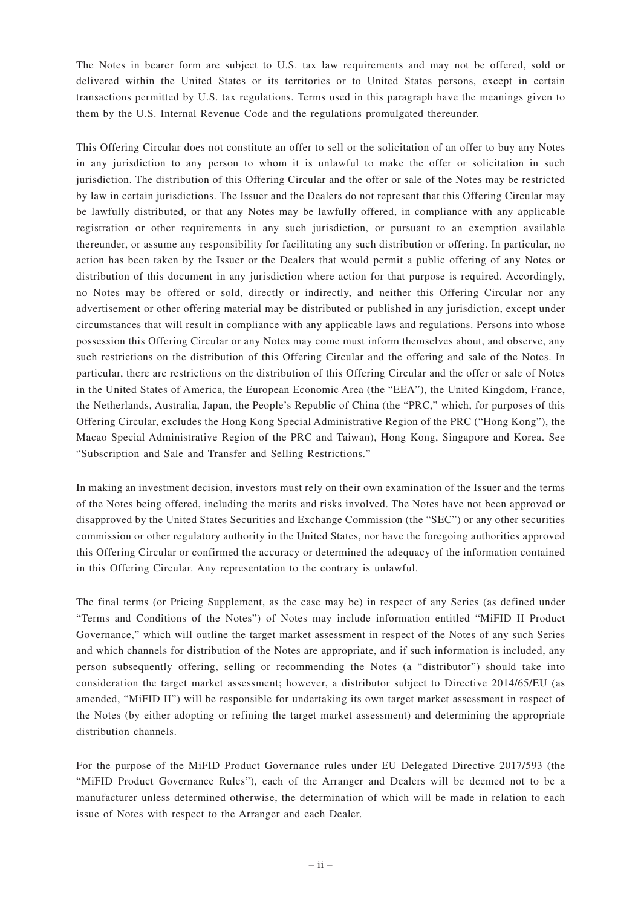The Notes in bearer form are subject to U.S. tax law requirements and may not be offered, sold or delivered within the United States or its territories or to United States persons, except in certain transactions permitted by U.S. tax regulations. Terms used in this paragraph have the meanings given to them by the U.S. Internal Revenue Code and the regulations promulgated thereunder.

This Offering Circular does not constitute an offer to sell or the solicitation of an offer to buy any Notes in any jurisdiction to any person to whom it is unlawful to make the offer or solicitation in such jurisdiction. The distribution of this Offering Circular and the offer or sale of the Notes may be restricted by law in certain jurisdictions. The Issuer and the Dealers do not represent that this Offering Circular may be lawfully distributed, or that any Notes may be lawfully offered, in compliance with any applicable registration or other requirements in any such jurisdiction, or pursuant to an exemption available thereunder, or assume any responsibility for facilitating any such distribution or offering. In particular, no action has been taken by the Issuer or the Dealers that would permit a public offering of any Notes or distribution of this document in any jurisdiction where action for that purpose is required. Accordingly, no Notes may be offered or sold, directly or indirectly, and neither this Offering Circular nor any advertisement or other offering material may be distributed or published in any jurisdiction, except under circumstances that will result in compliance with any applicable laws and regulations. Persons into whose possession this Offering Circular or any Notes may come must inform themselves about, and observe, any such restrictions on the distribution of this Offering Circular and the offering and sale of the Notes. In particular, there are restrictions on the distribution of this Offering Circular and the offer or sale of Notes in the United States of America, the European Economic Area (the "EEA"), the United Kingdom, France, the Netherlands, Australia, Japan, the People's Republic of China (the "PRC," which, for purposes of this Offering Circular, excludes the Hong Kong Special Administrative Region of the PRC ("Hong Kong"), the Macao Special Administrative Region of the PRC and Taiwan), Hong Kong, Singapore and Korea. See "Subscription and Sale and Transfer and Selling Restrictions."

In making an investment decision, investors must rely on their own examination of the Issuer and the terms of the Notes being offered, including the merits and risks involved. The Notes have not been approved or disapproved by the United States Securities and Exchange Commission (the "SEC") or any other securities commission or other regulatory authority in the United States, nor have the foregoing authorities approved this Offering Circular or confirmed the accuracy or determined the adequacy of the information contained in this Offering Circular. Any representation to the contrary is unlawful.

The final terms (or Pricing Supplement, as the case may be) in respect of any Series (as defined under "Terms and Conditions of the Notes") of Notes may include information entitled "MiFID II Product Governance," which will outline the target market assessment in respect of the Notes of any such Series and which channels for distribution of the Notes are appropriate, and if such information is included, any person subsequently offering, selling or recommending the Notes (a "distributor") should take into consideration the target market assessment; however, a distributor subject to Directive 2014/65/EU (as amended, "MiFID II") will be responsible for undertaking its own target market assessment in respect of the Notes (by either adopting or refining the target market assessment) and determining the appropriate distribution channels.

For the purpose of the MiFID Product Governance rules under EU Delegated Directive 2017/593 (the "MiFID Product Governance Rules"), each of the Arranger and Dealers will be deemed not to be a manufacturer unless determined otherwise, the determination of which will be made in relation to each issue of Notes with respect to the Arranger and each Dealer.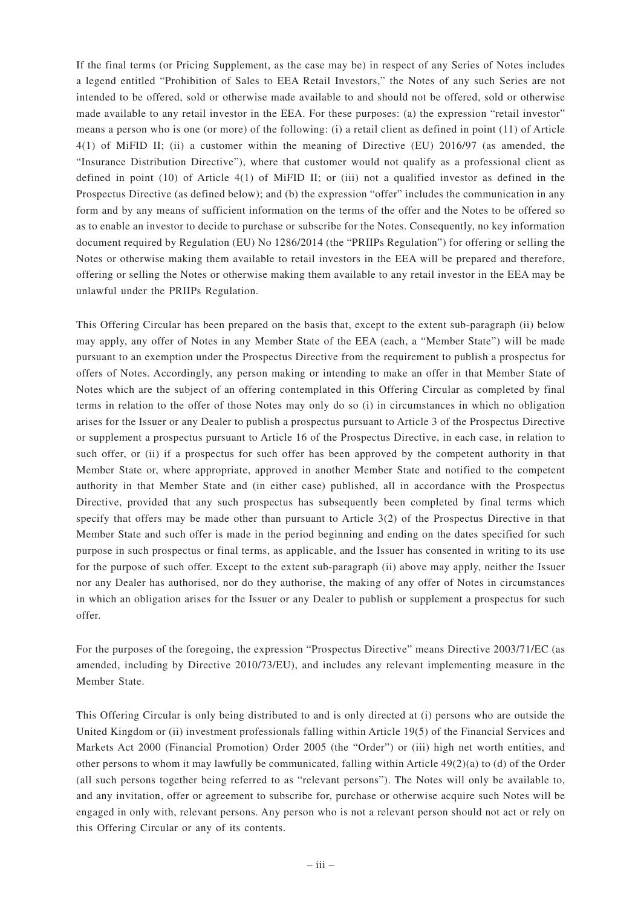If the final terms (or Pricing Supplement, as the case may be) in respect of any Series of Notes includes a legend entitled "Prohibition of Sales to EEA Retail Investors," the Notes of any such Series are not intended to be offered, sold or otherwise made available to and should not be offered, sold or otherwise made available to any retail investor in the EEA. For these purposes: (a) the expression "retail investor" means a person who is one (or more) of the following: (i) a retail client as defined in point (11) of Article 4(1) of MiFID II; (ii) a customer within the meaning of Directive (EU) 2016/97 (as amended, the "Insurance Distribution Directive"), where that customer would not qualify as a professional client as defined in point (10) of Article 4(1) of MiFID II; or (iii) not a qualified investor as defined in the Prospectus Directive (as defined below); and (b) the expression "offer" includes the communication in any form and by any means of sufficient information on the terms of the offer and the Notes to be offered so as to enable an investor to decide to purchase or subscribe for the Notes. Consequently, no key information document required by Regulation (EU) No 1286/2014 (the "PRIIPs Regulation") for offering or selling the Notes or otherwise making them available to retail investors in the EEA will be prepared and therefore, offering or selling the Notes or otherwise making them available to any retail investor in the EEA may be unlawful under the PRIIPs Regulation.

This Offering Circular has been prepared on the basis that, except to the extent sub-paragraph (ii) below may apply, any offer of Notes in any Member State of the EEA (each, a "Member State") will be made pursuant to an exemption under the Prospectus Directive from the requirement to publish a prospectus for offers of Notes. Accordingly, any person making or intending to make an offer in that Member State of Notes which are the subject of an offering contemplated in this Offering Circular as completed by final terms in relation to the offer of those Notes may only do so (i) in circumstances in which no obligation arises for the Issuer or any Dealer to publish a prospectus pursuant to Article 3 of the Prospectus Directive or supplement a prospectus pursuant to Article 16 of the Prospectus Directive, in each case, in relation to such offer, or (ii) if a prospectus for such offer has been approved by the competent authority in that Member State or, where appropriate, approved in another Member State and notified to the competent authority in that Member State and (in either case) published, all in accordance with the Prospectus Directive, provided that any such prospectus has subsequently been completed by final terms which specify that offers may be made other than pursuant to Article 3(2) of the Prospectus Directive in that Member State and such offer is made in the period beginning and ending on the dates specified for such purpose in such prospectus or final terms, as applicable, and the Issuer has consented in writing to its use for the purpose of such offer. Except to the extent sub-paragraph (ii) above may apply, neither the Issuer nor any Dealer has authorised, nor do they authorise, the making of any offer of Notes in circumstances in which an obligation arises for the Issuer or any Dealer to publish or supplement a prospectus for such offer.

For the purposes of the foregoing, the expression "Prospectus Directive" means Directive 2003/71/EC (as amended, including by Directive 2010/73/EU), and includes any relevant implementing measure in the Member State.

This Offering Circular is only being distributed to and is only directed at (i) persons who are outside the United Kingdom or (ii) investment professionals falling within Article 19(5) of the Financial Services and Markets Act 2000 (Financial Promotion) Order 2005 (the "Order") or (iii) high net worth entities, and other persons to whom it may lawfully be communicated, falling within Article 49(2)(a) to (d) of the Order (all such persons together being referred to as "relevant persons"). The Notes will only be available to, and any invitation, offer or agreement to subscribe for, purchase or otherwise acquire such Notes will be engaged in only with, relevant persons. Any person who is not a relevant person should not act or rely on this Offering Circular or any of its contents.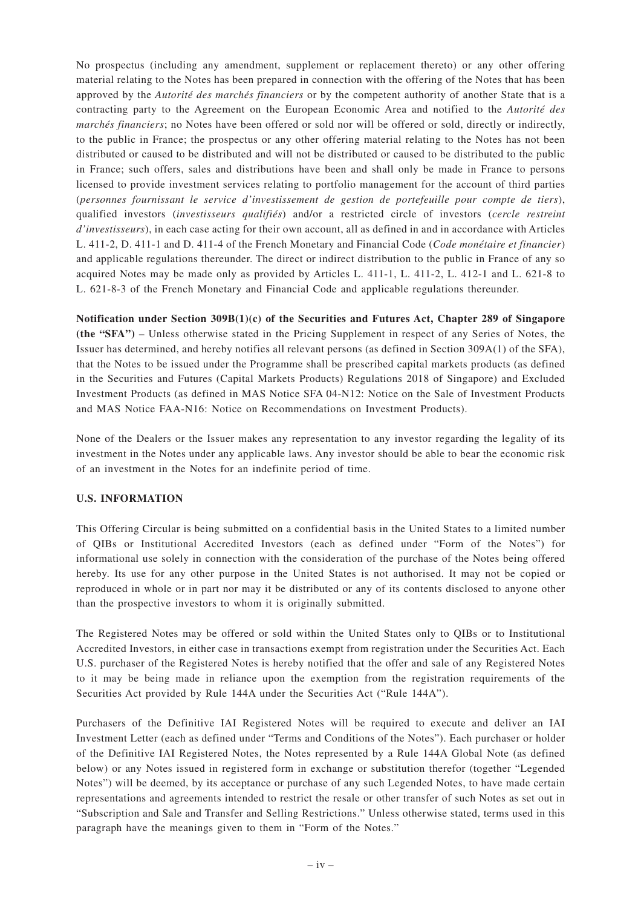No prospectus (including any amendment, supplement or replacement thereto) or any other offering material relating to the Notes has been prepared in connection with the offering of the Notes that has been approved by the *Autorité des marchés financiers* or by the competent authority of another State that is a contracting party to the Agreement on the European Economic Area and notified to the *Autorité des marchés financiers*; no Notes have been offered or sold nor will be offered or sold, directly or indirectly, to the public in France; the prospectus or any other offering material relating to the Notes has not been distributed or caused to be distributed and will not be distributed or caused to be distributed to the public in France; such offers, sales and distributions have been and shall only be made in France to persons licensed to provide investment services relating to portfolio management for the account of third parties (*personnes fournissant le service d'investissement de gestion de portefeuille pour compte de tiers*), qualified investors (*investisseurs qualifiés*) and/or a restricted circle of investors (*cercle restreint d'investisseurs*), in each case acting for their own account, all as defined in and in accordance with Articles L. 411-2, D. 411-1 and D. 411-4 of the French Monetary and Financial Code (*Code monétaire et financier*) and applicable regulations thereunder. The direct or indirect distribution to the public in France of any so acquired Notes may be made only as provided by Articles L. 411-1, L. 411-2, L. 412-1 and L. 621-8 to L. 621-8-3 of the French Monetary and Financial Code and applicable regulations thereunder.

**Notification under Section 309B(1)(c) of the Securities and Futures Act, Chapter 289 of Singapore (the "SFA")** – Unless otherwise stated in the Pricing Supplement in respect of any Series of Notes, the Issuer has determined, and hereby notifies all relevant persons (as defined in Section 309A(1) of the SFA), that the Notes to be issued under the Programme shall be prescribed capital markets products (as defined in the Securities and Futures (Capital Markets Products) Regulations 2018 of Singapore) and Excluded Investment Products (as defined in MAS Notice SFA 04-N12: Notice on the Sale of Investment Products and MAS Notice FAA-N16: Notice on Recommendations on Investment Products).

None of the Dealers or the Issuer makes any representation to any investor regarding the legality of its investment in the Notes under any applicable laws. Any investor should be able to bear the economic risk of an investment in the Notes for an indefinite period of time.

# **U.S. INFORMATION**

This Offering Circular is being submitted on a confidential basis in the United States to a limited number of QIBs or Institutional Accredited Investors (each as defined under "Form of the Notes") for informational use solely in connection with the consideration of the purchase of the Notes being offered hereby. Its use for any other purpose in the United States is not authorised. It may not be copied or reproduced in whole or in part nor may it be distributed or any of its contents disclosed to anyone other than the prospective investors to whom it is originally submitted.

The Registered Notes may be offered or sold within the United States only to QIBs or to Institutional Accredited Investors, in either case in transactions exempt from registration under the Securities Act. Each U.S. purchaser of the Registered Notes is hereby notified that the offer and sale of any Registered Notes to it may be being made in reliance upon the exemption from the registration requirements of the Securities Act provided by Rule 144A under the Securities Act ("Rule 144A").

Purchasers of the Definitive IAI Registered Notes will be required to execute and deliver an IAI Investment Letter (each as defined under "Terms and Conditions of the Notes"). Each purchaser or holder of the Definitive IAI Registered Notes, the Notes represented by a Rule 144A Global Note (as defined below) or any Notes issued in registered form in exchange or substitution therefor (together "Legended Notes") will be deemed, by its acceptance or purchase of any such Legended Notes, to have made certain representations and agreements intended to restrict the resale or other transfer of such Notes as set out in "Subscription and Sale and Transfer and Selling Restrictions." Unless otherwise stated, terms used in this paragraph have the meanings given to them in "Form of the Notes."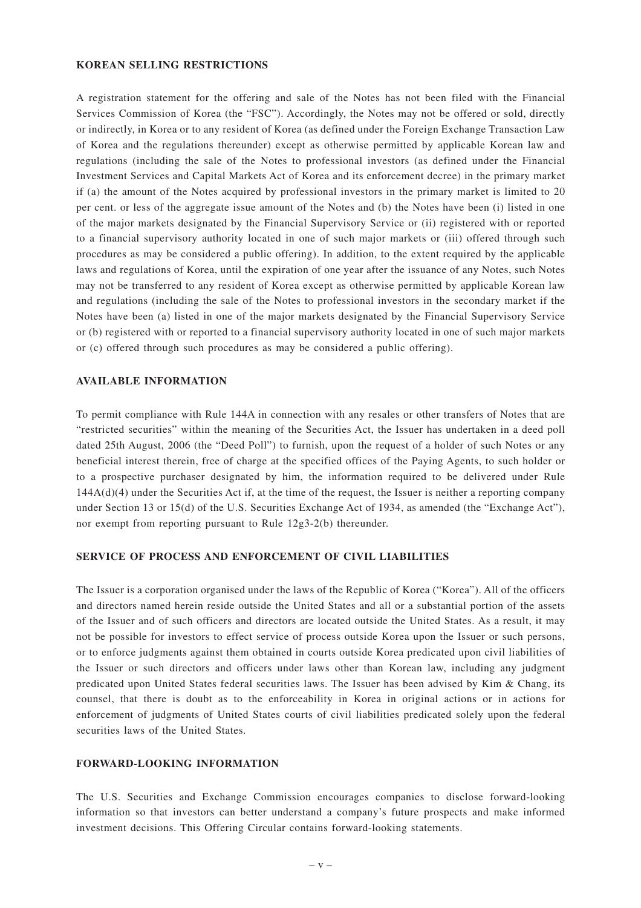### **KOREAN SELLING RESTRICTIONS**

A registration statement for the offering and sale of the Notes has not been filed with the Financial Services Commission of Korea (the "FSC"). Accordingly, the Notes may not be offered or sold, directly or indirectly, in Korea or to any resident of Korea (as defined under the Foreign Exchange Transaction Law of Korea and the regulations thereunder) except as otherwise permitted by applicable Korean law and regulations (including the sale of the Notes to professional investors (as defined under the Financial Investment Services and Capital Markets Act of Korea and its enforcement decree) in the primary market if (a) the amount of the Notes acquired by professional investors in the primary market is limited to 20 per cent. or less of the aggregate issue amount of the Notes and (b) the Notes have been (i) listed in one of the major markets designated by the Financial Supervisory Service or (ii) registered with or reported to a financial supervisory authority located in one of such major markets or (iii) offered through such procedures as may be considered a public offering). In addition, to the extent required by the applicable laws and regulations of Korea, until the expiration of one year after the issuance of any Notes, such Notes may not be transferred to any resident of Korea except as otherwise permitted by applicable Korean law and regulations (including the sale of the Notes to professional investors in the secondary market if the Notes have been (a) listed in one of the major markets designated by the Financial Supervisory Service or (b) registered with or reported to a financial supervisory authority located in one of such major markets or (c) offered through such procedures as may be considered a public offering).

#### **AVAILABLE INFORMATION**

To permit compliance with Rule 144A in connection with any resales or other transfers of Notes that are "restricted securities" within the meaning of the Securities Act, the Issuer has undertaken in a deed poll dated 25th August, 2006 (the "Deed Poll") to furnish, upon the request of a holder of such Notes or any beneficial interest therein, free of charge at the specified offices of the Paying Agents, to such holder or to a prospective purchaser designated by him, the information required to be delivered under Rule  $144A(d)(4)$  under the Securities Act if, at the time of the request, the Issuer is neither a reporting company under Section 13 or 15(d) of the U.S. Securities Exchange Act of 1934, as amended (the "Exchange Act"), nor exempt from reporting pursuant to Rule 12g3-2(b) thereunder.

#### **SERVICE OF PROCESS AND ENFORCEMENT OF CIVIL LIABILITIES**

The Issuer is a corporation organised under the laws of the Republic of Korea ("Korea"). All of the officers and directors named herein reside outside the United States and all or a substantial portion of the assets of the Issuer and of such officers and directors are located outside the United States. As a result, it may not be possible for investors to effect service of process outside Korea upon the Issuer or such persons, or to enforce judgments against them obtained in courts outside Korea predicated upon civil liabilities of the Issuer or such directors and officers under laws other than Korean law, including any judgment predicated upon United States federal securities laws. The Issuer has been advised by Kim & Chang, its counsel, that there is doubt as to the enforceability in Korea in original actions or in actions for enforcement of judgments of United States courts of civil liabilities predicated solely upon the federal securities laws of the United States.

### **FORWARD-LOOKING INFORMATION**

The U.S. Securities and Exchange Commission encourages companies to disclose forward-looking information so that investors can better understand a company's future prospects and make informed investment decisions. This Offering Circular contains forward-looking statements.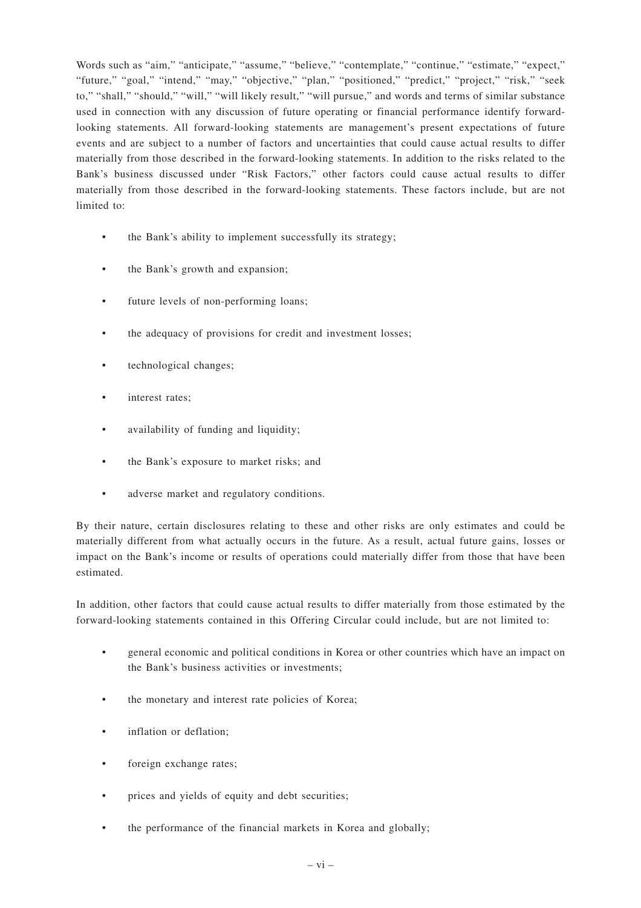Words such as "aim," "anticipate," "assume," "believe," "contemplate," "continue," "estimate," "expect," "future," "goal," "intend," "may," "objective," "plan," "positioned," "predict," "project," "risk," "seek to," "shall," "should," "will," "will likely result," "will pursue," and words and terms of similar substance used in connection with any discussion of future operating or financial performance identify forwardlooking statements. All forward-looking statements are management's present expectations of future events and are subject to a number of factors and uncertainties that could cause actual results to differ materially from those described in the forward-looking statements. In addition to the risks related to the Bank's business discussed under "Risk Factors," other factors could cause actual results to differ materially from those described in the forward-looking statements. These factors include, but are not limited to:

- the Bank's ability to implement successfully its strategy;
- the Bank's growth and expansion:
- future levels of non-performing loans;
- the adequacy of provisions for credit and investment losses;
- technological changes;
- interest rates:
- availability of funding and liquidity;
- the Bank's exposure to market risks; and
- adverse market and regulatory conditions.

By their nature, certain disclosures relating to these and other risks are only estimates and could be materially different from what actually occurs in the future. As a result, actual future gains, losses or impact on the Bank's income or results of operations could materially differ from those that have been estimated.

In addition, other factors that could cause actual results to differ materially from those estimated by the forward-looking statements contained in this Offering Circular could include, but are not limited to:

- general economic and political conditions in Korea or other countries which have an impact on the Bank's business activities or investments;
- the monetary and interest rate policies of Korea;
- inflation or deflation:
- foreign exchange rates;
- prices and yields of equity and debt securities;
- the performance of the financial markets in Korea and globally;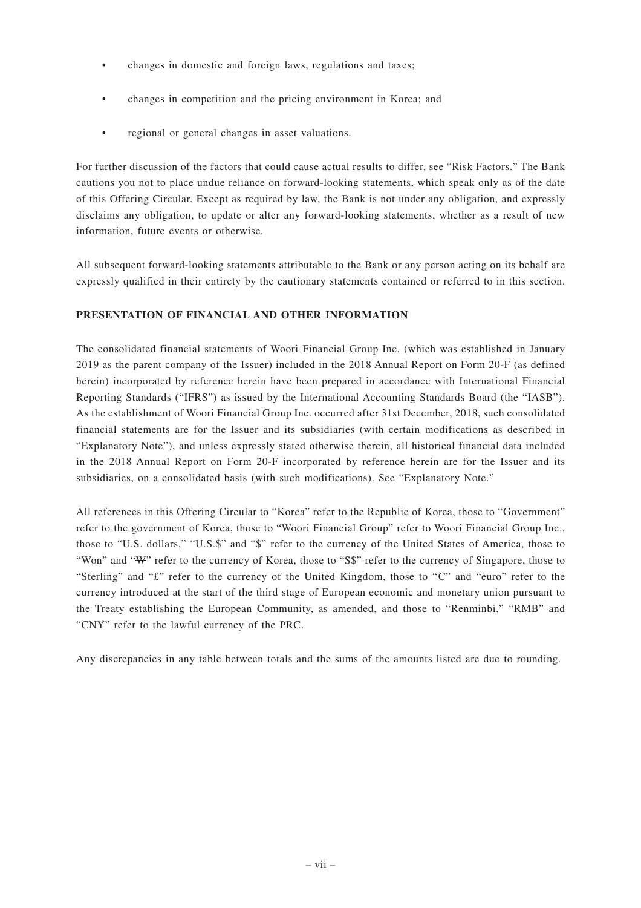- changes in domestic and foreign laws, regulations and taxes;
- changes in competition and the pricing environment in Korea; and
- regional or general changes in asset valuations.

For further discussion of the factors that could cause actual results to differ, see "Risk Factors." The Bank cautions you not to place undue reliance on forward-looking statements, which speak only as of the date of this Offering Circular. Except as required by law, the Bank is not under any obligation, and expressly disclaims any obligation, to update or alter any forward-looking statements, whether as a result of new information, future events or otherwise.

All subsequent forward-looking statements attributable to the Bank or any person acting on its behalf are expressly qualified in their entirety by the cautionary statements contained or referred to in this section.

# **PRESENTATION OF FINANCIAL AND OTHER INFORMATION**

The consolidated financial statements of Woori Financial Group Inc. (which was established in January 2019 as the parent company of the Issuer) included in the 2018 Annual Report on Form 20-F (as defined herein) incorporated by reference herein have been prepared in accordance with International Financial Reporting Standards ("IFRS") as issued by the International Accounting Standards Board (the "IASB"). As the establishment of Woori Financial Group Inc. occurred after 31st December, 2018, such consolidated financial statements are for the Issuer and its subsidiaries (with certain modifications as described in "Explanatory Note"), and unless expressly stated otherwise therein, all historical financial data included in the 2018 Annual Report on Form 20-F incorporated by reference herein are for the Issuer and its subsidiaries, on a consolidated basis (with such modifications). See "Explanatory Note."

All references in this Offering Circular to "Korea" refer to the Republic of Korea, those to "Government" refer to the government of Korea, those to "Woori Financial Group" refer to Woori Financial Group Inc., those to "U.S. dollars," "U.S.\$" and "\$" refer to the currency of the United States of America, those to "Won" and "W" refer to the currency of Korea, those to "S\$" refer to the currency of Singapore, those to "Sterling" and " $\mathcal{L}$ " refer to the currency of the United Kingdom, those to " $\mathcal{L}$ " and "euro" refer to the currency introduced at the start of the third stage of European economic and monetary union pursuant to the Treaty establishing the European Community, as amended, and those to "Renminbi," "RMB" and "CNY" refer to the lawful currency of the PRC.

Any discrepancies in any table between totals and the sums of the amounts listed are due to rounding.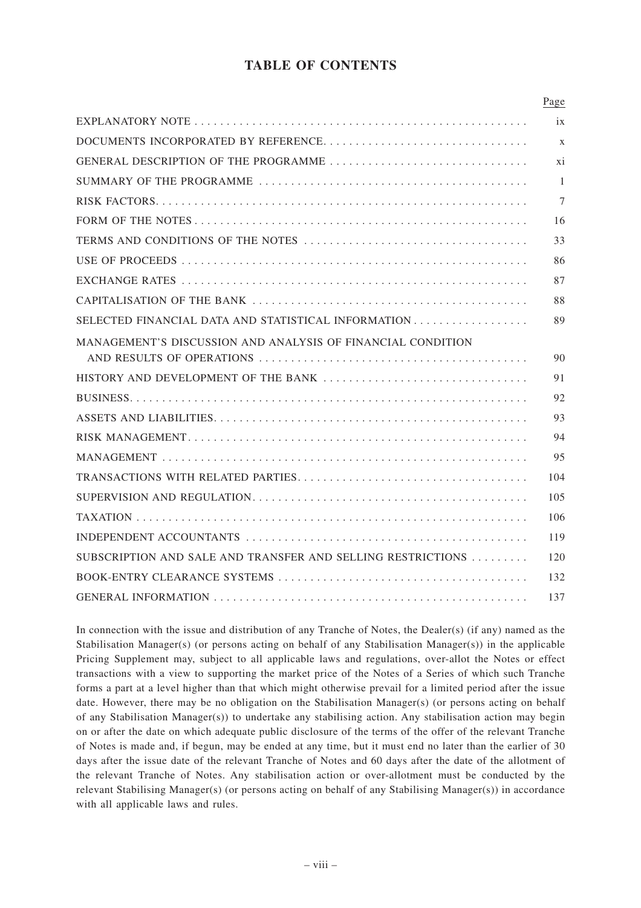# **TABLE OF CONTENTS**

|                                                             | Page             |
|-------------------------------------------------------------|------------------|
|                                                             | ix               |
|                                                             | $\boldsymbol{X}$ |
|                                                             | xi               |
|                                                             | $\mathbf{1}$     |
|                                                             | 7                |
|                                                             | 16               |
|                                                             | 33               |
|                                                             | 86               |
|                                                             | 87               |
|                                                             | 88               |
| SELECTED FINANCIAL DATA AND STATISTICAL INFORMATION         | 89               |
| MANAGEMENT'S DISCUSSION AND ANALYSIS OF FINANCIAL CONDITION |                  |
|                                                             | 90               |
| HISTORY AND DEVELOPMENT OF THE BANK                         | 91               |
|                                                             | 92               |
|                                                             | 93               |
|                                                             | 94               |
|                                                             | 95               |
|                                                             | 104              |
|                                                             | 105              |
|                                                             | 106              |
|                                                             | 119              |
| SUBSCRIPTION AND SALE AND TRANSFER AND SELLING RESTRICTIONS | 120              |
|                                                             | 132              |
|                                                             | 137              |

In connection with the issue and distribution of any Tranche of Notes, the Dealer(s) (if any) named as the Stabilisation Manager(s) (or persons acting on behalf of any Stabilisation Manager(s)) in the applicable Pricing Supplement may, subject to all applicable laws and regulations, over-allot the Notes or effect transactions with a view to supporting the market price of the Notes of a Series of which such Tranche forms a part at a level higher than that which might otherwise prevail for a limited period after the issue date. However, there may be no obligation on the Stabilisation Manager(s) (or persons acting on behalf of any Stabilisation Manager(s)) to undertake any stabilising action. Any stabilisation action may begin on or after the date on which adequate public disclosure of the terms of the offer of the relevant Tranche of Notes is made and, if begun, may be ended at any time, but it must end no later than the earlier of 30 days after the issue date of the relevant Tranche of Notes and 60 days after the date of the allotment of the relevant Tranche of Notes. Any stabilisation action or over-allotment must be conducted by the relevant Stabilising Manager(s) (or persons acting on behalf of any Stabilising Manager(s)) in accordance with all applicable laws and rules.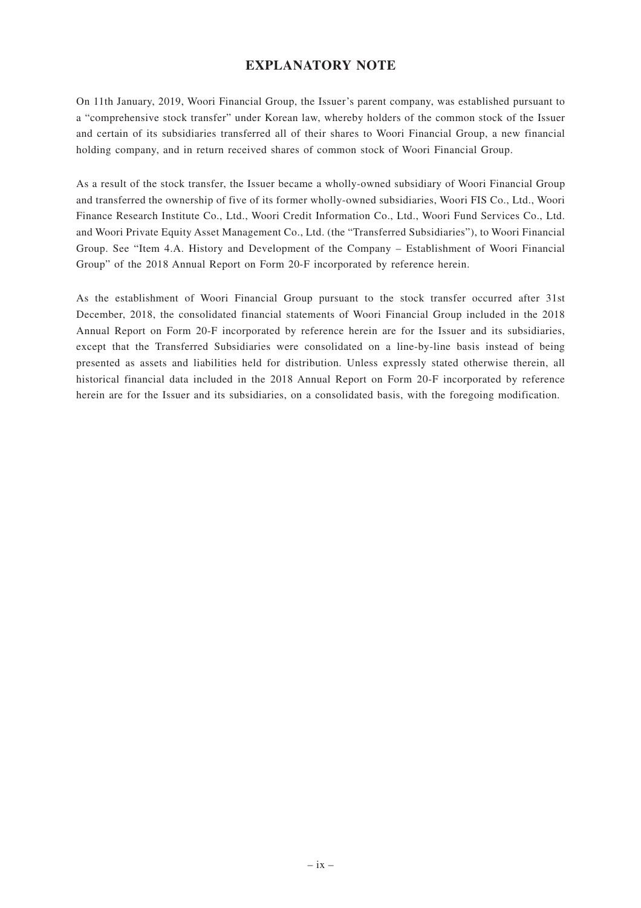# **EXPLANATORY NOTE**

On 11th January, 2019, Woori Financial Group, the Issuer's parent company, was established pursuant to a "comprehensive stock transfer" under Korean law, whereby holders of the common stock of the Issuer and certain of its subsidiaries transferred all of their shares to Woori Financial Group, a new financial holding company, and in return received shares of common stock of Woori Financial Group.

As a result of the stock transfer, the Issuer became a wholly-owned subsidiary of Woori Financial Group and transferred the ownership of five of its former wholly-owned subsidiaries, Woori FIS Co., Ltd., Woori Finance Research Institute Co., Ltd., Woori Credit Information Co., Ltd., Woori Fund Services Co., Ltd. and Woori Private Equity Asset Management Co., Ltd. (the "Transferred Subsidiaries"), to Woori Financial Group. See "Item 4.A. History and Development of the Company – Establishment of Woori Financial Group" of the 2018 Annual Report on Form 20-F incorporated by reference herein.

As the establishment of Woori Financial Group pursuant to the stock transfer occurred after 31st December, 2018, the consolidated financial statements of Woori Financial Group included in the 2018 Annual Report on Form 20-F incorporated by reference herein are for the Issuer and its subsidiaries, except that the Transferred Subsidiaries were consolidated on a line-by-line basis instead of being presented as assets and liabilities held for distribution. Unless expressly stated otherwise therein, all historical financial data included in the 2018 Annual Report on Form 20-F incorporated by reference herein are for the Issuer and its subsidiaries, on a consolidated basis, with the foregoing modification.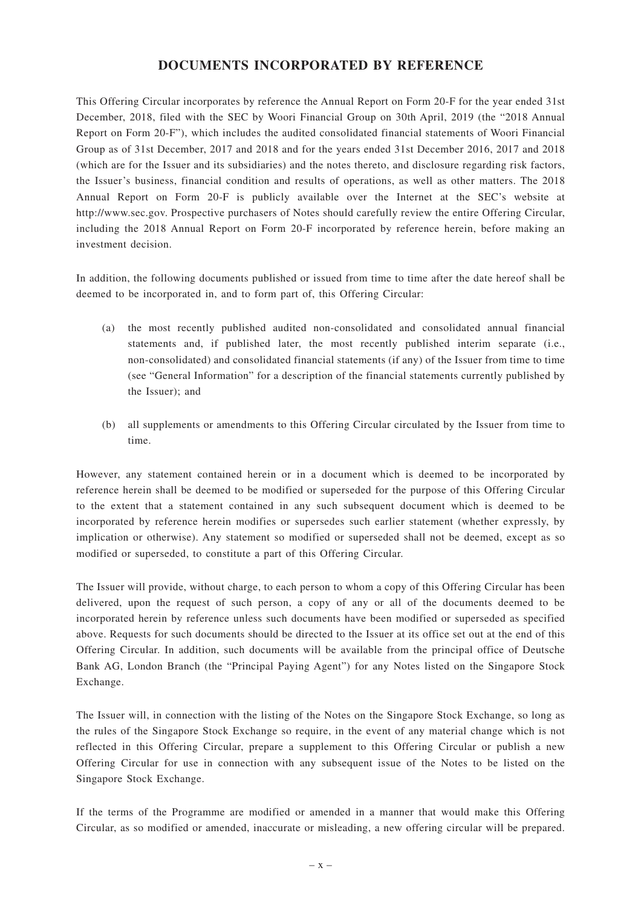# **DOCUMENTS INCORPORATED BY REFERENCE**

This Offering Circular incorporates by reference the Annual Report on Form 20-F for the year ended 31st December, 2018, filed with the SEC by Woori Financial Group on 30th April, 2019 (the "2018 Annual Report on Form 20-F"), which includes the audited consolidated financial statements of Woori Financial Group as of 31st December, 2017 and 2018 and for the years ended 31st December 2016, 2017 and 2018 (which are for the Issuer and its subsidiaries) and the notes thereto, and disclosure regarding risk factors, the Issuer's business, financial condition and results of operations, as well as other matters. The 2018 Annual Report on Form 20-F is publicly available over the Internet at the SEC's website at http://www.sec.gov. Prospective purchasers of Notes should carefully review the entire Offering Circular, including the 2018 Annual Report on Form 20-F incorporated by reference herein, before making an investment decision.

In addition, the following documents published or issued from time to time after the date hereof shall be deemed to be incorporated in, and to form part of, this Offering Circular:

- (a) the most recently published audited non-consolidated and consolidated annual financial statements and, if published later, the most recently published interim separate (i.e., non-consolidated) and consolidated financial statements (if any) of the Issuer from time to time (see "General Information" for a description of the financial statements currently published by the Issuer); and
- (b) all supplements or amendments to this Offering Circular circulated by the Issuer from time to time.

However, any statement contained herein or in a document which is deemed to be incorporated by reference herein shall be deemed to be modified or superseded for the purpose of this Offering Circular to the extent that a statement contained in any such subsequent document which is deemed to be incorporated by reference herein modifies or supersedes such earlier statement (whether expressly, by implication or otherwise). Any statement so modified or superseded shall not be deemed, except as so modified or superseded, to constitute a part of this Offering Circular.

The Issuer will provide, without charge, to each person to whom a copy of this Offering Circular has been delivered, upon the request of such person, a copy of any or all of the documents deemed to be incorporated herein by reference unless such documents have been modified or superseded as specified above. Requests for such documents should be directed to the Issuer at its office set out at the end of this Offering Circular. In addition, such documents will be available from the principal office of Deutsche Bank AG, London Branch (the "Principal Paying Agent") for any Notes listed on the Singapore Stock Exchange.

The Issuer will, in connection with the listing of the Notes on the Singapore Stock Exchange, so long as the rules of the Singapore Stock Exchange so require, in the event of any material change which is not reflected in this Offering Circular, prepare a supplement to this Offering Circular or publish a new Offering Circular for use in connection with any subsequent issue of the Notes to be listed on the Singapore Stock Exchange.

If the terms of the Programme are modified or amended in a manner that would make this Offering Circular, as so modified or amended, inaccurate or misleading, a new offering circular will be prepared.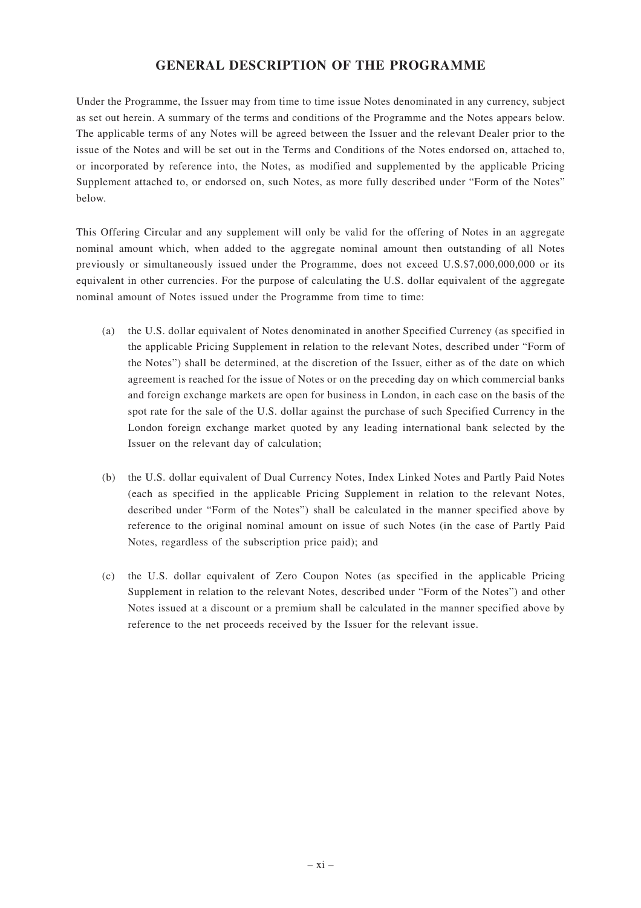# **GENERAL DESCRIPTION OF THE PROGRAMME**

Under the Programme, the Issuer may from time to time issue Notes denominated in any currency, subject as set out herein. A summary of the terms and conditions of the Programme and the Notes appears below. The applicable terms of any Notes will be agreed between the Issuer and the relevant Dealer prior to the issue of the Notes and will be set out in the Terms and Conditions of the Notes endorsed on, attached to, or incorporated by reference into, the Notes, as modified and supplemented by the applicable Pricing Supplement attached to, or endorsed on, such Notes, as more fully described under "Form of the Notes" below.

This Offering Circular and any supplement will only be valid for the offering of Notes in an aggregate nominal amount which, when added to the aggregate nominal amount then outstanding of all Notes previously or simultaneously issued under the Programme, does not exceed U.S.\$7,000,000,000 or its equivalent in other currencies. For the purpose of calculating the U.S. dollar equivalent of the aggregate nominal amount of Notes issued under the Programme from time to time:

- (a) the U.S. dollar equivalent of Notes denominated in another Specified Currency (as specified in the applicable Pricing Supplement in relation to the relevant Notes, described under "Form of the Notes") shall be determined, at the discretion of the Issuer, either as of the date on which agreement is reached for the issue of Notes or on the preceding day on which commercial banks and foreign exchange markets are open for business in London, in each case on the basis of the spot rate for the sale of the U.S. dollar against the purchase of such Specified Currency in the London foreign exchange market quoted by any leading international bank selected by the Issuer on the relevant day of calculation;
- (b) the U.S. dollar equivalent of Dual Currency Notes, Index Linked Notes and Partly Paid Notes (each as specified in the applicable Pricing Supplement in relation to the relevant Notes, described under "Form of the Notes") shall be calculated in the manner specified above by reference to the original nominal amount on issue of such Notes (in the case of Partly Paid Notes, regardless of the subscription price paid); and
- (c) the U.S. dollar equivalent of Zero Coupon Notes (as specified in the applicable Pricing Supplement in relation to the relevant Notes, described under "Form of the Notes") and other Notes issued at a discount or a premium shall be calculated in the manner specified above by reference to the net proceeds received by the Issuer for the relevant issue.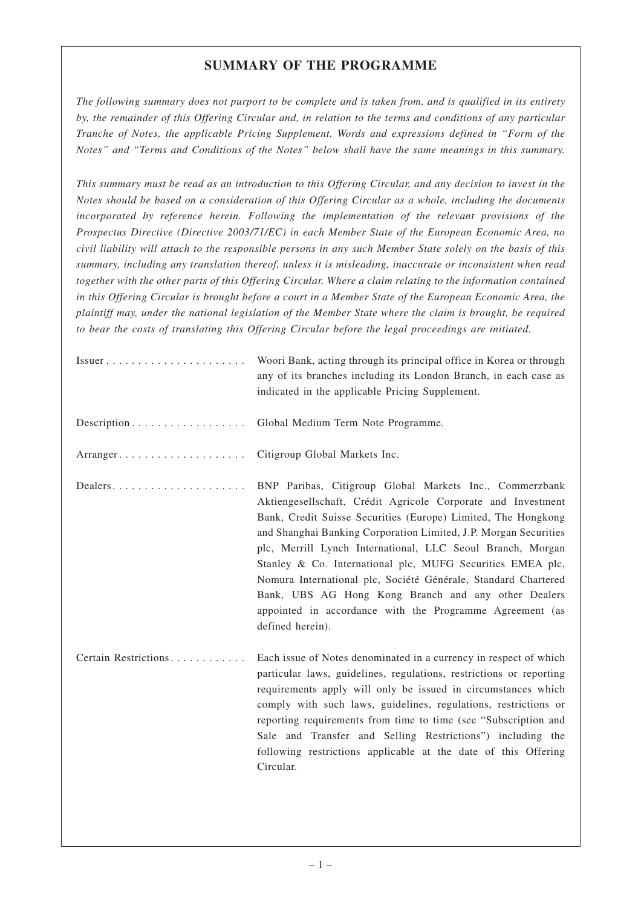# **SUMMARY OF THE PROGRAMME**

*The following summary does not purport to be complete and is taken from, and is qualified in its entirety by, the remainder of this Offering Circular and, in relation to the terms and conditions of any particular Tranche of Notes, the applicable Pricing Supplement. Words and expressions defined in "Form of the Notes" and "Terms and Conditions of the Notes" below shall have the same meanings in this summary.*

*This summary must be read as an introduction to this Offering Circular, and any decision to invest in the Notes should be based on a consideration of this Offering Circular as a whole, including the documents incorporated by reference herein. Following the implementation of the relevant provisions of the Prospectus Directive (Directive 2003/71/EC) in each Member State of the European Economic Area, no civil liability will attach to the responsible persons in any such Member State solely on the basis of this summary, including any translation thereof, unless it is misleading, inaccurate or inconsistent when read together with the other parts of this Offering Circular. Where a claim relating to the information contained in this Offering Circular is brought before a court in a Member State of the European Economic Area, the plaintiff may, under the national legislation of the Member State where the claim is brought, be required to bear the costs of translating this Offering Circular before the legal proceedings are initiated.*

| $Issuer \ldots \ldots \ldots \ldots \ldots \ldots \ldots$ | Woori Bank, acting through its principal office in Korea or through<br>any of its branches including its London Branch, in each case as<br>indicated in the applicable Pricing Supplement.                                                                                                                                                                                                                                                                                                                                                                                                        |
|-----------------------------------------------------------|---------------------------------------------------------------------------------------------------------------------------------------------------------------------------------------------------------------------------------------------------------------------------------------------------------------------------------------------------------------------------------------------------------------------------------------------------------------------------------------------------------------------------------------------------------------------------------------------------|
| Description                                               | Global Medium Term Note Programme.                                                                                                                                                                                                                                                                                                                                                                                                                                                                                                                                                                |
|                                                           | Citigroup Global Markets Inc.                                                                                                                                                                                                                                                                                                                                                                                                                                                                                                                                                                     |
| Dealers                                                   | BNP Paribas, Citigroup Global Markets Inc., Commerzbank<br>Aktiengesellschaft, Crédit Agricole Corporate and Investment<br>Bank, Credit Suisse Securities (Europe) Limited, The Hongkong<br>and Shanghai Banking Corporation Limited, J.P. Morgan Securities<br>plc, Merrill Lynch International, LLC Seoul Branch, Morgan<br>Stanley & Co. International plc, MUFG Securities EMEA plc,<br>Nomura International plc, Société Générale, Standard Chartered<br>Bank, UBS AG Hong Kong Branch and any other Dealers<br>appointed in accordance with the Programme Agreement (as<br>defined herein). |
| Certain Restrictions                                      | Each issue of Notes denominated in a currency in respect of which<br>particular laws, guidelines, regulations, restrictions or reporting<br>requirements apply will only be issued in circumstances which<br>comply with such laws, guidelines, regulations, restrictions or<br>reporting requirements from time to time (see "Subscription and<br>Sale and Transfer and Selling Restrictions") including the<br>following restrictions applicable at the date of this Offering<br>Circular.                                                                                                      |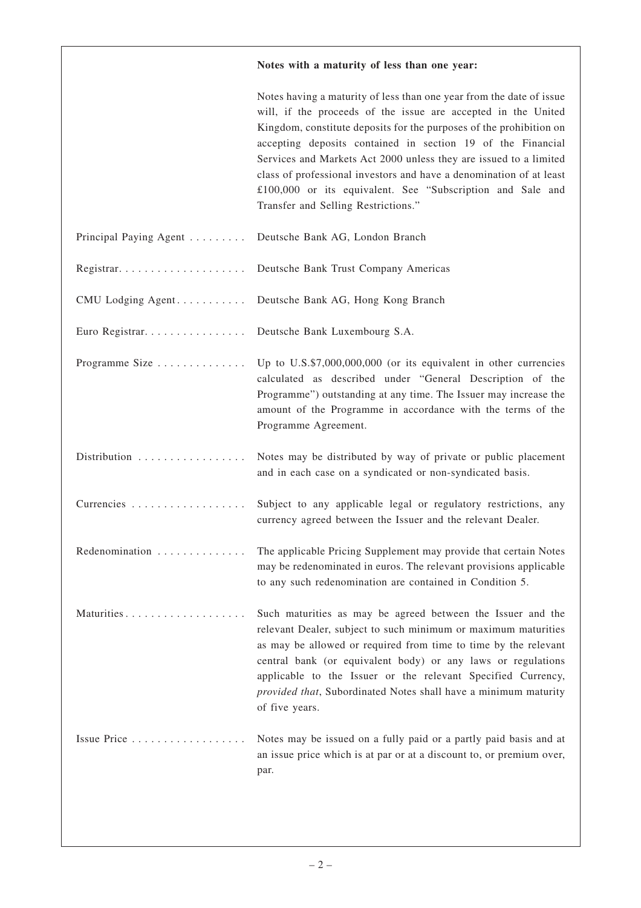|                        | Notes with a maturity of less than one year:                                                                                                                                                                                                                                                                                                                                                                                                                                                                                 |
|------------------------|------------------------------------------------------------------------------------------------------------------------------------------------------------------------------------------------------------------------------------------------------------------------------------------------------------------------------------------------------------------------------------------------------------------------------------------------------------------------------------------------------------------------------|
|                        | Notes having a maturity of less than one year from the date of issue<br>will, if the proceeds of the issue are accepted in the United<br>Kingdom, constitute deposits for the purposes of the prohibition on<br>accepting deposits contained in section 19 of the Financial<br>Services and Markets Act 2000 unless they are issued to a limited<br>class of professional investors and have a denomination of at least<br>£100,000 or its equivalent. See "Subscription and Sale and<br>Transfer and Selling Restrictions." |
| Principal Paying Agent | Deutsche Bank AG, London Branch                                                                                                                                                                                                                                                                                                                                                                                                                                                                                              |
|                        | Deutsche Bank Trust Company Americas                                                                                                                                                                                                                                                                                                                                                                                                                                                                                         |
| CMU Lodging Agent      | Deutsche Bank AG, Hong Kong Branch                                                                                                                                                                                                                                                                                                                                                                                                                                                                                           |
| Euro Registrar.        | Deutsche Bank Luxembourg S.A.                                                                                                                                                                                                                                                                                                                                                                                                                                                                                                |
| Programme Size         | Up to U.S.\$7,000,000,000 (or its equivalent in other currencies<br>calculated as described under "General Description of the<br>Programme") outstanding at any time. The Issuer may increase the<br>amount of the Programme in accordance with the terms of the<br>Programme Agreement.                                                                                                                                                                                                                                     |
| Distribution           | Notes may be distributed by way of private or public placement<br>and in each case on a syndicated or non-syndicated basis.                                                                                                                                                                                                                                                                                                                                                                                                  |
| Currencies             | Subject to any applicable legal or regulatory restrictions, any<br>currency agreed between the Issuer and the relevant Dealer.                                                                                                                                                                                                                                                                                                                                                                                               |
| Redenomination         | The applicable Pricing Supplement may provide that certain Notes<br>may be redenominated in euros. The relevant provisions applicable<br>to any such redenomination are contained in Condition 5.                                                                                                                                                                                                                                                                                                                            |
|                        | Such maturities as may be agreed between the Issuer and the<br>relevant Dealer, subject to such minimum or maximum maturities<br>as may be allowed or required from time to time by the relevant<br>central bank (or equivalent body) or any laws or regulations<br>applicable to the Issuer or the relevant Specified Currency,<br>provided that, Subordinated Notes shall have a minimum maturity<br>of five years.                                                                                                        |
| Issue Price            | Notes may be issued on a fully paid or a partly paid basis and at<br>an issue price which is at par or at a discount to, or premium over,<br>par.                                                                                                                                                                                                                                                                                                                                                                            |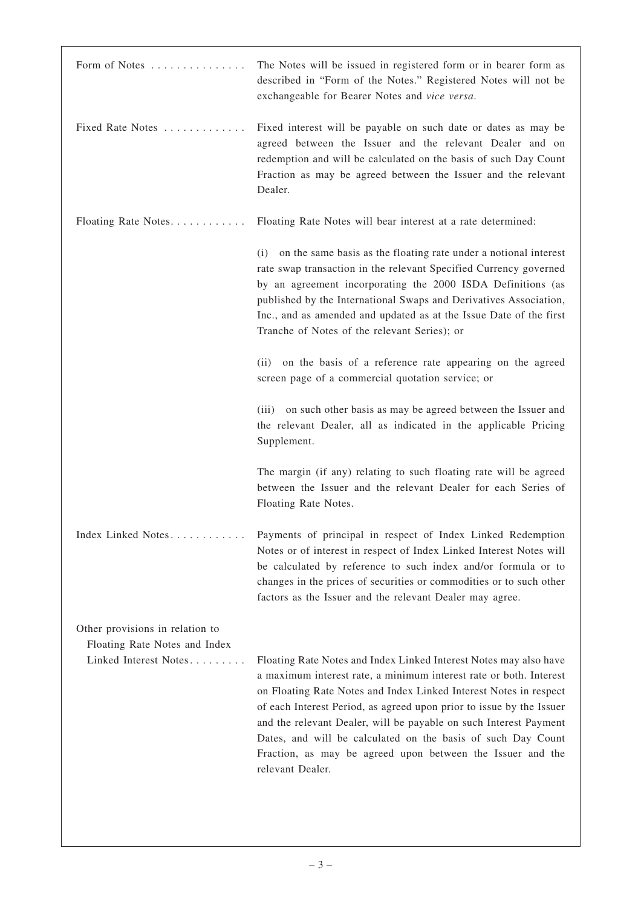| Form of Notes                                                                             | The Notes will be issued in registered form or in bearer form as<br>described in "Form of the Notes." Registered Notes will not be<br>exchangeable for Bearer Notes and vice versa.                                                                                                                                                                                                                                                                                                                         |
|-------------------------------------------------------------------------------------------|-------------------------------------------------------------------------------------------------------------------------------------------------------------------------------------------------------------------------------------------------------------------------------------------------------------------------------------------------------------------------------------------------------------------------------------------------------------------------------------------------------------|
| Fixed Rate Notes                                                                          | Fixed interest will be payable on such date or dates as may be<br>agreed between the Issuer and the relevant Dealer and on<br>redemption and will be calculated on the basis of such Day Count<br>Fraction as may be agreed between the Issuer and the relevant<br>Dealer.                                                                                                                                                                                                                                  |
| Floating Rate Notes.                                                                      | Floating Rate Notes will bear interest at a rate determined:                                                                                                                                                                                                                                                                                                                                                                                                                                                |
|                                                                                           | (i) on the same basis as the floating rate under a notional interest<br>rate swap transaction in the relevant Specified Currency governed<br>by an agreement incorporating the 2000 ISDA Definitions (as<br>published by the International Swaps and Derivatives Association,<br>Inc., and as amended and updated as at the Issue Date of the first<br>Tranche of Notes of the relevant Series); or                                                                                                         |
|                                                                                           | on the basis of a reference rate appearing on the agreed<br>(ii)<br>screen page of a commercial quotation service; or                                                                                                                                                                                                                                                                                                                                                                                       |
|                                                                                           | on such other basis as may be agreed between the Issuer and<br>(iii)<br>the relevant Dealer, all as indicated in the applicable Pricing<br>Supplement.                                                                                                                                                                                                                                                                                                                                                      |
|                                                                                           | The margin (if any) relating to such floating rate will be agreed<br>between the Issuer and the relevant Dealer for each Series of<br>Floating Rate Notes.                                                                                                                                                                                                                                                                                                                                                  |
| Index Linked Notes                                                                        | Payments of principal in respect of Index Linked Redemption<br>Notes or of interest in respect of Index Linked Interest Notes will<br>be calculated by reference to such index and/or formula or to<br>changes in the prices of securities or commodities or to such other<br>factors as the Issuer and the relevant Dealer may agree.                                                                                                                                                                      |
| Other provisions in relation to<br>Floating Rate Notes and Index<br>Linked Interest Notes | Floating Rate Notes and Index Linked Interest Notes may also have<br>a maximum interest rate, a minimum interest rate or both. Interest<br>on Floating Rate Notes and Index Linked Interest Notes in respect<br>of each Interest Period, as agreed upon prior to issue by the Issuer<br>and the relevant Dealer, will be payable on such Interest Payment<br>Dates, and will be calculated on the basis of such Day Count<br>Fraction, as may be agreed upon between the Issuer and the<br>relevant Dealer. |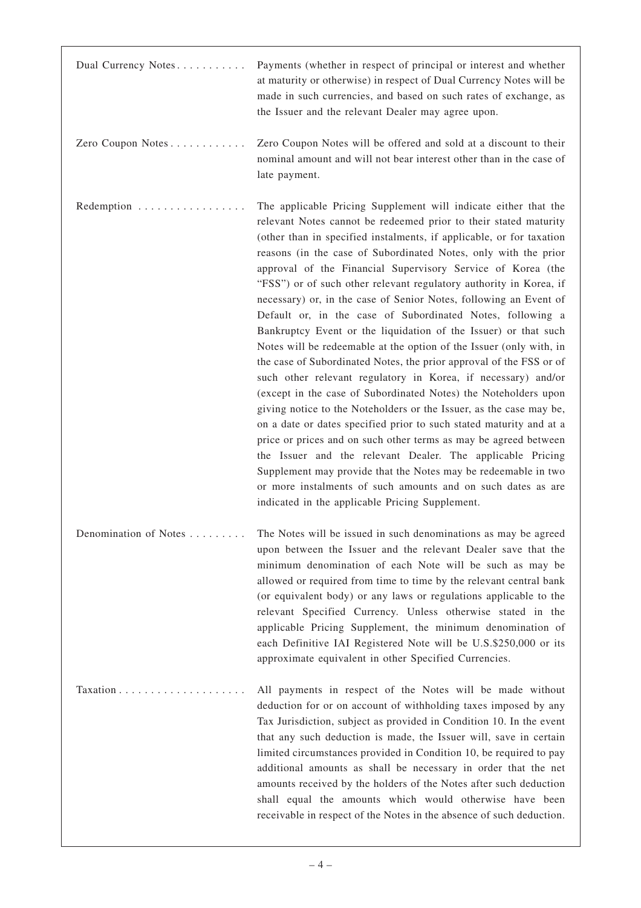| Dual Currency Notes                              | Payments (whether in respect of principal or interest and whether<br>at maturity or otherwise) in respect of Dual Currency Notes will be<br>made in such currencies, and based on such rates of exchange, as<br>the Issuer and the relevant Dealer may agree upon.                                                                                                                                                                                                                                                                                                                                                                                                                                                                                                                                                                                                                                                                                                                                                                                                                                                                                                                                                                                                                                                                                                               |
|--------------------------------------------------|----------------------------------------------------------------------------------------------------------------------------------------------------------------------------------------------------------------------------------------------------------------------------------------------------------------------------------------------------------------------------------------------------------------------------------------------------------------------------------------------------------------------------------------------------------------------------------------------------------------------------------------------------------------------------------------------------------------------------------------------------------------------------------------------------------------------------------------------------------------------------------------------------------------------------------------------------------------------------------------------------------------------------------------------------------------------------------------------------------------------------------------------------------------------------------------------------------------------------------------------------------------------------------------------------------------------------------------------------------------------------------|
| Zero Coupon Notes                                | Zero Coupon Notes will be offered and sold at a discount to their<br>nominal amount and will not bear interest other than in the case of<br>late payment.                                                                                                                                                                                                                                                                                                                                                                                                                                                                                                                                                                                                                                                                                                                                                                                                                                                                                                                                                                                                                                                                                                                                                                                                                        |
| Redemption $\dots \dots \dots \dots \dots \dots$ | The applicable Pricing Supplement will indicate either that the<br>relevant Notes cannot be redeemed prior to their stated maturity<br>(other than in specified instalments, if applicable, or for taxation<br>reasons (in the case of Subordinated Notes, only with the prior<br>approval of the Financial Supervisory Service of Korea (the<br>"FSS") or of such other relevant regulatory authority in Korea, if<br>necessary) or, in the case of Senior Notes, following an Event of<br>Default or, in the case of Subordinated Notes, following a<br>Bankruptcy Event or the liquidation of the Issuer) or that such<br>Notes will be redeemable at the option of the Issuer (only with, in<br>the case of Subordinated Notes, the prior approval of the FSS or of<br>such other relevant regulatory in Korea, if necessary) and/or<br>(except in the case of Subordinated Notes) the Noteholders upon<br>giving notice to the Noteholders or the Issuer, as the case may be,<br>on a date or dates specified prior to such stated maturity and at a<br>price or prices and on such other terms as may be agreed between<br>the Issuer and the relevant Dealer. The applicable Pricing<br>Supplement may provide that the Notes may be redeemable in two<br>or more instalments of such amounts and on such dates as are<br>indicated in the applicable Pricing Supplement. |
| Denomination of Notes                            | The Notes will be issued in such denominations as may be agreed<br>upon between the Issuer and the relevant Dealer save that the<br>minimum denomination of each Note will be such as may be<br>allowed or required from time to time by the relevant central bank<br>(or equivalent body) or any laws or regulations applicable to the<br>relevant Specified Currency. Unless otherwise stated in the<br>applicable Pricing Supplement, the minimum denomination of<br>each Definitive IAI Registered Note will be U.S.\$250,000 or its<br>approximate equivalent in other Specified Currencies.                                                                                                                                                                                                                                                                                                                                                                                                                                                                                                                                                                                                                                                                                                                                                                                |
| Taxation                                         | All payments in respect of the Notes will be made without<br>deduction for or on account of withholding taxes imposed by any<br>Tax Jurisdiction, subject as provided in Condition 10. In the event<br>that any such deduction is made, the Issuer will, save in certain<br>limited circumstances provided in Condition 10, be required to pay<br>additional amounts as shall be necessary in order that the net<br>amounts received by the holders of the Notes after such deduction<br>shall equal the amounts which would otherwise have been<br>receivable in respect of the Notes in the absence of such deduction.                                                                                                                                                                                                                                                                                                                                                                                                                                                                                                                                                                                                                                                                                                                                                         |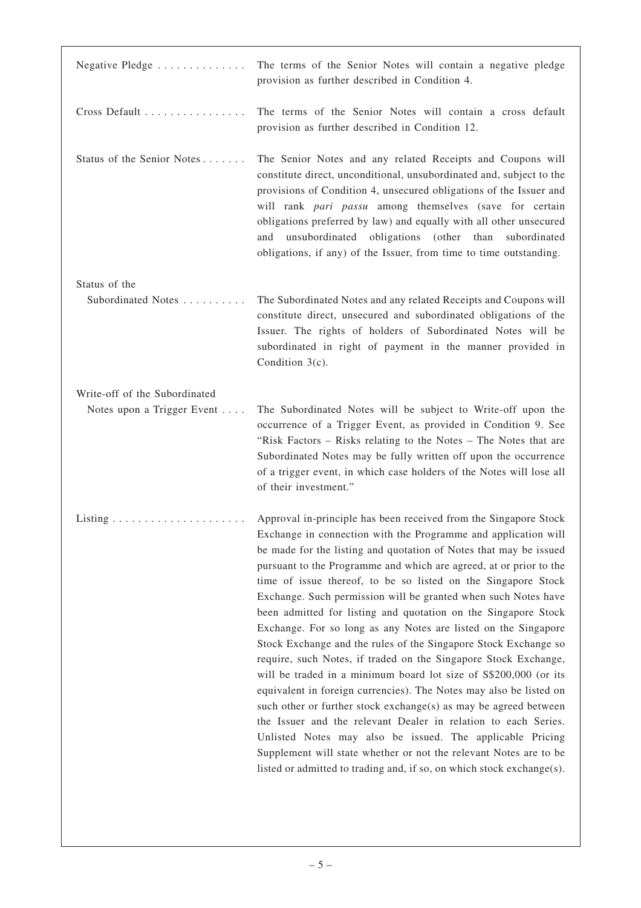| Negative Pledge               | The terms of the Senior Notes will contain a negative pledge<br>provision as further described in Condition 4.                                                                                                                                                                                                                                                                                                                                                                                                                                                                                                                                                                                                                                                                                                                                                                                                                                                                                                                                                                                                                                                                         |
|-------------------------------|----------------------------------------------------------------------------------------------------------------------------------------------------------------------------------------------------------------------------------------------------------------------------------------------------------------------------------------------------------------------------------------------------------------------------------------------------------------------------------------------------------------------------------------------------------------------------------------------------------------------------------------------------------------------------------------------------------------------------------------------------------------------------------------------------------------------------------------------------------------------------------------------------------------------------------------------------------------------------------------------------------------------------------------------------------------------------------------------------------------------------------------------------------------------------------------|
| Cross Default                 | The terms of the Senior Notes will contain a cross default<br>provision as further described in Condition 12.                                                                                                                                                                                                                                                                                                                                                                                                                                                                                                                                                                                                                                                                                                                                                                                                                                                                                                                                                                                                                                                                          |
| Status of the Senior Notes    | The Senior Notes and any related Receipts and Coupons will<br>constitute direct, unconditional, unsubordinated and, subject to the<br>provisions of Condition 4, unsecured obligations of the Issuer and<br>will rank pari passu among themselves (save for certain<br>obligations preferred by law) and equally with all other unsecured<br>and unsubordinated obligations (other than<br>subordinated<br>obligations, if any) of the Issuer, from time to time outstanding.                                                                                                                                                                                                                                                                                                                                                                                                                                                                                                                                                                                                                                                                                                          |
| Status of the                 |                                                                                                                                                                                                                                                                                                                                                                                                                                                                                                                                                                                                                                                                                                                                                                                                                                                                                                                                                                                                                                                                                                                                                                                        |
| Subordinated Notes            | The Subordinated Notes and any related Receipts and Coupons will<br>constitute direct, unsecured and subordinated obligations of the<br>Issuer. The rights of holders of Subordinated Notes will be<br>subordinated in right of payment in the manner provided in<br>Condition $3(c)$ .                                                                                                                                                                                                                                                                                                                                                                                                                                                                                                                                                                                                                                                                                                                                                                                                                                                                                                |
| Write-off of the Subordinated |                                                                                                                                                                                                                                                                                                                                                                                                                                                                                                                                                                                                                                                                                                                                                                                                                                                                                                                                                                                                                                                                                                                                                                                        |
| Notes upon a Trigger Event    | The Subordinated Notes will be subject to Write-off upon the<br>occurrence of a Trigger Event, as provided in Condition 9. See<br>"Risk Factors – Risks relating to the Notes – The Notes that are<br>Subordinated Notes may be fully written off upon the occurrence<br>of a trigger event, in which case holders of the Notes will lose all<br>of their investment."                                                                                                                                                                                                                                                                                                                                                                                                                                                                                                                                                                                                                                                                                                                                                                                                                 |
|                               | Approval in-principle has been received from the Singapore Stock<br>Exchange in connection with the Programme and application will<br>be made for the listing and quotation of Notes that may be issued<br>pursuant to the Programme and which are agreed, at or prior to the<br>time of issue thereof, to be so listed on the Singapore Stock<br>Exchange. Such permission will be granted when such Notes have<br>been admitted for listing and quotation on the Singapore Stock<br>Exchange. For so long as any Notes are listed on the Singapore<br>Stock Exchange and the rules of the Singapore Stock Exchange so<br>require, such Notes, if traded on the Singapore Stock Exchange,<br>will be traded in a minimum board lot size of \$\$200,000 (or its<br>equivalent in foreign currencies). The Notes may also be listed on<br>such other or further stock exchange(s) as may be agreed between<br>the Issuer and the relevant Dealer in relation to each Series.<br>Unlisted Notes may also be issued. The applicable Pricing<br>Supplement will state whether or not the relevant Notes are to be<br>listed or admitted to trading and, if so, on which stock exchange(s). |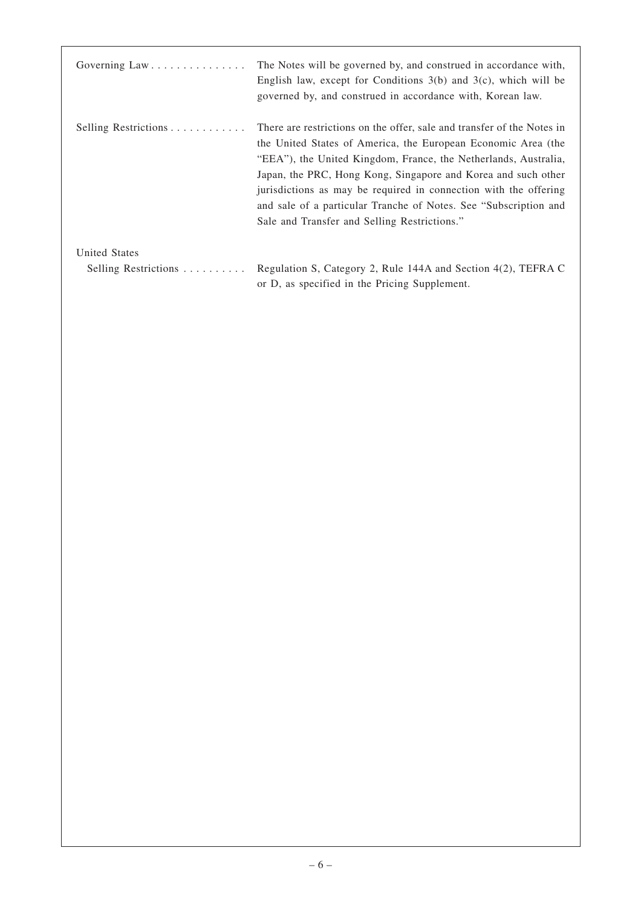| Governing Law        | The Notes will be governed by, and construed in accordance with,<br>English law, except for Conditions $3(b)$ and $3(c)$ , which will be<br>governed by, and construed in accordance with, Korean law.                                                                                                                                                                                                                                                              |
|----------------------|---------------------------------------------------------------------------------------------------------------------------------------------------------------------------------------------------------------------------------------------------------------------------------------------------------------------------------------------------------------------------------------------------------------------------------------------------------------------|
| Selling Restrictions | There are restrictions on the offer, sale and transfer of the Notes in<br>the United States of America, the European Economic Area (the<br>"EEA"), the United Kingdom, France, the Netherlands, Australia,<br>Japan, the PRC, Hong Kong, Singapore and Korea and such other<br>jurisdictions as may be required in connection with the offering<br>and sale of a particular Tranche of Notes. See "Subscription and<br>Sale and Transfer and Selling Restrictions." |
| United States        |                                                                                                                                                                                                                                                                                                                                                                                                                                                                     |
| Selling Restrictions | Regulation S, Category 2, Rule 144A and Section 4(2), TEFRA C<br>or D, as specified in the Pricing Supplement.                                                                                                                                                                                                                                                                                                                                                      |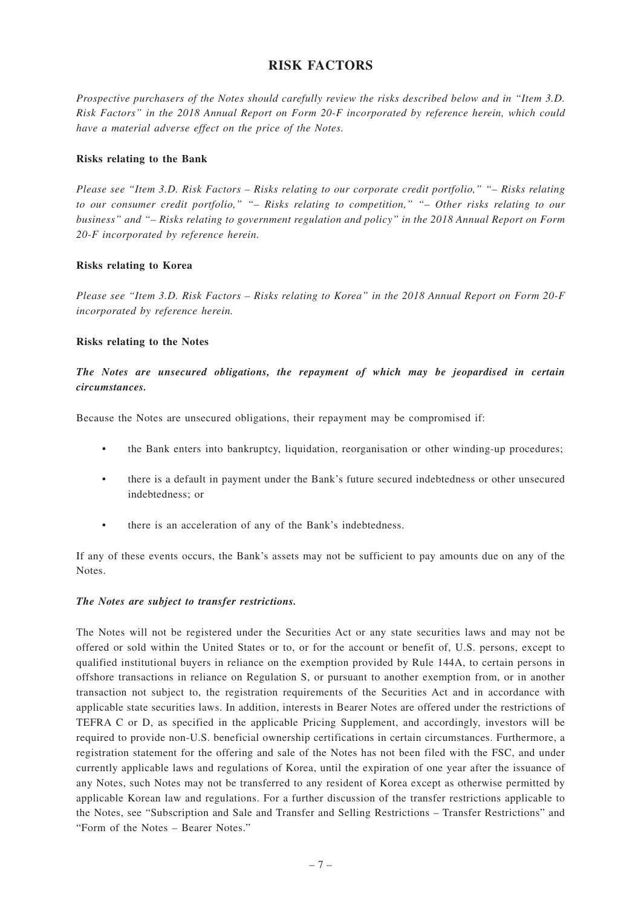# **RISK FACTORS**

*Prospective purchasers of the Notes should carefully review the risks described below and in "Item 3.D. Risk Factors" in the 2018 Annual Report on Form 20-F incorporated by reference herein, which could have a material adverse effect on the price of the Notes.*

# **Risks relating to the Bank**

*Please see "Item 3.D. Risk Factors – Risks relating to our corporate credit portfolio," "– Risks relating to our consumer credit portfolio," "– Risks relating to competition," "– Other risks relating to our business" and "– Risks relating to government regulation and policy" in the 2018 Annual Report on Form 20-F incorporated by reference herein.*

### **Risks relating to Korea**

*Please see "Item 3.D. Risk Factors – Risks relating to Korea" in the 2018 Annual Report on Form 20-F incorporated by reference herein.*

### **Risks relating to the Notes**

# *The Notes are unsecured obligations, the repayment of which may be jeopardised in certain circumstances.*

Because the Notes are unsecured obligations, their repayment may be compromised if:

- the Bank enters into bankruptcy, liquidation, reorganisation or other winding-up procedures;
- there is a default in payment under the Bank's future secured indebtedness or other unsecured indebtedness; or
- there is an acceleration of any of the Bank's indebtedness.

If any of these events occurs, the Bank's assets may not be sufficient to pay amounts due on any of the Notes.

# *The Notes are subject to transfer restrictions.*

The Notes will not be registered under the Securities Act or any state securities laws and may not be offered or sold within the United States or to, or for the account or benefit of, U.S. persons, except to qualified institutional buyers in reliance on the exemption provided by Rule 144A, to certain persons in offshore transactions in reliance on Regulation S, or pursuant to another exemption from, or in another transaction not subject to, the registration requirements of the Securities Act and in accordance with applicable state securities laws. In addition, interests in Bearer Notes are offered under the restrictions of TEFRA C or D, as specified in the applicable Pricing Supplement, and accordingly, investors will be required to provide non-U.S. beneficial ownership certifications in certain circumstances. Furthermore, a registration statement for the offering and sale of the Notes has not been filed with the FSC, and under currently applicable laws and regulations of Korea, until the expiration of one year after the issuance of any Notes, such Notes may not be transferred to any resident of Korea except as otherwise permitted by applicable Korean law and regulations. For a further discussion of the transfer restrictions applicable to the Notes, see "Subscription and Sale and Transfer and Selling Restrictions – Transfer Restrictions" and "Form of the Notes – Bearer Notes."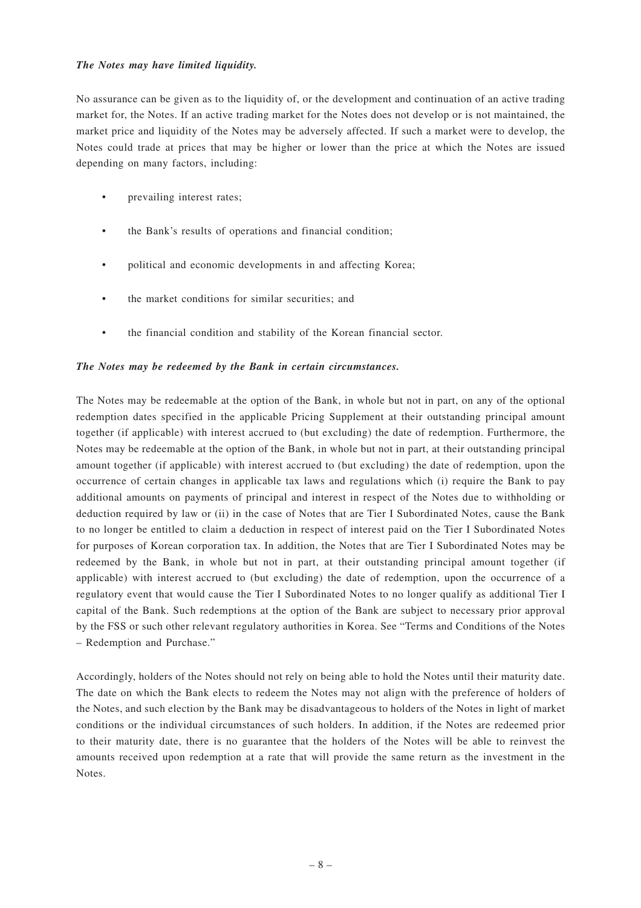### *The Notes may have limited liquidity.*

No assurance can be given as to the liquidity of, or the development and continuation of an active trading market for, the Notes. If an active trading market for the Notes does not develop or is not maintained, the market price and liquidity of the Notes may be adversely affected. If such a market were to develop, the Notes could trade at prices that may be higher or lower than the price at which the Notes are issued depending on many factors, including:

- prevailing interest rates;
- the Bank's results of operations and financial condition;
- political and economic developments in and affecting Korea;
- the market conditions for similar securities; and
- the financial condition and stability of the Korean financial sector.

# *The Notes may be redeemed by the Bank in certain circumstances.*

The Notes may be redeemable at the option of the Bank, in whole but not in part, on any of the optional redemption dates specified in the applicable Pricing Supplement at their outstanding principal amount together (if applicable) with interest accrued to (but excluding) the date of redemption. Furthermore, the Notes may be redeemable at the option of the Bank, in whole but not in part, at their outstanding principal amount together (if applicable) with interest accrued to (but excluding) the date of redemption, upon the occurrence of certain changes in applicable tax laws and regulations which (i) require the Bank to pay additional amounts on payments of principal and interest in respect of the Notes due to withholding or deduction required by law or (ii) in the case of Notes that are Tier I Subordinated Notes, cause the Bank to no longer be entitled to claim a deduction in respect of interest paid on the Tier I Subordinated Notes for purposes of Korean corporation tax. In addition, the Notes that are Tier I Subordinated Notes may be redeemed by the Bank, in whole but not in part, at their outstanding principal amount together (if applicable) with interest accrued to (but excluding) the date of redemption, upon the occurrence of a regulatory event that would cause the Tier I Subordinated Notes to no longer qualify as additional Tier I capital of the Bank. Such redemptions at the option of the Bank are subject to necessary prior approval by the FSS or such other relevant regulatory authorities in Korea. See "Terms and Conditions of the Notes – Redemption and Purchase."

Accordingly, holders of the Notes should not rely on being able to hold the Notes until their maturity date. The date on which the Bank elects to redeem the Notes may not align with the preference of holders of the Notes, and such election by the Bank may be disadvantageous to holders of the Notes in light of market conditions or the individual circumstances of such holders. In addition, if the Notes are redeemed prior to their maturity date, there is no guarantee that the holders of the Notes will be able to reinvest the amounts received upon redemption at a rate that will provide the same return as the investment in the Notes.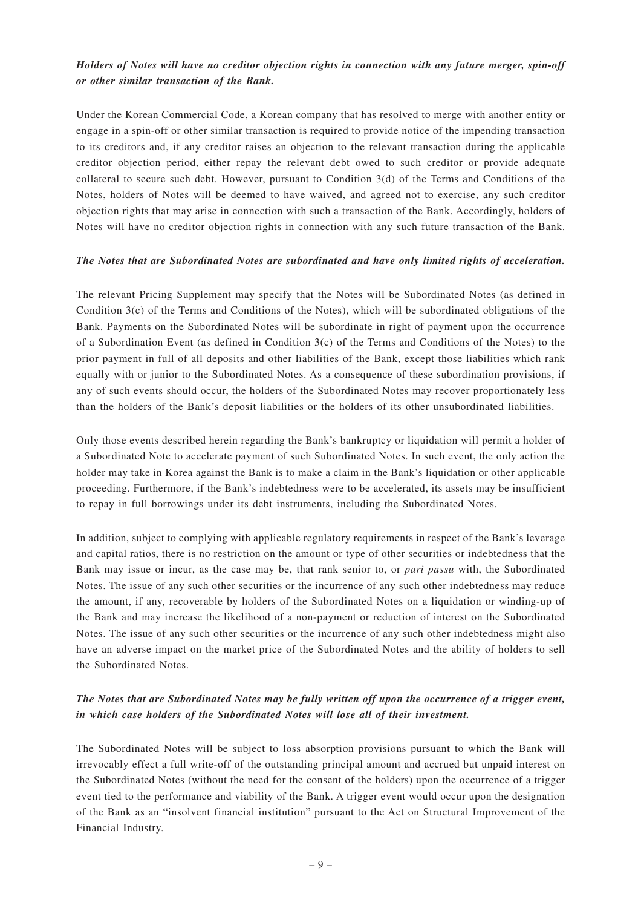# *Holders of Notes will have no creditor objection rights in connection with any future merger, spin-off or other similar transaction of the Bank.*

Under the Korean Commercial Code, a Korean company that has resolved to merge with another entity or engage in a spin-off or other similar transaction is required to provide notice of the impending transaction to its creditors and, if any creditor raises an objection to the relevant transaction during the applicable creditor objection period, either repay the relevant debt owed to such creditor or provide adequate collateral to secure such debt. However, pursuant to Condition 3(d) of the Terms and Conditions of the Notes, holders of Notes will be deemed to have waived, and agreed not to exercise, any such creditor objection rights that may arise in connection with such a transaction of the Bank. Accordingly, holders of Notes will have no creditor objection rights in connection with any such future transaction of the Bank.

### *The Notes that are Subordinated Notes are subordinated and have only limited rights of acceleration.*

The relevant Pricing Supplement may specify that the Notes will be Subordinated Notes (as defined in Condition 3(c) of the Terms and Conditions of the Notes), which will be subordinated obligations of the Bank. Payments on the Subordinated Notes will be subordinate in right of payment upon the occurrence of a Subordination Event (as defined in Condition 3(c) of the Terms and Conditions of the Notes) to the prior payment in full of all deposits and other liabilities of the Bank, except those liabilities which rank equally with or junior to the Subordinated Notes. As a consequence of these subordination provisions, if any of such events should occur, the holders of the Subordinated Notes may recover proportionately less than the holders of the Bank's deposit liabilities or the holders of its other unsubordinated liabilities.

Only those events described herein regarding the Bank's bankruptcy or liquidation will permit a holder of a Subordinated Note to accelerate payment of such Subordinated Notes. In such event, the only action the holder may take in Korea against the Bank is to make a claim in the Bank's liquidation or other applicable proceeding. Furthermore, if the Bank's indebtedness were to be accelerated, its assets may be insufficient to repay in full borrowings under its debt instruments, including the Subordinated Notes.

In addition, subject to complying with applicable regulatory requirements in respect of the Bank's leverage and capital ratios, there is no restriction on the amount or type of other securities or indebtedness that the Bank may issue or incur, as the case may be, that rank senior to, or *pari passu* with, the Subordinated Notes. The issue of any such other securities or the incurrence of any such other indebtedness may reduce the amount, if any, recoverable by holders of the Subordinated Notes on a liquidation or winding-up of the Bank and may increase the likelihood of a non-payment or reduction of interest on the Subordinated Notes. The issue of any such other securities or the incurrence of any such other indebtedness might also have an adverse impact on the market price of the Subordinated Notes and the ability of holders to sell the Subordinated Notes.

# *The Notes that are Subordinated Notes may be fully written off upon the occurrence of a trigger event, in which case holders of the Subordinated Notes will lose all of their investment.*

The Subordinated Notes will be subject to loss absorption provisions pursuant to which the Bank will irrevocably effect a full write-off of the outstanding principal amount and accrued but unpaid interest on the Subordinated Notes (without the need for the consent of the holders) upon the occurrence of a trigger event tied to the performance and viability of the Bank. A trigger event would occur upon the designation of the Bank as an "insolvent financial institution" pursuant to the Act on Structural Improvement of the Financial Industry.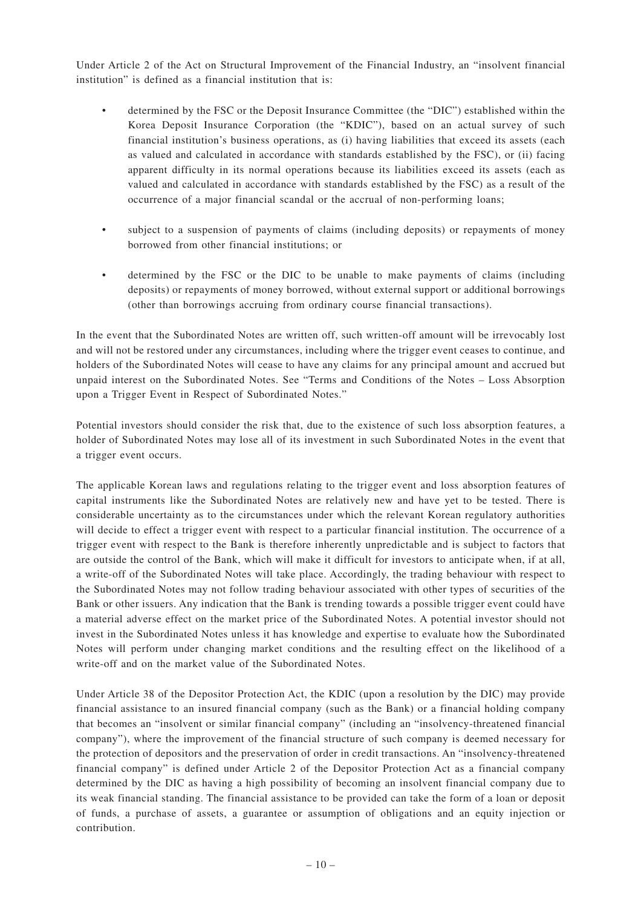Under Article 2 of the Act on Structural Improvement of the Financial Industry, an "insolvent financial institution" is defined as a financial institution that is:

- determined by the FSC or the Deposit Insurance Committee (the "DIC") established within the Korea Deposit Insurance Corporation (the "KDIC"), based on an actual survey of such financial institution's business operations, as (i) having liabilities that exceed its assets (each as valued and calculated in accordance with standards established by the FSC), or (ii) facing apparent difficulty in its normal operations because its liabilities exceed its assets (each as valued and calculated in accordance with standards established by the FSC) as a result of the occurrence of a major financial scandal or the accrual of non-performing loans;
- subject to a suspension of payments of claims (including deposits) or repayments of money borrowed from other financial institutions; or
- determined by the FSC or the DIC to be unable to make payments of claims (including deposits) or repayments of money borrowed, without external support or additional borrowings (other than borrowings accruing from ordinary course financial transactions).

In the event that the Subordinated Notes are written off, such written-off amount will be irrevocably lost and will not be restored under any circumstances, including where the trigger event ceases to continue, and holders of the Subordinated Notes will cease to have any claims for any principal amount and accrued but unpaid interest on the Subordinated Notes. See "Terms and Conditions of the Notes – Loss Absorption upon a Trigger Event in Respect of Subordinated Notes."

Potential investors should consider the risk that, due to the existence of such loss absorption features, a holder of Subordinated Notes may lose all of its investment in such Subordinated Notes in the event that a trigger event occurs.

The applicable Korean laws and regulations relating to the trigger event and loss absorption features of capital instruments like the Subordinated Notes are relatively new and have yet to be tested. There is considerable uncertainty as to the circumstances under which the relevant Korean regulatory authorities will decide to effect a trigger event with respect to a particular financial institution. The occurrence of a trigger event with respect to the Bank is therefore inherently unpredictable and is subject to factors that are outside the control of the Bank, which will make it difficult for investors to anticipate when, if at all, a write-off of the Subordinated Notes will take place. Accordingly, the trading behaviour with respect to the Subordinated Notes may not follow trading behaviour associated with other types of securities of the Bank or other issuers. Any indication that the Bank is trending towards a possible trigger event could have a material adverse effect on the market price of the Subordinated Notes. A potential investor should not invest in the Subordinated Notes unless it has knowledge and expertise to evaluate how the Subordinated Notes will perform under changing market conditions and the resulting effect on the likelihood of a write-off and on the market value of the Subordinated Notes.

Under Article 38 of the Depositor Protection Act, the KDIC (upon a resolution by the DIC) may provide financial assistance to an insured financial company (such as the Bank) or a financial holding company that becomes an "insolvent or similar financial company" (including an "insolvency-threatened financial company"), where the improvement of the financial structure of such company is deemed necessary for the protection of depositors and the preservation of order in credit transactions. An "insolvency-threatened financial company" is defined under Article 2 of the Depositor Protection Act as a financial company determined by the DIC as having a high possibility of becoming an insolvent financial company due to its weak financial standing. The financial assistance to be provided can take the form of a loan or deposit of funds, a purchase of assets, a guarantee or assumption of obligations and an equity injection or contribution.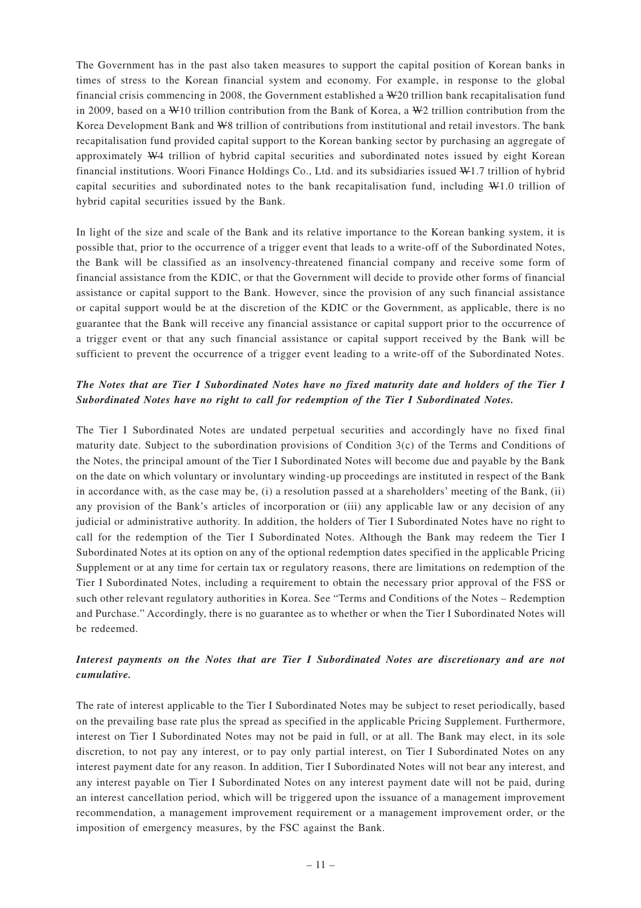The Government has in the past also taken measures to support the capital position of Korean banks in times of stress to the Korean financial system and economy. For example, in response to the global financial crisis commencing in 2008, the Government established a W20 trillion bank recapitalisation fund in 2009, based on a W10 trillion contribution from the Bank of Korea, a W2 trillion contribution from the Korea Development Bank and W8 trillion of contributions from institutional and retail investors. The bank recapitalisation fund provided capital support to the Korean banking sector by purchasing an aggregate of approximately W4 trillion of hybrid capital securities and subordinated notes issued by eight Korean financial institutions. Woori Finance Holdings Co., Ltd. and its subsidiaries issued W1.7 trillion of hybrid capital securities and subordinated notes to the bank recapitalisation fund, including W1.0 trillion of hybrid capital securities issued by the Bank.

In light of the size and scale of the Bank and its relative importance to the Korean banking system, it is possible that, prior to the occurrence of a trigger event that leads to a write-off of the Subordinated Notes, the Bank will be classified as an insolvency-threatened financial company and receive some form of financial assistance from the KDIC, or that the Government will decide to provide other forms of financial assistance or capital support to the Bank. However, since the provision of any such financial assistance or capital support would be at the discretion of the KDIC or the Government, as applicable, there is no guarantee that the Bank will receive any financial assistance or capital support prior to the occurrence of a trigger event or that any such financial assistance or capital support received by the Bank will be sufficient to prevent the occurrence of a trigger event leading to a write-off of the Subordinated Notes.

# *The Notes that are Tier I Subordinated Notes have no fixed maturity date and holders of the Tier I Subordinated Notes have no right to call for redemption of the Tier I Subordinated Notes.*

The Tier I Subordinated Notes are undated perpetual securities and accordingly have no fixed final maturity date. Subject to the subordination provisions of Condition 3(c) of the Terms and Conditions of the Notes, the principal amount of the Tier I Subordinated Notes will become due and payable by the Bank on the date on which voluntary or involuntary winding-up proceedings are instituted in respect of the Bank in accordance with, as the case may be, (i) a resolution passed at a shareholders' meeting of the Bank, (ii) any provision of the Bank's articles of incorporation or (iii) any applicable law or any decision of any judicial or administrative authority. In addition, the holders of Tier I Subordinated Notes have no right to call for the redemption of the Tier I Subordinated Notes. Although the Bank may redeem the Tier I Subordinated Notes at its option on any of the optional redemption dates specified in the applicable Pricing Supplement or at any time for certain tax or regulatory reasons, there are limitations on redemption of the Tier I Subordinated Notes, including a requirement to obtain the necessary prior approval of the FSS or such other relevant regulatory authorities in Korea. See "Terms and Conditions of the Notes – Redemption and Purchase." Accordingly, there is no guarantee as to whether or when the Tier I Subordinated Notes will be redeemed.

# *Interest payments on the Notes that are Tier I Subordinated Notes are discretionary and are not cumulative.*

The rate of interest applicable to the Tier I Subordinated Notes may be subject to reset periodically, based on the prevailing base rate plus the spread as specified in the applicable Pricing Supplement. Furthermore, interest on Tier I Subordinated Notes may not be paid in full, or at all. The Bank may elect, in its sole discretion, to not pay any interest, or to pay only partial interest, on Tier I Subordinated Notes on any interest payment date for any reason. In addition, Tier I Subordinated Notes will not bear any interest, and any interest payable on Tier I Subordinated Notes on any interest payment date will not be paid, during an interest cancellation period, which will be triggered upon the issuance of a management improvement recommendation, a management improvement requirement or a management improvement order, or the imposition of emergency measures, by the FSC against the Bank.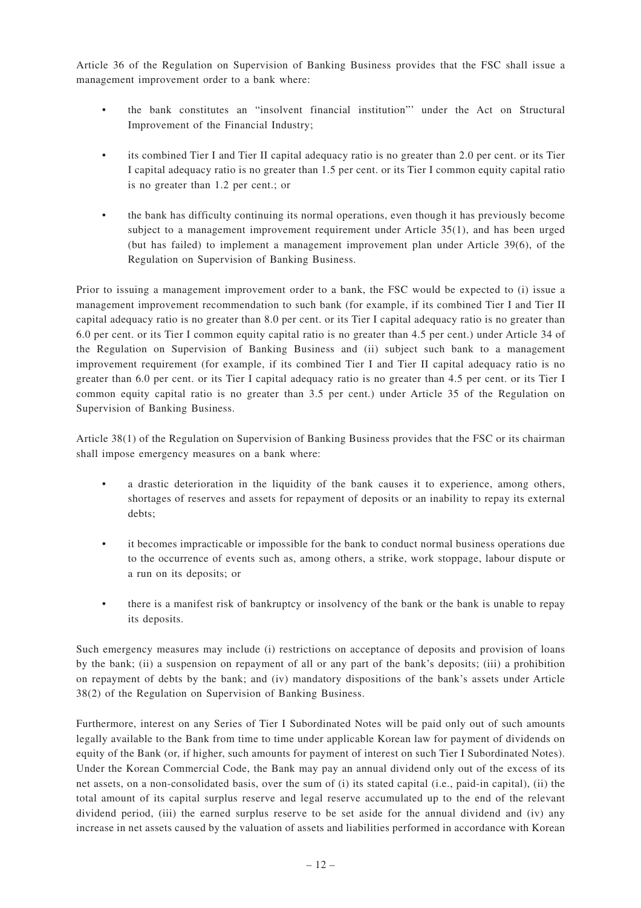Article 36 of the Regulation on Supervision of Banking Business provides that the FSC shall issue a management improvement order to a bank where:

- the bank constitutes an "insolvent financial institution"' under the Act on Structural Improvement of the Financial Industry;
- its combined Tier I and Tier II capital adequacy ratio is no greater than 2.0 per cent. or its Tier I capital adequacy ratio is no greater than 1.5 per cent. or its Tier I common equity capital ratio is no greater than 1.2 per cent.; or
- the bank has difficulty continuing its normal operations, even though it has previously become subject to a management improvement requirement under Article 35(1), and has been urged (but has failed) to implement a management improvement plan under Article 39(6), of the Regulation on Supervision of Banking Business.

Prior to issuing a management improvement order to a bank, the FSC would be expected to (i) issue a management improvement recommendation to such bank (for example, if its combined Tier I and Tier II capital adequacy ratio is no greater than 8.0 per cent. or its Tier I capital adequacy ratio is no greater than 6.0 per cent. or its Tier I common equity capital ratio is no greater than 4.5 per cent.) under Article 34 of the Regulation on Supervision of Banking Business and (ii) subject such bank to a management improvement requirement (for example, if its combined Tier I and Tier II capital adequacy ratio is no greater than 6.0 per cent. or its Tier I capital adequacy ratio is no greater than 4.5 per cent. or its Tier I common equity capital ratio is no greater than 3.5 per cent.) under Article 35 of the Regulation on Supervision of Banking Business.

Article 38(1) of the Regulation on Supervision of Banking Business provides that the FSC or its chairman shall impose emergency measures on a bank where:

- a drastic deterioration in the liquidity of the bank causes it to experience, among others, shortages of reserves and assets for repayment of deposits or an inability to repay its external debts;
- it becomes impracticable or impossible for the bank to conduct normal business operations due to the occurrence of events such as, among others, a strike, work stoppage, labour dispute or a run on its deposits; or
- there is a manifest risk of bankruptcy or insolvency of the bank or the bank is unable to repay its deposits.

Such emergency measures may include (i) restrictions on acceptance of deposits and provision of loans by the bank; (ii) a suspension on repayment of all or any part of the bank's deposits; (iii) a prohibition on repayment of debts by the bank; and (iv) mandatory dispositions of the bank's assets under Article 38(2) of the Regulation on Supervision of Banking Business.

Furthermore, interest on any Series of Tier I Subordinated Notes will be paid only out of such amounts legally available to the Bank from time to time under applicable Korean law for payment of dividends on equity of the Bank (or, if higher, such amounts for payment of interest on such Tier I Subordinated Notes). Under the Korean Commercial Code, the Bank may pay an annual dividend only out of the excess of its net assets, on a non-consolidated basis, over the sum of (i) its stated capital (i.e., paid-in capital), (ii) the total amount of its capital surplus reserve and legal reserve accumulated up to the end of the relevant dividend period, (iii) the earned surplus reserve to be set aside for the annual dividend and (iv) any increase in net assets caused by the valuation of assets and liabilities performed in accordance with Korean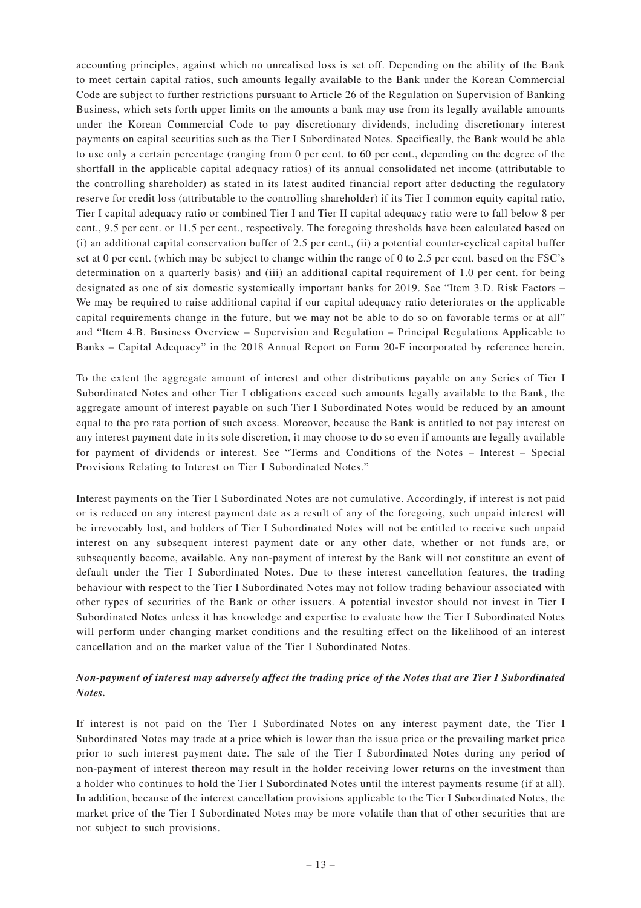accounting principles, against which no unrealised loss is set off. Depending on the ability of the Bank to meet certain capital ratios, such amounts legally available to the Bank under the Korean Commercial Code are subject to further restrictions pursuant to Article 26 of the Regulation on Supervision of Banking Business, which sets forth upper limits on the amounts a bank may use from its legally available amounts under the Korean Commercial Code to pay discretionary dividends, including discretionary interest payments on capital securities such as the Tier I Subordinated Notes. Specifically, the Bank would be able to use only a certain percentage (ranging from 0 per cent. to 60 per cent., depending on the degree of the shortfall in the applicable capital adequacy ratios) of its annual consolidated net income (attributable to the controlling shareholder) as stated in its latest audited financial report after deducting the regulatory reserve for credit loss (attributable to the controlling shareholder) if its Tier I common equity capital ratio, Tier I capital adequacy ratio or combined Tier I and Tier II capital adequacy ratio were to fall below 8 per cent., 9.5 per cent. or 11.5 per cent., respectively. The foregoing thresholds have been calculated based on (i) an additional capital conservation buffer of 2.5 per cent., (ii) a potential counter-cyclical capital buffer set at 0 per cent. (which may be subject to change within the range of 0 to 2.5 per cent. based on the FSC's determination on a quarterly basis) and (iii) an additional capital requirement of 1.0 per cent. for being designated as one of six domestic systemically important banks for 2019. See "Item 3.D. Risk Factors – We may be required to raise additional capital if our capital adequacy ratio deteriorates or the applicable capital requirements change in the future, but we may not be able to do so on favorable terms or at all" and "Item 4.B. Business Overview – Supervision and Regulation – Principal Regulations Applicable to Banks – Capital Adequacy" in the 2018 Annual Report on Form 20-F incorporated by reference herein.

To the extent the aggregate amount of interest and other distributions payable on any Series of Tier I Subordinated Notes and other Tier I obligations exceed such amounts legally available to the Bank, the aggregate amount of interest payable on such Tier I Subordinated Notes would be reduced by an amount equal to the pro rata portion of such excess. Moreover, because the Bank is entitled to not pay interest on any interest payment date in its sole discretion, it may choose to do so even if amounts are legally available for payment of dividends or interest. See "Terms and Conditions of the Notes – Interest – Special Provisions Relating to Interest on Tier I Subordinated Notes."

Interest payments on the Tier I Subordinated Notes are not cumulative. Accordingly, if interest is not paid or is reduced on any interest payment date as a result of any of the foregoing, such unpaid interest will be irrevocably lost, and holders of Tier I Subordinated Notes will not be entitled to receive such unpaid interest on any subsequent interest payment date or any other date, whether or not funds are, or subsequently become, available. Any non-payment of interest by the Bank will not constitute an event of default under the Tier I Subordinated Notes. Due to these interest cancellation features, the trading behaviour with respect to the Tier I Subordinated Notes may not follow trading behaviour associated with other types of securities of the Bank or other issuers. A potential investor should not invest in Tier I Subordinated Notes unless it has knowledge and expertise to evaluate how the Tier I Subordinated Notes will perform under changing market conditions and the resulting effect on the likelihood of an interest cancellation and on the market value of the Tier I Subordinated Notes.

# *Non-payment of interest may adversely affect the trading price of the Notes that are Tier I Subordinated Notes.*

If interest is not paid on the Tier I Subordinated Notes on any interest payment date, the Tier I Subordinated Notes may trade at a price which is lower than the issue price or the prevailing market price prior to such interest payment date. The sale of the Tier I Subordinated Notes during any period of non-payment of interest thereon may result in the holder receiving lower returns on the investment than a holder who continues to hold the Tier I Subordinated Notes until the interest payments resume (if at all). In addition, because of the interest cancellation provisions applicable to the Tier I Subordinated Notes, the market price of the Tier I Subordinated Notes may be more volatile than that of other securities that are not subject to such provisions.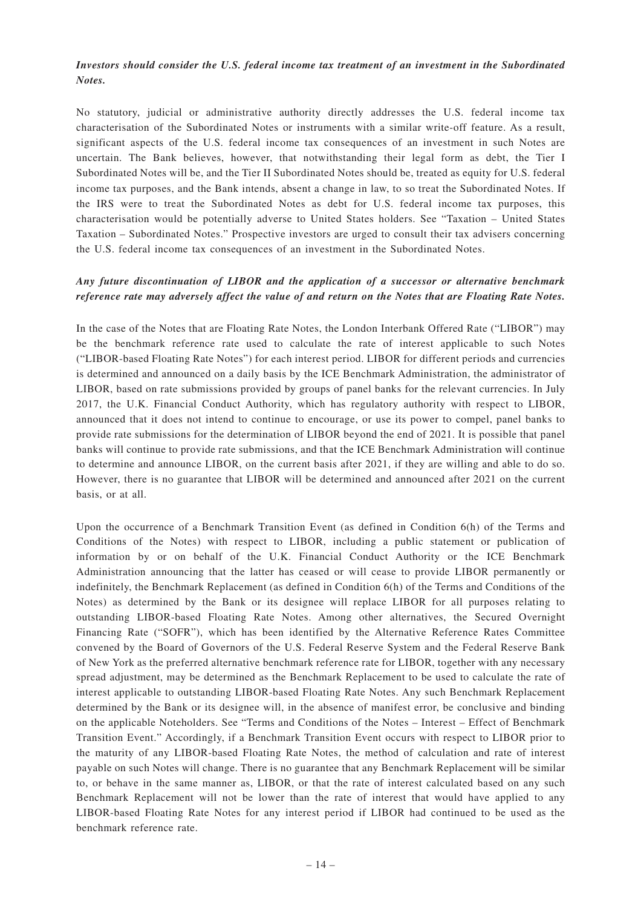## *Investors should consider the U.S. federal income tax treatment of an investment in the Subordinated Notes.*

No statutory, judicial or administrative authority directly addresses the U.S. federal income tax characterisation of the Subordinated Notes or instruments with a similar write-off feature. As a result, significant aspects of the U.S. federal income tax consequences of an investment in such Notes are uncertain. The Bank believes, however, that notwithstanding their legal form as debt, the Tier I Subordinated Notes will be, and the Tier II Subordinated Notes should be, treated as equity for U.S. federal income tax purposes, and the Bank intends, absent a change in law, to so treat the Subordinated Notes. If the IRS were to treat the Subordinated Notes as debt for U.S. federal income tax purposes, this characterisation would be potentially adverse to United States holders. See "Taxation – United States Taxation – Subordinated Notes." Prospective investors are urged to consult their tax advisers concerning the U.S. federal income tax consequences of an investment in the Subordinated Notes.

## *Any future discontinuation of LIBOR and the application of a successor or alternative benchmark reference rate may adversely affect the value of and return on the Notes that are Floating Rate Notes.*

In the case of the Notes that are Floating Rate Notes, the London Interbank Offered Rate ("LIBOR") may be the benchmark reference rate used to calculate the rate of interest applicable to such Notes ("LIBOR-based Floating Rate Notes") for each interest period. LIBOR for different periods and currencies is determined and announced on a daily basis by the ICE Benchmark Administration, the administrator of LIBOR, based on rate submissions provided by groups of panel banks for the relevant currencies. In July 2017, the U.K. Financial Conduct Authority, which has regulatory authority with respect to LIBOR, announced that it does not intend to continue to encourage, or use its power to compel, panel banks to provide rate submissions for the determination of LIBOR beyond the end of 2021. It is possible that panel banks will continue to provide rate submissions, and that the ICE Benchmark Administration will continue to determine and announce LIBOR, on the current basis after 2021, if they are willing and able to do so. However, there is no guarantee that LIBOR will be determined and announced after 2021 on the current basis, or at all.

Upon the occurrence of a Benchmark Transition Event (as defined in Condition 6(h) of the Terms and Conditions of the Notes) with respect to LIBOR, including a public statement or publication of information by or on behalf of the U.K. Financial Conduct Authority or the ICE Benchmark Administration announcing that the latter has ceased or will cease to provide LIBOR permanently or indefinitely, the Benchmark Replacement (as defined in Condition 6(h) of the Terms and Conditions of the Notes) as determined by the Bank or its designee will replace LIBOR for all purposes relating to outstanding LIBOR-based Floating Rate Notes. Among other alternatives, the Secured Overnight Financing Rate ("SOFR"), which has been identified by the Alternative Reference Rates Committee convened by the Board of Governors of the U.S. Federal Reserve System and the Federal Reserve Bank of New York as the preferred alternative benchmark reference rate for LIBOR, together with any necessary spread adjustment, may be determined as the Benchmark Replacement to be used to calculate the rate of interest applicable to outstanding LIBOR-based Floating Rate Notes. Any such Benchmark Replacement determined by the Bank or its designee will, in the absence of manifest error, be conclusive and binding on the applicable Noteholders. See "Terms and Conditions of the Notes – Interest – Effect of Benchmark Transition Event." Accordingly, if a Benchmark Transition Event occurs with respect to LIBOR prior to the maturity of any LIBOR-based Floating Rate Notes, the method of calculation and rate of interest payable on such Notes will change. There is no guarantee that any Benchmark Replacement will be similar to, or behave in the same manner as, LIBOR, or that the rate of interest calculated based on any such Benchmark Replacement will not be lower than the rate of interest that would have applied to any LIBOR-based Floating Rate Notes for any interest period if LIBOR had continued to be used as the benchmark reference rate.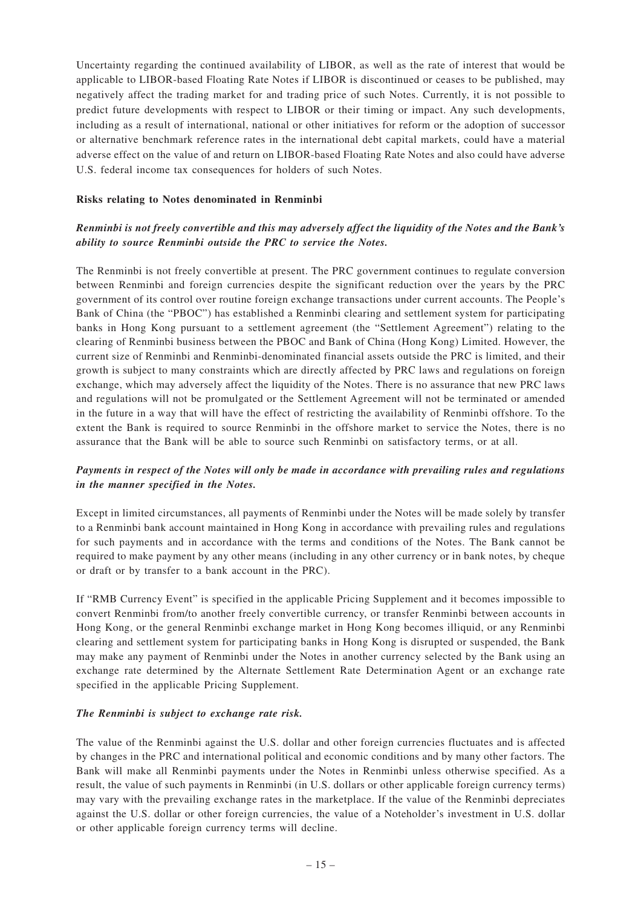Uncertainty regarding the continued availability of LIBOR, as well as the rate of interest that would be applicable to LIBOR-based Floating Rate Notes if LIBOR is discontinued or ceases to be published, may negatively affect the trading market for and trading price of such Notes. Currently, it is not possible to predict future developments with respect to LIBOR or their timing or impact. Any such developments, including as a result of international, national or other initiatives for reform or the adoption of successor or alternative benchmark reference rates in the international debt capital markets, could have a material adverse effect on the value of and return on LIBOR-based Floating Rate Notes and also could have adverse U.S. federal income tax consequences for holders of such Notes.

## **Risks relating to Notes denominated in Renminbi**

## *Renminbi is not freely convertible and this may adversely affect the liquidity of the Notes and the Bank's ability to source Renminbi outside the PRC to service the Notes.*

The Renminbi is not freely convertible at present. The PRC government continues to regulate conversion between Renminbi and foreign currencies despite the significant reduction over the years by the PRC government of its control over routine foreign exchange transactions under current accounts. The People's Bank of China (the "PBOC") has established a Renminbi clearing and settlement system for participating banks in Hong Kong pursuant to a settlement agreement (the "Settlement Agreement") relating to the clearing of Renminbi business between the PBOC and Bank of China (Hong Kong) Limited. However, the current size of Renminbi and Renminbi-denominated financial assets outside the PRC is limited, and their growth is subject to many constraints which are directly affected by PRC laws and regulations on foreign exchange, which may adversely affect the liquidity of the Notes. There is no assurance that new PRC laws and regulations will not be promulgated or the Settlement Agreement will not be terminated or amended in the future in a way that will have the effect of restricting the availability of Renminbi offshore. To the extent the Bank is required to source Renminbi in the offshore market to service the Notes, there is no assurance that the Bank will be able to source such Renminbi on satisfactory terms, or at all.

## *Payments in respect of the Notes will only be made in accordance with prevailing rules and regulations in the manner specified in the Notes.*

Except in limited circumstances, all payments of Renminbi under the Notes will be made solely by transfer to a Renminbi bank account maintained in Hong Kong in accordance with prevailing rules and regulations for such payments and in accordance with the terms and conditions of the Notes. The Bank cannot be required to make payment by any other means (including in any other currency or in bank notes, by cheque or draft or by transfer to a bank account in the PRC).

If "RMB Currency Event" is specified in the applicable Pricing Supplement and it becomes impossible to convert Renminbi from/to another freely convertible currency, or transfer Renminbi between accounts in Hong Kong, or the general Renminbi exchange market in Hong Kong becomes illiquid, or any Renminbi clearing and settlement system for participating banks in Hong Kong is disrupted or suspended, the Bank may make any payment of Renminbi under the Notes in another currency selected by the Bank using an exchange rate determined by the Alternate Settlement Rate Determination Agent or an exchange rate specified in the applicable Pricing Supplement.

## *The Renminbi is subject to exchange rate risk.*

The value of the Renminbi against the U.S. dollar and other foreign currencies fluctuates and is affected by changes in the PRC and international political and economic conditions and by many other factors. The Bank will make all Renminbi payments under the Notes in Renminbi unless otherwise specified. As a result, the value of such payments in Renminbi (in U.S. dollars or other applicable foreign currency terms) may vary with the prevailing exchange rates in the marketplace. If the value of the Renminbi depreciates against the U.S. dollar or other foreign currencies, the value of a Noteholder's investment in U.S. dollar or other applicable foreign currency terms will decline.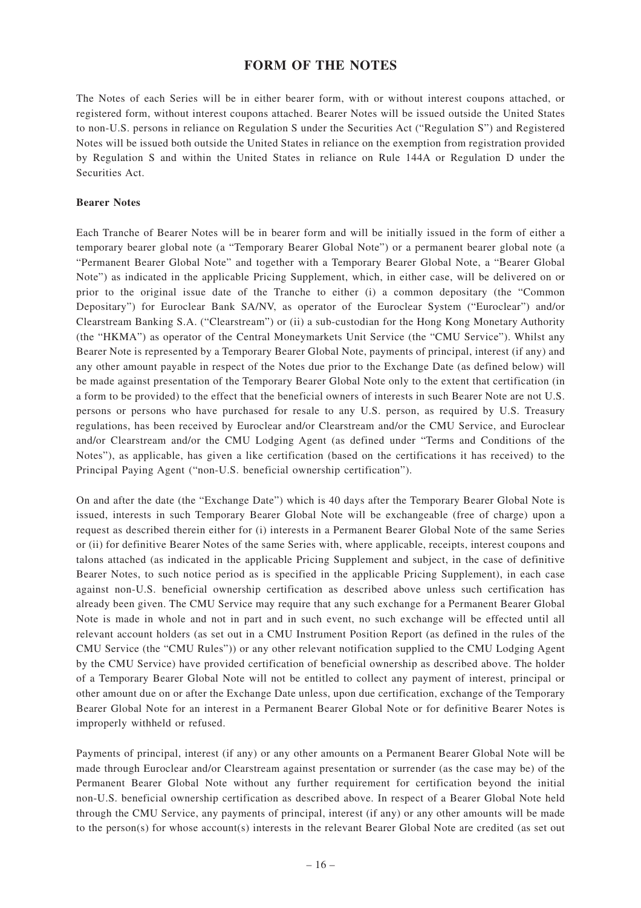# **FORM OF THE NOTES**

The Notes of each Series will be in either bearer form, with or without interest coupons attached, or registered form, without interest coupons attached. Bearer Notes will be issued outside the United States to non-U.S. persons in reliance on Regulation S under the Securities Act ("Regulation S") and Registered Notes will be issued both outside the United States in reliance on the exemption from registration provided by Regulation S and within the United States in reliance on Rule 144A or Regulation D under the Securities Act.

## **Bearer Notes**

Each Tranche of Bearer Notes will be in bearer form and will be initially issued in the form of either a temporary bearer global note (a "Temporary Bearer Global Note") or a permanent bearer global note (a "Permanent Bearer Global Note" and together with a Temporary Bearer Global Note, a "Bearer Global Note") as indicated in the applicable Pricing Supplement, which, in either case, will be delivered on or prior to the original issue date of the Tranche to either (i) a common depositary (the "Common Depositary") for Euroclear Bank SA/NV, as operator of the Euroclear System ("Euroclear") and/or Clearstream Banking S.A. ("Clearstream") or (ii) a sub-custodian for the Hong Kong Monetary Authority (the "HKMA") as operator of the Central Moneymarkets Unit Service (the "CMU Service"). Whilst any Bearer Note is represented by a Temporary Bearer Global Note, payments of principal, interest (if any) and any other amount payable in respect of the Notes due prior to the Exchange Date (as defined below) will be made against presentation of the Temporary Bearer Global Note only to the extent that certification (in a form to be provided) to the effect that the beneficial owners of interests in such Bearer Note are not U.S. persons or persons who have purchased for resale to any U.S. person, as required by U.S. Treasury regulations, has been received by Euroclear and/or Clearstream and/or the CMU Service, and Euroclear and/or Clearstream and/or the CMU Lodging Agent (as defined under "Terms and Conditions of the Notes"), as applicable, has given a like certification (based on the certifications it has received) to the Principal Paying Agent ("non-U.S. beneficial ownership certification").

On and after the date (the "Exchange Date") which is 40 days after the Temporary Bearer Global Note is issued, interests in such Temporary Bearer Global Note will be exchangeable (free of charge) upon a request as described therein either for (i) interests in a Permanent Bearer Global Note of the same Series or (ii) for definitive Bearer Notes of the same Series with, where applicable, receipts, interest coupons and talons attached (as indicated in the applicable Pricing Supplement and subject, in the case of definitive Bearer Notes, to such notice period as is specified in the applicable Pricing Supplement), in each case against non-U.S. beneficial ownership certification as described above unless such certification has already been given. The CMU Service may require that any such exchange for a Permanent Bearer Global Note is made in whole and not in part and in such event, no such exchange will be effected until all relevant account holders (as set out in a CMU Instrument Position Report (as defined in the rules of the CMU Service (the "CMU Rules")) or any other relevant notification supplied to the CMU Lodging Agent by the CMU Service) have provided certification of beneficial ownership as described above. The holder of a Temporary Bearer Global Note will not be entitled to collect any payment of interest, principal or other amount due on or after the Exchange Date unless, upon due certification, exchange of the Temporary Bearer Global Note for an interest in a Permanent Bearer Global Note or for definitive Bearer Notes is improperly withheld or refused.

Payments of principal, interest (if any) or any other amounts on a Permanent Bearer Global Note will be made through Euroclear and/or Clearstream against presentation or surrender (as the case may be) of the Permanent Bearer Global Note without any further requirement for certification beyond the initial non-U.S. beneficial ownership certification as described above. In respect of a Bearer Global Note held through the CMU Service, any payments of principal, interest (if any) or any other amounts will be made to the person(s) for whose account(s) interests in the relevant Bearer Global Note are credited (as set out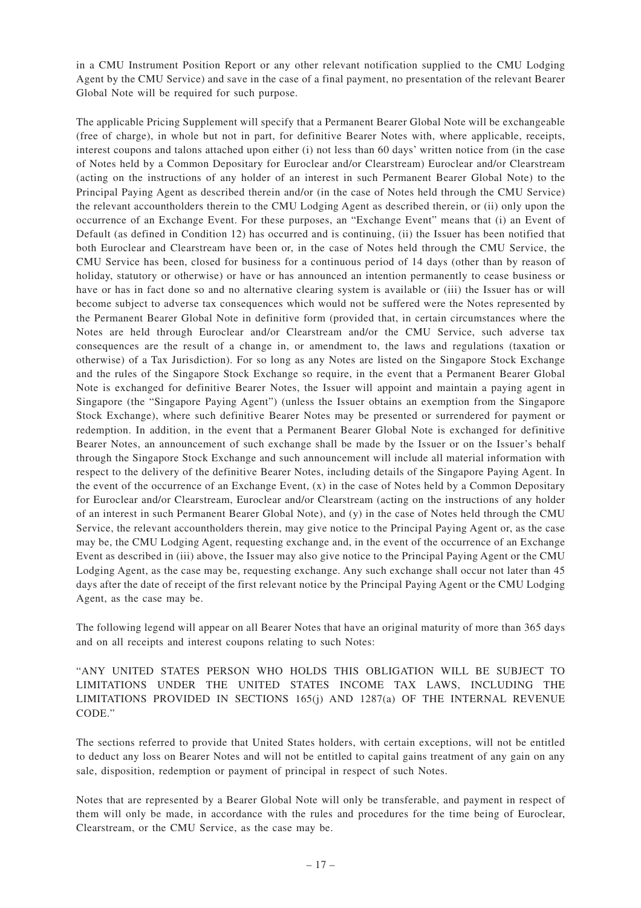in a CMU Instrument Position Report or any other relevant notification supplied to the CMU Lodging Agent by the CMU Service) and save in the case of a final payment, no presentation of the relevant Bearer Global Note will be required for such purpose.

The applicable Pricing Supplement will specify that a Permanent Bearer Global Note will be exchangeable (free of charge), in whole but not in part, for definitive Bearer Notes with, where applicable, receipts, interest coupons and talons attached upon either (i) not less than 60 days' written notice from (in the case of Notes held by a Common Depositary for Euroclear and/or Clearstream) Euroclear and/or Clearstream (acting on the instructions of any holder of an interest in such Permanent Bearer Global Note) to the Principal Paying Agent as described therein and/or (in the case of Notes held through the CMU Service) the relevant accountholders therein to the CMU Lodging Agent as described therein, or (ii) only upon the occurrence of an Exchange Event. For these purposes, an "Exchange Event" means that (i) an Event of Default (as defined in Condition 12) has occurred and is continuing, (ii) the Issuer has been notified that both Euroclear and Clearstream have been or, in the case of Notes held through the CMU Service, the CMU Service has been, closed for business for a continuous period of 14 days (other than by reason of holiday, statutory or otherwise) or have or has announced an intention permanently to cease business or have or has in fact done so and no alternative clearing system is available or (iii) the Issuer has or will become subject to adverse tax consequences which would not be suffered were the Notes represented by the Permanent Bearer Global Note in definitive form (provided that, in certain circumstances where the Notes are held through Euroclear and/or Clearstream and/or the CMU Service, such adverse tax consequences are the result of a change in, or amendment to, the laws and regulations (taxation or otherwise) of a Tax Jurisdiction). For so long as any Notes are listed on the Singapore Stock Exchange and the rules of the Singapore Stock Exchange so require, in the event that a Permanent Bearer Global Note is exchanged for definitive Bearer Notes, the Issuer will appoint and maintain a paying agent in Singapore (the "Singapore Paying Agent") (unless the Issuer obtains an exemption from the Singapore Stock Exchange), where such definitive Bearer Notes may be presented or surrendered for payment or redemption. In addition, in the event that a Permanent Bearer Global Note is exchanged for definitive Bearer Notes, an announcement of such exchange shall be made by the Issuer or on the Issuer's behalf through the Singapore Stock Exchange and such announcement will include all material information with respect to the delivery of the definitive Bearer Notes, including details of the Singapore Paying Agent. In the event of the occurrence of an Exchange Event, (x) in the case of Notes held by a Common Depositary for Euroclear and/or Clearstream, Euroclear and/or Clearstream (acting on the instructions of any holder of an interest in such Permanent Bearer Global Note), and (y) in the case of Notes held through the CMU Service, the relevant accountholders therein, may give notice to the Principal Paying Agent or, as the case may be, the CMU Lodging Agent, requesting exchange and, in the event of the occurrence of an Exchange Event as described in (iii) above, the Issuer may also give notice to the Principal Paying Agent or the CMU Lodging Agent, as the case may be, requesting exchange. Any such exchange shall occur not later than 45 days after the date of receipt of the first relevant notice by the Principal Paying Agent or the CMU Lodging Agent, as the case may be.

The following legend will appear on all Bearer Notes that have an original maturity of more than 365 days and on all receipts and interest coupons relating to such Notes:

"ANY UNITED STATES PERSON WHO HOLDS THIS OBLIGATION WILL BE SUBJECT TO LIMITATIONS UNDER THE UNITED STATES INCOME TAX LAWS, INCLUDING THE LIMITATIONS PROVIDED IN SECTIONS 165(j) AND 1287(a) OF THE INTERNAL REVENUE CODE."

The sections referred to provide that United States holders, with certain exceptions, will not be entitled to deduct any loss on Bearer Notes and will not be entitled to capital gains treatment of any gain on any sale, disposition, redemption or payment of principal in respect of such Notes.

Notes that are represented by a Bearer Global Note will only be transferable, and payment in respect of them will only be made, in accordance with the rules and procedures for the time being of Euroclear, Clearstream, or the CMU Service, as the case may be.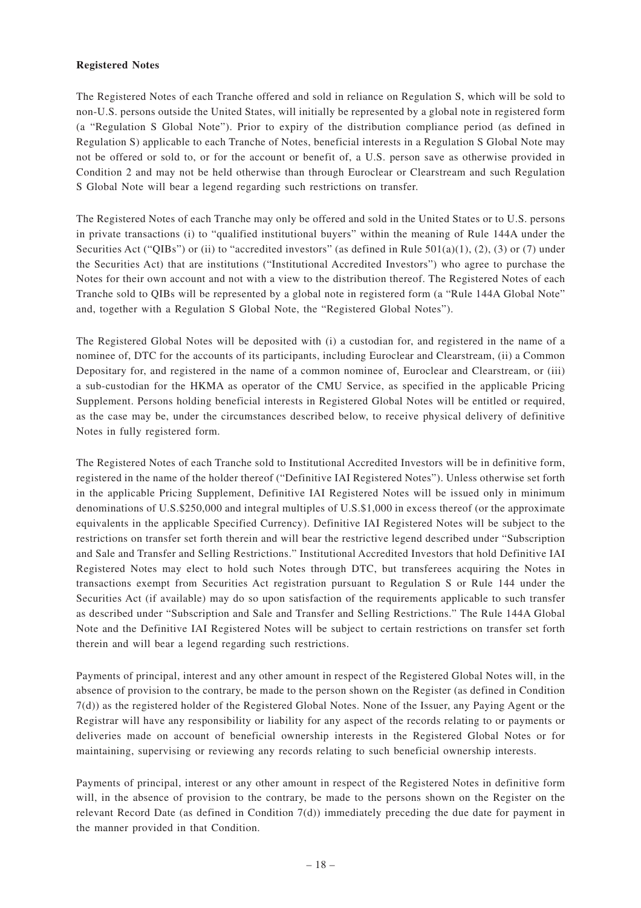## **Registered Notes**

The Registered Notes of each Tranche offered and sold in reliance on Regulation S, which will be sold to non-U.S. persons outside the United States, will initially be represented by a global note in registered form (a "Regulation S Global Note"). Prior to expiry of the distribution compliance period (as defined in Regulation S) applicable to each Tranche of Notes, beneficial interests in a Regulation S Global Note may not be offered or sold to, or for the account or benefit of, a U.S. person save as otherwise provided in Condition 2 and may not be held otherwise than through Euroclear or Clearstream and such Regulation S Global Note will bear a legend regarding such restrictions on transfer.

The Registered Notes of each Tranche may only be offered and sold in the United States or to U.S. persons in private transactions (i) to "qualified institutional buyers" within the meaning of Rule 144A under the Securities Act ("QIBs") or (ii) to "accredited investors" (as defined in Rule  $501(a)(1)$ , (2), (3) or (7) under the Securities Act) that are institutions ("Institutional Accredited Investors") who agree to purchase the Notes for their own account and not with a view to the distribution thereof. The Registered Notes of each Tranche sold to QIBs will be represented by a global note in registered form (a "Rule 144A Global Note" and, together with a Regulation S Global Note, the "Registered Global Notes").

The Registered Global Notes will be deposited with (i) a custodian for, and registered in the name of a nominee of, DTC for the accounts of its participants, including Euroclear and Clearstream, (ii) a Common Depositary for, and registered in the name of a common nominee of, Euroclear and Clearstream, or (iii) a sub-custodian for the HKMA as operator of the CMU Service, as specified in the applicable Pricing Supplement. Persons holding beneficial interests in Registered Global Notes will be entitled or required, as the case may be, under the circumstances described below, to receive physical delivery of definitive Notes in fully registered form.

The Registered Notes of each Tranche sold to Institutional Accredited Investors will be in definitive form, registered in the name of the holder thereof ("Definitive IAI Registered Notes"). Unless otherwise set forth in the applicable Pricing Supplement, Definitive IAI Registered Notes will be issued only in minimum denominations of U.S.\$250,000 and integral multiples of U.S.\$1,000 in excess thereof (or the approximate equivalents in the applicable Specified Currency). Definitive IAI Registered Notes will be subject to the restrictions on transfer set forth therein and will bear the restrictive legend described under "Subscription and Sale and Transfer and Selling Restrictions." Institutional Accredited Investors that hold Definitive IAI Registered Notes may elect to hold such Notes through DTC, but transferees acquiring the Notes in transactions exempt from Securities Act registration pursuant to Regulation S or Rule 144 under the Securities Act (if available) may do so upon satisfaction of the requirements applicable to such transfer as described under "Subscription and Sale and Transfer and Selling Restrictions." The Rule 144A Global Note and the Definitive IAI Registered Notes will be subject to certain restrictions on transfer set forth therein and will bear a legend regarding such restrictions.

Payments of principal, interest and any other amount in respect of the Registered Global Notes will, in the absence of provision to the contrary, be made to the person shown on the Register (as defined in Condition 7(d)) as the registered holder of the Registered Global Notes. None of the Issuer, any Paying Agent or the Registrar will have any responsibility or liability for any aspect of the records relating to or payments or deliveries made on account of beneficial ownership interests in the Registered Global Notes or for maintaining, supervising or reviewing any records relating to such beneficial ownership interests.

Payments of principal, interest or any other amount in respect of the Registered Notes in definitive form will, in the absence of provision to the contrary, be made to the persons shown on the Register on the relevant Record Date (as defined in Condition 7(d)) immediately preceding the due date for payment in the manner provided in that Condition.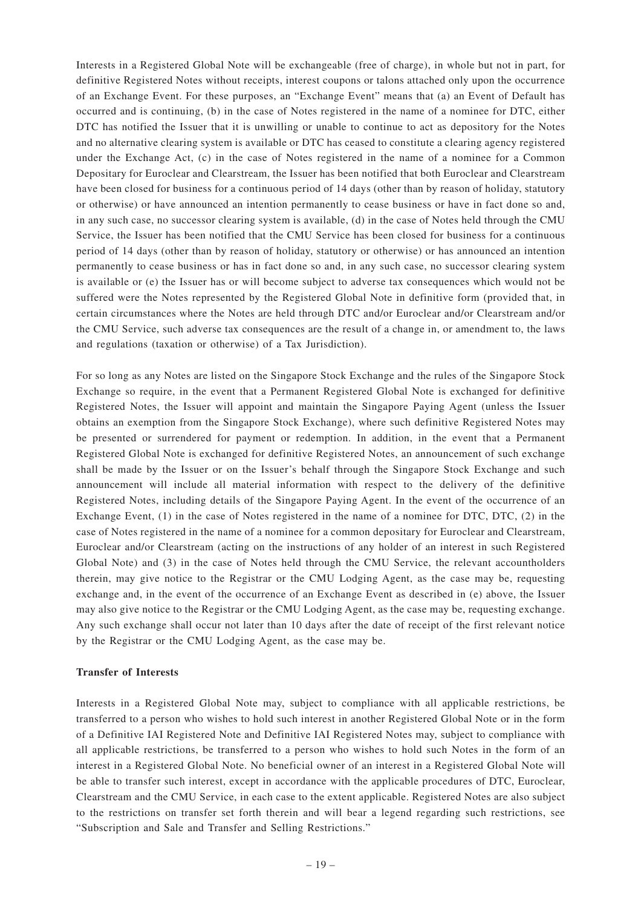Interests in a Registered Global Note will be exchangeable (free of charge), in whole but not in part, for definitive Registered Notes without receipts, interest coupons or talons attached only upon the occurrence of an Exchange Event. For these purposes, an "Exchange Event" means that (a) an Event of Default has occurred and is continuing, (b) in the case of Notes registered in the name of a nominee for DTC, either DTC has notified the Issuer that it is unwilling or unable to continue to act as depository for the Notes and no alternative clearing system is available or DTC has ceased to constitute a clearing agency registered under the Exchange Act, (c) in the case of Notes registered in the name of a nominee for a Common Depositary for Euroclear and Clearstream, the Issuer has been notified that both Euroclear and Clearstream have been closed for business for a continuous period of 14 days (other than by reason of holiday, statutory or otherwise) or have announced an intention permanently to cease business or have in fact done so and, in any such case, no successor clearing system is available, (d) in the case of Notes held through the CMU Service, the Issuer has been notified that the CMU Service has been closed for business for a continuous period of 14 days (other than by reason of holiday, statutory or otherwise) or has announced an intention permanently to cease business or has in fact done so and, in any such case, no successor clearing system is available or (e) the Issuer has or will become subject to adverse tax consequences which would not be suffered were the Notes represented by the Registered Global Note in definitive form (provided that, in certain circumstances where the Notes are held through DTC and/or Euroclear and/or Clearstream and/or the CMU Service, such adverse tax consequences are the result of a change in, or amendment to, the laws and regulations (taxation or otherwise) of a Tax Jurisdiction).

For so long as any Notes are listed on the Singapore Stock Exchange and the rules of the Singapore Stock Exchange so require, in the event that a Permanent Registered Global Note is exchanged for definitive Registered Notes, the Issuer will appoint and maintain the Singapore Paying Agent (unless the Issuer obtains an exemption from the Singapore Stock Exchange), where such definitive Registered Notes may be presented or surrendered for payment or redemption. In addition, in the event that a Permanent Registered Global Note is exchanged for definitive Registered Notes, an announcement of such exchange shall be made by the Issuer or on the Issuer's behalf through the Singapore Stock Exchange and such announcement will include all material information with respect to the delivery of the definitive Registered Notes, including details of the Singapore Paying Agent. In the event of the occurrence of an Exchange Event, (1) in the case of Notes registered in the name of a nominee for DTC, DTC, (2) in the case of Notes registered in the name of a nominee for a common depositary for Euroclear and Clearstream, Euroclear and/or Clearstream (acting on the instructions of any holder of an interest in such Registered Global Note) and (3) in the case of Notes held through the CMU Service, the relevant accountholders therein, may give notice to the Registrar or the CMU Lodging Agent, as the case may be, requesting exchange and, in the event of the occurrence of an Exchange Event as described in (e) above, the Issuer may also give notice to the Registrar or the CMU Lodging Agent, as the case may be, requesting exchange. Any such exchange shall occur not later than 10 days after the date of receipt of the first relevant notice by the Registrar or the CMU Lodging Agent, as the case may be.

## **Transfer of Interests**

Interests in a Registered Global Note may, subject to compliance with all applicable restrictions, be transferred to a person who wishes to hold such interest in another Registered Global Note or in the form of a Definitive IAI Registered Note and Definitive IAI Registered Notes may, subject to compliance with all applicable restrictions, be transferred to a person who wishes to hold such Notes in the form of an interest in a Registered Global Note. No beneficial owner of an interest in a Registered Global Note will be able to transfer such interest, except in accordance with the applicable procedures of DTC, Euroclear, Clearstream and the CMU Service, in each case to the extent applicable. Registered Notes are also subject to the restrictions on transfer set forth therein and will bear a legend regarding such restrictions, see "Subscription and Sale and Transfer and Selling Restrictions."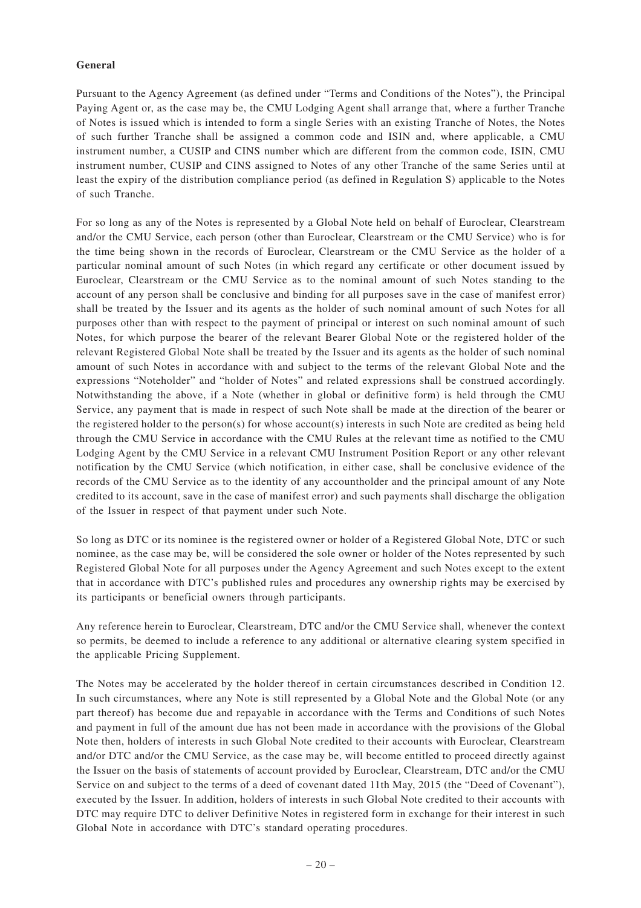## **General**

Pursuant to the Agency Agreement (as defined under "Terms and Conditions of the Notes"), the Principal Paying Agent or, as the case may be, the CMU Lodging Agent shall arrange that, where a further Tranche of Notes is issued which is intended to form a single Series with an existing Tranche of Notes, the Notes of such further Tranche shall be assigned a common code and ISIN and, where applicable, a CMU instrument number, a CUSIP and CINS number which are different from the common code, ISIN, CMU instrument number, CUSIP and CINS assigned to Notes of any other Tranche of the same Series until at least the expiry of the distribution compliance period (as defined in Regulation S) applicable to the Notes of such Tranche.

For so long as any of the Notes is represented by a Global Note held on behalf of Euroclear, Clearstream and/or the CMU Service, each person (other than Euroclear, Clearstream or the CMU Service) who is for the time being shown in the records of Euroclear, Clearstream or the CMU Service as the holder of a particular nominal amount of such Notes (in which regard any certificate or other document issued by Euroclear, Clearstream or the CMU Service as to the nominal amount of such Notes standing to the account of any person shall be conclusive and binding for all purposes save in the case of manifest error) shall be treated by the Issuer and its agents as the holder of such nominal amount of such Notes for all purposes other than with respect to the payment of principal or interest on such nominal amount of such Notes, for which purpose the bearer of the relevant Bearer Global Note or the registered holder of the relevant Registered Global Note shall be treated by the Issuer and its agents as the holder of such nominal amount of such Notes in accordance with and subject to the terms of the relevant Global Note and the expressions "Noteholder" and "holder of Notes" and related expressions shall be construed accordingly. Notwithstanding the above, if a Note (whether in global or definitive form) is held through the CMU Service, any payment that is made in respect of such Note shall be made at the direction of the bearer or the registered holder to the person(s) for whose account(s) interests in such Note are credited as being held through the CMU Service in accordance with the CMU Rules at the relevant time as notified to the CMU Lodging Agent by the CMU Service in a relevant CMU Instrument Position Report or any other relevant notification by the CMU Service (which notification, in either case, shall be conclusive evidence of the records of the CMU Service as to the identity of any accountholder and the principal amount of any Note credited to its account, save in the case of manifest error) and such payments shall discharge the obligation of the Issuer in respect of that payment under such Note.

So long as DTC or its nominee is the registered owner or holder of a Registered Global Note, DTC or such nominee, as the case may be, will be considered the sole owner or holder of the Notes represented by such Registered Global Note for all purposes under the Agency Agreement and such Notes except to the extent that in accordance with DTC's published rules and procedures any ownership rights may be exercised by its participants or beneficial owners through participants.

Any reference herein to Euroclear, Clearstream, DTC and/or the CMU Service shall, whenever the context so permits, be deemed to include a reference to any additional or alternative clearing system specified in the applicable Pricing Supplement.

The Notes may be accelerated by the holder thereof in certain circumstances described in Condition 12. In such circumstances, where any Note is still represented by a Global Note and the Global Note (or any part thereof) has become due and repayable in accordance with the Terms and Conditions of such Notes and payment in full of the amount due has not been made in accordance with the provisions of the Global Note then, holders of interests in such Global Note credited to their accounts with Euroclear, Clearstream and/or DTC and/or the CMU Service, as the case may be, will become entitled to proceed directly against the Issuer on the basis of statements of account provided by Euroclear, Clearstream, DTC and/or the CMU Service on and subject to the terms of a deed of covenant dated 11th May, 2015 (the "Deed of Covenant"), executed by the Issuer. In addition, holders of interests in such Global Note credited to their accounts with DTC may require DTC to deliver Definitive Notes in registered form in exchange for their interest in such Global Note in accordance with DTC's standard operating procedures.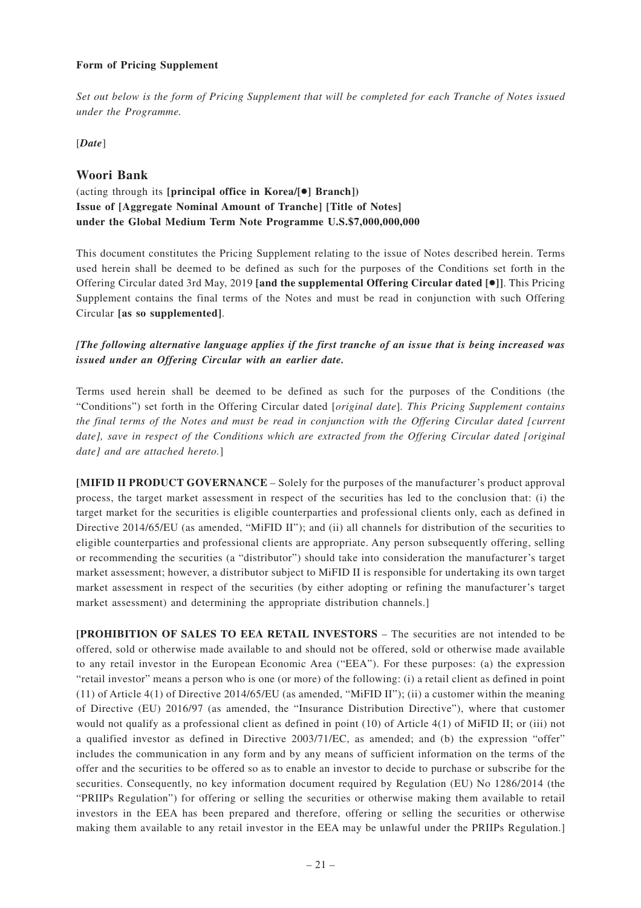## **Form of Pricing Supplement**

*Set out below is the form of Pricing Supplement that will be completed for each Tranche of Notes issued under the Programme.*

[*Date*]

## **Woori Bank**

# (acting through its **[principal office in Korea/[**●**] Branch]) Issue of [Aggregate Nominal Amount of Tranche] [Title of Notes] under the Global Medium Term Note Programme U.S.\$7,000,000,000**

This document constitutes the Pricing Supplement relating to the issue of Notes described herein. Terms used herein shall be deemed to be defined as such for the purposes of the Conditions set forth in the Offering Circular dated 3rd May, 2019 **[and the supplemental Offering Circular dated [**●**]]**. This Pricing Supplement contains the final terms of the Notes and must be read in conjunction with such Offering Circular **[as so supplemented]**.

## *[The following alternative language applies if the first tranche of an issue that is being increased was issued under an Offering Circular with an earlier date.*

Terms used herein shall be deemed to be defined as such for the purposes of the Conditions (the "Conditions") set forth in the Offering Circular dated [*original date*]*. This Pricing Supplement contains the final terms of the Notes and must be read in conjunction with the Offering Circular dated [current date], save in respect of the Conditions which are extracted from the Offering Circular dated [original date] and are attached hereto.*]

**[MIFID II PRODUCT GOVERNANCE** – Solely for the purposes of the manufacturer's product approval process, the target market assessment in respect of the securities has led to the conclusion that: (i) the target market for the securities is eligible counterparties and professional clients only, each as defined in Directive 2014/65/EU (as amended, "MiFID II"); and (ii) all channels for distribution of the securities to eligible counterparties and professional clients are appropriate. Any person subsequently offering, selling or recommending the securities (a "distributor") should take into consideration the manufacturer's target market assessment; however, a distributor subject to MiFID II is responsible for undertaking its own target market assessment in respect of the securities (by either adopting or refining the manufacturer's target market assessment) and determining the appropriate distribution channels.]

**[PROHIBITION OF SALES TO EEA RETAIL INVESTORS** – The securities are not intended to be offered, sold or otherwise made available to and should not be offered, sold or otherwise made available to any retail investor in the European Economic Area ("EEA"). For these purposes: (a) the expression "retail investor" means a person who is one (or more) of the following: (i) a retail client as defined in point (11) of Article 4(1) of Directive 2014/65/EU (as amended, "MiFID II"); (ii) a customer within the meaning of Directive (EU) 2016/97 (as amended, the "Insurance Distribution Directive"), where that customer would not qualify as a professional client as defined in point (10) of Article 4(1) of MiFID II; or (iii) not a qualified investor as defined in Directive 2003/71/EC, as amended; and (b) the expression "offer" includes the communication in any form and by any means of sufficient information on the terms of the offer and the securities to be offered so as to enable an investor to decide to purchase or subscribe for the securities. Consequently, no key information document required by Regulation (EU) No 1286/2014 (the "PRIIPs Regulation") for offering or selling the securities or otherwise making them available to retail investors in the EEA has been prepared and therefore, offering or selling the securities or otherwise making them available to any retail investor in the EEA may be unlawful under the PRIIPs Regulation.]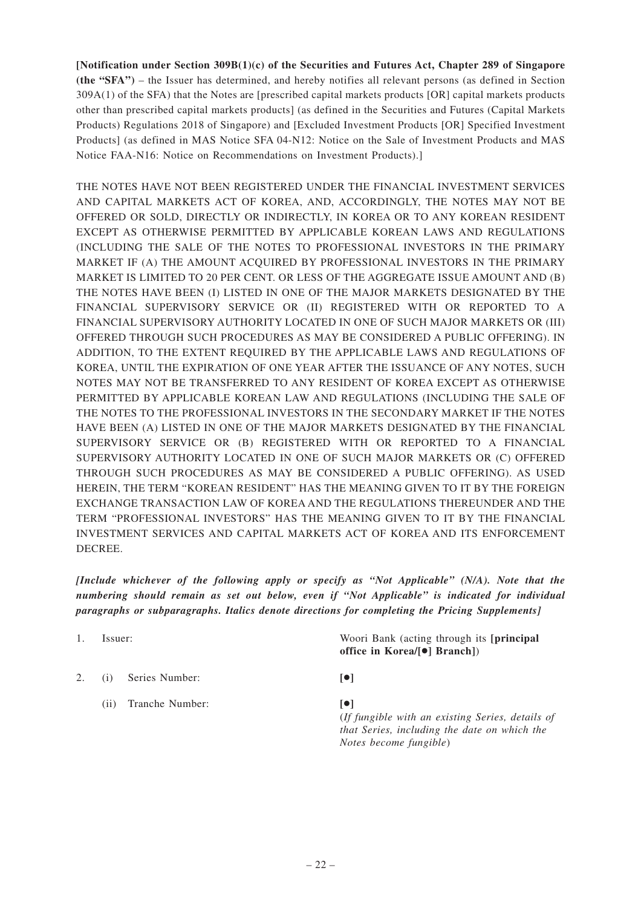**[Notification under Section 309B(1)(c) of the Securities and Futures Act, Chapter 289 of Singapore (the "SFA")** – the Issuer has determined, and hereby notifies all relevant persons (as defined in Section 309A(1) of the SFA) that the Notes are [prescribed capital markets products [OR] capital markets products other than prescribed capital markets products] (as defined in the Securities and Futures (Capital Markets Products) Regulations 2018 of Singapore) and [Excluded Investment Products [OR] Specified Investment Products] (as defined in MAS Notice SFA 04-N12: Notice on the Sale of Investment Products and MAS Notice FAA-N16: Notice on Recommendations on Investment Products).]

THE NOTES HAVE NOT BEEN REGISTERED UNDER THE FINANCIAL INVESTMENT SERVICES AND CAPITAL MARKETS ACT OF KOREA, AND, ACCORDINGLY, THE NOTES MAY NOT BE OFFERED OR SOLD, DIRECTLY OR INDIRECTLY, IN KOREA OR TO ANY KOREAN RESIDENT EXCEPT AS OTHERWISE PERMITTED BY APPLICABLE KOREAN LAWS AND REGULATIONS (INCLUDING THE SALE OF THE NOTES TO PROFESSIONAL INVESTORS IN THE PRIMARY MARKET IF (A) THE AMOUNT ACQUIRED BY PROFESSIONAL INVESTORS IN THE PRIMARY MARKET IS LIMITED TO 20 PER CENT. OR LESS OF THE AGGREGATE ISSUE AMOUNT AND (B) THE NOTES HAVE BEEN (I) LISTED IN ONE OF THE MAJOR MARKETS DESIGNATED BY THE FINANCIAL SUPERVISORY SERVICE OR (II) REGISTERED WITH OR REPORTED TO A FINANCIAL SUPERVISORY AUTHORITY LOCATED IN ONE OF SUCH MAJOR MARKETS OR (III) OFFERED THROUGH SUCH PROCEDURES AS MAY BE CONSIDERED A PUBLIC OFFERING). IN ADDITION, TO THE EXTENT REQUIRED BY THE APPLICABLE LAWS AND REGULATIONS OF KOREA, UNTIL THE EXPIRATION OF ONE YEAR AFTER THE ISSUANCE OF ANY NOTES, SUCH NOTES MAY NOT BE TRANSFERRED TO ANY RESIDENT OF KOREA EXCEPT AS OTHERWISE PERMITTED BY APPLICABLE KOREAN LAW AND REGULATIONS (INCLUDING THE SALE OF THE NOTES TO THE PROFESSIONAL INVESTORS IN THE SECONDARY MARKET IF THE NOTES HAVE BEEN (A) LISTED IN ONE OF THE MAJOR MARKETS DESIGNATED BY THE FINANCIAL SUPERVISORY SERVICE OR (B) REGISTERED WITH OR REPORTED TO A FINANCIAL SUPERVISORY AUTHORITY LOCATED IN ONE OF SUCH MAJOR MARKETS OR (C) OFFERED THROUGH SUCH PROCEDURES AS MAY BE CONSIDERED A PUBLIC OFFERING). AS USED HEREIN, THE TERM "KOREAN RESIDENT" HAS THE MEANING GIVEN TO IT BY THE FOREIGN EXCHANGE TRANSACTION LAW OF KOREA AND THE REGULATIONS THEREUNDER AND THE TERM "PROFESSIONAL INVESTORS" HAS THE MEANING GIVEN TO IT BY THE FINANCIAL INVESTMENT SERVICES AND CAPITAL MARKETS ACT OF KOREA AND ITS ENFORCEMENT DECREE.

*[Include whichever of the following apply or specify as "Not Applicable" (N/A). Note that the numbering should remain as set out below, even if "Not Applicable" is indicated for individual paragraphs or subparagraphs. Italics denote directions for completing the Pricing Supplements]*

| Issuer: |                 | Woori Bank (acting through its [principal]<br>office in Korea/ $\lceil \bullet \rceil$ Branch])                                             |
|---------|-----------------|---------------------------------------------------------------------------------------------------------------------------------------------|
| (1)     | Series Number:  | $  \bullet  $                                                                                                                               |
| (11)    | Tranche Number: | $  \bullet  $<br>(If fungible with an existing Series, details of<br>that Series, including the date on which the<br>Notes become fungible) |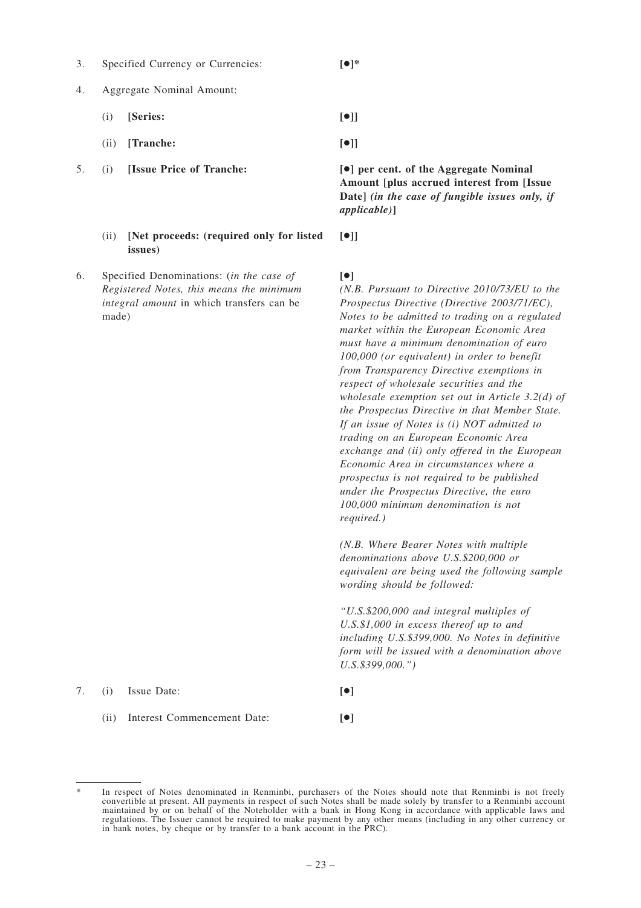3. Specified Currency or Currencies: **[**●**]\***

- 4. Aggregate Nominal Amount:
	- (i) **[Series: [**●**]]**
	- (ii) **[Tranche: [**●**]]**
- - (ii) **[Net proceeds: (required only for listed issues)**
- 6. Specified Denominations: (*in the case of Registered Notes, this means the minimum integral amount* in which transfers can be made)

5. (i) **[Issue Price of Tranche: [**●**] per cent. of the Aggregate Nominal Amount [plus accrued interest from [Issue Date]** *(in the case of fungible issues only, if applicable)***]**

| ×<br>۰. |  |
|---------|--|

## **[**●**]**

*(N.B. Pursuant to Directive 2010/73/EU to the Prospectus Directive (Directive 2003/71/EC), Notes to be admitted to trading on a regulated market within the European Economic Area must have a minimum denomination of euro 100,000 (or equivalent) in order to benefit from Transparency Directive exemptions in respect of wholesale securities and the wholesale exemption set out in Article 3.2(d) of the Prospectus Directive in that Member State. If an issue of Notes is (i) NOT admitted to trading on an European Economic Area exchange and (ii) only offered in the European Economic Area in circumstances where a prospectus is not required to be published under the Prospectus Directive, the euro 100,000 minimum denomination is not required.)*

*(N.B. Where Bearer Notes with multiple denominations above U.S.\$200,000 or equivalent are being used the following sample wording should be followed:*

*"U.S.\$200,000 and integral multiples of U.S.\$1,000 in excess thereof up to and including U.S.\$399,000. No Notes in definitive form will be issued with a denomination above U.S.\$399,000.")*

7. (i) Issue Date: **[**●**]**

(ii) Interest Commencement Date: **[**●**]**

In respect of Notes denominated in Renminbi, purchasers of the Notes should note that Renminbi is not freely convertible at present. All payments in respect of such Notes shall be made solely by transfer to a Renminbi account maintained by or on behalf of the Noteholder with a bank in Hong Kong in accordance with applicable laws and regulations. The Issuer cannot be required to make payment by any other means (including in any other currency or in bank notes, by cheque or by transfer to a bank account in the PRC).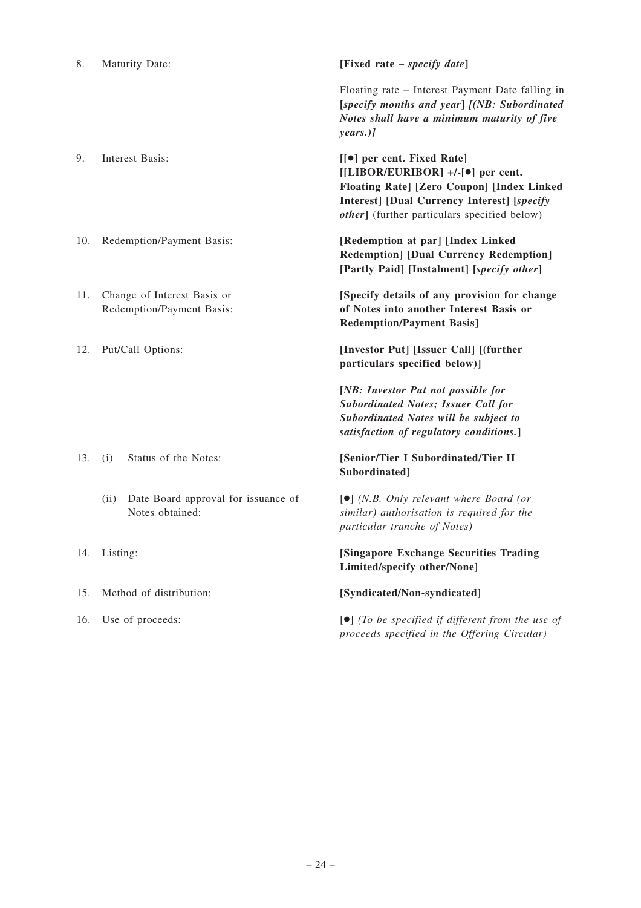| 8.  | <b>Maturity Date:</b>                                          | [Fixed rate – <i>specify date</i> ]                                                                                                                                                                                                       |
|-----|----------------------------------------------------------------|-------------------------------------------------------------------------------------------------------------------------------------------------------------------------------------------------------------------------------------------|
|     |                                                                | Floating rate – Interest Payment Date falling in<br>[specify months and year] [(NB: Subordinated<br>Notes shall have a minimum maturity of five<br>years.)                                                                                |
| 9.  | Interest Basis:                                                | [[ $\bullet$ ] per cent. Fixed Rate]<br>$[[LIBOR/EURIBOR]$ +/-[ $\bullet$ ] per cent.<br>Floating Rate] [Zero Coupon] [Index Linked<br><b>Interest]</b> [Dual Currency Interest] [specify<br>other] (further particulars specified below) |
| 10. | Redemption/Payment Basis:                                      | [Redemption at par] [Index Linked<br><b>Redemption] [Dual Currency Redemption]</b><br>[Partly Paid] [Instalment] [specify other]                                                                                                          |
| 11. | Change of Interest Basis or<br>Redemption/Payment Basis:       | [Specify details of any provision for change<br>of Notes into another Interest Basis or<br><b>Redemption/Payment Basis]</b>                                                                                                               |
| 12. | Put/Call Options:                                              | [Investor Put] [Issuer Call] [(further<br>particulars specified below)]                                                                                                                                                                   |
|     |                                                                | [NB: Investor Put not possible for<br><b>Subordinated Notes; Issuer Call for</b><br>Subordinated Notes will be subject to<br>satisfaction of regulatory conditions.]                                                                      |
| 13. | Status of the Notes:<br>(i)                                    | [Senior/Tier I Subordinated/Tier II<br>Subordinated]                                                                                                                                                                                      |
|     | Date Board approval for issuance of<br>(ii)<br>Notes obtained: | $\left[\bullet\right]$ (N.B. Only relevant where Board (or<br>similar) authorisation is required for the<br>particular tranche of Notes)                                                                                                  |
| 14. | Listing:                                                       | [Singapore Exchange Securities Trading<br>Limited/specify other/None]                                                                                                                                                                     |
| 15. | Method of distribution:                                        | [Syndicated/Non-syndicated]                                                                                                                                                                                                               |
| 16. | Use of proceeds:                                               | $\left[\bullet\right]$ (To be specified if different from the use of                                                                                                                                                                      |

*proceeds specified in the Offering Circular)*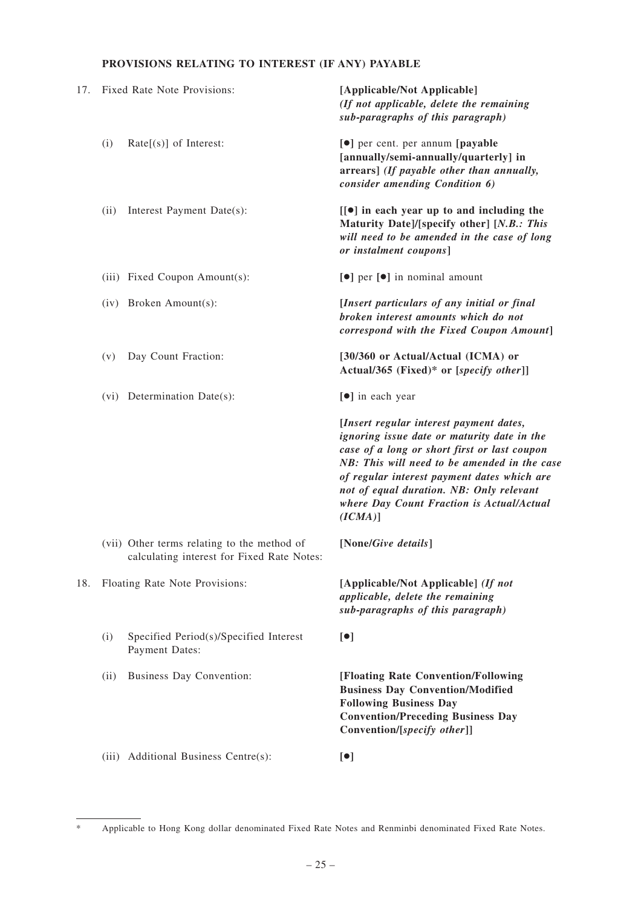# **PROVISIONS RELATING TO INTEREST (IF ANY) PAYABLE**

| 17. | Fixed Rate Note Provisions:    |                                                                                           | [Applicable/Not Applicable]<br>(If not applicable, delete the remaining<br>sub-paragraphs of this paragraph)                                                                                                                                                                                                                                 |
|-----|--------------------------------|-------------------------------------------------------------------------------------------|----------------------------------------------------------------------------------------------------------------------------------------------------------------------------------------------------------------------------------------------------------------------------------------------------------------------------------------------|
|     | (i)                            | $Rate[(s)]$ of Interest:                                                                  | [ $\bullet$ ] per cent. per annum [payable<br>[annually/semi-annually/quarterly] in<br>arrears] (If payable other than annually,<br>consider amending Condition 6)                                                                                                                                                                           |
|     | (ii)                           | Interest Payment Date(s):                                                                 | $\left[\infty\right]$ in each year up to and including the<br>Maturity Date]/[specify other] [N.B.: This<br>will need to be amended in the case of long<br>or instalment coupons]                                                                                                                                                            |
|     |                                | (iii) Fixed Coupon Amount(s):                                                             | [●] per [●] in nominal amount                                                                                                                                                                                                                                                                                                                |
|     |                                | (iv) Broken Amount(s):                                                                    | [Insert particulars of any initial or final<br>broken interest amounts which do not<br>correspond with the Fixed Coupon Amount]                                                                                                                                                                                                              |
|     | (v)                            | Day Count Fraction:                                                                       | [30/360 or Actual/Actual (ICMA) or<br>Actual/365 (Fixed)* or [specify other]]                                                                                                                                                                                                                                                                |
|     |                                | (vi) Determination Date(s):                                                               | [ $\bullet$ ] in each year                                                                                                                                                                                                                                                                                                                   |
|     |                                |                                                                                           | [Insert regular interest payment dates,<br>ignoring issue date or maturity date in the<br>case of a long or short first or last coupon<br>NB: This will need to be amended in the case<br>of regular interest payment dates which are<br>not of equal duration. NB: Only relevant<br>where Day Count Fraction is Actual/Actual<br>$(ICMA)$ ] |
|     |                                | (vii) Other terms relating to the method of<br>calculating interest for Fixed Rate Notes: | [None/Give details]                                                                                                                                                                                                                                                                                                                          |
| 18. | Floating Rate Note Provisions: |                                                                                           | [Applicable/Not Applicable] (If not<br>applicable, delete the remaining<br>sub-paragraphs of this paragraph)                                                                                                                                                                                                                                 |
|     | (i)                            | Specified Period(s)/Specified Interest<br>Payment Dates:                                  | $\lbrack \bullet \rbrack$                                                                                                                                                                                                                                                                                                                    |
|     | (ii)                           | Business Day Convention:                                                                  | [Floating Rate Convention/Following<br><b>Business Day Convention/Modified</b><br><b>Following Business Day</b><br><b>Convention/Preceding Business Day</b><br>Convention/[specify other]]                                                                                                                                                   |
|     |                                | (iii) Additional Business Centre(s):                                                      | $\lbrack \bullet \rbrack$                                                                                                                                                                                                                                                                                                                    |

<sup>\*</sup> Applicable to Hong Kong dollar denominated Fixed Rate Notes and Renminbi denominated Fixed Rate Notes.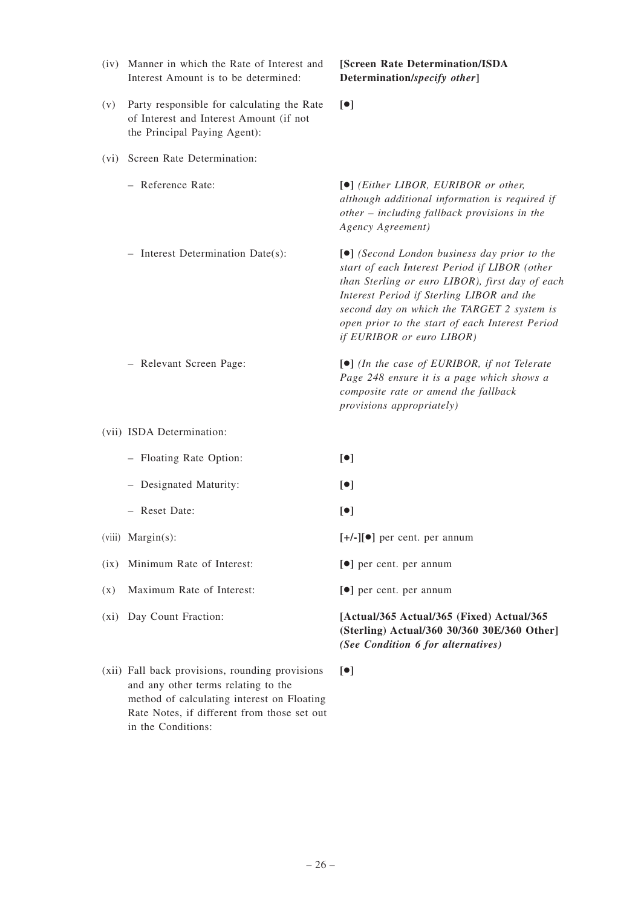| (iv)    | Manner in which the Rate of Interest and<br>Interest Amount is to be determined:                                      | [Screen Rate Determination/ISDA<br>Determination/specify other]                                                                                                                                                                                                                                                                       |
|---------|-----------------------------------------------------------------------------------------------------------------------|---------------------------------------------------------------------------------------------------------------------------------------------------------------------------------------------------------------------------------------------------------------------------------------------------------------------------------------|
| (v)     | Party responsible for calculating the Rate<br>of Interest and Interest Amount (if not<br>the Principal Paying Agent): | $\lceil \bullet \rceil$                                                                                                                                                                                                                                                                                                               |
| (vi)    | Screen Rate Determination:                                                                                            |                                                                                                                                                                                                                                                                                                                                       |
|         | - Reference Rate:                                                                                                     | [ $\bullet$ ] (Either LIBOR, EURIBOR or other,<br>although additional information is required if<br>other - including fallback provisions in the<br>Agency Agreement)                                                                                                                                                                 |
|         | - Interest Determination Date(s):                                                                                     | [ $\bullet$ ] (Second London business day prior to the<br>start of each Interest Period if LIBOR (other<br>than Sterling or euro LIBOR), first day of each<br>Interest Period if Sterling LIBOR and the<br>second day on which the TARGET 2 system is<br>open prior to the start of each Interest Period<br>if EURIBOR or euro LIBOR) |
|         | - Relevant Screen Page:                                                                                               | $\lceil \bullet \rceil$ (In the case of EURIBOR, if not Telerate<br>Page 248 ensure it is a page which shows a<br>composite rate or amend the fallback<br>provisions appropriately)                                                                                                                                                   |
|         | (vii) ISDA Determination:                                                                                             |                                                                                                                                                                                                                                                                                                                                       |
|         | - Floating Rate Option:                                                                                               | [•]                                                                                                                                                                                                                                                                                                                                   |
|         | - Designated Maturity:                                                                                                | $\lbrack \bullet \rbrack$                                                                                                                                                                                                                                                                                                             |
|         | - Reset Date:                                                                                                         | [•]                                                                                                                                                                                                                                                                                                                                   |
|         | $(viii)$ Margin $(s)$ :                                                                                               | $[+/-][\bullet]$ per cent. per annum                                                                                                                                                                                                                                                                                                  |
| (ix)    | Minimum Rate of Interest:                                                                                             | [ $\bullet$ ] per cent. per annum                                                                                                                                                                                                                                                                                                     |
| (x)     | Maximum Rate of Interest:                                                                                             | [ $\bullet$ ] per cent. per annum                                                                                                                                                                                                                                                                                                     |
| $(x_i)$ | Day Count Fraction:                                                                                                   | [Actual/365 Actual/365 (Fixed) Actual/365<br>(Sterling) Actual/360 30/360 30E/360 Other]<br>(See Condition 6 for alternatives)                                                                                                                                                                                                        |
|         | (xii) Fall back provisions, rounding provisions<br>and any other terms relating to the                                | $\lceil \bullet \rceil$                                                                                                                                                                                                                                                                                                               |

method of calculating interest on Floating Rate Notes, if different from those set out

in the Conditions: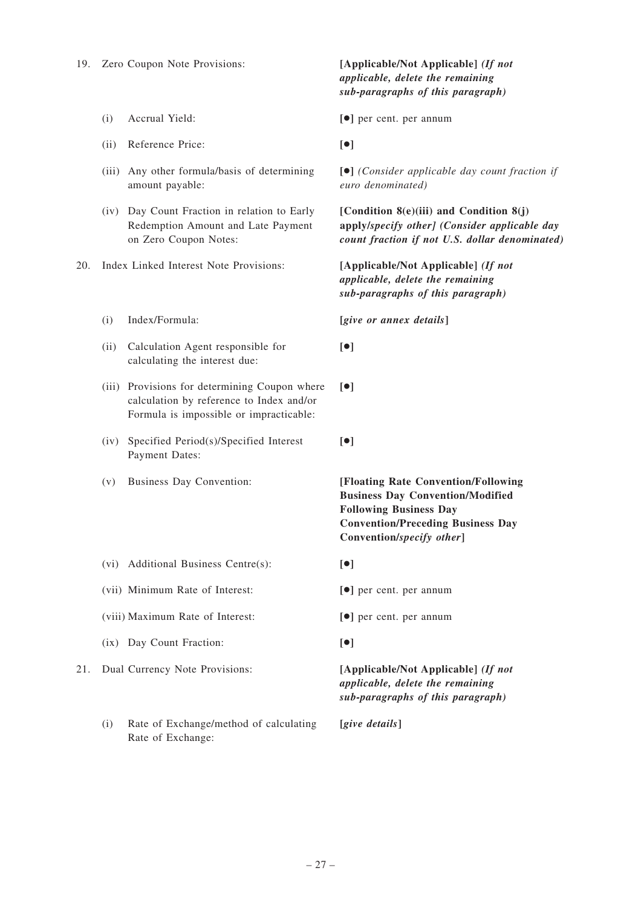- 
- (ii) Reference Price: **[**●**]**
- (iii) Any other formula/basis of determining amount payable:
- (iv) Day Count Fraction in relation to Early Redemption Amount and Late Payment on Zero Coupon Notes:
- 20. Index Linked Interest Note Provisions: **[Applicable/Not Applicable]** *(If not*
	-
	- (ii) Calculation Agent responsible for calculating the interest due:
	- (iii) Provisions for determining Coupon where calculation by reference to Index and/or Formula is impossible or impracticable:
	- (iv) Specified Period(s)/Specified Interest Payment Dates:
	-

*applicable, delete the remaining sub-paragraphs of this paragraph)*

(i) Accrual Yield: **[**●**]** per cent. per annum

**[**●**]** *(Consider applicable day count fraction if euro denominated)*

**[Condition 8(e)(iii) and Condition 8(j) apply/***specify other] (Consider applicable day count fraction if not U.S. dollar denominated)*

*applicable, delete the remaining sub-paragraphs of this paragraph)*

(i) Index/Formula: **[***give or annex details***]**

- **[**●**]**
- **[**●**]**
- **[**●**]**

(v) Business Day Convention: **[Floating Rate Convention/Following Business Day Convention/Modified Following Business Day Convention/Preceding Business Day Convention/***specify other***]**

- (vi) Additional Business Centre(s): **[**●**]**
- (vii) Minimum Rate of Interest: **[**●**]** per cent. per annum
- (viii) Maximum Rate of Interest: **[**●**]** per cent. per annum
- (ix) Day Count Fraction: **[**●**]**

21. Dual Currency Note Provisions: **[Applicable/Not Applicable]** *(If not applicable, delete the remaining sub-paragraphs of this paragraph)*

(i) Rate of Exchange/method of calculating Rate of Exchange: **[***give details***]**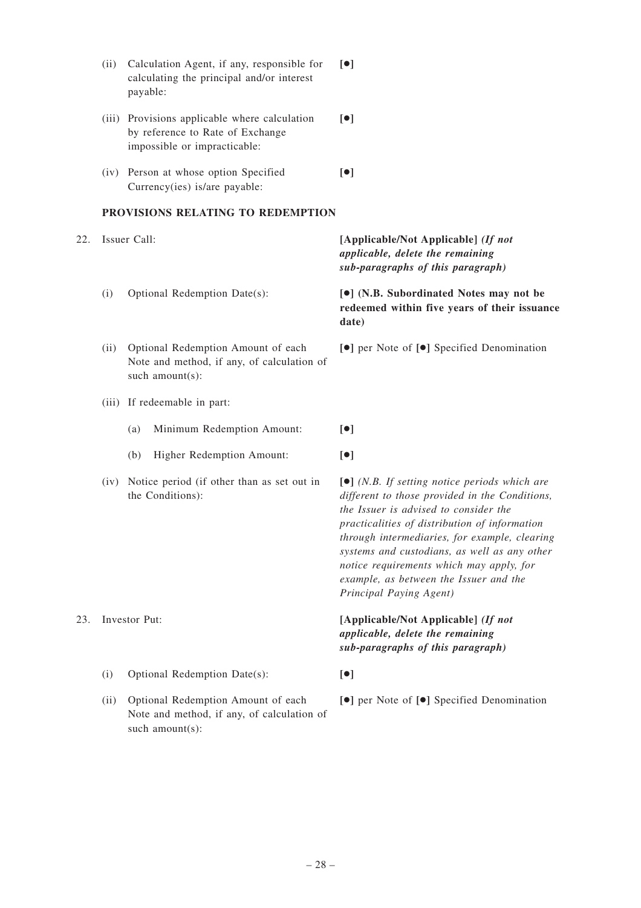|     | (ii)          | Calculation Agent, if any, responsible for<br>calculating the principal and/or interest<br>payable:               | $\lceil \bullet \rceil$                                                                                                                                                                                                                                                                                                                                                                                                        |
|-----|---------------|-------------------------------------------------------------------------------------------------------------------|--------------------------------------------------------------------------------------------------------------------------------------------------------------------------------------------------------------------------------------------------------------------------------------------------------------------------------------------------------------------------------------------------------------------------------|
|     |               | (iii) Provisions applicable where calculation<br>by reference to Rate of Exchange<br>impossible or impracticable: | $\lceil \bullet \rceil$                                                                                                                                                                                                                                                                                                                                                                                                        |
|     |               | (iv) Person at whose option Specified<br>Currency(ies) is/are payable:                                            | $\lbrack \bullet \rbrack$                                                                                                                                                                                                                                                                                                                                                                                                      |
|     |               | PROVISIONS RELATING TO REDEMPTION                                                                                 |                                                                                                                                                                                                                                                                                                                                                                                                                                |
| 22. |               | Issuer Call:                                                                                                      | [Applicable/Not Applicable] (If not<br>applicable, delete the remaining<br>sub-paragraphs of this paragraph)                                                                                                                                                                                                                                                                                                                   |
|     | (i)           | Optional Redemption Date(s):                                                                                      | [ $\bullet$ ] (N.B. Subordinated Notes may not be<br>redeemed within five years of their issuance<br>date)                                                                                                                                                                                                                                                                                                                     |
|     | (ii)          | Optional Redemption Amount of each<br>Note and method, if any, of calculation of<br>such amount(s):               | [ $\bullet$ ] per Note of [ $\bullet$ ] Specified Denomination                                                                                                                                                                                                                                                                                                                                                                 |
|     |               | (iii) If redeemable in part:                                                                                      |                                                                                                                                                                                                                                                                                                                                                                                                                                |
|     |               | Minimum Redemption Amount:<br>(a)                                                                                 | $\lbrack \bullet \rbrack$                                                                                                                                                                                                                                                                                                                                                                                                      |
|     |               | Higher Redemption Amount:<br>(b)                                                                                  | [•]                                                                                                                                                                                                                                                                                                                                                                                                                            |
|     | (iv)          | Notice period (if other than as set out in<br>the Conditions):                                                    | $\left[\bullet\right]$ (N.B. If setting notice periods which are<br>different to those provided in the Conditions,<br>the Issuer is advised to consider the<br>practicalities of distribution of information<br>through intermediaries, for example, clearing<br>systems and custodians, as well as any other<br>notice requirements which may apply, for<br>example, as between the Issuer and the<br>Principal Paying Agent) |
| 23. | Investor Put: |                                                                                                                   | [Applicable/Not Applicable] (If not<br>applicable, delete the remaining<br>sub-paragraphs of this paragraph)                                                                                                                                                                                                                                                                                                                   |
|     | (i)           | Optional Redemption Date(s):                                                                                      | $\lbrack \bullet \rbrack$                                                                                                                                                                                                                                                                                                                                                                                                      |
|     | (ii)          | Optional Redemption Amount of each<br>Note and method, if any, of calculation of<br>such amount(s):               | [●] per Note of [●] Specified Denomination                                                                                                                                                                                                                                                                                                                                                                                     |
|     |               |                                                                                                                   |                                                                                                                                                                                                                                                                                                                                                                                                                                |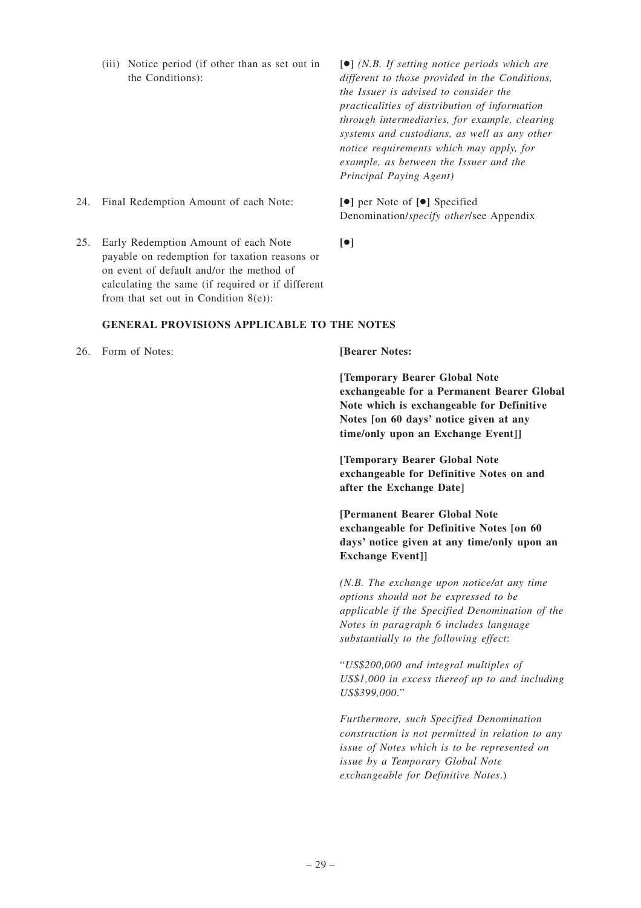(iii) Notice period (if other than as set out in the Conditions): [●] *(N.B. If setting notice periods which are different to those provided in the Conditions, the Issuer is advised to consider the practicalities of distribution of information through intermediaries, for example, clearing systems and custodians, as well as any other notice requirements which may apply, for example, as between the Issuer and the Principal Paying Agent)* 24. Final Redemption Amount of each Note: **[**●**]** per Note of **[**●**]** Specified Denomination/*specify other*/see Appendix

**[**●**]**

25. Early Redemption Amount of each Note payable on redemption for taxation reasons or on event of default and/or the method of calculating the same (if required or if different from that set out in Condition  $8(e)$ :

## **GENERAL PROVISIONS APPLICABLE TO THE NOTES**

26. Form of Notes: **[Bearer Notes:**

**[Temporary Bearer Global Note exchangeable for a Permanent Bearer Global Note which is exchangeable for Definitive Notes [on 60 days' notice given at any time/only upon an Exchange Event]]**

**[Temporary Bearer Global Note exchangeable for Definitive Notes on and after the Exchange Date]**

**[Permanent Bearer Global Note exchangeable for Definitive Notes [on 60 days' notice given at any time/only upon an Exchange Event]]**

*(N.B. The exchange upon notice/at any time options should not be expressed to be applicable if the Specified Denomination of the Notes in paragraph 6 includes language substantially to the following effect*:

"*US\$200,000 and integral multiples of US\$1,000 in excess thereof up to and including US\$399,000*."

*Furthermore, such Specified Denomination construction is not permitted in relation to any issue of Notes which is to be represented on issue by a Temporary Global Note exchangeable for Definitive Notes*.)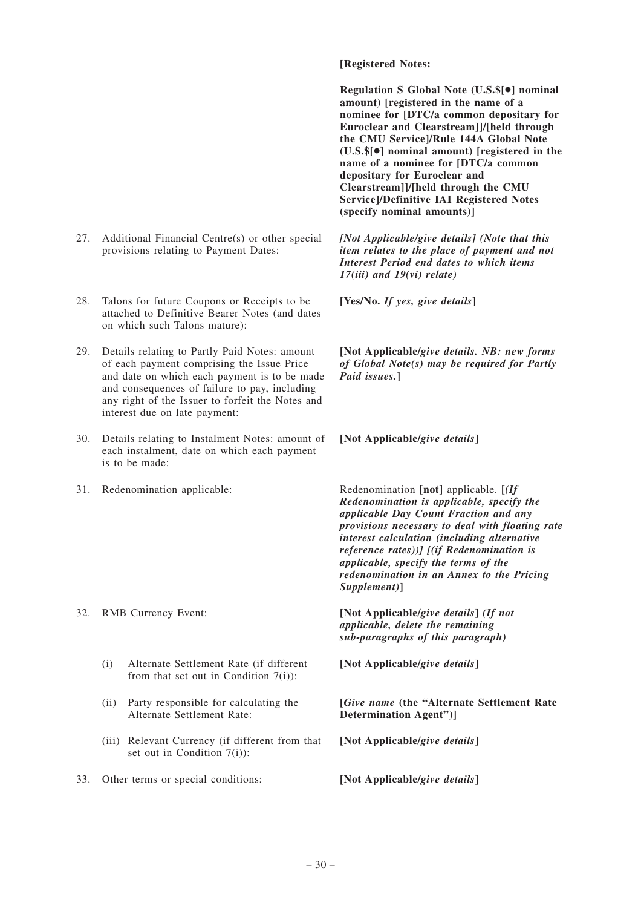- 27. Additional Financial Centre(s) or other special provisions relating to Payment Dates:
- 28. Talons for future Coupons or Receipts to be attached to Definitive Bearer Notes (and dates on which such Talons mature):
- 29. Details relating to Partly Paid Notes: amount of each payment comprising the Issue Price and date on which each payment is to be made and consequences of failure to pay, including any right of the Issuer to forfeit the Notes and interest due on late payment:
- 30. Details relating to Instalment Notes: amount of each instalment, date on which each payment is to be made:
- 

- (i) Alternate Settlement Rate (if different from that set out in Condition  $7(i)$ :
- (ii) Party responsible for calculating the Alternate Settlement Rate:
- (iii) Relevant Currency (if different from that set out in Condition 7(i)):
- 33. Other terms or special conditions: **[Not Applicable/***give details***]**

## **[Registered Notes:**

**Regulation S Global Note (U.S.\$[**●**] nominal amount) [registered in the name of a nominee for [DTC/a common depositary for Euroclear and Clearstream]]/[held through the CMU Service]/Rule 144A Global Note (U.S.\$[**●**] nominal amount) [registered in the name of a nominee for [DTC/a common depositary for Euroclear and Clearstream]]/[held through the CMU Service]/Definitive IAI Registered Notes (specify nominal amounts)]**

*[Not Applicable/give details] (Note that this item relates to the place of payment and not Interest Period end dates to which items 17(iii) and 19(vi) relate)*

**[Yes/No.** *If yes, give details***]**

**[Not Applicable/***give details. NB: new forms of Global Note(s) may be required for Partly Paid issues.***]**

**[Not Applicable/***give details***]**

31. Redenomination applicable: Redenomination **[not]** applicable. **[***(If Redenomination is applicable, specify the applicable Day Count Fraction and any provisions necessary to deal with floating rate interest calculation (including alternative reference rates))] [(if Redenomination is applicable, specify the terms of the redenomination in an Annex to the Pricing Supplement)***]**

32. RMB Currency Event: **[Not Applicable/***give details***]** *(If not applicable, delete the remaining sub-paragraphs of this paragraph)*

**[Not Applicable/***give details***]**

**[***Give name* **(the "Alternate Settlement Rate Determination Agent")]**

**[Not Applicable/***give details***]**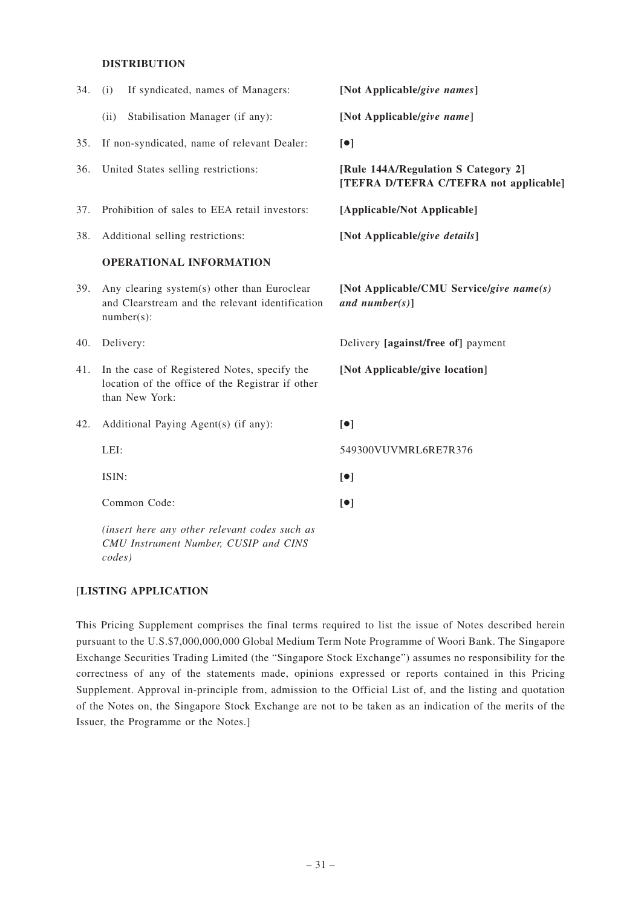## **DISTRIBUTION**

| 34. | If syndicated, names of Managers:<br>(i)                                                                           | [Not Applicable/give names]                                                   |
|-----|--------------------------------------------------------------------------------------------------------------------|-------------------------------------------------------------------------------|
|     | Stabilisation Manager (if any):<br>(ii)                                                                            | [Not Applicable/give name]                                                    |
| 35. | If non-syndicated, name of relevant Dealer:                                                                        | $\lceil \bullet \rceil$                                                       |
| 36. | United States selling restrictions:                                                                                | [Rule 144A/Regulation S Category 2]<br>[TEFRA D/TEFRA C/TEFRA not applicable] |
| 37. | Prohibition of sales to EEA retail investors:                                                                      | [Applicable/Not Applicable]                                                   |
| 38. | Additional selling restrictions:                                                                                   | [Not Applicable/give details]                                                 |
|     | OPERATIONAL INFORMATION                                                                                            |                                                                               |
| 39. | Any clearing system(s) other than Euroclear<br>and Clearstream and the relevant identification<br>$number(s)$ :    | [Not Applicable/CMU Service/give name(s)<br>and number(s)]                    |
| 40. | Delivery:                                                                                                          | Delivery [against/free of] payment                                            |
| 41. | In the case of Registered Notes, specify the<br>location of the office of the Registrar if other<br>than New York: | [Not Applicable/give location]                                                |
| 42. | Additional Paying Agent(s) (if any):                                                                               | $\lceil \bullet \rceil$                                                       |
|     | LEI:                                                                                                               | 549300VUVMRL6RE7R376                                                          |
|     | ISIN:                                                                                                              | [•]                                                                           |
|     | Common Code:                                                                                                       | [•]                                                                           |
|     | (insert here any other relevant codes such as<br>CMU Instrument Number, CUSIP and CINS                             |                                                                               |

## [**LISTING APPLICATION**

*codes)*

This Pricing Supplement comprises the final terms required to list the issue of Notes described herein pursuant to the U.S.\$7,000,000,000 Global Medium Term Note Programme of Woori Bank. The Singapore Exchange Securities Trading Limited (the "Singapore Stock Exchange") assumes no responsibility for the correctness of any of the statements made, opinions expressed or reports contained in this Pricing Supplement. Approval in-principle from, admission to the Official List of, and the listing and quotation of the Notes on, the Singapore Stock Exchange are not to be taken as an indication of the merits of the Issuer, the Programme or the Notes.]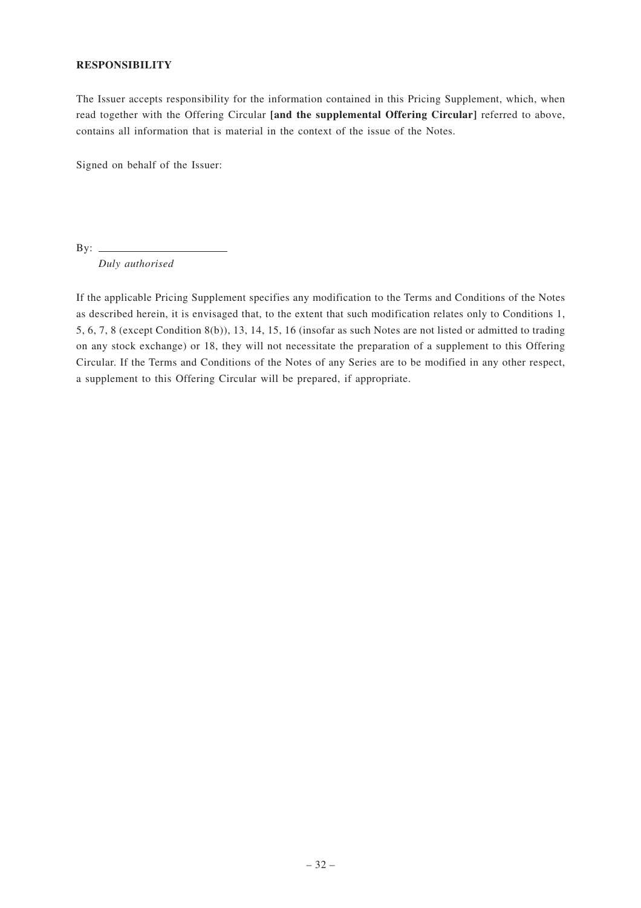## **RESPONSIBILITY**

The Issuer accepts responsibility for the information contained in this Pricing Supplement, which, when read together with the Offering Circular **[and the supplemental Offering Circular]** referred to above, contains all information that is material in the context of the issue of the Notes.

Signed on behalf of the Issuer:

By:  $\qquad \qquad$ 

*Duly authorised*

If the applicable Pricing Supplement specifies any modification to the Terms and Conditions of the Notes as described herein, it is envisaged that, to the extent that such modification relates only to Conditions 1, 5, 6, 7, 8 (except Condition 8(b)), 13, 14, 15, 16 (insofar as such Notes are not listed or admitted to trading on any stock exchange) or 18, they will not necessitate the preparation of a supplement to this Offering Circular. If the Terms and Conditions of the Notes of any Series are to be modified in any other respect, a supplement to this Offering Circular will be prepared, if appropriate.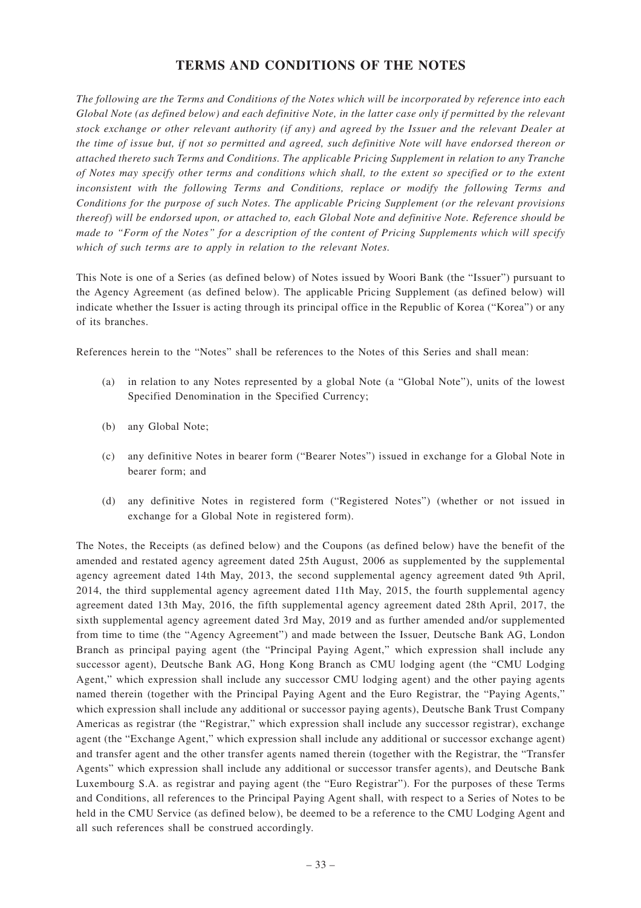# **TERMS AND CONDITIONS OF THE NOTES**

*The following are the Terms and Conditions of the Notes which will be incorporated by reference into each Global Note (as defined below) and each definitive Note, in the latter case only if permitted by the relevant stock exchange or other relevant authority (if any) and agreed by the Issuer and the relevant Dealer at the time of issue but, if not so permitted and agreed, such definitive Note will have endorsed thereon or attached thereto such Terms and Conditions. The applicable Pricing Supplement in relation to any Tranche of Notes may specify other terms and conditions which shall, to the extent so specified or to the extent inconsistent with the following Terms and Conditions, replace or modify the following Terms and Conditions for the purpose of such Notes. The applicable Pricing Supplement (or the relevant provisions thereof) will be endorsed upon, or attached to, each Global Note and definitive Note. Reference should be made to "Form of the Notes" for a description of the content of Pricing Supplements which will specify which of such terms are to apply in relation to the relevant Notes.*

This Note is one of a Series (as defined below) of Notes issued by Woori Bank (the "Issuer") pursuant to the Agency Agreement (as defined below). The applicable Pricing Supplement (as defined below) will indicate whether the Issuer is acting through its principal office in the Republic of Korea ("Korea") or any of its branches.

References herein to the "Notes" shall be references to the Notes of this Series and shall mean:

- (a) in relation to any Notes represented by a global Note (a "Global Note"), units of the lowest Specified Denomination in the Specified Currency;
- (b) any Global Note;
- (c) any definitive Notes in bearer form ("Bearer Notes") issued in exchange for a Global Note in bearer form; and
- (d) any definitive Notes in registered form ("Registered Notes") (whether or not issued in exchange for a Global Note in registered form).

The Notes, the Receipts (as defined below) and the Coupons (as defined below) have the benefit of the amended and restated agency agreement dated 25th August, 2006 as supplemented by the supplemental agency agreement dated 14th May, 2013, the second supplemental agency agreement dated 9th April, 2014, the third supplemental agency agreement dated 11th May, 2015, the fourth supplemental agency agreement dated 13th May, 2016, the fifth supplemental agency agreement dated 28th April, 2017, the sixth supplemental agency agreement dated 3rd May, 2019 and as further amended and/or supplemented from time to time (the "Agency Agreement") and made between the Issuer, Deutsche Bank AG, London Branch as principal paying agent (the "Principal Paying Agent," which expression shall include any successor agent), Deutsche Bank AG, Hong Kong Branch as CMU lodging agent (the "CMU Lodging Agent," which expression shall include any successor CMU lodging agent) and the other paying agents named therein (together with the Principal Paying Agent and the Euro Registrar, the "Paying Agents," which expression shall include any additional or successor paying agents), Deutsche Bank Trust Company Americas as registrar (the "Registrar," which expression shall include any successor registrar), exchange agent (the "Exchange Agent," which expression shall include any additional or successor exchange agent) and transfer agent and the other transfer agents named therein (together with the Registrar, the "Transfer Agents" which expression shall include any additional or successor transfer agents), and Deutsche Bank Luxembourg S.A. as registrar and paying agent (the "Euro Registrar"). For the purposes of these Terms and Conditions, all references to the Principal Paying Agent shall, with respect to a Series of Notes to be held in the CMU Service (as defined below), be deemed to be a reference to the CMU Lodging Agent and all such references shall be construed accordingly.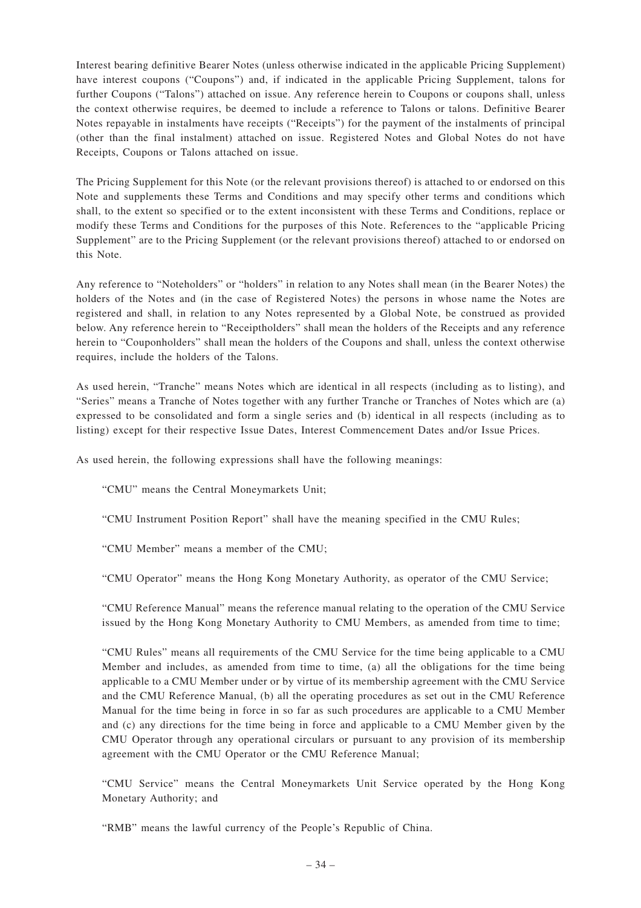Interest bearing definitive Bearer Notes (unless otherwise indicated in the applicable Pricing Supplement) have interest coupons ("Coupons") and, if indicated in the applicable Pricing Supplement, talons for further Coupons ("Talons") attached on issue. Any reference herein to Coupons or coupons shall, unless the context otherwise requires, be deemed to include a reference to Talons or talons. Definitive Bearer Notes repayable in instalments have receipts ("Receipts") for the payment of the instalments of principal (other than the final instalment) attached on issue. Registered Notes and Global Notes do not have Receipts, Coupons or Talons attached on issue.

The Pricing Supplement for this Note (or the relevant provisions thereof) is attached to or endorsed on this Note and supplements these Terms and Conditions and may specify other terms and conditions which shall, to the extent so specified or to the extent inconsistent with these Terms and Conditions, replace or modify these Terms and Conditions for the purposes of this Note. References to the "applicable Pricing Supplement" are to the Pricing Supplement (or the relevant provisions thereof) attached to or endorsed on this Note.

Any reference to "Noteholders" or "holders" in relation to any Notes shall mean (in the Bearer Notes) the holders of the Notes and (in the case of Registered Notes) the persons in whose name the Notes are registered and shall, in relation to any Notes represented by a Global Note, be construed as provided below. Any reference herein to "Receiptholders" shall mean the holders of the Receipts and any reference herein to "Couponholders" shall mean the holders of the Coupons and shall, unless the context otherwise requires, include the holders of the Talons.

As used herein, "Tranche" means Notes which are identical in all respects (including as to listing), and "Series" means a Tranche of Notes together with any further Tranche or Tranches of Notes which are (a) expressed to be consolidated and form a single series and (b) identical in all respects (including as to listing) except for their respective Issue Dates, Interest Commencement Dates and/or Issue Prices.

As used herein, the following expressions shall have the following meanings:

"CMU" means the Central Moneymarkets Unit;

"CMU Instrument Position Report" shall have the meaning specified in the CMU Rules;

"CMU Member" means a member of the CMU;

"CMU Operator" means the Hong Kong Monetary Authority, as operator of the CMU Service;

"CMU Reference Manual" means the reference manual relating to the operation of the CMU Service issued by the Hong Kong Monetary Authority to CMU Members, as amended from time to time;

"CMU Rules" means all requirements of the CMU Service for the time being applicable to a CMU Member and includes, as amended from time to time, (a) all the obligations for the time being applicable to a CMU Member under or by virtue of its membership agreement with the CMU Service and the CMU Reference Manual, (b) all the operating procedures as set out in the CMU Reference Manual for the time being in force in so far as such procedures are applicable to a CMU Member and (c) any directions for the time being in force and applicable to a CMU Member given by the CMU Operator through any operational circulars or pursuant to any provision of its membership agreement with the CMU Operator or the CMU Reference Manual;

"CMU Service" means the Central Moneymarkets Unit Service operated by the Hong Kong Monetary Authority; and

"RMB" means the lawful currency of the People's Republic of China.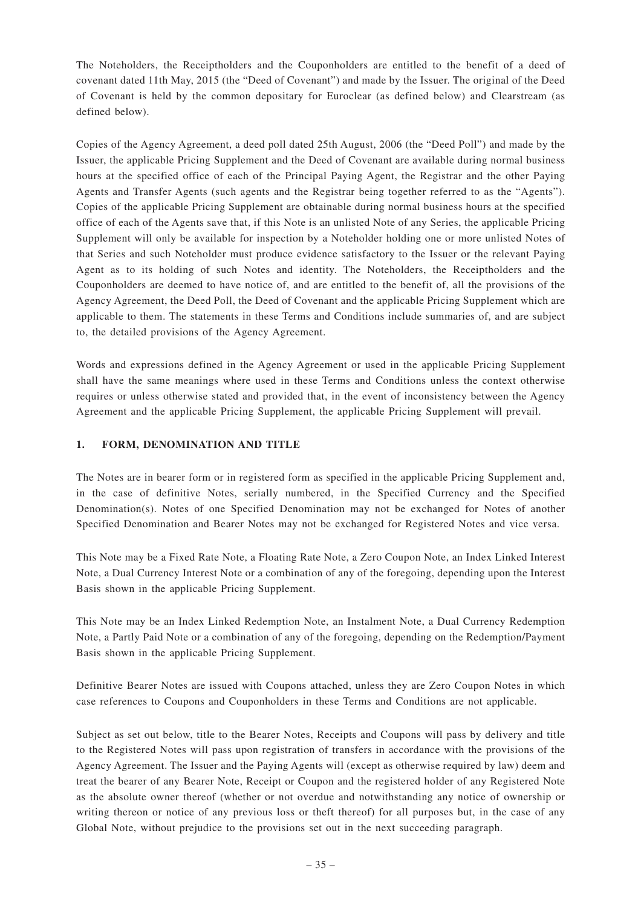The Noteholders, the Receiptholders and the Couponholders are entitled to the benefit of a deed of covenant dated 11th May, 2015 (the "Deed of Covenant") and made by the Issuer. The original of the Deed of Covenant is held by the common depositary for Euroclear (as defined below) and Clearstream (as defined below).

Copies of the Agency Agreement, a deed poll dated 25th August, 2006 (the "Deed Poll") and made by the Issuer, the applicable Pricing Supplement and the Deed of Covenant are available during normal business hours at the specified office of each of the Principal Paying Agent, the Registrar and the other Paying Agents and Transfer Agents (such agents and the Registrar being together referred to as the "Agents"). Copies of the applicable Pricing Supplement are obtainable during normal business hours at the specified office of each of the Agents save that, if this Note is an unlisted Note of any Series, the applicable Pricing Supplement will only be available for inspection by a Noteholder holding one or more unlisted Notes of that Series and such Noteholder must produce evidence satisfactory to the Issuer or the relevant Paying Agent as to its holding of such Notes and identity. The Noteholders, the Receiptholders and the Couponholders are deemed to have notice of, and are entitled to the benefit of, all the provisions of the Agency Agreement, the Deed Poll, the Deed of Covenant and the applicable Pricing Supplement which are applicable to them. The statements in these Terms and Conditions include summaries of, and are subject to, the detailed provisions of the Agency Agreement.

Words and expressions defined in the Agency Agreement or used in the applicable Pricing Supplement shall have the same meanings where used in these Terms and Conditions unless the context otherwise requires or unless otherwise stated and provided that, in the event of inconsistency between the Agency Agreement and the applicable Pricing Supplement, the applicable Pricing Supplement will prevail.

## **1. FORM, DENOMINATION AND TITLE**

The Notes are in bearer form or in registered form as specified in the applicable Pricing Supplement and, in the case of definitive Notes, serially numbered, in the Specified Currency and the Specified Denomination(s). Notes of one Specified Denomination may not be exchanged for Notes of another Specified Denomination and Bearer Notes may not be exchanged for Registered Notes and vice versa.

This Note may be a Fixed Rate Note, a Floating Rate Note, a Zero Coupon Note, an Index Linked Interest Note, a Dual Currency Interest Note or a combination of any of the foregoing, depending upon the Interest Basis shown in the applicable Pricing Supplement.

This Note may be an Index Linked Redemption Note, an Instalment Note, a Dual Currency Redemption Note, a Partly Paid Note or a combination of any of the foregoing, depending on the Redemption/Payment Basis shown in the applicable Pricing Supplement.

Definitive Bearer Notes are issued with Coupons attached, unless they are Zero Coupon Notes in which case references to Coupons and Couponholders in these Terms and Conditions are not applicable.

Subject as set out below, title to the Bearer Notes, Receipts and Coupons will pass by delivery and title to the Registered Notes will pass upon registration of transfers in accordance with the provisions of the Agency Agreement. The Issuer and the Paying Agents will (except as otherwise required by law) deem and treat the bearer of any Bearer Note, Receipt or Coupon and the registered holder of any Registered Note as the absolute owner thereof (whether or not overdue and notwithstanding any notice of ownership or writing thereon or notice of any previous loss or theft thereof) for all purposes but, in the case of any Global Note, without prejudice to the provisions set out in the next succeeding paragraph.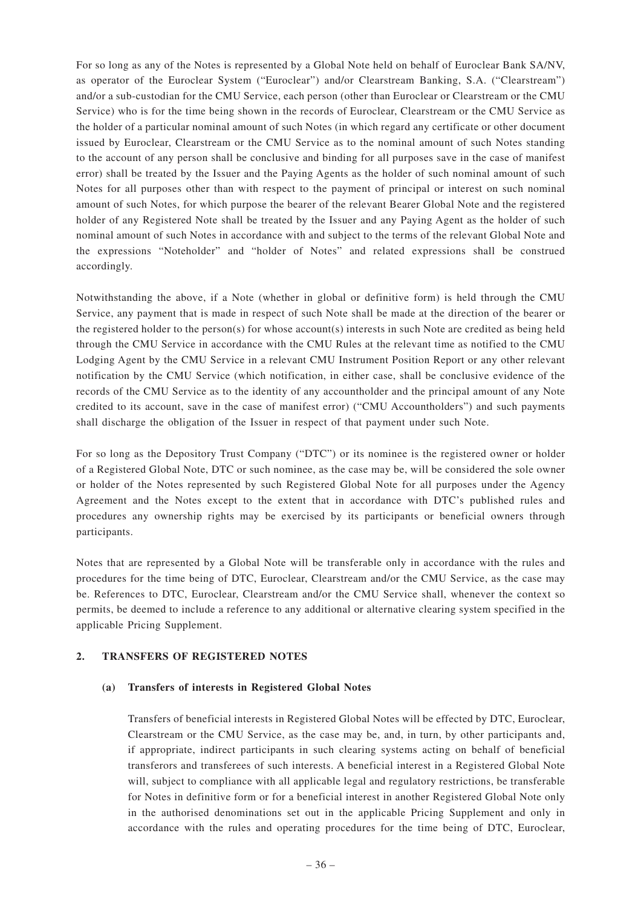For so long as any of the Notes is represented by a Global Note held on behalf of Euroclear Bank SA/NV, as operator of the Euroclear System ("Euroclear") and/or Clearstream Banking, S.A. ("Clearstream") and/or a sub-custodian for the CMU Service, each person (other than Euroclear or Clearstream or the CMU Service) who is for the time being shown in the records of Euroclear, Clearstream or the CMU Service as the holder of a particular nominal amount of such Notes (in which regard any certificate or other document issued by Euroclear, Clearstream or the CMU Service as to the nominal amount of such Notes standing to the account of any person shall be conclusive and binding for all purposes save in the case of manifest error) shall be treated by the Issuer and the Paying Agents as the holder of such nominal amount of such Notes for all purposes other than with respect to the payment of principal or interest on such nominal amount of such Notes, for which purpose the bearer of the relevant Bearer Global Note and the registered holder of any Registered Note shall be treated by the Issuer and any Paying Agent as the holder of such nominal amount of such Notes in accordance with and subject to the terms of the relevant Global Note and the expressions "Noteholder" and "holder of Notes" and related expressions shall be construed accordingly.

Notwithstanding the above, if a Note (whether in global or definitive form) is held through the CMU Service, any payment that is made in respect of such Note shall be made at the direction of the bearer or the registered holder to the person(s) for whose account(s) interests in such Note are credited as being held through the CMU Service in accordance with the CMU Rules at the relevant time as notified to the CMU Lodging Agent by the CMU Service in a relevant CMU Instrument Position Report or any other relevant notification by the CMU Service (which notification, in either case, shall be conclusive evidence of the records of the CMU Service as to the identity of any accountholder and the principal amount of any Note credited to its account, save in the case of manifest error) ("CMU Accountholders") and such payments shall discharge the obligation of the Issuer in respect of that payment under such Note.

For so long as the Depository Trust Company ("DTC") or its nominee is the registered owner or holder of a Registered Global Note, DTC or such nominee, as the case may be, will be considered the sole owner or holder of the Notes represented by such Registered Global Note for all purposes under the Agency Agreement and the Notes except to the extent that in accordance with DTC's published rules and procedures any ownership rights may be exercised by its participants or beneficial owners through participants.

Notes that are represented by a Global Note will be transferable only in accordance with the rules and procedures for the time being of DTC, Euroclear, Clearstream and/or the CMU Service, as the case may be. References to DTC, Euroclear, Clearstream and/or the CMU Service shall, whenever the context so permits, be deemed to include a reference to any additional or alternative clearing system specified in the applicable Pricing Supplement.

## **2. TRANSFERS OF REGISTERED NOTES**

## **(a) Transfers of interests in Registered Global Notes**

Transfers of beneficial interests in Registered Global Notes will be effected by DTC, Euroclear, Clearstream or the CMU Service, as the case may be, and, in turn, by other participants and, if appropriate, indirect participants in such clearing systems acting on behalf of beneficial transferors and transferees of such interests. A beneficial interest in a Registered Global Note will, subject to compliance with all applicable legal and regulatory restrictions, be transferable for Notes in definitive form or for a beneficial interest in another Registered Global Note only in the authorised denominations set out in the applicable Pricing Supplement and only in accordance with the rules and operating procedures for the time being of DTC, Euroclear,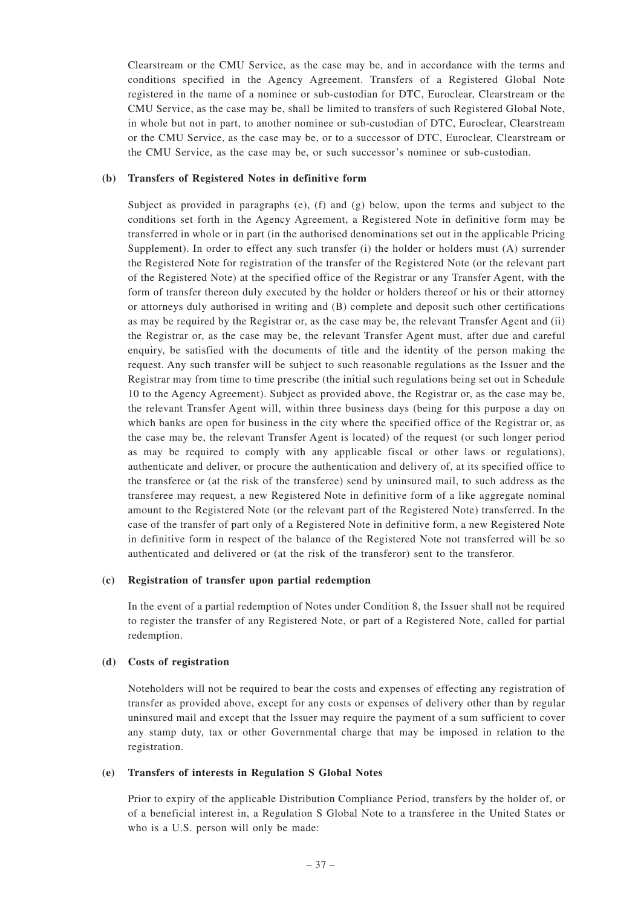Clearstream or the CMU Service, as the case may be, and in accordance with the terms and conditions specified in the Agency Agreement. Transfers of a Registered Global Note registered in the name of a nominee or sub-custodian for DTC, Euroclear, Clearstream or the CMU Service, as the case may be, shall be limited to transfers of such Registered Global Note, in whole but not in part, to another nominee or sub-custodian of DTC, Euroclear, Clearstream or the CMU Service, as the case may be, or to a successor of DTC, Euroclear, Clearstream or the CMU Service, as the case may be, or such successor's nominee or sub-custodian.

## **(b) Transfers of Registered Notes in definitive form**

Subject as provided in paragraphs (e), (f) and (g) below, upon the terms and subject to the conditions set forth in the Agency Agreement, a Registered Note in definitive form may be transferred in whole or in part (in the authorised denominations set out in the applicable Pricing Supplement). In order to effect any such transfer (i) the holder or holders must (A) surrender the Registered Note for registration of the transfer of the Registered Note (or the relevant part of the Registered Note) at the specified office of the Registrar or any Transfer Agent, with the form of transfer thereon duly executed by the holder or holders thereof or his or their attorney or attorneys duly authorised in writing and (B) complete and deposit such other certifications as may be required by the Registrar or, as the case may be, the relevant Transfer Agent and (ii) the Registrar or, as the case may be, the relevant Transfer Agent must, after due and careful enquiry, be satisfied with the documents of title and the identity of the person making the request. Any such transfer will be subject to such reasonable regulations as the Issuer and the Registrar may from time to time prescribe (the initial such regulations being set out in Schedule 10 to the Agency Agreement). Subject as provided above, the Registrar or, as the case may be, the relevant Transfer Agent will, within three business days (being for this purpose a day on which banks are open for business in the city where the specified office of the Registrar or, as the case may be, the relevant Transfer Agent is located) of the request (or such longer period as may be required to comply with any applicable fiscal or other laws or regulations), authenticate and deliver, or procure the authentication and delivery of, at its specified office to the transferee or (at the risk of the transferee) send by uninsured mail, to such address as the transferee may request, a new Registered Note in definitive form of a like aggregate nominal amount to the Registered Note (or the relevant part of the Registered Note) transferred. In the case of the transfer of part only of a Registered Note in definitive form, a new Registered Note in definitive form in respect of the balance of the Registered Note not transferred will be so authenticated and delivered or (at the risk of the transferor) sent to the transferor.

## **(c) Registration of transfer upon partial redemption**

In the event of a partial redemption of Notes under Condition 8, the Issuer shall not be required to register the transfer of any Registered Note, or part of a Registered Note, called for partial redemption.

## **(d) Costs of registration**

Noteholders will not be required to bear the costs and expenses of effecting any registration of transfer as provided above, except for any costs or expenses of delivery other than by regular uninsured mail and except that the Issuer may require the payment of a sum sufficient to cover any stamp duty, tax or other Governmental charge that may be imposed in relation to the registration.

## **(e) Transfers of interests in Regulation S Global Notes**

Prior to expiry of the applicable Distribution Compliance Period, transfers by the holder of, or of a beneficial interest in, a Regulation S Global Note to a transferee in the United States or who is a U.S. person will only be made: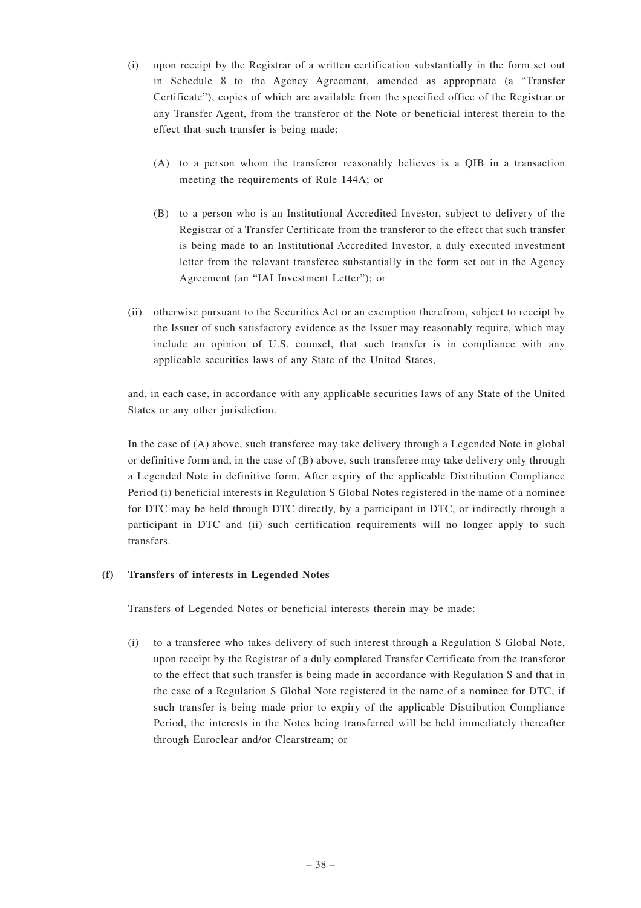- (i) upon receipt by the Registrar of a written certification substantially in the form set out in Schedule 8 to the Agency Agreement, amended as appropriate (a "Transfer Certificate"), copies of which are available from the specified office of the Registrar or any Transfer Agent, from the transferor of the Note or beneficial interest therein to the effect that such transfer is being made:
	- (A) to a person whom the transferor reasonably believes is a QIB in a transaction meeting the requirements of Rule 144A; or
	- (B) to a person who is an Institutional Accredited Investor, subject to delivery of the Registrar of a Transfer Certificate from the transferor to the effect that such transfer is being made to an Institutional Accredited Investor, a duly executed investment letter from the relevant transferee substantially in the form set out in the Agency Agreement (an "IAI Investment Letter"); or
- (ii) otherwise pursuant to the Securities Act or an exemption therefrom, subject to receipt by the Issuer of such satisfactory evidence as the Issuer may reasonably require, which may include an opinion of U.S. counsel, that such transfer is in compliance with any applicable securities laws of any State of the United States,

and, in each case, in accordance with any applicable securities laws of any State of the United States or any other jurisdiction.

In the case of (A) above, such transferee may take delivery through a Legended Note in global or definitive form and, in the case of (B) above, such transferee may take delivery only through a Legended Note in definitive form. After expiry of the applicable Distribution Compliance Period (i) beneficial interests in Regulation S Global Notes registered in the name of a nominee for DTC may be held through DTC directly, by a participant in DTC, or indirectly through a participant in DTC and (ii) such certification requirements will no longer apply to such transfers.

## **(f) Transfers of interests in Legended Notes**

Transfers of Legended Notes or beneficial interests therein may be made:

(i) to a transferee who takes delivery of such interest through a Regulation S Global Note, upon receipt by the Registrar of a duly completed Transfer Certificate from the transferor to the effect that such transfer is being made in accordance with Regulation S and that in the case of a Regulation S Global Note registered in the name of a nominee for DTC, if such transfer is being made prior to expiry of the applicable Distribution Compliance Period, the interests in the Notes being transferred will be held immediately thereafter through Euroclear and/or Clearstream; or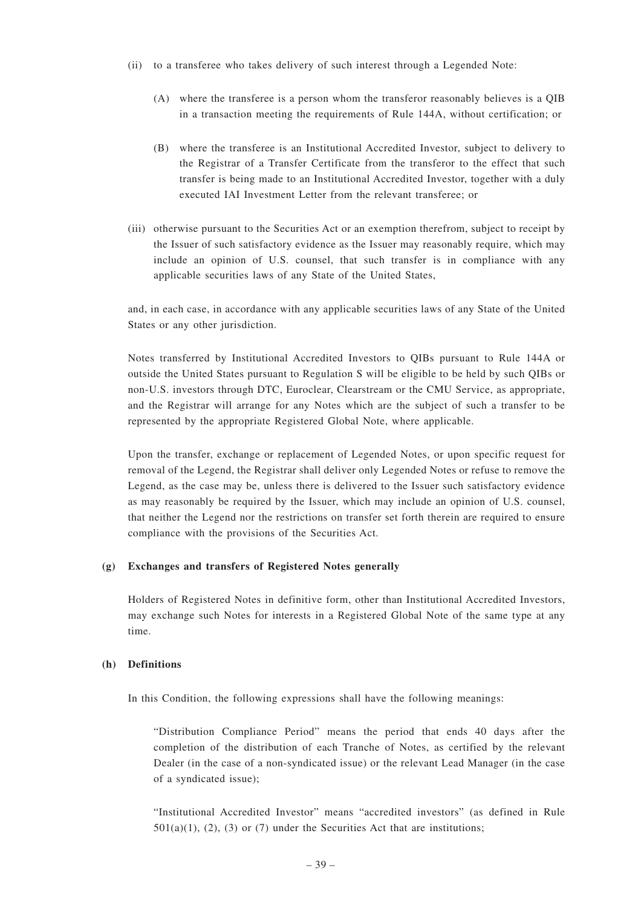- (ii) to a transferee who takes delivery of such interest through a Legended Note:
	- (A) where the transferee is a person whom the transferor reasonably believes is a QIB in a transaction meeting the requirements of Rule 144A, without certification; or
	- (B) where the transferee is an Institutional Accredited Investor, subject to delivery to the Registrar of a Transfer Certificate from the transferor to the effect that such transfer is being made to an Institutional Accredited Investor, together with a duly executed IAI Investment Letter from the relevant transferee; or
- (iii) otherwise pursuant to the Securities Act or an exemption therefrom, subject to receipt by the Issuer of such satisfactory evidence as the Issuer may reasonably require, which may include an opinion of U.S. counsel, that such transfer is in compliance with any applicable securities laws of any State of the United States,

and, in each case, in accordance with any applicable securities laws of any State of the United States or any other jurisdiction.

Notes transferred by Institutional Accredited Investors to QIBs pursuant to Rule 144A or outside the United States pursuant to Regulation S will be eligible to be held by such QIBs or non-U.S. investors through DTC, Euroclear, Clearstream or the CMU Service, as appropriate, and the Registrar will arrange for any Notes which are the subject of such a transfer to be represented by the appropriate Registered Global Note, where applicable.

Upon the transfer, exchange or replacement of Legended Notes, or upon specific request for removal of the Legend, the Registrar shall deliver only Legended Notes or refuse to remove the Legend, as the case may be, unless there is delivered to the Issuer such satisfactory evidence as may reasonably be required by the Issuer, which may include an opinion of U.S. counsel, that neither the Legend nor the restrictions on transfer set forth therein are required to ensure compliance with the provisions of the Securities Act.

## **(g) Exchanges and transfers of Registered Notes generally**

Holders of Registered Notes in definitive form, other than Institutional Accredited Investors, may exchange such Notes for interests in a Registered Global Note of the same type at any time.

## **(h) Definitions**

In this Condition, the following expressions shall have the following meanings:

"Distribution Compliance Period" means the period that ends 40 days after the completion of the distribution of each Tranche of Notes, as certified by the relevant Dealer (in the case of a non-syndicated issue) or the relevant Lead Manager (in the case of a syndicated issue);

"Institutional Accredited Investor" means "accredited investors" (as defined in Rule  $501(a)(1)$ ,  $(2)$ ,  $(3)$  or  $(7)$  under the Securities Act that are institutions;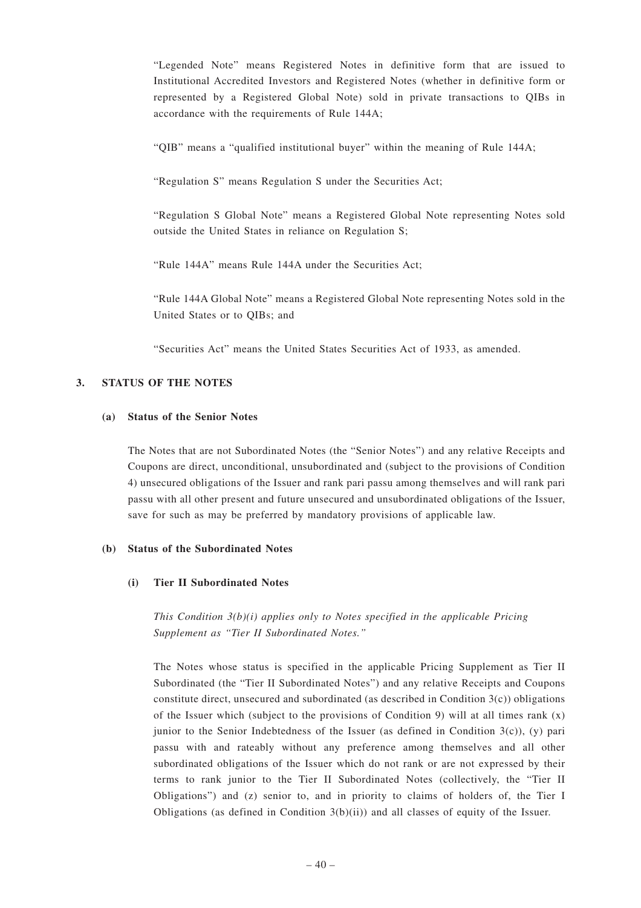"Legended Note" means Registered Notes in definitive form that are issued to Institutional Accredited Investors and Registered Notes (whether in definitive form or represented by a Registered Global Note) sold in private transactions to QIBs in accordance with the requirements of Rule 144A;

"QIB" means a "qualified institutional buyer" within the meaning of Rule 144A;

"Regulation S" means Regulation S under the Securities Act;

"Regulation S Global Note" means a Registered Global Note representing Notes sold outside the United States in reliance on Regulation S;

"Rule 144A" means Rule 144A under the Securities Act;

"Rule 144A Global Note" means a Registered Global Note representing Notes sold in the United States or to QIBs; and

"Securities Act" means the United States Securities Act of 1933, as amended.

## **3. STATUS OF THE NOTES**

#### **(a) Status of the Senior Notes**

The Notes that are not Subordinated Notes (the "Senior Notes") and any relative Receipts and Coupons are direct, unconditional, unsubordinated and (subject to the provisions of Condition 4) unsecured obligations of the Issuer and rank pari passu among themselves and will rank pari passu with all other present and future unsecured and unsubordinated obligations of the Issuer, save for such as may be preferred by mandatory provisions of applicable law.

#### **(b) Status of the Subordinated Notes**

#### **(i) Tier II Subordinated Notes**

*This Condition 3(b)(i) applies only to Notes specified in the applicable Pricing Supplement as "Tier II Subordinated Notes."*

The Notes whose status is specified in the applicable Pricing Supplement as Tier II Subordinated (the "Tier II Subordinated Notes") and any relative Receipts and Coupons constitute direct, unsecured and subordinated (as described in Condition  $3(c)$ ) obligations of the Issuer which (subject to the provisions of Condition 9) will at all times rank  $(x)$ junior to the Senior Indebtedness of the Issuer (as defined in Condition  $3(c)$ ), (y) pari passu with and rateably without any preference among themselves and all other subordinated obligations of the Issuer which do not rank or are not expressed by their terms to rank junior to the Tier II Subordinated Notes (collectively, the "Tier II Obligations") and (z) senior to, and in priority to claims of holders of, the Tier I Obligations (as defined in Condition  $3(b)(ii)$ ) and all classes of equity of the Issuer.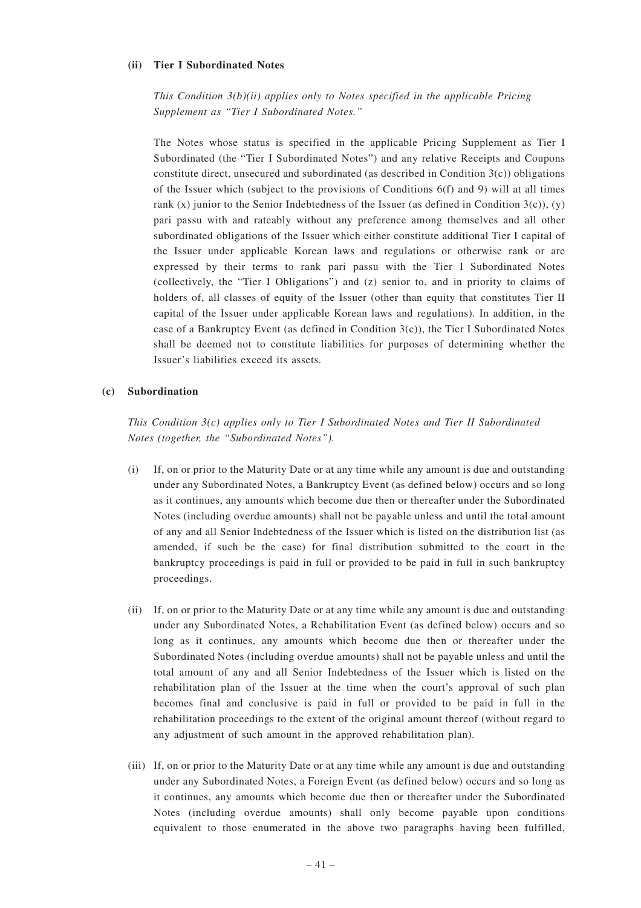#### **(ii) Tier I Subordinated Notes**

*This Condition 3(b)(ii) applies only to Notes specified in the applicable Pricing Supplement as "Tier I Subordinated Notes."*

The Notes whose status is specified in the applicable Pricing Supplement as Tier I Subordinated (the "Tier I Subordinated Notes") and any relative Receipts and Coupons constitute direct, unsecured and subordinated (as described in Condition  $3(c)$ ) obligations of the Issuer which (subject to the provisions of Conditions  $6(f)$  and 9) will at all times rank  $(x)$  junior to the Senior Indebtedness of the Issuer (as defined in Condition 3(c)),  $(y)$ pari passu with and rateably without any preference among themselves and all other subordinated obligations of the Issuer which either constitute additional Tier I capital of the Issuer under applicable Korean laws and regulations or otherwise rank or are expressed by their terms to rank pari passu with the Tier I Subordinated Notes (collectively, the "Tier I Obligations") and (z) senior to, and in priority to claims of holders of, all classes of equity of the Issuer (other than equity that constitutes Tier II capital of the Issuer under applicable Korean laws and regulations). In addition, in the case of a Bankruptcy Event (as defined in Condition 3(c)), the Tier I Subordinated Notes shall be deemed not to constitute liabilities for purposes of determining whether the Issuer's liabilities exceed its assets.

## **(c) Subordination**

*This Condition 3(c) applies only to Tier I Subordinated Notes and Tier II Subordinated Notes (together, the "Subordinated Notes").*

- (i) If, on or prior to the Maturity Date or at any time while any amount is due and outstanding under any Subordinated Notes, a Bankruptcy Event (as defined below) occurs and so long as it continues, any amounts which become due then or thereafter under the Subordinated Notes (including overdue amounts) shall not be payable unless and until the total amount of any and all Senior Indebtedness of the Issuer which is listed on the distribution list (as amended, if such be the case) for final distribution submitted to the court in the bankruptcy proceedings is paid in full or provided to be paid in full in such bankruptcy proceedings.
- (ii) If, on or prior to the Maturity Date or at any time while any amount is due and outstanding under any Subordinated Notes, a Rehabilitation Event (as defined below) occurs and so long as it continues, any amounts which become due then or thereafter under the Subordinated Notes (including overdue amounts) shall not be payable unless and until the total amount of any and all Senior Indebtedness of the Issuer which is listed on the rehabilitation plan of the Issuer at the time when the court's approval of such plan becomes final and conclusive is paid in full or provided to be paid in full in the rehabilitation proceedings to the extent of the original amount thereof (without regard to any adjustment of such amount in the approved rehabilitation plan).
- (iii) If, on or prior to the Maturity Date or at any time while any amount is due and outstanding under any Subordinated Notes, a Foreign Event (as defined below) occurs and so long as it continues, any amounts which become due then or thereafter under the Subordinated Notes (including overdue amounts) shall only become payable upon conditions equivalent to those enumerated in the above two paragraphs having been fulfilled,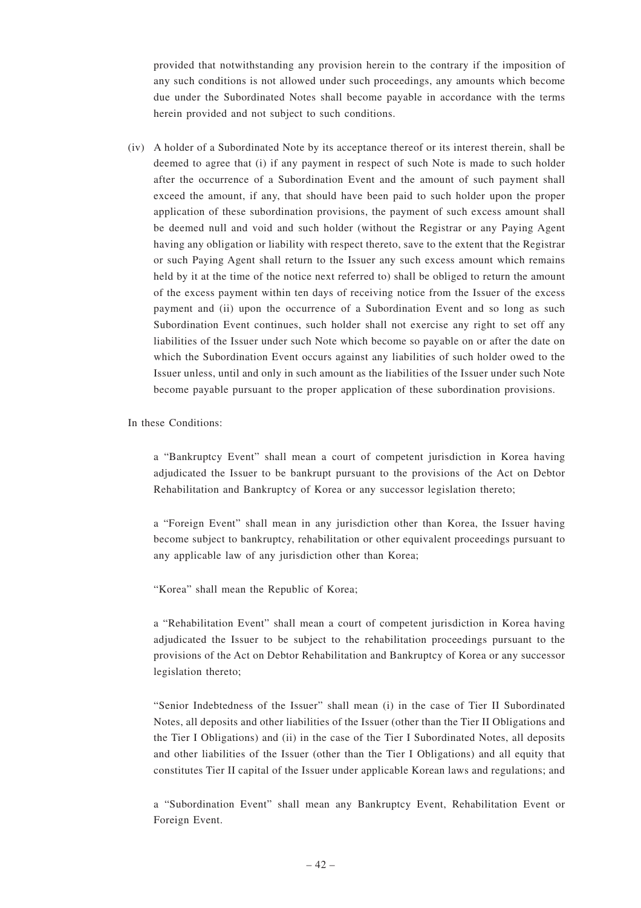provided that notwithstanding any provision herein to the contrary if the imposition of any such conditions is not allowed under such proceedings, any amounts which become due under the Subordinated Notes shall become payable in accordance with the terms herein provided and not subject to such conditions.

(iv) A holder of a Subordinated Note by its acceptance thereof or its interest therein, shall be deemed to agree that (i) if any payment in respect of such Note is made to such holder after the occurrence of a Subordination Event and the amount of such payment shall exceed the amount, if any, that should have been paid to such holder upon the proper application of these subordination provisions, the payment of such excess amount shall be deemed null and void and such holder (without the Registrar or any Paying Agent having any obligation or liability with respect thereto, save to the extent that the Registrar or such Paying Agent shall return to the Issuer any such excess amount which remains held by it at the time of the notice next referred to) shall be obliged to return the amount of the excess payment within ten days of receiving notice from the Issuer of the excess payment and (ii) upon the occurrence of a Subordination Event and so long as such Subordination Event continues, such holder shall not exercise any right to set off any liabilities of the Issuer under such Note which become so payable on or after the date on which the Subordination Event occurs against any liabilities of such holder owed to the Issuer unless, until and only in such amount as the liabilities of the Issuer under such Note become payable pursuant to the proper application of these subordination provisions.

In these Conditions:

a "Bankruptcy Event" shall mean a court of competent jurisdiction in Korea having adjudicated the Issuer to be bankrupt pursuant to the provisions of the Act on Debtor Rehabilitation and Bankruptcy of Korea or any successor legislation thereto;

a "Foreign Event" shall mean in any jurisdiction other than Korea, the Issuer having become subject to bankruptcy, rehabilitation or other equivalent proceedings pursuant to any applicable law of any jurisdiction other than Korea;

"Korea" shall mean the Republic of Korea;

a "Rehabilitation Event" shall mean a court of competent jurisdiction in Korea having adjudicated the Issuer to be subject to the rehabilitation proceedings pursuant to the provisions of the Act on Debtor Rehabilitation and Bankruptcy of Korea or any successor legislation thereto;

"Senior Indebtedness of the Issuer" shall mean (i) in the case of Tier II Subordinated Notes, all deposits and other liabilities of the Issuer (other than the Tier II Obligations and the Tier I Obligations) and (ii) in the case of the Tier I Subordinated Notes, all deposits and other liabilities of the Issuer (other than the Tier I Obligations) and all equity that constitutes Tier II capital of the Issuer under applicable Korean laws and regulations; and

a "Subordination Event" shall mean any Bankruptcy Event, Rehabilitation Event or Foreign Event.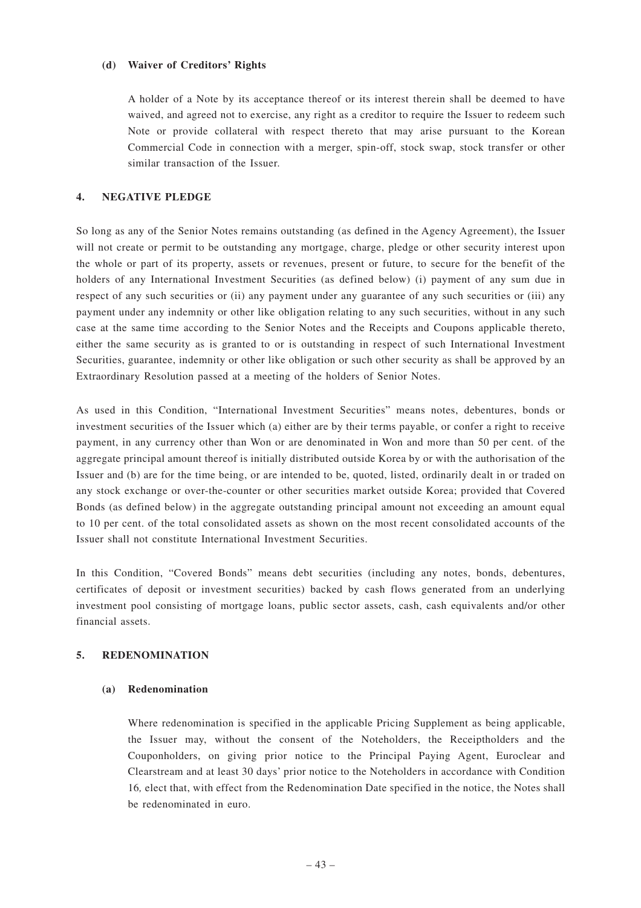#### **(d) Waiver of Creditors' Rights**

A holder of a Note by its acceptance thereof or its interest therein shall be deemed to have waived, and agreed not to exercise, any right as a creditor to require the Issuer to redeem such Note or provide collateral with respect thereto that may arise pursuant to the Korean Commercial Code in connection with a merger, spin-off, stock swap, stock transfer or other similar transaction of the Issuer.

## **4. NEGATIVE PLEDGE**

So long as any of the Senior Notes remains outstanding (as defined in the Agency Agreement), the Issuer will not create or permit to be outstanding any mortgage, charge, pledge or other security interest upon the whole or part of its property, assets or revenues, present or future, to secure for the benefit of the holders of any International Investment Securities (as defined below) (i) payment of any sum due in respect of any such securities or (ii) any payment under any guarantee of any such securities or (iii) any payment under any indemnity or other like obligation relating to any such securities, without in any such case at the same time according to the Senior Notes and the Receipts and Coupons applicable thereto, either the same security as is granted to or is outstanding in respect of such International Investment Securities, guarantee, indemnity or other like obligation or such other security as shall be approved by an Extraordinary Resolution passed at a meeting of the holders of Senior Notes.

As used in this Condition, "International Investment Securities" means notes, debentures, bonds or investment securities of the Issuer which (a) either are by their terms payable, or confer a right to receive payment, in any currency other than Won or are denominated in Won and more than 50 per cent. of the aggregate principal amount thereof is initially distributed outside Korea by or with the authorisation of the Issuer and (b) are for the time being, or are intended to be, quoted, listed, ordinarily dealt in or traded on any stock exchange or over-the-counter or other securities market outside Korea; provided that Covered Bonds (as defined below) in the aggregate outstanding principal amount not exceeding an amount equal to 10 per cent. of the total consolidated assets as shown on the most recent consolidated accounts of the Issuer shall not constitute International Investment Securities.

In this Condition, "Covered Bonds" means debt securities (including any notes, bonds, debentures, certificates of deposit or investment securities) backed by cash flows generated from an underlying investment pool consisting of mortgage loans, public sector assets, cash, cash equivalents and/or other financial assets.

## **5. REDENOMINATION**

## **(a) Redenomination**

Where redenomination is specified in the applicable Pricing Supplement as being applicable, the Issuer may, without the consent of the Noteholders, the Receiptholders and the Couponholders, on giving prior notice to the Principal Paying Agent, Euroclear and Clearstream and at least 30 days' prior notice to the Noteholders in accordance with Condition 16*,* elect that, with effect from the Redenomination Date specified in the notice, the Notes shall be redenominated in euro.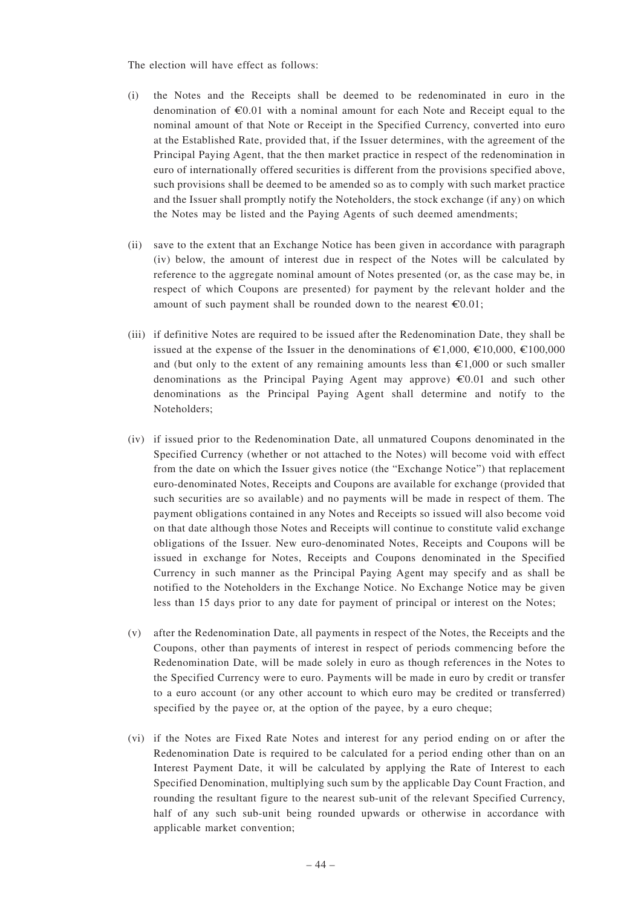The election will have effect as follows:

- (i) the Notes and the Receipts shall be deemed to be redenominated in euro in the denomination of  $\epsilon 0.01$  with a nominal amount for each Note and Receipt equal to the nominal amount of that Note or Receipt in the Specified Currency, converted into euro at the Established Rate, provided that, if the Issuer determines, with the agreement of the Principal Paying Agent, that the then market practice in respect of the redenomination in euro of internationally offered securities is different from the provisions specified above, such provisions shall be deemed to be amended so as to comply with such market practice and the Issuer shall promptly notify the Noteholders, the stock exchange (if any) on which the Notes may be listed and the Paying Agents of such deemed amendments;
- (ii) save to the extent that an Exchange Notice has been given in accordance with paragraph (iv) below, the amount of interest due in respect of the Notes will be calculated by reference to the aggregate nominal amount of Notes presented (or, as the case may be, in respect of which Coupons are presented) for payment by the relevant holder and the amount of such payment shall be rounded down to the nearest  $\epsilon 0.01$ ;
- (iii) if definitive Notes are required to be issued after the Redenomination Date, they shall be issued at the expense of the Issuer in the denominations of  $\epsilon$ 1,000,  $\epsilon$ 10,000,  $\epsilon$ 100,000 and (but only to the extent of any remaining amounts less than  $\epsilon 1,000$  or such smaller denominations as the Principal Paying Agent may approve)  $\epsilon 0.01$  and such other denominations as the Principal Paying Agent shall determine and notify to the Noteholders;
- (iv) if issued prior to the Redenomination Date, all unmatured Coupons denominated in the Specified Currency (whether or not attached to the Notes) will become void with effect from the date on which the Issuer gives notice (the "Exchange Notice") that replacement euro-denominated Notes, Receipts and Coupons are available for exchange (provided that such securities are so available) and no payments will be made in respect of them. The payment obligations contained in any Notes and Receipts so issued will also become void on that date although those Notes and Receipts will continue to constitute valid exchange obligations of the Issuer. New euro-denominated Notes, Receipts and Coupons will be issued in exchange for Notes, Receipts and Coupons denominated in the Specified Currency in such manner as the Principal Paying Agent may specify and as shall be notified to the Noteholders in the Exchange Notice. No Exchange Notice may be given less than 15 days prior to any date for payment of principal or interest on the Notes;
- (v) after the Redenomination Date, all payments in respect of the Notes, the Receipts and the Coupons, other than payments of interest in respect of periods commencing before the Redenomination Date, will be made solely in euro as though references in the Notes to the Specified Currency were to euro. Payments will be made in euro by credit or transfer to a euro account (or any other account to which euro may be credited or transferred) specified by the payee or, at the option of the payee, by a euro cheque;
- (vi) if the Notes are Fixed Rate Notes and interest for any period ending on or after the Redenomination Date is required to be calculated for a period ending other than on an Interest Payment Date, it will be calculated by applying the Rate of Interest to each Specified Denomination, multiplying such sum by the applicable Day Count Fraction, and rounding the resultant figure to the nearest sub-unit of the relevant Specified Currency, half of any such sub-unit being rounded upwards or otherwise in accordance with applicable market convention;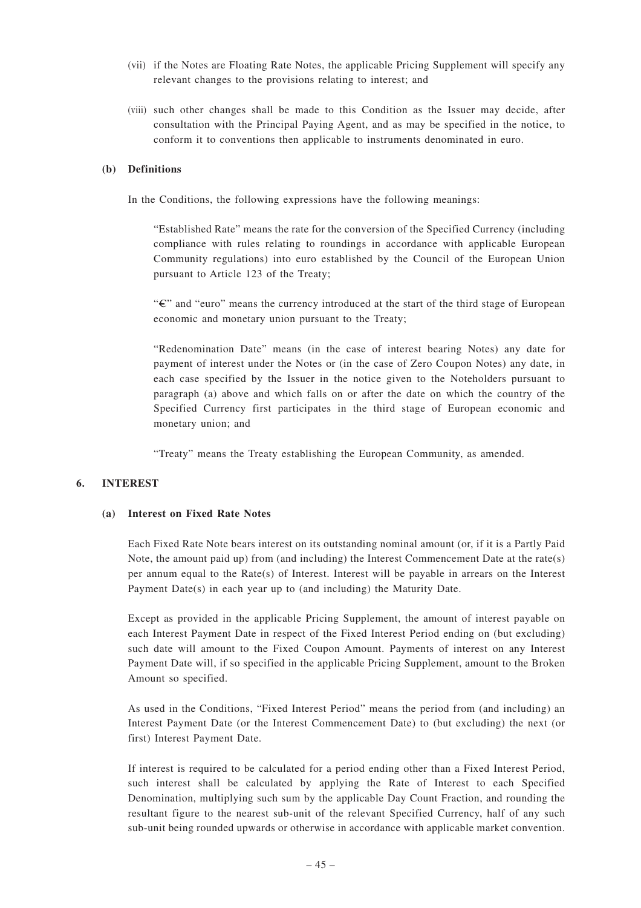- (vii) if the Notes are Floating Rate Notes, the applicable Pricing Supplement will specify any relevant changes to the provisions relating to interest; and
- (viii) such other changes shall be made to this Condition as the Issuer may decide, after consultation with the Principal Paying Agent, and as may be specified in the notice, to conform it to conventions then applicable to instruments denominated in euro.

## **(b) Definitions**

In the Conditions, the following expressions have the following meanings:

"Established Rate" means the rate for the conversion of the Specified Currency (including compliance with rules relating to roundings in accordance with applicable European Community regulations) into euro established by the Council of the European Union pursuant to Article 123 of the Treaty;

"C" and "euro" means the currency introduced at the start of the third stage of European economic and monetary union pursuant to the Treaty;

"Redenomination Date" means (in the case of interest bearing Notes) any date for payment of interest under the Notes or (in the case of Zero Coupon Notes) any date, in each case specified by the Issuer in the notice given to the Noteholders pursuant to paragraph (a) above and which falls on or after the date on which the country of the Specified Currency first participates in the third stage of European economic and monetary union; and

"Treaty" means the Treaty establishing the European Community, as amended.

## **6. INTEREST**

## **(a) Interest on Fixed Rate Notes**

Each Fixed Rate Note bears interest on its outstanding nominal amount (or, if it is a Partly Paid Note, the amount paid up) from (and including) the Interest Commencement Date at the rate(s) per annum equal to the Rate(s) of Interest. Interest will be payable in arrears on the Interest Payment Date(s) in each year up to (and including) the Maturity Date.

Except as provided in the applicable Pricing Supplement, the amount of interest payable on each Interest Payment Date in respect of the Fixed Interest Period ending on (but excluding) such date will amount to the Fixed Coupon Amount. Payments of interest on any Interest Payment Date will, if so specified in the applicable Pricing Supplement, amount to the Broken Amount so specified.

As used in the Conditions, "Fixed Interest Period" means the period from (and including) an Interest Payment Date (or the Interest Commencement Date) to (but excluding) the next (or first) Interest Payment Date.

If interest is required to be calculated for a period ending other than a Fixed Interest Period, such interest shall be calculated by applying the Rate of Interest to each Specified Denomination, multiplying such sum by the applicable Day Count Fraction, and rounding the resultant figure to the nearest sub-unit of the relevant Specified Currency, half of any such sub-unit being rounded upwards or otherwise in accordance with applicable market convention.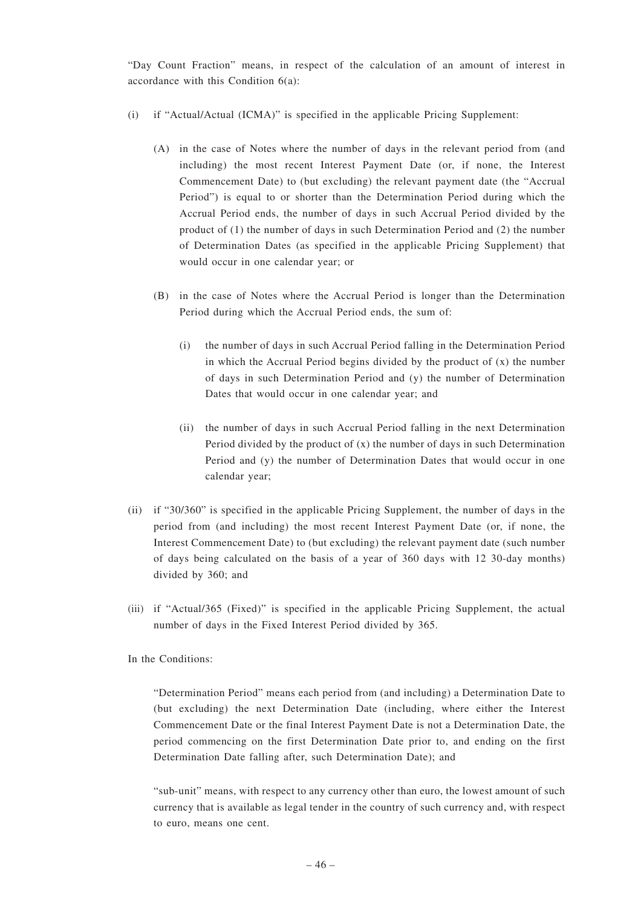"Day Count Fraction" means, in respect of the calculation of an amount of interest in accordance with this Condition 6(a):

- (i) if "Actual/Actual (ICMA)" is specified in the applicable Pricing Supplement:
	- (A) in the case of Notes where the number of days in the relevant period from (and including) the most recent Interest Payment Date (or, if none, the Interest Commencement Date) to (but excluding) the relevant payment date (the "Accrual Period") is equal to or shorter than the Determination Period during which the Accrual Period ends, the number of days in such Accrual Period divided by the product of (1) the number of days in such Determination Period and (2) the number of Determination Dates (as specified in the applicable Pricing Supplement) that would occur in one calendar year; or
	- (B) in the case of Notes where the Accrual Period is longer than the Determination Period during which the Accrual Period ends, the sum of:
		- (i) the number of days in such Accrual Period falling in the Determination Period in which the Accrual Period begins divided by the product of (x) the number of days in such Determination Period and (y) the number of Determination Dates that would occur in one calendar year; and
		- (ii) the number of days in such Accrual Period falling in the next Determination Period divided by the product of  $(x)$  the number of days in such Determination Period and (y) the number of Determination Dates that would occur in one calendar year;
- (ii) if "30/360" is specified in the applicable Pricing Supplement, the number of days in the period from (and including) the most recent Interest Payment Date (or, if none, the Interest Commencement Date) to (but excluding) the relevant payment date (such number of days being calculated on the basis of a year of 360 days with 12 30-day months) divided by 360; and
- (iii) if "Actual/365 (Fixed)" is specified in the applicable Pricing Supplement, the actual number of days in the Fixed Interest Period divided by 365.

In the Conditions:

"Determination Period" means each period from (and including) a Determination Date to (but excluding) the next Determination Date (including, where either the Interest Commencement Date or the final Interest Payment Date is not a Determination Date, the period commencing on the first Determination Date prior to, and ending on the first Determination Date falling after, such Determination Date); and

"sub-unit" means, with respect to any currency other than euro, the lowest amount of such currency that is available as legal tender in the country of such currency and, with respect to euro, means one cent.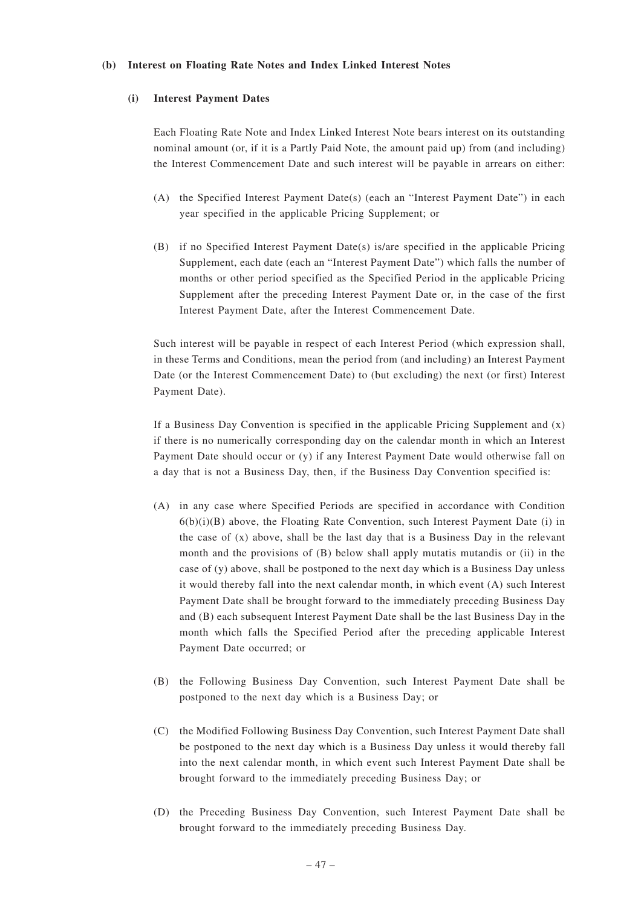#### **(b) Interest on Floating Rate Notes and Index Linked Interest Notes**

#### **(i) Interest Payment Dates**

Each Floating Rate Note and Index Linked Interest Note bears interest on its outstanding nominal amount (or, if it is a Partly Paid Note, the amount paid up) from (and including) the Interest Commencement Date and such interest will be payable in arrears on either:

- (A) the Specified Interest Payment Date(s) (each an "Interest Payment Date") in each year specified in the applicable Pricing Supplement; or
- (B) if no Specified Interest Payment Date(s) is/are specified in the applicable Pricing Supplement, each date (each an "Interest Payment Date") which falls the number of months or other period specified as the Specified Period in the applicable Pricing Supplement after the preceding Interest Payment Date or, in the case of the first Interest Payment Date, after the Interest Commencement Date.

Such interest will be payable in respect of each Interest Period (which expression shall, in these Terms and Conditions, mean the period from (and including) an Interest Payment Date (or the Interest Commencement Date) to (but excluding) the next (or first) Interest Payment Date).

If a Business Day Convention is specified in the applicable Pricing Supplement and  $(x)$ if there is no numerically corresponding day on the calendar month in which an Interest Payment Date should occur or (y) if any Interest Payment Date would otherwise fall on a day that is not a Business Day, then, if the Business Day Convention specified is:

- (A) in any case where Specified Periods are specified in accordance with Condition  $6(b)(i)(B)$  above, the Floating Rate Convention, such Interest Payment Date (i) in the case of (x) above, shall be the last day that is a Business Day in the relevant month and the provisions of (B) below shall apply mutatis mutandis or (ii) in the case of (y) above, shall be postponed to the next day which is a Business Day unless it would thereby fall into the next calendar month, in which event (A) such Interest Payment Date shall be brought forward to the immediately preceding Business Day and (B) each subsequent Interest Payment Date shall be the last Business Day in the month which falls the Specified Period after the preceding applicable Interest Payment Date occurred; or
- (B) the Following Business Day Convention, such Interest Payment Date shall be postponed to the next day which is a Business Day; or
- (C) the Modified Following Business Day Convention, such Interest Payment Date shall be postponed to the next day which is a Business Day unless it would thereby fall into the next calendar month, in which event such Interest Payment Date shall be brought forward to the immediately preceding Business Day; or
- (D) the Preceding Business Day Convention, such Interest Payment Date shall be brought forward to the immediately preceding Business Day.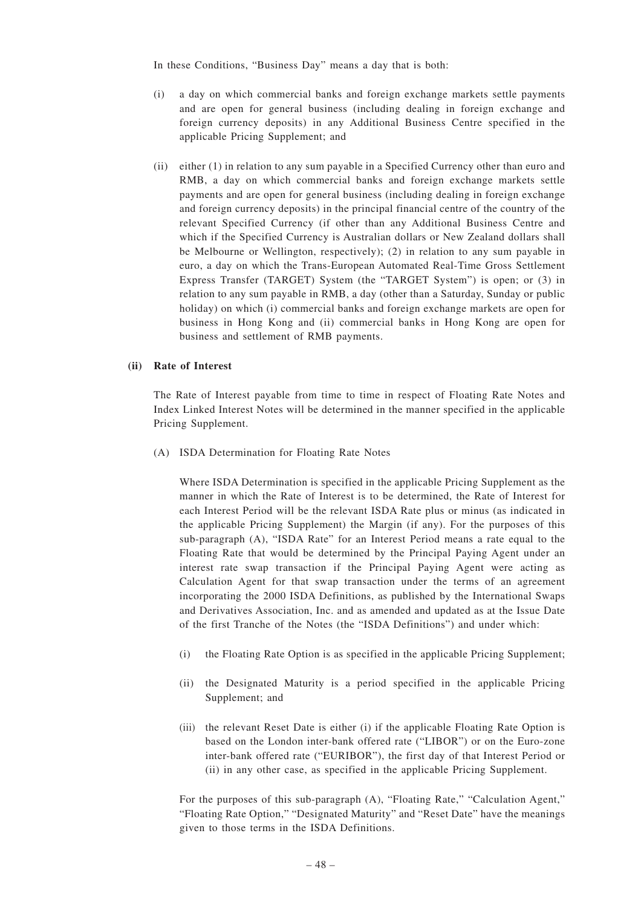In these Conditions, "Business Day" means a day that is both:

- (i) a day on which commercial banks and foreign exchange markets settle payments and are open for general business (including dealing in foreign exchange and foreign currency deposits) in any Additional Business Centre specified in the applicable Pricing Supplement; and
- (ii) either (1) in relation to any sum payable in a Specified Currency other than euro and RMB, a day on which commercial banks and foreign exchange markets settle payments and are open for general business (including dealing in foreign exchange and foreign currency deposits) in the principal financial centre of the country of the relevant Specified Currency (if other than any Additional Business Centre and which if the Specified Currency is Australian dollars or New Zealand dollars shall be Melbourne or Wellington, respectively); (2) in relation to any sum payable in euro, a day on which the Trans-European Automated Real-Time Gross Settlement Express Transfer (TARGET) System (the "TARGET System") is open; or (3) in relation to any sum payable in RMB, a day (other than a Saturday, Sunday or public holiday) on which (i) commercial banks and foreign exchange markets are open for business in Hong Kong and (ii) commercial banks in Hong Kong are open for business and settlement of RMB payments.

#### **(ii) Rate of Interest**

The Rate of Interest payable from time to time in respect of Floating Rate Notes and Index Linked Interest Notes will be determined in the manner specified in the applicable Pricing Supplement.

(A) ISDA Determination for Floating Rate Notes

Where ISDA Determination is specified in the applicable Pricing Supplement as the manner in which the Rate of Interest is to be determined, the Rate of Interest for each Interest Period will be the relevant ISDA Rate plus or minus (as indicated in the applicable Pricing Supplement) the Margin (if any). For the purposes of this sub-paragraph (A), "ISDA Rate" for an Interest Period means a rate equal to the Floating Rate that would be determined by the Principal Paying Agent under an interest rate swap transaction if the Principal Paying Agent were acting as Calculation Agent for that swap transaction under the terms of an agreement incorporating the 2000 ISDA Definitions, as published by the International Swaps and Derivatives Association, Inc. and as amended and updated as at the Issue Date of the first Tranche of the Notes (the "ISDA Definitions") and under which:

- (i) the Floating Rate Option is as specified in the applicable Pricing Supplement;
- (ii) the Designated Maturity is a period specified in the applicable Pricing Supplement; and
- (iii) the relevant Reset Date is either (i) if the applicable Floating Rate Option is based on the London inter-bank offered rate ("LIBOR") or on the Euro-zone inter-bank offered rate ("EURIBOR"), the first day of that Interest Period or (ii) in any other case, as specified in the applicable Pricing Supplement.

For the purposes of this sub-paragraph (A), "Floating Rate," "Calculation Agent," "Floating Rate Option," "Designated Maturity" and "Reset Date" have the meanings given to those terms in the ISDA Definitions.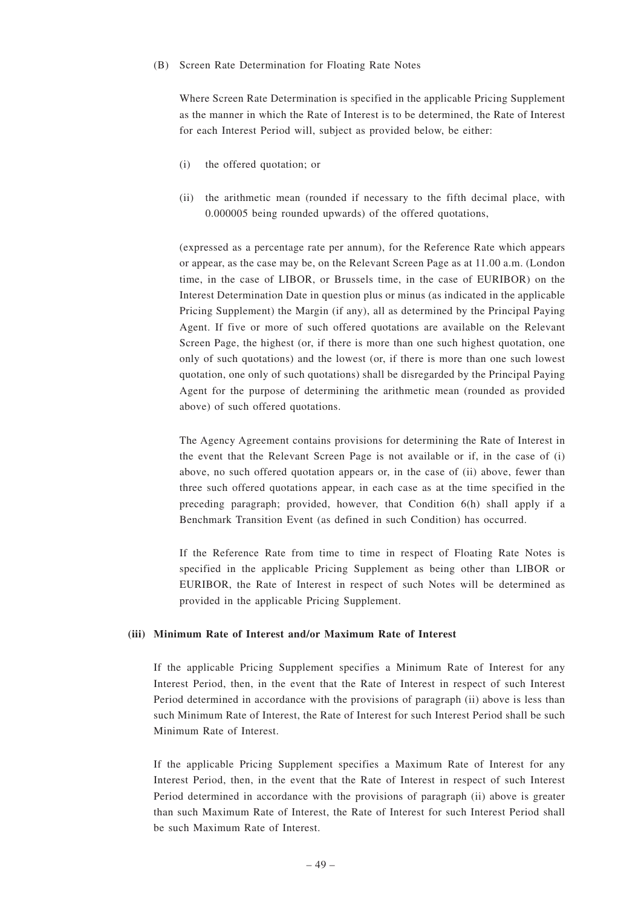#### (B) Screen Rate Determination for Floating Rate Notes

Where Screen Rate Determination is specified in the applicable Pricing Supplement as the manner in which the Rate of Interest is to be determined, the Rate of Interest for each Interest Period will, subject as provided below, be either:

- (i) the offered quotation; or
- (ii) the arithmetic mean (rounded if necessary to the fifth decimal place, with 0.000005 being rounded upwards) of the offered quotations,

(expressed as a percentage rate per annum), for the Reference Rate which appears or appear, as the case may be, on the Relevant Screen Page as at 11.00 a.m. (London time, in the case of LIBOR, or Brussels time, in the case of EURIBOR) on the Interest Determination Date in question plus or minus (as indicated in the applicable Pricing Supplement) the Margin (if any), all as determined by the Principal Paying Agent. If five or more of such offered quotations are available on the Relevant Screen Page, the highest (or, if there is more than one such highest quotation, one only of such quotations) and the lowest (or, if there is more than one such lowest quotation, one only of such quotations) shall be disregarded by the Principal Paying Agent for the purpose of determining the arithmetic mean (rounded as provided above) of such offered quotations.

The Agency Agreement contains provisions for determining the Rate of Interest in the event that the Relevant Screen Page is not available or if, in the case of (i) above, no such offered quotation appears or, in the case of (ii) above, fewer than three such offered quotations appear, in each case as at the time specified in the preceding paragraph; provided, however, that Condition 6(h) shall apply if a Benchmark Transition Event (as defined in such Condition) has occurred.

If the Reference Rate from time to time in respect of Floating Rate Notes is specified in the applicable Pricing Supplement as being other than LIBOR or EURIBOR, the Rate of Interest in respect of such Notes will be determined as provided in the applicable Pricing Supplement.

# **(iii) Minimum Rate of Interest and/or Maximum Rate of Interest**

If the applicable Pricing Supplement specifies a Minimum Rate of Interest for any Interest Period, then, in the event that the Rate of Interest in respect of such Interest Period determined in accordance with the provisions of paragraph (ii) above is less than such Minimum Rate of Interest, the Rate of Interest for such Interest Period shall be such Minimum Rate of Interest.

If the applicable Pricing Supplement specifies a Maximum Rate of Interest for any Interest Period, then, in the event that the Rate of Interest in respect of such Interest Period determined in accordance with the provisions of paragraph (ii) above is greater than such Maximum Rate of Interest, the Rate of Interest for such Interest Period shall be such Maximum Rate of Interest.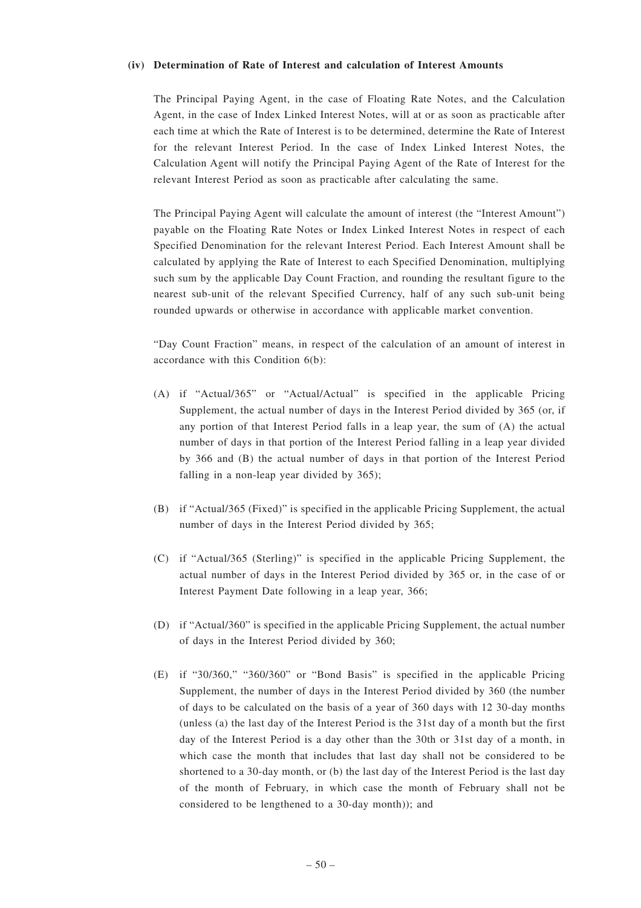#### **(iv) Determination of Rate of Interest and calculation of Interest Amounts**

The Principal Paying Agent, in the case of Floating Rate Notes, and the Calculation Agent, in the case of Index Linked Interest Notes, will at or as soon as practicable after each time at which the Rate of Interest is to be determined, determine the Rate of Interest for the relevant Interest Period. In the case of Index Linked Interest Notes, the Calculation Agent will notify the Principal Paying Agent of the Rate of Interest for the relevant Interest Period as soon as practicable after calculating the same.

The Principal Paying Agent will calculate the amount of interest (the "Interest Amount") payable on the Floating Rate Notes or Index Linked Interest Notes in respect of each Specified Denomination for the relevant Interest Period. Each Interest Amount shall be calculated by applying the Rate of Interest to each Specified Denomination, multiplying such sum by the applicable Day Count Fraction, and rounding the resultant figure to the nearest sub-unit of the relevant Specified Currency, half of any such sub-unit being rounded upwards or otherwise in accordance with applicable market convention.

"Day Count Fraction" means, in respect of the calculation of an amount of interest in accordance with this Condition 6(b):

- (A) if "Actual/365" or "Actual/Actual" is specified in the applicable Pricing Supplement, the actual number of days in the Interest Period divided by 365 (or, if any portion of that Interest Period falls in a leap year, the sum of (A) the actual number of days in that portion of the Interest Period falling in a leap year divided by 366 and (B) the actual number of days in that portion of the Interest Period falling in a non-leap year divided by 365);
- (B) if "Actual/365 (Fixed)" is specified in the applicable Pricing Supplement, the actual number of days in the Interest Period divided by 365;
- (C) if "Actual/365 (Sterling)" is specified in the applicable Pricing Supplement, the actual number of days in the Interest Period divided by 365 or, in the case of or Interest Payment Date following in a leap year, 366;
- (D) if "Actual/360" is specified in the applicable Pricing Supplement, the actual number of days in the Interest Period divided by 360;
- (E) if "30/360," "360/360" or "Bond Basis" is specified in the applicable Pricing Supplement, the number of days in the Interest Period divided by 360 (the number of days to be calculated on the basis of a year of 360 days with 12 30-day months (unless (a) the last day of the Interest Period is the 31st day of a month but the first day of the Interest Period is a day other than the 30th or 31st day of a month, in which case the month that includes that last day shall not be considered to be shortened to a 30-day month, or (b) the last day of the Interest Period is the last day of the month of February, in which case the month of February shall not be considered to be lengthened to a 30-day month)); and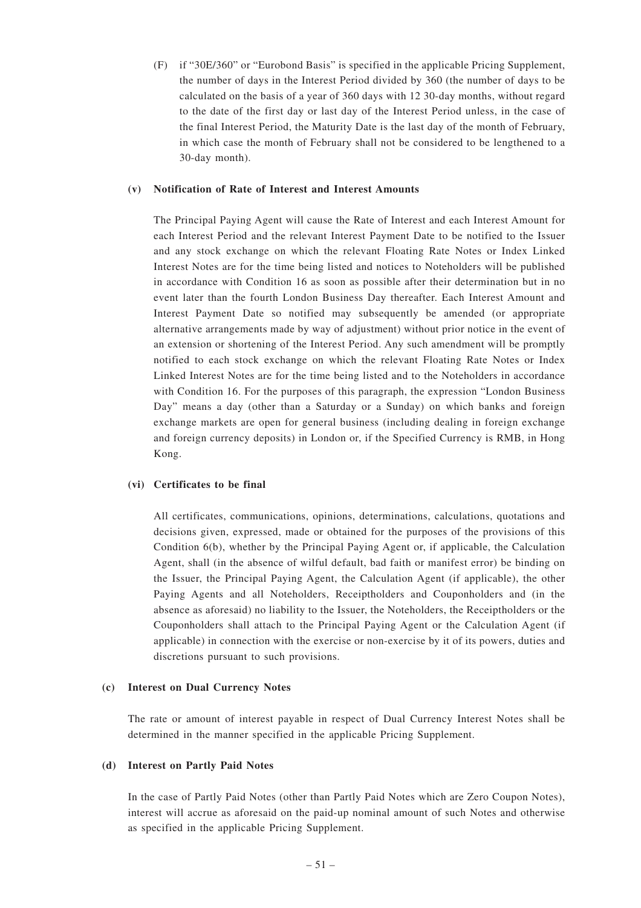(F) if "30E/360" or "Eurobond Basis" is specified in the applicable Pricing Supplement, the number of days in the Interest Period divided by 360 (the number of days to be calculated on the basis of a year of 360 days with 12 30-day months, without regard to the date of the first day or last day of the Interest Period unless, in the case of the final Interest Period, the Maturity Date is the last day of the month of February, in which case the month of February shall not be considered to be lengthened to a 30-day month).

# **(v) Notification of Rate of Interest and Interest Amounts**

The Principal Paying Agent will cause the Rate of Interest and each Interest Amount for each Interest Period and the relevant Interest Payment Date to be notified to the Issuer and any stock exchange on which the relevant Floating Rate Notes or Index Linked Interest Notes are for the time being listed and notices to Noteholders will be published in accordance with Condition 16 as soon as possible after their determination but in no event later than the fourth London Business Day thereafter. Each Interest Amount and Interest Payment Date so notified may subsequently be amended (or appropriate alternative arrangements made by way of adjustment) without prior notice in the event of an extension or shortening of the Interest Period. Any such amendment will be promptly notified to each stock exchange on which the relevant Floating Rate Notes or Index Linked Interest Notes are for the time being listed and to the Noteholders in accordance with Condition 16. For the purposes of this paragraph, the expression "London Business Day" means a day (other than a Saturday or a Sunday) on which banks and foreign exchange markets are open for general business (including dealing in foreign exchange and foreign currency deposits) in London or, if the Specified Currency is RMB, in Hong Kong.

# **(vi) Certificates to be final**

All certificates, communications, opinions, determinations, calculations, quotations and decisions given, expressed, made or obtained for the purposes of the provisions of this Condition 6(b), whether by the Principal Paying Agent or, if applicable, the Calculation Agent, shall (in the absence of wilful default, bad faith or manifest error) be binding on the Issuer, the Principal Paying Agent, the Calculation Agent (if applicable), the other Paying Agents and all Noteholders, Receiptholders and Couponholders and (in the absence as aforesaid) no liability to the Issuer, the Noteholders, the Receiptholders or the Couponholders shall attach to the Principal Paying Agent or the Calculation Agent (if applicable) in connection with the exercise or non-exercise by it of its powers, duties and discretions pursuant to such provisions.

# **(c) Interest on Dual Currency Notes**

The rate or amount of interest payable in respect of Dual Currency Interest Notes shall be determined in the manner specified in the applicable Pricing Supplement.

# **(d) Interest on Partly Paid Notes**

In the case of Partly Paid Notes (other than Partly Paid Notes which are Zero Coupon Notes), interest will accrue as aforesaid on the paid-up nominal amount of such Notes and otherwise as specified in the applicable Pricing Supplement.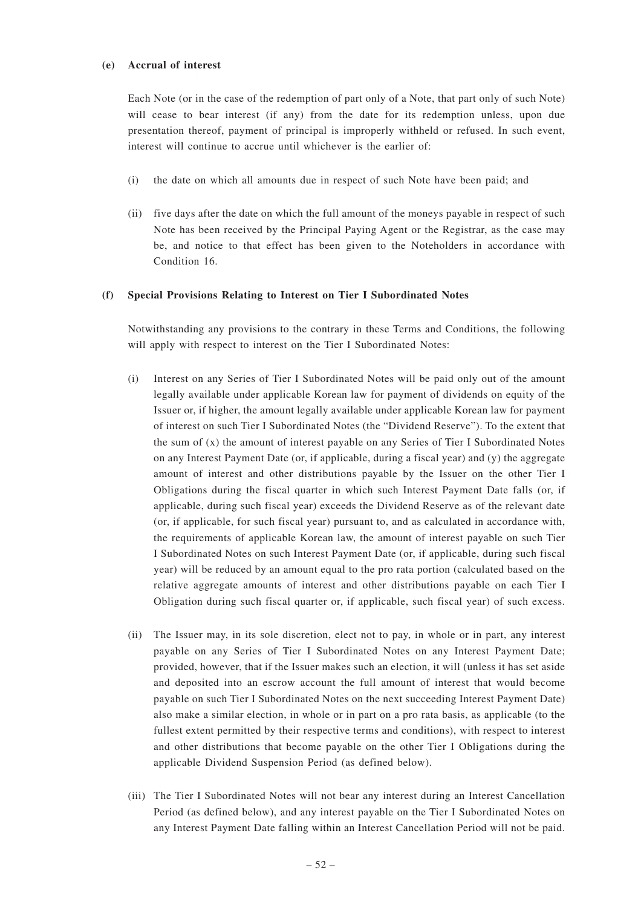#### **(e) Accrual of interest**

Each Note (or in the case of the redemption of part only of a Note, that part only of such Note) will cease to bear interest (if any) from the date for its redemption unless, upon due presentation thereof, payment of principal is improperly withheld or refused. In such event, interest will continue to accrue until whichever is the earlier of:

- (i) the date on which all amounts due in respect of such Note have been paid; and
- (ii) five days after the date on which the full amount of the moneys payable in respect of such Note has been received by the Principal Paying Agent or the Registrar, as the case may be, and notice to that effect has been given to the Noteholders in accordance with Condition 16.

# **(f) Special Provisions Relating to Interest on Tier I Subordinated Notes**

Notwithstanding any provisions to the contrary in these Terms and Conditions, the following will apply with respect to interest on the Tier I Subordinated Notes:

- (i) Interest on any Series of Tier I Subordinated Notes will be paid only out of the amount legally available under applicable Korean law for payment of dividends on equity of the Issuer or, if higher, the amount legally available under applicable Korean law for payment of interest on such Tier I Subordinated Notes (the "Dividend Reserve"). To the extent that the sum of (x) the amount of interest payable on any Series of Tier I Subordinated Notes on any Interest Payment Date (or, if applicable, during a fiscal year) and (y) the aggregate amount of interest and other distributions payable by the Issuer on the other Tier I Obligations during the fiscal quarter in which such Interest Payment Date falls (or, if applicable, during such fiscal year) exceeds the Dividend Reserve as of the relevant date (or, if applicable, for such fiscal year) pursuant to, and as calculated in accordance with, the requirements of applicable Korean law, the amount of interest payable on such Tier I Subordinated Notes on such Interest Payment Date (or, if applicable, during such fiscal year) will be reduced by an amount equal to the pro rata portion (calculated based on the relative aggregate amounts of interest and other distributions payable on each Tier I Obligation during such fiscal quarter or, if applicable, such fiscal year) of such excess.
- (ii) The Issuer may, in its sole discretion, elect not to pay, in whole or in part, any interest payable on any Series of Tier I Subordinated Notes on any Interest Payment Date; provided, however, that if the Issuer makes such an election, it will (unless it has set aside and deposited into an escrow account the full amount of interest that would become payable on such Tier I Subordinated Notes on the next succeeding Interest Payment Date) also make a similar election, in whole or in part on a pro rata basis, as applicable (to the fullest extent permitted by their respective terms and conditions), with respect to interest and other distributions that become payable on the other Tier I Obligations during the applicable Dividend Suspension Period (as defined below).
- (iii) The Tier I Subordinated Notes will not bear any interest during an Interest Cancellation Period (as defined below), and any interest payable on the Tier I Subordinated Notes on any Interest Payment Date falling within an Interest Cancellation Period will not be paid.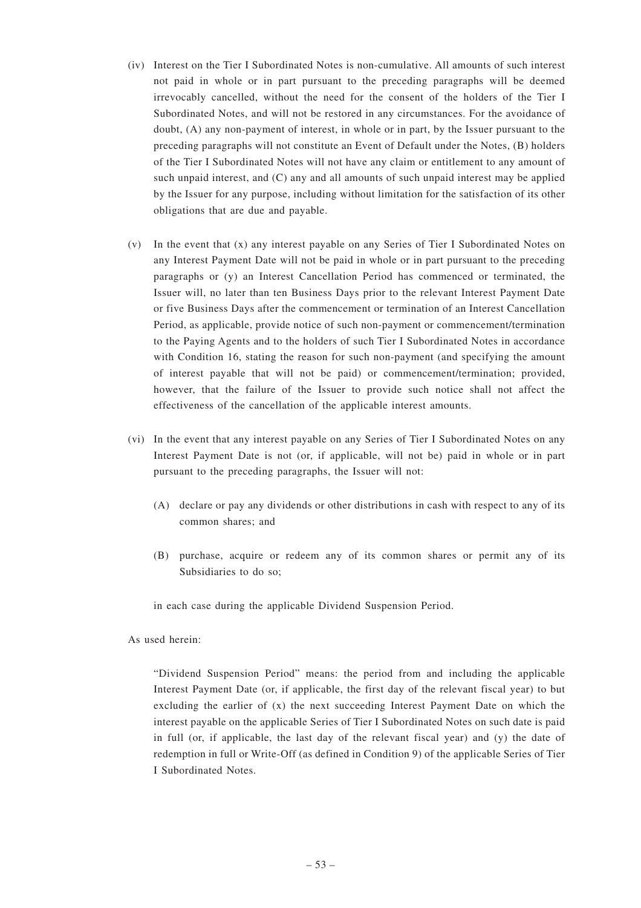- (iv) Interest on the Tier I Subordinated Notes is non-cumulative. All amounts of such interest not paid in whole or in part pursuant to the preceding paragraphs will be deemed irrevocably cancelled, without the need for the consent of the holders of the Tier I Subordinated Notes, and will not be restored in any circumstances. For the avoidance of doubt, (A) any non-payment of interest, in whole or in part, by the Issuer pursuant to the preceding paragraphs will not constitute an Event of Default under the Notes, (B) holders of the Tier I Subordinated Notes will not have any claim or entitlement to any amount of such unpaid interest, and (C) any and all amounts of such unpaid interest may be applied by the Issuer for any purpose, including without limitation for the satisfaction of its other obligations that are due and payable.
- (v) In the event that (x) any interest payable on any Series of Tier I Subordinated Notes on any Interest Payment Date will not be paid in whole or in part pursuant to the preceding paragraphs or (y) an Interest Cancellation Period has commenced or terminated, the Issuer will, no later than ten Business Days prior to the relevant Interest Payment Date or five Business Days after the commencement or termination of an Interest Cancellation Period, as applicable, provide notice of such non-payment or commencement/termination to the Paying Agents and to the holders of such Tier I Subordinated Notes in accordance with Condition 16, stating the reason for such non-payment (and specifying the amount of interest payable that will not be paid) or commencement/termination; provided, however, that the failure of the Issuer to provide such notice shall not affect the effectiveness of the cancellation of the applicable interest amounts.
- (vi) In the event that any interest payable on any Series of Tier I Subordinated Notes on any Interest Payment Date is not (or, if applicable, will not be) paid in whole or in part pursuant to the preceding paragraphs, the Issuer will not:
	- (A) declare or pay any dividends or other distributions in cash with respect to any of its common shares; and
	- (B) purchase, acquire or redeem any of its common shares or permit any of its Subsidiaries to do so;

in each case during the applicable Dividend Suspension Period.

As used herein:

"Dividend Suspension Period" means: the period from and including the applicable Interest Payment Date (or, if applicable, the first day of the relevant fiscal year) to but excluding the earlier of  $(x)$  the next succeeding Interest Payment Date on which the interest payable on the applicable Series of Tier I Subordinated Notes on such date is paid in full (or, if applicable, the last day of the relevant fiscal year) and (y) the date of redemption in full or Write-Off (as defined in Condition 9) of the applicable Series of Tier I Subordinated Notes.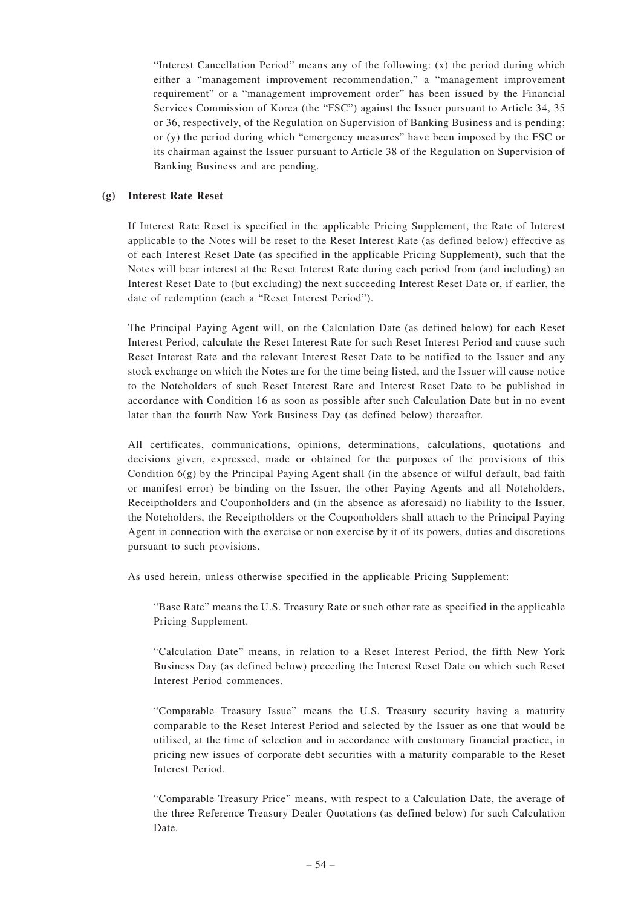"Interest Cancellation Period" means any of the following: (x) the period during which either a "management improvement recommendation," a "management improvement requirement" or a "management improvement order" has been issued by the Financial Services Commission of Korea (the "FSC") against the Issuer pursuant to Article 34, 35 or 36, respectively, of the Regulation on Supervision of Banking Business and is pending; or (y) the period during which "emergency measures" have been imposed by the FSC or its chairman against the Issuer pursuant to Article 38 of the Regulation on Supervision of Banking Business and are pending.

# **(g) Interest Rate Reset**

If Interest Rate Reset is specified in the applicable Pricing Supplement, the Rate of Interest applicable to the Notes will be reset to the Reset Interest Rate (as defined below) effective as of each Interest Reset Date (as specified in the applicable Pricing Supplement), such that the Notes will bear interest at the Reset Interest Rate during each period from (and including) an Interest Reset Date to (but excluding) the next succeeding Interest Reset Date or, if earlier, the date of redemption (each a "Reset Interest Period").

The Principal Paying Agent will, on the Calculation Date (as defined below) for each Reset Interest Period, calculate the Reset Interest Rate for such Reset Interest Period and cause such Reset Interest Rate and the relevant Interest Reset Date to be notified to the Issuer and any stock exchange on which the Notes are for the time being listed, and the Issuer will cause notice to the Noteholders of such Reset Interest Rate and Interest Reset Date to be published in accordance with Condition 16 as soon as possible after such Calculation Date but in no event later than the fourth New York Business Day (as defined below) thereafter.

All certificates, communications, opinions, determinations, calculations, quotations and decisions given, expressed, made or obtained for the purposes of the provisions of this Condition 6(g) by the Principal Paying Agent shall (in the absence of wilful default, bad faith or manifest error) be binding on the Issuer, the other Paying Agents and all Noteholders, Receiptholders and Couponholders and (in the absence as aforesaid) no liability to the Issuer, the Noteholders, the Receiptholders or the Couponholders shall attach to the Principal Paying Agent in connection with the exercise or non exercise by it of its powers, duties and discretions pursuant to such provisions.

As used herein, unless otherwise specified in the applicable Pricing Supplement:

"Base Rate" means the U.S. Treasury Rate or such other rate as specified in the applicable Pricing Supplement.

"Calculation Date" means, in relation to a Reset Interest Period, the fifth New York Business Day (as defined below) preceding the Interest Reset Date on which such Reset Interest Period commences.

"Comparable Treasury Issue" means the U.S. Treasury security having a maturity comparable to the Reset Interest Period and selected by the Issuer as one that would be utilised, at the time of selection and in accordance with customary financial practice, in pricing new issues of corporate debt securities with a maturity comparable to the Reset Interest Period.

"Comparable Treasury Price" means, with respect to a Calculation Date, the average of the three Reference Treasury Dealer Quotations (as defined below) for such Calculation Date.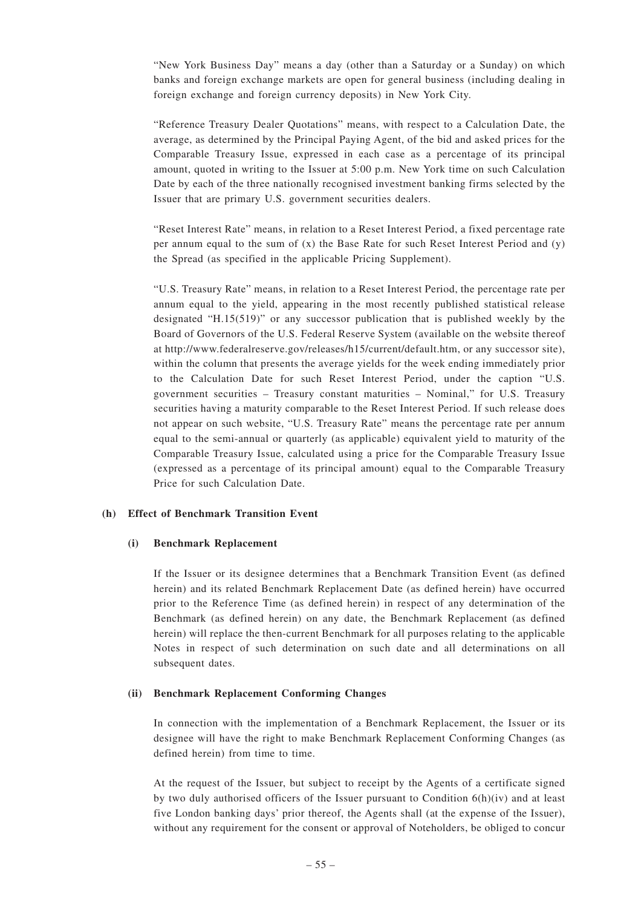"New York Business Day" means a day (other than a Saturday or a Sunday) on which banks and foreign exchange markets are open for general business (including dealing in foreign exchange and foreign currency deposits) in New York City.

"Reference Treasury Dealer Quotations" means, with respect to a Calculation Date, the average, as determined by the Principal Paying Agent, of the bid and asked prices for the Comparable Treasury Issue, expressed in each case as a percentage of its principal amount, quoted in writing to the Issuer at 5:00 p.m. New York time on such Calculation Date by each of the three nationally recognised investment banking firms selected by the Issuer that are primary U.S. government securities dealers.

"Reset Interest Rate" means, in relation to a Reset Interest Period, a fixed percentage rate per annum equal to the sum of  $(x)$  the Base Rate for such Reset Interest Period and  $(y)$ the Spread (as specified in the applicable Pricing Supplement).

"U.S. Treasury Rate" means, in relation to a Reset Interest Period, the percentage rate per annum equal to the yield, appearing in the most recently published statistical release designated "H.15(519)" or any successor publication that is published weekly by the Board of Governors of the U.S. Federal Reserve System (available on the website thereof at http://www.federalreserve.gov/releases/h15/current/default.htm, or any successor site), within the column that presents the average yields for the week ending immediately prior to the Calculation Date for such Reset Interest Period, under the caption "U.S. government securities – Treasury constant maturities – Nominal," for U.S. Treasury securities having a maturity comparable to the Reset Interest Period. If such release does not appear on such website, "U.S. Treasury Rate" means the percentage rate per annum equal to the semi-annual or quarterly (as applicable) equivalent yield to maturity of the Comparable Treasury Issue, calculated using a price for the Comparable Treasury Issue (expressed as a percentage of its principal amount) equal to the Comparable Treasury Price for such Calculation Date.

# **(h) Effect of Benchmark Transition Event**

# **(i) Benchmark Replacement**

If the Issuer or its designee determines that a Benchmark Transition Event (as defined herein) and its related Benchmark Replacement Date (as defined herein) have occurred prior to the Reference Time (as defined herein) in respect of any determination of the Benchmark (as defined herein) on any date, the Benchmark Replacement (as defined herein) will replace the then-current Benchmark for all purposes relating to the applicable Notes in respect of such determination on such date and all determinations on all subsequent dates.

# **(ii) Benchmark Replacement Conforming Changes**

In connection with the implementation of a Benchmark Replacement, the Issuer or its designee will have the right to make Benchmark Replacement Conforming Changes (as defined herein) from time to time.

At the request of the Issuer, but subject to receipt by the Agents of a certificate signed by two duly authorised officers of the Issuer pursuant to Condition  $6(h)(iv)$  and at least five London banking days' prior thereof, the Agents shall (at the expense of the Issuer), without any requirement for the consent or approval of Noteholders, be obliged to concur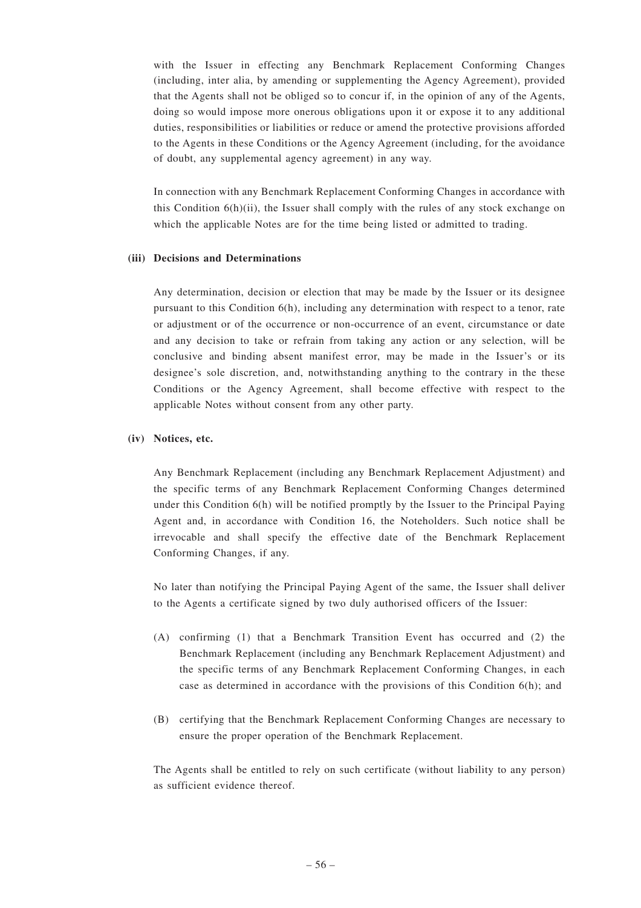with the Issuer in effecting any Benchmark Replacement Conforming Changes (including, inter alia, by amending or supplementing the Agency Agreement), provided that the Agents shall not be obliged so to concur if, in the opinion of any of the Agents, doing so would impose more onerous obligations upon it or expose it to any additional duties, responsibilities or liabilities or reduce or amend the protective provisions afforded to the Agents in these Conditions or the Agency Agreement (including, for the avoidance of doubt, any supplemental agency agreement) in any way.

In connection with any Benchmark Replacement Conforming Changes in accordance with this Condition  $6(h)(ii)$ , the Issuer shall comply with the rules of any stock exchange on which the applicable Notes are for the time being listed or admitted to trading.

#### **(iii) Decisions and Determinations**

Any determination, decision or election that may be made by the Issuer or its designee pursuant to this Condition 6(h), including any determination with respect to a tenor, rate or adjustment or of the occurrence or non-occurrence of an event, circumstance or date and any decision to take or refrain from taking any action or any selection, will be conclusive and binding absent manifest error, may be made in the Issuer's or its designee's sole discretion, and, notwithstanding anything to the contrary in the these Conditions or the Agency Agreement, shall become effective with respect to the applicable Notes without consent from any other party.

#### **(iv) Notices, etc.**

Any Benchmark Replacement (including any Benchmark Replacement Adjustment) and the specific terms of any Benchmark Replacement Conforming Changes determined under this Condition 6(h) will be notified promptly by the Issuer to the Principal Paying Agent and, in accordance with Condition 16, the Noteholders. Such notice shall be irrevocable and shall specify the effective date of the Benchmark Replacement Conforming Changes, if any.

No later than notifying the Principal Paying Agent of the same, the Issuer shall deliver to the Agents a certificate signed by two duly authorised officers of the Issuer:

- (A) confirming (1) that a Benchmark Transition Event has occurred and (2) the Benchmark Replacement (including any Benchmark Replacement Adjustment) and the specific terms of any Benchmark Replacement Conforming Changes, in each case as determined in accordance with the provisions of this Condition 6(h); and
- (B) certifying that the Benchmark Replacement Conforming Changes are necessary to ensure the proper operation of the Benchmark Replacement.

The Agents shall be entitled to rely on such certificate (without liability to any person) as sufficient evidence thereof.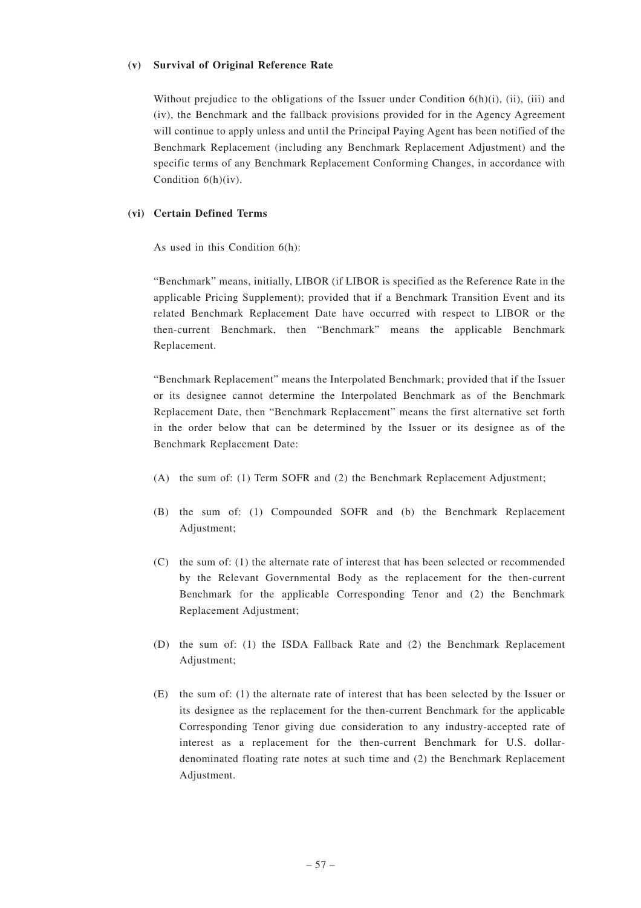#### **(v) Survival of Original Reference Rate**

Without prejudice to the obligations of the Issuer under Condition  $6(h)(i)$ , (ii), (iii) and (iv), the Benchmark and the fallback provisions provided for in the Agency Agreement will continue to apply unless and until the Principal Paying Agent has been notified of the Benchmark Replacement (including any Benchmark Replacement Adjustment) and the specific terms of any Benchmark Replacement Conforming Changes, in accordance with Condition 6(h)(iv).

#### **(vi) Certain Defined Terms**

As used in this Condition 6(h):

"Benchmark" means, initially, LIBOR (if LIBOR is specified as the Reference Rate in the applicable Pricing Supplement); provided that if a Benchmark Transition Event and its related Benchmark Replacement Date have occurred with respect to LIBOR or the then-current Benchmark, then "Benchmark" means the applicable Benchmark Replacement.

"Benchmark Replacement" means the Interpolated Benchmark; provided that if the Issuer or its designee cannot determine the Interpolated Benchmark as of the Benchmark Replacement Date, then "Benchmark Replacement" means the first alternative set forth in the order below that can be determined by the Issuer or its designee as of the Benchmark Replacement Date:

- (A) the sum of: (1) Term SOFR and (2) the Benchmark Replacement Adjustment;
- (B) the sum of: (1) Compounded SOFR and (b) the Benchmark Replacement Adjustment;
- (C) the sum of: (1) the alternate rate of interest that has been selected or recommended by the Relevant Governmental Body as the replacement for the then-current Benchmark for the applicable Corresponding Tenor and (2) the Benchmark Replacement Adjustment;
- (D) the sum of: (1) the ISDA Fallback Rate and (2) the Benchmark Replacement Adjustment;
- (E) the sum of: (1) the alternate rate of interest that has been selected by the Issuer or its designee as the replacement for the then-current Benchmark for the applicable Corresponding Tenor giving due consideration to any industry-accepted rate of interest as a replacement for the then-current Benchmark for U.S. dollardenominated floating rate notes at such time and (2) the Benchmark Replacement Adjustment.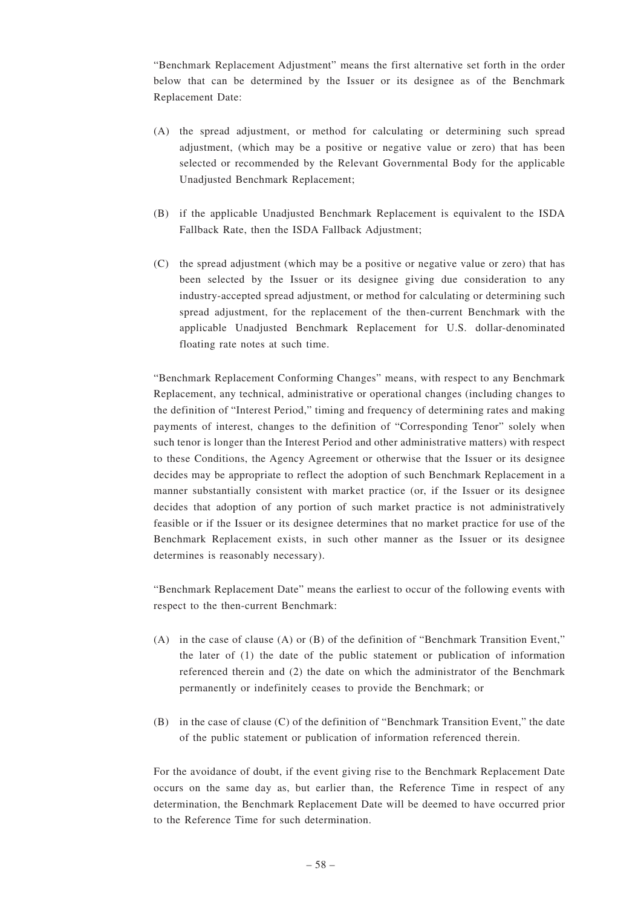"Benchmark Replacement Adjustment" means the first alternative set forth in the order below that can be determined by the Issuer or its designee as of the Benchmark Replacement Date:

- (A) the spread adjustment, or method for calculating or determining such spread adjustment, (which may be a positive or negative value or zero) that has been selected or recommended by the Relevant Governmental Body for the applicable Unadjusted Benchmark Replacement;
- (B) if the applicable Unadjusted Benchmark Replacement is equivalent to the ISDA Fallback Rate, then the ISDA Fallback Adjustment;
- (C) the spread adjustment (which may be a positive or negative value or zero) that has been selected by the Issuer or its designee giving due consideration to any industry-accepted spread adjustment, or method for calculating or determining such spread adjustment, for the replacement of the then-current Benchmark with the applicable Unadjusted Benchmark Replacement for U.S. dollar-denominated floating rate notes at such time.

"Benchmark Replacement Conforming Changes" means, with respect to any Benchmark Replacement, any technical, administrative or operational changes (including changes to the definition of "Interest Period," timing and frequency of determining rates and making payments of interest, changes to the definition of "Corresponding Tenor" solely when such tenor is longer than the Interest Period and other administrative matters) with respect to these Conditions, the Agency Agreement or otherwise that the Issuer or its designee decides may be appropriate to reflect the adoption of such Benchmark Replacement in a manner substantially consistent with market practice (or, if the Issuer or its designee decides that adoption of any portion of such market practice is not administratively feasible or if the Issuer or its designee determines that no market practice for use of the Benchmark Replacement exists, in such other manner as the Issuer or its designee determines is reasonably necessary).

"Benchmark Replacement Date" means the earliest to occur of the following events with respect to the then-current Benchmark:

- (A) in the case of clause (A) or (B) of the definition of "Benchmark Transition Event," the later of (1) the date of the public statement or publication of information referenced therein and (2) the date on which the administrator of the Benchmark permanently or indefinitely ceases to provide the Benchmark; or
- (B) in the case of clause (C) of the definition of "Benchmark Transition Event," the date of the public statement or publication of information referenced therein.

For the avoidance of doubt, if the event giving rise to the Benchmark Replacement Date occurs on the same day as, but earlier than, the Reference Time in respect of any determination, the Benchmark Replacement Date will be deemed to have occurred prior to the Reference Time for such determination.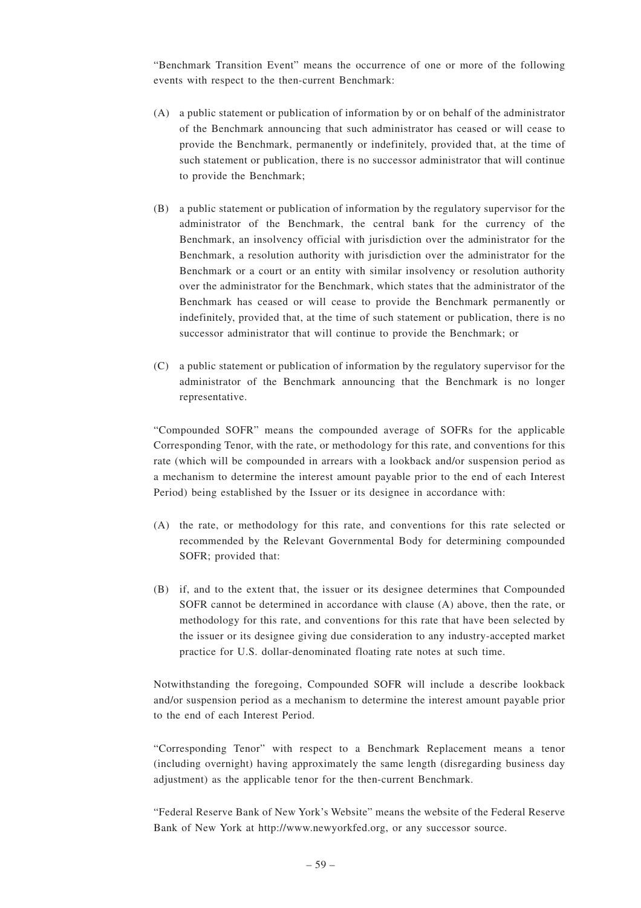"Benchmark Transition Event" means the occurrence of one or more of the following events with respect to the then-current Benchmark:

- (A) a public statement or publication of information by or on behalf of the administrator of the Benchmark announcing that such administrator has ceased or will cease to provide the Benchmark, permanently or indefinitely, provided that, at the time of such statement or publication, there is no successor administrator that will continue to provide the Benchmark;
- (B) a public statement or publication of information by the regulatory supervisor for the administrator of the Benchmark, the central bank for the currency of the Benchmark, an insolvency official with jurisdiction over the administrator for the Benchmark, a resolution authority with jurisdiction over the administrator for the Benchmark or a court or an entity with similar insolvency or resolution authority over the administrator for the Benchmark, which states that the administrator of the Benchmark has ceased or will cease to provide the Benchmark permanently or indefinitely, provided that, at the time of such statement or publication, there is no successor administrator that will continue to provide the Benchmark; or
- (C) a public statement or publication of information by the regulatory supervisor for the administrator of the Benchmark announcing that the Benchmark is no longer representative.

"Compounded SOFR" means the compounded average of SOFRs for the applicable Corresponding Tenor, with the rate, or methodology for this rate, and conventions for this rate (which will be compounded in arrears with a lookback and/or suspension period as a mechanism to determine the interest amount payable prior to the end of each Interest Period) being established by the Issuer or its designee in accordance with:

- (A) the rate, or methodology for this rate, and conventions for this rate selected or recommended by the Relevant Governmental Body for determining compounded SOFR; provided that:
- (B) if, and to the extent that, the issuer or its designee determines that Compounded SOFR cannot be determined in accordance with clause (A) above, then the rate, or methodology for this rate, and conventions for this rate that have been selected by the issuer or its designee giving due consideration to any industry-accepted market practice for U.S. dollar-denominated floating rate notes at such time.

Notwithstanding the foregoing, Compounded SOFR will include a describe lookback and/or suspension period as a mechanism to determine the interest amount payable prior to the end of each Interest Period.

"Corresponding Tenor" with respect to a Benchmark Replacement means a tenor (including overnight) having approximately the same length (disregarding business day adjustment) as the applicable tenor for the then-current Benchmark.

"Federal Reserve Bank of New York's Website" means the website of the Federal Reserve Bank of New York at http://www.newyorkfed.org, or any successor source.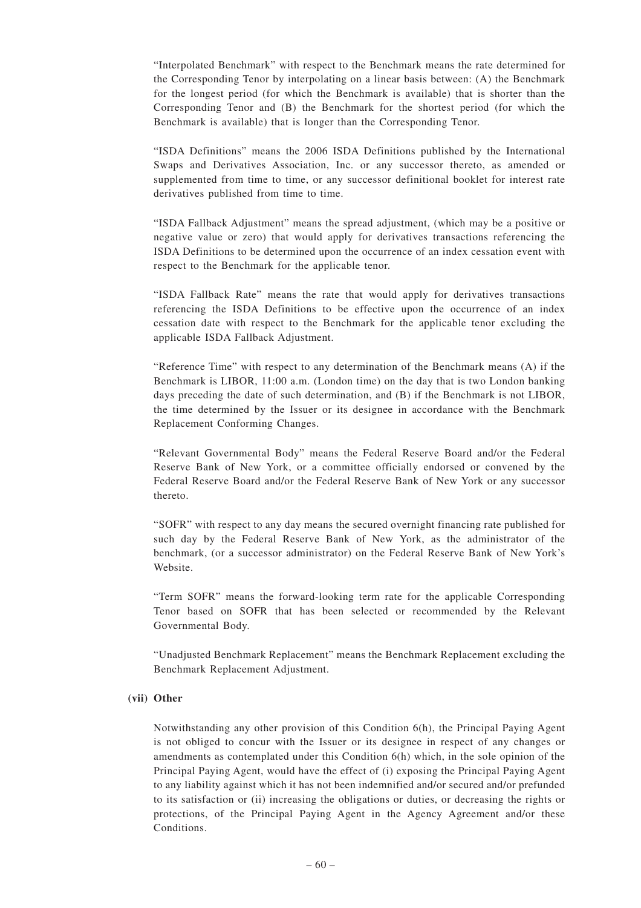"Interpolated Benchmark" with respect to the Benchmark means the rate determined for the Corresponding Tenor by interpolating on a linear basis between: (A) the Benchmark for the longest period (for which the Benchmark is available) that is shorter than the Corresponding Tenor and (B) the Benchmark for the shortest period (for which the Benchmark is available) that is longer than the Corresponding Tenor.

"ISDA Definitions" means the 2006 ISDA Definitions published by the International Swaps and Derivatives Association, Inc. or any successor thereto, as amended or supplemented from time to time, or any successor definitional booklet for interest rate derivatives published from time to time.

"ISDA Fallback Adjustment" means the spread adjustment, (which may be a positive or negative value or zero) that would apply for derivatives transactions referencing the ISDA Definitions to be determined upon the occurrence of an index cessation event with respect to the Benchmark for the applicable tenor.

"ISDA Fallback Rate" means the rate that would apply for derivatives transactions referencing the ISDA Definitions to be effective upon the occurrence of an index cessation date with respect to the Benchmark for the applicable tenor excluding the applicable ISDA Fallback Adjustment.

"Reference Time" with respect to any determination of the Benchmark means (A) if the Benchmark is LIBOR, 11:00 a.m. (London time) on the day that is two London banking days preceding the date of such determination, and (B) if the Benchmark is not LIBOR, the time determined by the Issuer or its designee in accordance with the Benchmark Replacement Conforming Changes.

"Relevant Governmental Body" means the Federal Reserve Board and/or the Federal Reserve Bank of New York, or a committee officially endorsed or convened by the Federal Reserve Board and/or the Federal Reserve Bank of New York or any successor thereto.

"SOFR" with respect to any day means the secured overnight financing rate published for such day by the Federal Reserve Bank of New York, as the administrator of the benchmark, (or a successor administrator) on the Federal Reserve Bank of New York's Website.

"Term SOFR" means the forward-looking term rate for the applicable Corresponding Tenor based on SOFR that has been selected or recommended by the Relevant Governmental Body.

"Unadjusted Benchmark Replacement" means the Benchmark Replacement excluding the Benchmark Replacement Adjustment.

# **(vii) Other**

Notwithstanding any other provision of this Condition 6(h), the Principal Paying Agent is not obliged to concur with the Issuer or its designee in respect of any changes or amendments as contemplated under this Condition 6(h) which, in the sole opinion of the Principal Paying Agent, would have the effect of (i) exposing the Principal Paying Agent to any liability against which it has not been indemnified and/or secured and/or prefunded to its satisfaction or (ii) increasing the obligations or duties, or decreasing the rights or protections, of the Principal Paying Agent in the Agency Agreement and/or these Conditions.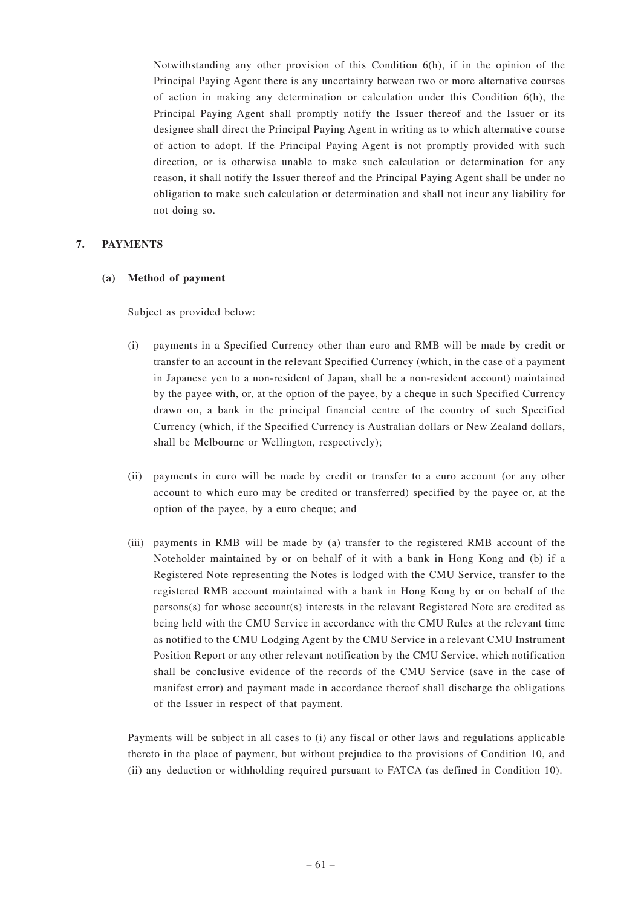Notwithstanding any other provision of this Condition 6(h), if in the opinion of the Principal Paying Agent there is any uncertainty between two or more alternative courses of action in making any determination or calculation under this Condition 6(h), the Principal Paying Agent shall promptly notify the Issuer thereof and the Issuer or its designee shall direct the Principal Paying Agent in writing as to which alternative course of action to adopt. If the Principal Paying Agent is not promptly provided with such direction, or is otherwise unable to make such calculation or determination for any reason, it shall notify the Issuer thereof and the Principal Paying Agent shall be under no obligation to make such calculation or determination and shall not incur any liability for not doing so.

# **7. PAYMENTS**

# **(a) Method of payment**

Subject as provided below:

- (i) payments in a Specified Currency other than euro and RMB will be made by credit or transfer to an account in the relevant Specified Currency (which, in the case of a payment in Japanese yen to a non-resident of Japan, shall be a non-resident account) maintained by the payee with, or, at the option of the payee, by a cheque in such Specified Currency drawn on, a bank in the principal financial centre of the country of such Specified Currency (which, if the Specified Currency is Australian dollars or New Zealand dollars, shall be Melbourne or Wellington, respectively);
- (ii) payments in euro will be made by credit or transfer to a euro account (or any other account to which euro may be credited or transferred) specified by the payee or, at the option of the payee, by a euro cheque; and
- (iii) payments in RMB will be made by (a) transfer to the registered RMB account of the Noteholder maintained by or on behalf of it with a bank in Hong Kong and (b) if a Registered Note representing the Notes is lodged with the CMU Service, transfer to the registered RMB account maintained with a bank in Hong Kong by or on behalf of the  $person(s)$  for whose  $account(s)$  interests in the relevant Registered Note are credited as being held with the CMU Service in accordance with the CMU Rules at the relevant time as notified to the CMU Lodging Agent by the CMU Service in a relevant CMU Instrument Position Report or any other relevant notification by the CMU Service, which notification shall be conclusive evidence of the records of the CMU Service (save in the case of manifest error) and payment made in accordance thereof shall discharge the obligations of the Issuer in respect of that payment.

Payments will be subject in all cases to (i) any fiscal or other laws and regulations applicable thereto in the place of payment, but without prejudice to the provisions of Condition 10, and (ii) any deduction or withholding required pursuant to FATCA (as defined in Condition 10).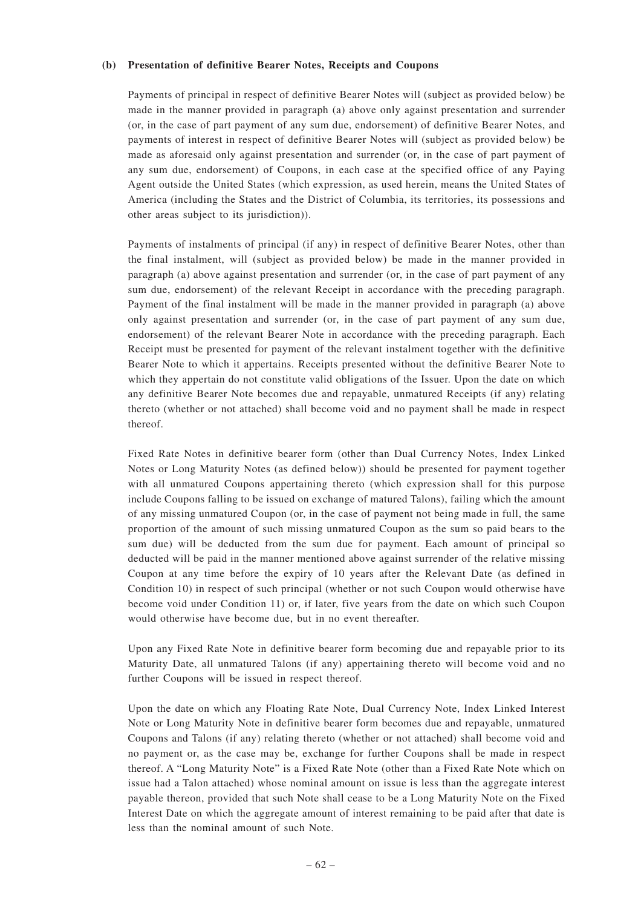#### **(b) Presentation of definitive Bearer Notes, Receipts and Coupons**

Payments of principal in respect of definitive Bearer Notes will (subject as provided below) be made in the manner provided in paragraph (a) above only against presentation and surrender (or, in the case of part payment of any sum due, endorsement) of definitive Bearer Notes, and payments of interest in respect of definitive Bearer Notes will (subject as provided below) be made as aforesaid only against presentation and surrender (or, in the case of part payment of any sum due, endorsement) of Coupons, in each case at the specified office of any Paying Agent outside the United States (which expression, as used herein, means the United States of America (including the States and the District of Columbia, its territories, its possessions and other areas subject to its jurisdiction)).

Payments of instalments of principal (if any) in respect of definitive Bearer Notes, other than the final instalment, will (subject as provided below) be made in the manner provided in paragraph (a) above against presentation and surrender (or, in the case of part payment of any sum due, endorsement) of the relevant Receipt in accordance with the preceding paragraph. Payment of the final instalment will be made in the manner provided in paragraph (a) above only against presentation and surrender (or, in the case of part payment of any sum due, endorsement) of the relevant Bearer Note in accordance with the preceding paragraph. Each Receipt must be presented for payment of the relevant instalment together with the definitive Bearer Note to which it appertains. Receipts presented without the definitive Bearer Note to which they appertain do not constitute valid obligations of the Issuer. Upon the date on which any definitive Bearer Note becomes due and repayable, unmatured Receipts (if any) relating thereto (whether or not attached) shall become void and no payment shall be made in respect thereof.

Fixed Rate Notes in definitive bearer form (other than Dual Currency Notes, Index Linked Notes or Long Maturity Notes (as defined below)) should be presented for payment together with all unmatured Coupons appertaining thereto (which expression shall for this purpose include Coupons falling to be issued on exchange of matured Talons), failing which the amount of any missing unmatured Coupon (or, in the case of payment not being made in full, the same proportion of the amount of such missing unmatured Coupon as the sum so paid bears to the sum due) will be deducted from the sum due for payment. Each amount of principal so deducted will be paid in the manner mentioned above against surrender of the relative missing Coupon at any time before the expiry of 10 years after the Relevant Date (as defined in Condition 10) in respect of such principal (whether or not such Coupon would otherwise have become void under Condition 11) or, if later, five years from the date on which such Coupon would otherwise have become due, but in no event thereafter.

Upon any Fixed Rate Note in definitive bearer form becoming due and repayable prior to its Maturity Date, all unmatured Talons (if any) appertaining thereto will become void and no further Coupons will be issued in respect thereof.

Upon the date on which any Floating Rate Note, Dual Currency Note, Index Linked Interest Note or Long Maturity Note in definitive bearer form becomes due and repayable, unmatured Coupons and Talons (if any) relating thereto (whether or not attached) shall become void and no payment or, as the case may be, exchange for further Coupons shall be made in respect thereof. A "Long Maturity Note" is a Fixed Rate Note (other than a Fixed Rate Note which on issue had a Talon attached) whose nominal amount on issue is less than the aggregate interest payable thereon, provided that such Note shall cease to be a Long Maturity Note on the Fixed Interest Date on which the aggregate amount of interest remaining to be paid after that date is less than the nominal amount of such Note.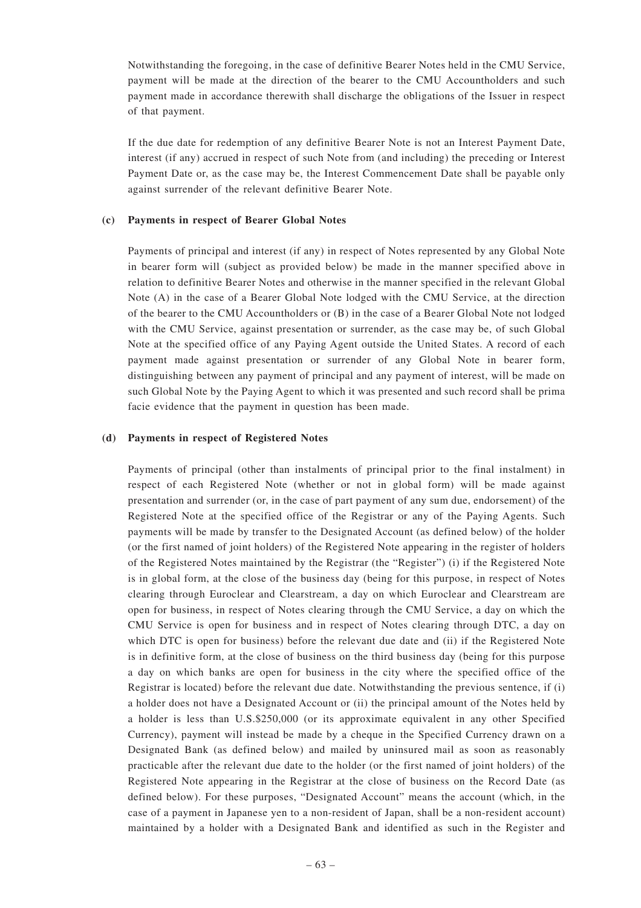Notwithstanding the foregoing, in the case of definitive Bearer Notes held in the CMU Service, payment will be made at the direction of the bearer to the CMU Accountholders and such payment made in accordance therewith shall discharge the obligations of the Issuer in respect of that payment.

If the due date for redemption of any definitive Bearer Note is not an Interest Payment Date, interest (if any) accrued in respect of such Note from (and including) the preceding or Interest Payment Date or, as the case may be, the Interest Commencement Date shall be payable only against surrender of the relevant definitive Bearer Note.

# **(c) Payments in respect of Bearer Global Notes**

Payments of principal and interest (if any) in respect of Notes represented by any Global Note in bearer form will (subject as provided below) be made in the manner specified above in relation to definitive Bearer Notes and otherwise in the manner specified in the relevant Global Note (A) in the case of a Bearer Global Note lodged with the CMU Service, at the direction of the bearer to the CMU Accountholders or (B) in the case of a Bearer Global Note not lodged with the CMU Service, against presentation or surrender, as the case may be, of such Global Note at the specified office of any Paying Agent outside the United States. A record of each payment made against presentation or surrender of any Global Note in bearer form, distinguishing between any payment of principal and any payment of interest, will be made on such Global Note by the Paying Agent to which it was presented and such record shall be prima facie evidence that the payment in question has been made.

#### **(d) Payments in respect of Registered Notes**

Payments of principal (other than instalments of principal prior to the final instalment) in respect of each Registered Note (whether or not in global form) will be made against presentation and surrender (or, in the case of part payment of any sum due, endorsement) of the Registered Note at the specified office of the Registrar or any of the Paying Agents. Such payments will be made by transfer to the Designated Account (as defined below) of the holder (or the first named of joint holders) of the Registered Note appearing in the register of holders of the Registered Notes maintained by the Registrar (the "Register") (i) if the Registered Note is in global form, at the close of the business day (being for this purpose, in respect of Notes clearing through Euroclear and Clearstream, a day on which Euroclear and Clearstream are open for business, in respect of Notes clearing through the CMU Service, a day on which the CMU Service is open for business and in respect of Notes clearing through DTC, a day on which DTC is open for business) before the relevant due date and (ii) if the Registered Note is in definitive form, at the close of business on the third business day (being for this purpose a day on which banks are open for business in the city where the specified office of the Registrar is located) before the relevant due date. Notwithstanding the previous sentence, if (i) a holder does not have a Designated Account or (ii) the principal amount of the Notes held by a holder is less than U.S.\$250,000 (or its approximate equivalent in any other Specified Currency), payment will instead be made by a cheque in the Specified Currency drawn on a Designated Bank (as defined below) and mailed by uninsured mail as soon as reasonably practicable after the relevant due date to the holder (or the first named of joint holders) of the Registered Note appearing in the Registrar at the close of business on the Record Date (as defined below). For these purposes, "Designated Account" means the account (which, in the case of a payment in Japanese yen to a non-resident of Japan, shall be a non-resident account) maintained by a holder with a Designated Bank and identified as such in the Register and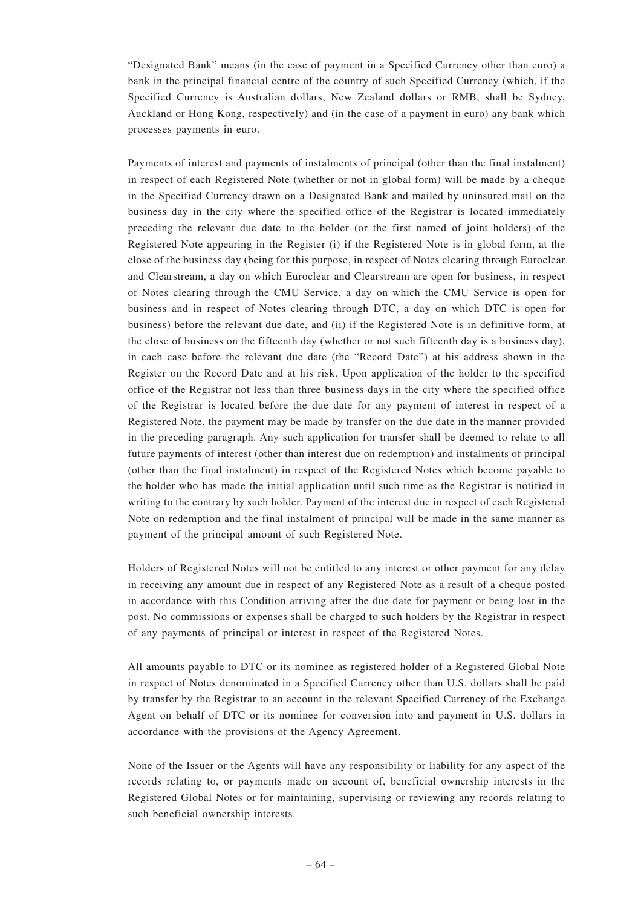"Designated Bank" means (in the case of payment in a Specified Currency other than euro) a bank in the principal financial centre of the country of such Specified Currency (which, if the Specified Currency is Australian dollars, New Zealand dollars or RMB, shall be Sydney, Auckland or Hong Kong, respectively) and (in the case of a payment in euro) any bank which processes payments in euro.

Payments of interest and payments of instalments of principal (other than the final instalment) in respect of each Registered Note (whether or not in global form) will be made by a cheque in the Specified Currency drawn on a Designated Bank and mailed by uninsured mail on the business day in the city where the specified office of the Registrar is located immediately preceding the relevant due date to the holder (or the first named of joint holders) of the Registered Note appearing in the Register (i) if the Registered Note is in global form, at the close of the business day (being for this purpose, in respect of Notes clearing through Euroclear and Clearstream, a day on which Euroclear and Clearstream are open for business, in respect of Notes clearing through the CMU Service, a day on which the CMU Service is open for business and in respect of Notes clearing through DTC, a day on which DTC is open for business) before the relevant due date, and (ii) if the Registered Note is in definitive form, at the close of business on the fifteenth day (whether or not such fifteenth day is a business day), in each case before the relevant due date (the "Record Date") at his address shown in the Register on the Record Date and at his risk. Upon application of the holder to the specified office of the Registrar not less than three business days in the city where the specified office of the Registrar is located before the due date for any payment of interest in respect of a Registered Note, the payment may be made by transfer on the due date in the manner provided in the preceding paragraph. Any such application for transfer shall be deemed to relate to all future payments of interest (other than interest due on redemption) and instalments of principal (other than the final instalment) in respect of the Registered Notes which become payable to the holder who has made the initial application until such time as the Registrar is notified in writing to the contrary by such holder. Payment of the interest due in respect of each Registered Note on redemption and the final instalment of principal will be made in the same manner as payment of the principal amount of such Registered Note.

Holders of Registered Notes will not be entitled to any interest or other payment for any delay in receiving any amount due in respect of any Registered Note as a result of a cheque posted in accordance with this Condition arriving after the due date for payment or being lost in the post. No commissions or expenses shall be charged to such holders by the Registrar in respect of any payments of principal or interest in respect of the Registered Notes.

All amounts payable to DTC or its nominee as registered holder of a Registered Global Note in respect of Notes denominated in a Specified Currency other than U.S. dollars shall be paid by transfer by the Registrar to an account in the relevant Specified Currency of the Exchange Agent on behalf of DTC or its nominee for conversion into and payment in U.S. dollars in accordance with the provisions of the Agency Agreement.

None of the Issuer or the Agents will have any responsibility or liability for any aspect of the records relating to, or payments made on account of, beneficial ownership interests in the Registered Global Notes or for maintaining, supervising or reviewing any records relating to such beneficial ownership interests.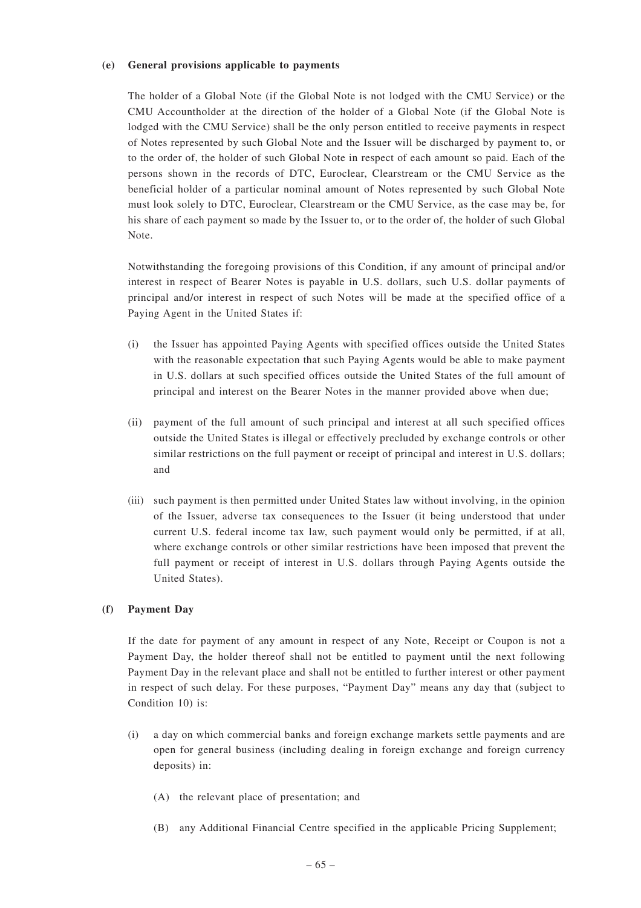## **(e) General provisions applicable to payments**

The holder of a Global Note (if the Global Note is not lodged with the CMU Service) or the CMU Accountholder at the direction of the holder of a Global Note (if the Global Note is lodged with the CMU Service) shall be the only person entitled to receive payments in respect of Notes represented by such Global Note and the Issuer will be discharged by payment to, or to the order of, the holder of such Global Note in respect of each amount so paid. Each of the persons shown in the records of DTC, Euroclear, Clearstream or the CMU Service as the beneficial holder of a particular nominal amount of Notes represented by such Global Note must look solely to DTC, Euroclear, Clearstream or the CMU Service, as the case may be, for his share of each payment so made by the Issuer to, or to the order of, the holder of such Global Note.

Notwithstanding the foregoing provisions of this Condition, if any amount of principal and/or interest in respect of Bearer Notes is payable in U.S. dollars, such U.S. dollar payments of principal and/or interest in respect of such Notes will be made at the specified office of a Paying Agent in the United States if:

- (i) the Issuer has appointed Paying Agents with specified offices outside the United States with the reasonable expectation that such Paying Agents would be able to make payment in U.S. dollars at such specified offices outside the United States of the full amount of principal and interest on the Bearer Notes in the manner provided above when due;
- (ii) payment of the full amount of such principal and interest at all such specified offices outside the United States is illegal or effectively precluded by exchange controls or other similar restrictions on the full payment or receipt of principal and interest in U.S. dollars; and
- (iii) such payment is then permitted under United States law without involving, in the opinion of the Issuer, adverse tax consequences to the Issuer (it being understood that under current U.S. federal income tax law, such payment would only be permitted, if at all, where exchange controls or other similar restrictions have been imposed that prevent the full payment or receipt of interest in U.S. dollars through Paying Agents outside the United States).

# **(f) Payment Day**

If the date for payment of any amount in respect of any Note, Receipt or Coupon is not a Payment Day, the holder thereof shall not be entitled to payment until the next following Payment Day in the relevant place and shall not be entitled to further interest or other payment in respect of such delay. For these purposes, "Payment Day" means any day that (subject to Condition 10) is:

- (i) a day on which commercial banks and foreign exchange markets settle payments and are open for general business (including dealing in foreign exchange and foreign currency deposits) in:
	- (A) the relevant place of presentation; and
	- (B) any Additional Financial Centre specified in the applicable Pricing Supplement;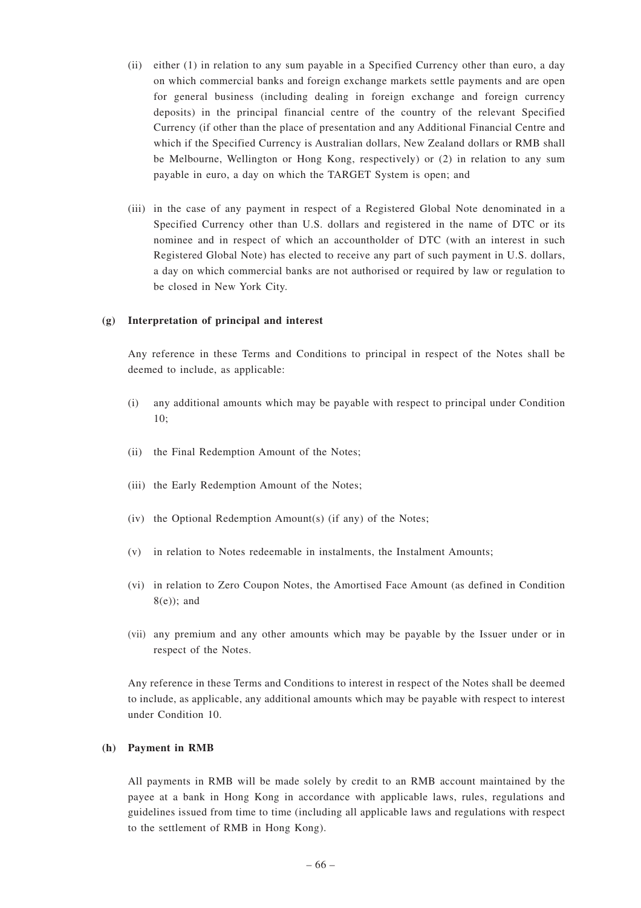- (ii) either (1) in relation to any sum payable in a Specified Currency other than euro, a day on which commercial banks and foreign exchange markets settle payments and are open for general business (including dealing in foreign exchange and foreign currency deposits) in the principal financial centre of the country of the relevant Specified Currency (if other than the place of presentation and any Additional Financial Centre and which if the Specified Currency is Australian dollars, New Zealand dollars or RMB shall be Melbourne, Wellington or Hong Kong, respectively) or (2) in relation to any sum payable in euro, a day on which the TARGET System is open; and
- (iii) in the case of any payment in respect of a Registered Global Note denominated in a Specified Currency other than U.S. dollars and registered in the name of DTC or its nominee and in respect of which an accountholder of DTC (with an interest in such Registered Global Note) has elected to receive any part of such payment in U.S. dollars, a day on which commercial banks are not authorised or required by law or regulation to be closed in New York City.

#### **(g) Interpretation of principal and interest**

Any reference in these Terms and Conditions to principal in respect of the Notes shall be deemed to include, as applicable:

- (i) any additional amounts which may be payable with respect to principal under Condition 10;
- (ii) the Final Redemption Amount of the Notes;
- (iii) the Early Redemption Amount of the Notes;
- (iv) the Optional Redemption Amount(s) (if any) of the Notes;
- (v) in relation to Notes redeemable in instalments, the Instalment Amounts;
- (vi) in relation to Zero Coupon Notes, the Amortised Face Amount (as defined in Condition 8(e)); and
- (vii) any premium and any other amounts which may be payable by the Issuer under or in respect of the Notes.

Any reference in these Terms and Conditions to interest in respect of the Notes shall be deemed to include, as applicable, any additional amounts which may be payable with respect to interest under Condition 10.

# **(h) Payment in RMB**

All payments in RMB will be made solely by credit to an RMB account maintained by the payee at a bank in Hong Kong in accordance with applicable laws, rules, regulations and guidelines issued from time to time (including all applicable laws and regulations with respect to the settlement of RMB in Hong Kong).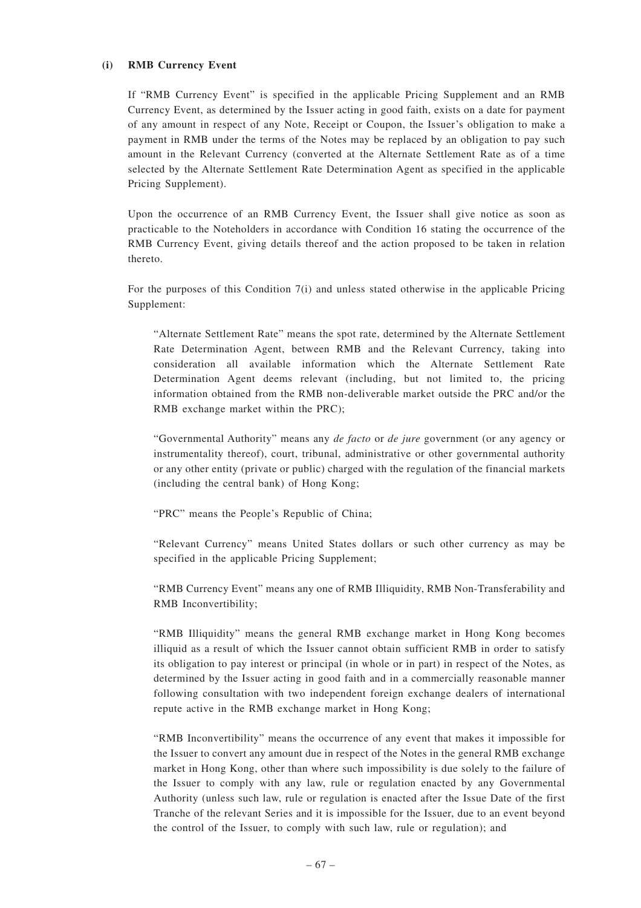## **(i) RMB Currency Event**

If "RMB Currency Event" is specified in the applicable Pricing Supplement and an RMB Currency Event, as determined by the Issuer acting in good faith, exists on a date for payment of any amount in respect of any Note, Receipt or Coupon, the Issuer's obligation to make a payment in RMB under the terms of the Notes may be replaced by an obligation to pay such amount in the Relevant Currency (converted at the Alternate Settlement Rate as of a time selected by the Alternate Settlement Rate Determination Agent as specified in the applicable Pricing Supplement).

Upon the occurrence of an RMB Currency Event, the Issuer shall give notice as soon as practicable to the Noteholders in accordance with Condition 16 stating the occurrence of the RMB Currency Event, giving details thereof and the action proposed to be taken in relation thereto.

For the purposes of this Condition 7(i) and unless stated otherwise in the applicable Pricing Supplement:

"Alternate Settlement Rate" means the spot rate, determined by the Alternate Settlement Rate Determination Agent, between RMB and the Relevant Currency, taking into consideration all available information which the Alternate Settlement Rate Determination Agent deems relevant (including, but not limited to, the pricing information obtained from the RMB non-deliverable market outside the PRC and/or the RMB exchange market within the PRC);

"Governmental Authority" means any *de facto* or *de jure* government (or any agency or instrumentality thereof), court, tribunal, administrative or other governmental authority or any other entity (private or public) charged with the regulation of the financial markets (including the central bank) of Hong Kong;

"PRC" means the People's Republic of China;

"Relevant Currency" means United States dollars or such other currency as may be specified in the applicable Pricing Supplement;

"RMB Currency Event" means any one of RMB Illiquidity, RMB Non-Transferability and RMB Inconvertibility;

"RMB Illiquidity" means the general RMB exchange market in Hong Kong becomes illiquid as a result of which the Issuer cannot obtain sufficient RMB in order to satisfy its obligation to pay interest or principal (in whole or in part) in respect of the Notes, as determined by the Issuer acting in good faith and in a commercially reasonable manner following consultation with two independent foreign exchange dealers of international repute active in the RMB exchange market in Hong Kong;

"RMB Inconvertibility" means the occurrence of any event that makes it impossible for the Issuer to convert any amount due in respect of the Notes in the general RMB exchange market in Hong Kong, other than where such impossibility is due solely to the failure of the Issuer to comply with any law, rule or regulation enacted by any Governmental Authority (unless such law, rule or regulation is enacted after the Issue Date of the first Tranche of the relevant Series and it is impossible for the Issuer, due to an event beyond the control of the Issuer, to comply with such law, rule or regulation); and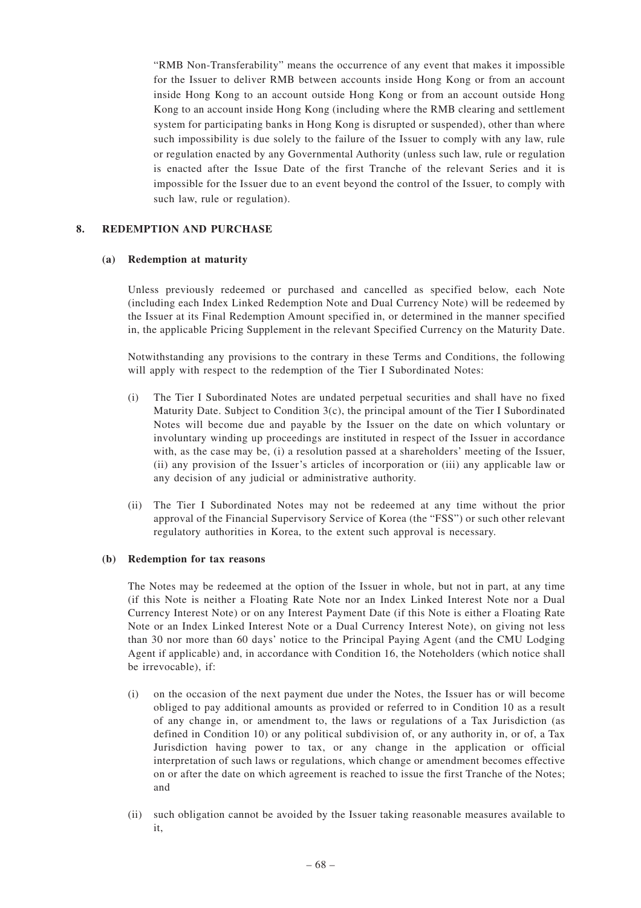"RMB Non-Transferability" means the occurrence of any event that makes it impossible for the Issuer to deliver RMB between accounts inside Hong Kong or from an account inside Hong Kong to an account outside Hong Kong or from an account outside Hong Kong to an account inside Hong Kong (including where the RMB clearing and settlement system for participating banks in Hong Kong is disrupted or suspended), other than where such impossibility is due solely to the failure of the Issuer to comply with any law, rule or regulation enacted by any Governmental Authority (unless such law, rule or regulation is enacted after the Issue Date of the first Tranche of the relevant Series and it is impossible for the Issuer due to an event beyond the control of the Issuer, to comply with such law, rule or regulation).

# **8. REDEMPTION AND PURCHASE**

# **(a) Redemption at maturity**

Unless previously redeemed or purchased and cancelled as specified below, each Note (including each Index Linked Redemption Note and Dual Currency Note) will be redeemed by the Issuer at its Final Redemption Amount specified in, or determined in the manner specified in, the applicable Pricing Supplement in the relevant Specified Currency on the Maturity Date.

Notwithstanding any provisions to the contrary in these Terms and Conditions, the following will apply with respect to the redemption of the Tier I Subordinated Notes:

- (i) The Tier I Subordinated Notes are undated perpetual securities and shall have no fixed Maturity Date. Subject to Condition 3(c), the principal amount of the Tier I Subordinated Notes will become due and payable by the Issuer on the date on which voluntary or involuntary winding up proceedings are instituted in respect of the Issuer in accordance with, as the case may be, (i) a resolution passed at a shareholders' meeting of the Issuer, (ii) any provision of the Issuer's articles of incorporation or (iii) any applicable law or any decision of any judicial or administrative authority.
- (ii) The Tier I Subordinated Notes may not be redeemed at any time without the prior approval of the Financial Supervisory Service of Korea (the "FSS") or such other relevant regulatory authorities in Korea, to the extent such approval is necessary.

# **(b) Redemption for tax reasons**

The Notes may be redeemed at the option of the Issuer in whole, but not in part, at any time (if this Note is neither a Floating Rate Note nor an Index Linked Interest Note nor a Dual Currency Interest Note) or on any Interest Payment Date (if this Note is either a Floating Rate Note or an Index Linked Interest Note or a Dual Currency Interest Note), on giving not less than 30 nor more than 60 days' notice to the Principal Paying Agent (and the CMU Lodging Agent if applicable) and, in accordance with Condition 16, the Noteholders (which notice shall be irrevocable), if:

- (i) on the occasion of the next payment due under the Notes, the Issuer has or will become obliged to pay additional amounts as provided or referred to in Condition 10 as a result of any change in, or amendment to, the laws or regulations of a Tax Jurisdiction (as defined in Condition 10) or any political subdivision of, or any authority in, or of, a Tax Jurisdiction having power to tax, or any change in the application or official interpretation of such laws or regulations, which change or amendment becomes effective on or after the date on which agreement is reached to issue the first Tranche of the Notes; and
- (ii) such obligation cannot be avoided by the Issuer taking reasonable measures available to it,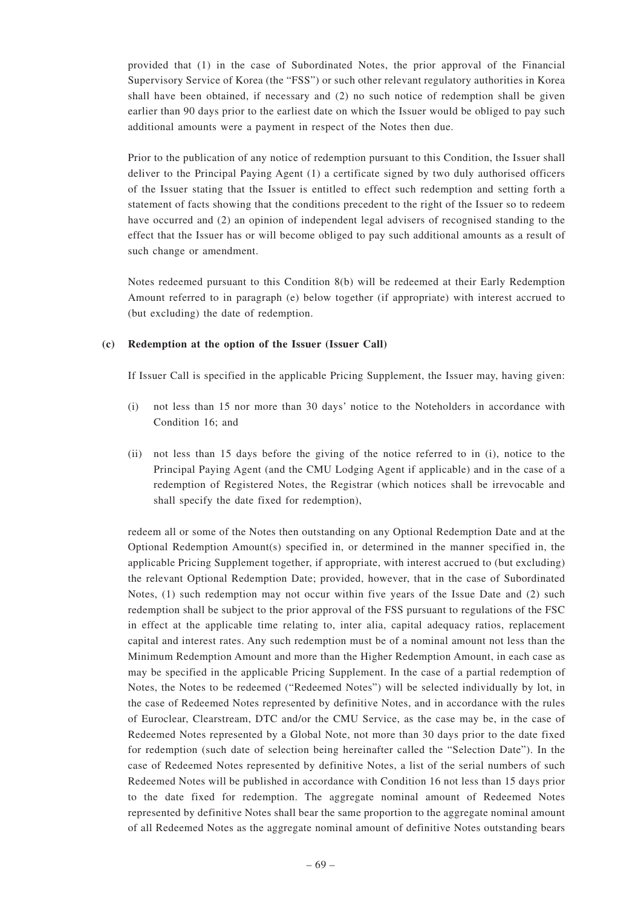provided that (1) in the case of Subordinated Notes, the prior approval of the Financial Supervisory Service of Korea (the "FSS") or such other relevant regulatory authorities in Korea shall have been obtained, if necessary and (2) no such notice of redemption shall be given earlier than 90 days prior to the earliest date on which the Issuer would be obliged to pay such additional amounts were a payment in respect of the Notes then due.

Prior to the publication of any notice of redemption pursuant to this Condition, the Issuer shall deliver to the Principal Paying Agent (1) a certificate signed by two duly authorised officers of the Issuer stating that the Issuer is entitled to effect such redemption and setting forth a statement of facts showing that the conditions precedent to the right of the Issuer so to redeem have occurred and (2) an opinion of independent legal advisers of recognised standing to the effect that the Issuer has or will become obliged to pay such additional amounts as a result of such change or amendment.

Notes redeemed pursuant to this Condition 8(b) will be redeemed at their Early Redemption Amount referred to in paragraph (e) below together (if appropriate) with interest accrued to (but excluding) the date of redemption.

# **(c) Redemption at the option of the Issuer (Issuer Call)**

If Issuer Call is specified in the applicable Pricing Supplement, the Issuer may, having given:

- (i) not less than 15 nor more than 30 days' notice to the Noteholders in accordance with Condition 16; and
- (ii) not less than 15 days before the giving of the notice referred to in (i), notice to the Principal Paying Agent (and the CMU Lodging Agent if applicable) and in the case of a redemption of Registered Notes, the Registrar (which notices shall be irrevocable and shall specify the date fixed for redemption),

redeem all or some of the Notes then outstanding on any Optional Redemption Date and at the Optional Redemption Amount(s) specified in, or determined in the manner specified in, the applicable Pricing Supplement together, if appropriate, with interest accrued to (but excluding) the relevant Optional Redemption Date; provided, however, that in the case of Subordinated Notes, (1) such redemption may not occur within five years of the Issue Date and (2) such redemption shall be subject to the prior approval of the FSS pursuant to regulations of the FSC in effect at the applicable time relating to, inter alia, capital adequacy ratios, replacement capital and interest rates. Any such redemption must be of a nominal amount not less than the Minimum Redemption Amount and more than the Higher Redemption Amount, in each case as may be specified in the applicable Pricing Supplement. In the case of a partial redemption of Notes, the Notes to be redeemed ("Redeemed Notes") will be selected individually by lot, in the case of Redeemed Notes represented by definitive Notes, and in accordance with the rules of Euroclear, Clearstream, DTC and/or the CMU Service, as the case may be, in the case of Redeemed Notes represented by a Global Note, not more than 30 days prior to the date fixed for redemption (such date of selection being hereinafter called the "Selection Date"). In the case of Redeemed Notes represented by definitive Notes, a list of the serial numbers of such Redeemed Notes will be published in accordance with Condition 16 not less than 15 days prior to the date fixed for redemption. The aggregate nominal amount of Redeemed Notes represented by definitive Notes shall bear the same proportion to the aggregate nominal amount of all Redeemed Notes as the aggregate nominal amount of definitive Notes outstanding bears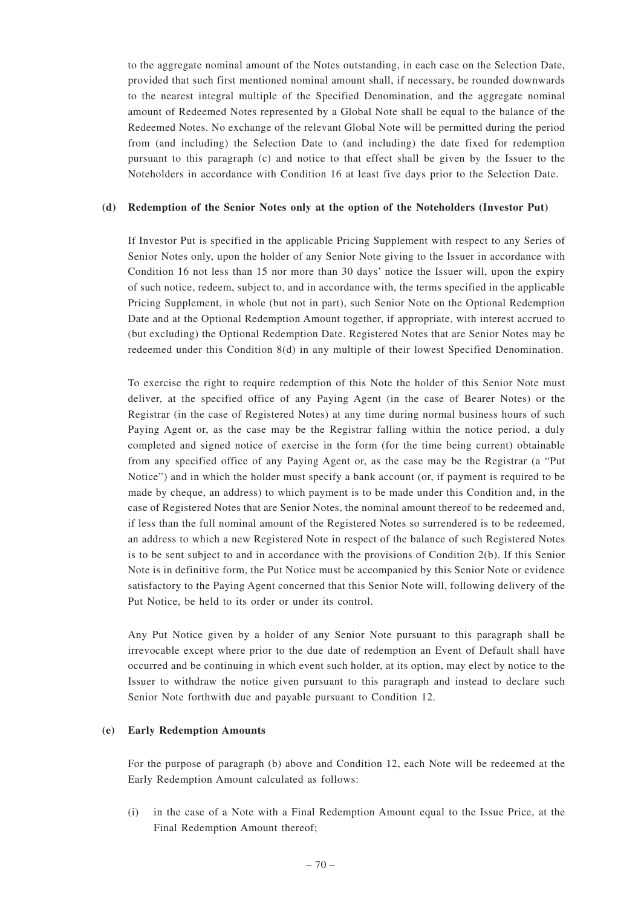to the aggregate nominal amount of the Notes outstanding, in each case on the Selection Date, provided that such first mentioned nominal amount shall, if necessary, be rounded downwards to the nearest integral multiple of the Specified Denomination, and the aggregate nominal amount of Redeemed Notes represented by a Global Note shall be equal to the balance of the Redeemed Notes. No exchange of the relevant Global Note will be permitted during the period from (and including) the Selection Date to (and including) the date fixed for redemption pursuant to this paragraph (c) and notice to that effect shall be given by the Issuer to the Noteholders in accordance with Condition 16 at least five days prior to the Selection Date.

#### **(d) Redemption of the Senior Notes only at the option of the Noteholders (Investor Put)**

If Investor Put is specified in the applicable Pricing Supplement with respect to any Series of Senior Notes only, upon the holder of any Senior Note giving to the Issuer in accordance with Condition 16 not less than 15 nor more than 30 days' notice the Issuer will, upon the expiry of such notice, redeem, subject to, and in accordance with, the terms specified in the applicable Pricing Supplement, in whole (but not in part), such Senior Note on the Optional Redemption Date and at the Optional Redemption Amount together, if appropriate, with interest accrued to (but excluding) the Optional Redemption Date. Registered Notes that are Senior Notes may be redeemed under this Condition 8(d) in any multiple of their lowest Specified Denomination.

To exercise the right to require redemption of this Note the holder of this Senior Note must deliver, at the specified office of any Paying Agent (in the case of Bearer Notes) or the Registrar (in the case of Registered Notes) at any time during normal business hours of such Paying Agent or, as the case may be the Registrar falling within the notice period, a duly completed and signed notice of exercise in the form (for the time being current) obtainable from any specified office of any Paying Agent or, as the case may be the Registrar (a "Put Notice") and in which the holder must specify a bank account (or, if payment is required to be made by cheque, an address) to which payment is to be made under this Condition and, in the case of Registered Notes that are Senior Notes, the nominal amount thereof to be redeemed and, if less than the full nominal amount of the Registered Notes so surrendered is to be redeemed, an address to which a new Registered Note in respect of the balance of such Registered Notes is to be sent subject to and in accordance with the provisions of Condition 2(b). If this Senior Note is in definitive form, the Put Notice must be accompanied by this Senior Note or evidence satisfactory to the Paying Agent concerned that this Senior Note will, following delivery of the Put Notice, be held to its order or under its control.

Any Put Notice given by a holder of any Senior Note pursuant to this paragraph shall be irrevocable except where prior to the due date of redemption an Event of Default shall have occurred and be continuing in which event such holder, at its option, may elect by notice to the Issuer to withdraw the notice given pursuant to this paragraph and instead to declare such Senior Note forthwith due and payable pursuant to Condition 12.

#### **(e) Early Redemption Amounts**

For the purpose of paragraph (b) above and Condition 12, each Note will be redeemed at the Early Redemption Amount calculated as follows:

(i) in the case of a Note with a Final Redemption Amount equal to the Issue Price, at the Final Redemption Amount thereof;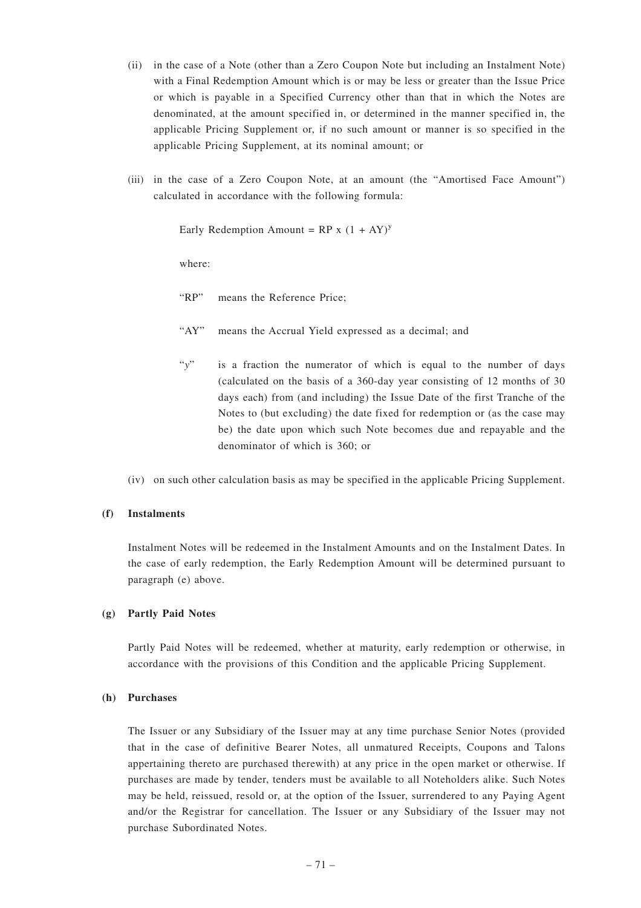- (ii) in the case of a Note (other than a Zero Coupon Note but including an Instalment Note) with a Final Redemption Amount which is or may be less or greater than the Issue Price or which is payable in a Specified Currency other than that in which the Notes are denominated, at the amount specified in, or determined in the manner specified in, the applicable Pricing Supplement or, if no such amount or manner is so specified in the applicable Pricing Supplement, at its nominal amount; or
- (iii) in the case of a Zero Coupon Note, at an amount (the "Amortised Face Amount") calculated in accordance with the following formula:

Early Redemption Amount =  $RP x (1 + AY)^y$ 

where:

"RP" means the Reference Price;

- "AY" means the Accrual Yield expressed as a decimal; and
- "*y*" is a fraction the numerator of which is equal to the number of days (calculated on the basis of a 360-day year consisting of 12 months of 30 days each) from (and including) the Issue Date of the first Tranche of the Notes to (but excluding) the date fixed for redemption or (as the case may be) the date upon which such Note becomes due and repayable and the denominator of which is 360; or
- (iv) on such other calculation basis as may be specified in the applicable Pricing Supplement.

# **(f) Instalments**

Instalment Notes will be redeemed in the Instalment Amounts and on the Instalment Dates. In the case of early redemption, the Early Redemption Amount will be determined pursuant to paragraph (e) above.

#### **(g) Partly Paid Notes**

Partly Paid Notes will be redeemed, whether at maturity, early redemption or otherwise, in accordance with the provisions of this Condition and the applicable Pricing Supplement.

#### **(h) Purchases**

The Issuer or any Subsidiary of the Issuer may at any time purchase Senior Notes (provided that in the case of definitive Bearer Notes, all unmatured Receipts, Coupons and Talons appertaining thereto are purchased therewith) at any price in the open market or otherwise. If purchases are made by tender, tenders must be available to all Noteholders alike. Such Notes may be held, reissued, resold or, at the option of the Issuer, surrendered to any Paying Agent and/or the Registrar for cancellation. The Issuer or any Subsidiary of the Issuer may not purchase Subordinated Notes.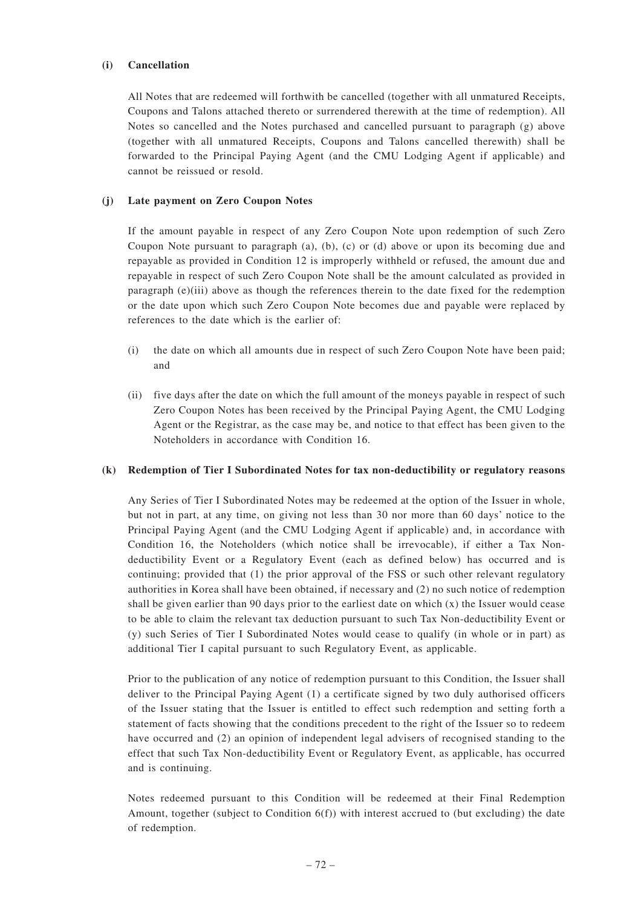# **(i) Cancellation**

All Notes that are redeemed will forthwith be cancelled (together with all unmatured Receipts, Coupons and Talons attached thereto or surrendered therewith at the time of redemption). All Notes so cancelled and the Notes purchased and cancelled pursuant to paragraph (g) above (together with all unmatured Receipts, Coupons and Talons cancelled therewith) shall be forwarded to the Principal Paying Agent (and the CMU Lodging Agent if applicable) and cannot be reissued or resold.

# **(j) Late payment on Zero Coupon Notes**

If the amount payable in respect of any Zero Coupon Note upon redemption of such Zero Coupon Note pursuant to paragraph (a), (b), (c) or (d) above or upon its becoming due and repayable as provided in Condition 12 is improperly withheld or refused, the amount due and repayable in respect of such Zero Coupon Note shall be the amount calculated as provided in paragraph (e)(iii) above as though the references therein to the date fixed for the redemption or the date upon which such Zero Coupon Note becomes due and payable were replaced by references to the date which is the earlier of:

- (i) the date on which all amounts due in respect of such Zero Coupon Note have been paid; and
- (ii) five days after the date on which the full amount of the moneys payable in respect of such Zero Coupon Notes has been received by the Principal Paying Agent, the CMU Lodging Agent or the Registrar, as the case may be, and notice to that effect has been given to the Noteholders in accordance with Condition 16.

# **(k) Redemption of Tier I Subordinated Notes for tax non-deductibility or regulatory reasons**

Any Series of Tier I Subordinated Notes may be redeemed at the option of the Issuer in whole, but not in part, at any time, on giving not less than 30 nor more than 60 days' notice to the Principal Paying Agent (and the CMU Lodging Agent if applicable) and, in accordance with Condition 16, the Noteholders (which notice shall be irrevocable), if either a Tax Nondeductibility Event or a Regulatory Event (each as defined below) has occurred and is continuing; provided that  $(1)$  the prior approval of the FSS or such other relevant regulatory authorities in Korea shall have been obtained, if necessary and (2) no such notice of redemption shall be given earlier than 90 days prior to the earliest date on which  $(x)$  the Issuer would cease to be able to claim the relevant tax deduction pursuant to such Tax Non-deductibility Event or (y) such Series of Tier I Subordinated Notes would cease to qualify (in whole or in part) as additional Tier I capital pursuant to such Regulatory Event, as applicable.

Prior to the publication of any notice of redemption pursuant to this Condition, the Issuer shall deliver to the Principal Paying Agent (1) a certificate signed by two duly authorised officers of the Issuer stating that the Issuer is entitled to effect such redemption and setting forth a statement of facts showing that the conditions precedent to the right of the Issuer so to redeem have occurred and (2) an opinion of independent legal advisers of recognised standing to the effect that such Tax Non-deductibility Event or Regulatory Event, as applicable, has occurred and is continuing.

Notes redeemed pursuant to this Condition will be redeemed at their Final Redemption Amount, together (subject to Condition 6(f)) with interest accrued to (but excluding) the date of redemption.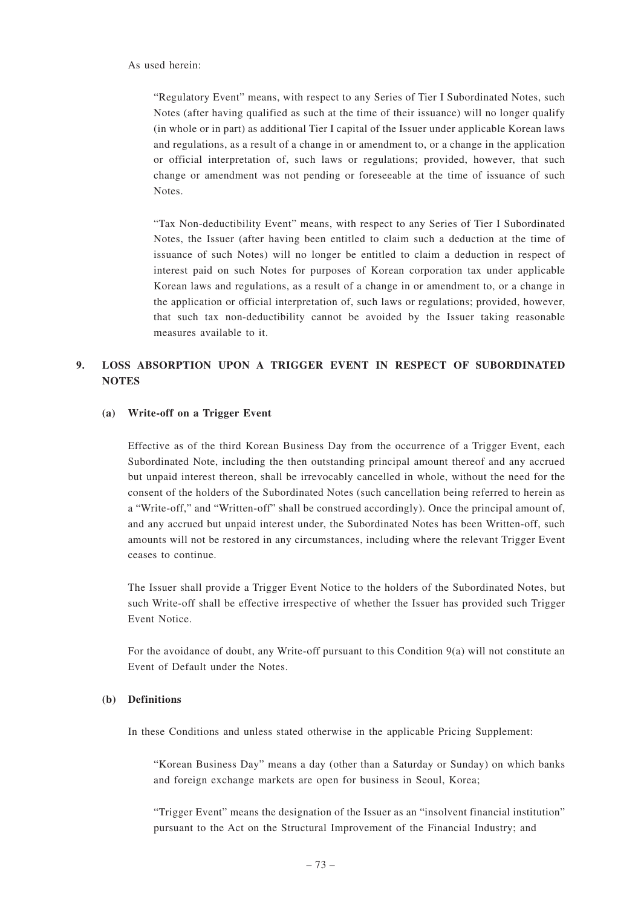"Regulatory Event" means, with respect to any Series of Tier I Subordinated Notes, such Notes (after having qualified as such at the time of their issuance) will no longer qualify (in whole or in part) as additional Tier I capital of the Issuer under applicable Korean laws and regulations, as a result of a change in or amendment to, or a change in the application or official interpretation of, such laws or regulations; provided, however, that such change or amendment was not pending or foreseeable at the time of issuance of such Notes.

"Tax Non-deductibility Event" means, with respect to any Series of Tier I Subordinated Notes, the Issuer (after having been entitled to claim such a deduction at the time of issuance of such Notes) will no longer be entitled to claim a deduction in respect of interest paid on such Notes for purposes of Korean corporation tax under applicable Korean laws and regulations, as a result of a change in or amendment to, or a change in the application or official interpretation of, such laws or regulations; provided, however, that such tax non-deductibility cannot be avoided by the Issuer taking reasonable measures available to it.

# **9. LOSS ABSORPTION UPON A TRIGGER EVENT IN RESPECT OF SUBORDINATED NOTES**

#### **(a) Write-off on a Trigger Event**

Effective as of the third Korean Business Day from the occurrence of a Trigger Event, each Subordinated Note, including the then outstanding principal amount thereof and any accrued but unpaid interest thereon, shall be irrevocably cancelled in whole, without the need for the consent of the holders of the Subordinated Notes (such cancellation being referred to herein as a "Write-off," and "Written-off" shall be construed accordingly). Once the principal amount of, and any accrued but unpaid interest under, the Subordinated Notes has been Written-off, such amounts will not be restored in any circumstances, including where the relevant Trigger Event ceases to continue.

The Issuer shall provide a Trigger Event Notice to the holders of the Subordinated Notes, but such Write-off shall be effective irrespective of whether the Issuer has provided such Trigger Event Notice.

For the avoidance of doubt, any Write-off pursuant to this Condition 9(a) will not constitute an Event of Default under the Notes.

#### **(b) Definitions**

In these Conditions and unless stated otherwise in the applicable Pricing Supplement:

"Korean Business Day" means a day (other than a Saturday or Sunday) on which banks and foreign exchange markets are open for business in Seoul, Korea;

"Trigger Event" means the designation of the Issuer as an "insolvent financial institution" pursuant to the Act on the Structural Improvement of the Financial Industry; and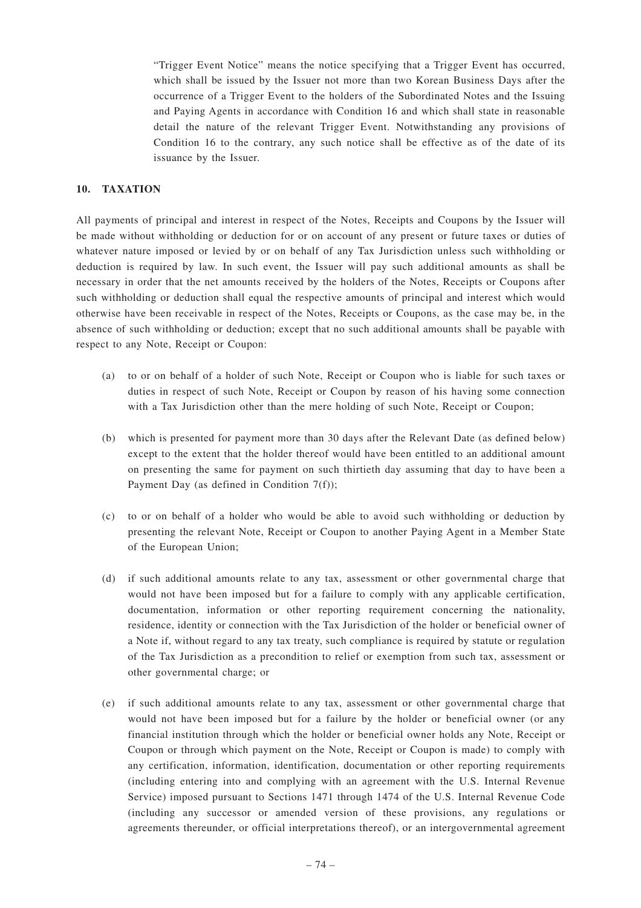"Trigger Event Notice" means the notice specifying that a Trigger Event has occurred, which shall be issued by the Issuer not more than two Korean Business Days after the occurrence of a Trigger Event to the holders of the Subordinated Notes and the Issuing and Paying Agents in accordance with Condition 16 and which shall state in reasonable detail the nature of the relevant Trigger Event. Notwithstanding any provisions of Condition 16 to the contrary, any such notice shall be effective as of the date of its issuance by the Issuer.

# **10. TAXATION**

All payments of principal and interest in respect of the Notes, Receipts and Coupons by the Issuer will be made without withholding or deduction for or on account of any present or future taxes or duties of whatever nature imposed or levied by or on behalf of any Tax Jurisdiction unless such withholding or deduction is required by law. In such event, the Issuer will pay such additional amounts as shall be necessary in order that the net amounts received by the holders of the Notes, Receipts or Coupons after such withholding or deduction shall equal the respective amounts of principal and interest which would otherwise have been receivable in respect of the Notes, Receipts or Coupons, as the case may be, in the absence of such withholding or deduction; except that no such additional amounts shall be payable with respect to any Note, Receipt or Coupon:

- (a) to or on behalf of a holder of such Note, Receipt or Coupon who is liable for such taxes or duties in respect of such Note, Receipt or Coupon by reason of his having some connection with a Tax Jurisdiction other than the mere holding of such Note, Receipt or Coupon;
- (b) which is presented for payment more than 30 days after the Relevant Date (as defined below) except to the extent that the holder thereof would have been entitled to an additional amount on presenting the same for payment on such thirtieth day assuming that day to have been a Payment Day (as defined in Condition 7(f));
- (c) to or on behalf of a holder who would be able to avoid such withholding or deduction by presenting the relevant Note, Receipt or Coupon to another Paying Agent in a Member State of the European Union;
- (d) if such additional amounts relate to any tax, assessment or other governmental charge that would not have been imposed but for a failure to comply with any applicable certification, documentation, information or other reporting requirement concerning the nationality, residence, identity or connection with the Tax Jurisdiction of the holder or beneficial owner of a Note if, without regard to any tax treaty, such compliance is required by statute or regulation of the Tax Jurisdiction as a precondition to relief or exemption from such tax, assessment or other governmental charge; or
- (e) if such additional amounts relate to any tax, assessment or other governmental charge that would not have been imposed but for a failure by the holder or beneficial owner (or any financial institution through which the holder or beneficial owner holds any Note, Receipt or Coupon or through which payment on the Note, Receipt or Coupon is made) to comply with any certification, information, identification, documentation or other reporting requirements (including entering into and complying with an agreement with the U.S. Internal Revenue Service) imposed pursuant to Sections 1471 through 1474 of the U.S. Internal Revenue Code (including any successor or amended version of these provisions, any regulations or agreements thereunder, or official interpretations thereof), or an intergovernmental agreement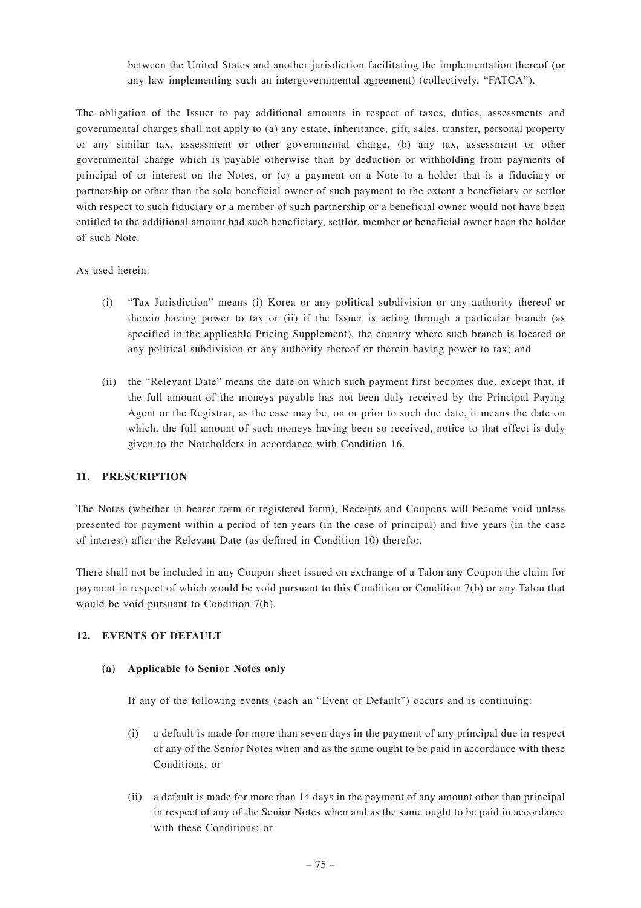between the United States and another jurisdiction facilitating the implementation thereof (or any law implementing such an intergovernmental agreement) (collectively, "FATCA").

The obligation of the Issuer to pay additional amounts in respect of taxes, duties, assessments and governmental charges shall not apply to (a) any estate, inheritance, gift, sales, transfer, personal property or any similar tax, assessment or other governmental charge, (b) any tax, assessment or other governmental charge which is payable otherwise than by deduction or withholding from payments of principal of or interest on the Notes, or (c) a payment on a Note to a holder that is a fiduciary or partnership or other than the sole beneficial owner of such payment to the extent a beneficiary or settlor with respect to such fiduciary or a member of such partnership or a beneficial owner would not have been entitled to the additional amount had such beneficiary, settlor, member or beneficial owner been the holder of such Note.

# As used herein:

- (i) "Tax Jurisdiction" means (i) Korea or any political subdivision or any authority thereof or therein having power to tax or (ii) if the Issuer is acting through a particular branch (as specified in the applicable Pricing Supplement), the country where such branch is located or any political subdivision or any authority thereof or therein having power to tax; and
- (ii) the "Relevant Date" means the date on which such payment first becomes due, except that, if the full amount of the moneys payable has not been duly received by the Principal Paying Agent or the Registrar, as the case may be, on or prior to such due date, it means the date on which, the full amount of such moneys having been so received, notice to that effect is duly given to the Noteholders in accordance with Condition 16.

#### **11. PRESCRIPTION**

The Notes (whether in bearer form or registered form), Receipts and Coupons will become void unless presented for payment within a period of ten years (in the case of principal) and five years (in the case of interest) after the Relevant Date (as defined in Condition 10) therefor.

There shall not be included in any Coupon sheet issued on exchange of a Talon any Coupon the claim for payment in respect of which would be void pursuant to this Condition or Condition 7(b) or any Talon that would be void pursuant to Condition 7(b).

# **12. EVENTS OF DEFAULT**

#### **(a) Applicable to Senior Notes only**

If any of the following events (each an "Event of Default") occurs and is continuing:

- (i) a default is made for more than seven days in the payment of any principal due in respect of any of the Senior Notes when and as the same ought to be paid in accordance with these Conditions; or
- (ii) a default is made for more than 14 days in the payment of any amount other than principal in respect of any of the Senior Notes when and as the same ought to be paid in accordance with these Conditions; or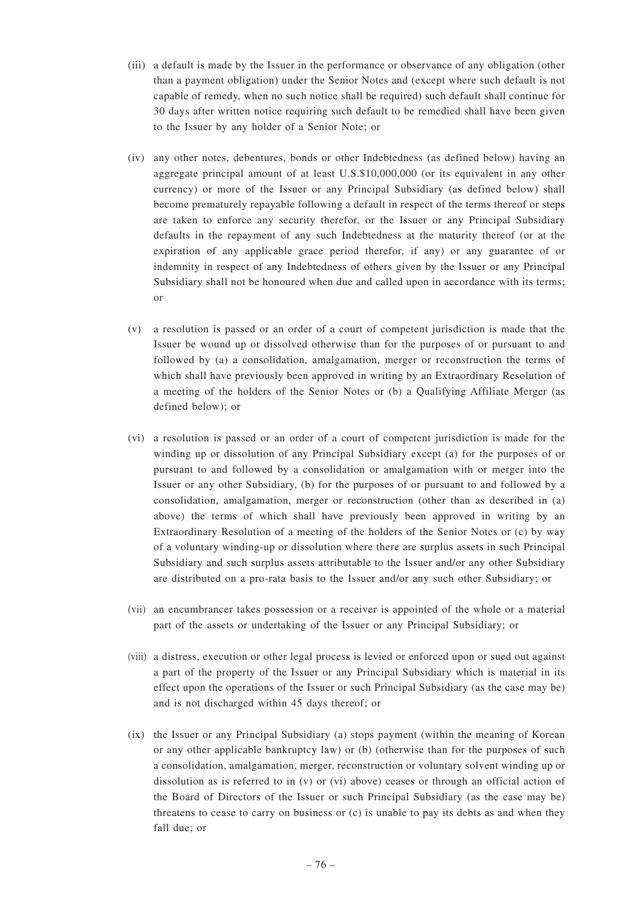- (iii) a default is made by the Issuer in the performance or observance of any obligation (other than a payment obligation) under the Senior Notes and (except where such default is not capable of remedy, when no such notice shall be required) such default shall continue for 30 days after written notice requiring such default to be remedied shall have been given to the Issuer by any holder of a Senior Note; or
- (iv) any other notes, debentures, bonds or other Indebtedness (as defined below) having an aggregate principal amount of at least U.S.\$10,000,000 (or its equivalent in any other currency) or more of the Issuer or any Principal Subsidiary (as defined below) shall become prematurely repayable following a default in respect of the terms thereof or steps are taken to enforce any security therefor, or the Issuer or any Principal Subsidiary defaults in the repayment of any such Indebtedness at the maturity thereof (or at the expiration of any applicable grace period therefor, if any) or any guarantee of or indemnity in respect of any Indebtedness of others given by the Issuer or any Principal Subsidiary shall not be honoured when due and called upon in accordance with its terms; or
- (v) a resolution is passed or an order of a court of competent jurisdiction is made that the Issuer be wound up or dissolved otherwise than for the purposes of or pursuant to and followed by (a) a consolidation, amalgamation, merger or reconstruction the terms of which shall have previously been approved in writing by an Extraordinary Resolution of a meeting of the holders of the Senior Notes or (b) a Qualifying Affiliate Merger (as defined below); or
- (vi) a resolution is passed or an order of a court of competent jurisdiction is made for the winding up or dissolution of any Principal Subsidiary except (a) for the purposes of or pursuant to and followed by a consolidation or amalgamation with or merger into the Issuer or any other Subsidiary, (b) for the purposes of or pursuant to and followed by a consolidation, amalgamation, merger or reconstruction (other than as described in (a) above) the terms of which shall have previously been approved in writing by an Extraordinary Resolution of a meeting of the holders of the Senior Notes or (c) by way of a voluntary winding-up or dissolution where there are surplus assets in such Principal Subsidiary and such surplus assets attributable to the Issuer and/or any other Subsidiary are distributed on a pro-rata basis to the Issuer and/or any such other Subsidiary; or
- (vii) an encumbrancer takes possession or a receiver is appointed of the whole or a material part of the assets or undertaking of the Issuer or any Principal Subsidiary; or
- (viii) a distress, execution or other legal process is levied or enforced upon or sued out against a part of the property of the Issuer or any Principal Subsidiary which is material in its effect upon the operations of the Issuer or such Principal Subsidiary (as the case may be) and is not discharged within 45 days thereof; or
- (ix) the Issuer or any Principal Subsidiary (a) stops payment (within the meaning of Korean or any other applicable bankruptcy law) or (b) (otherwise than for the purposes of such a consolidation, amalgamation, merger, reconstruction or voluntary solvent winding up or dissolution as is referred to in (v) or (vi) above) ceases or through an official action of the Board of Directors of the Issuer or such Principal Subsidiary (as the case may be) threatens to cease to carry on business or  $(c)$  is unable to pay its debts as and when they fall due; or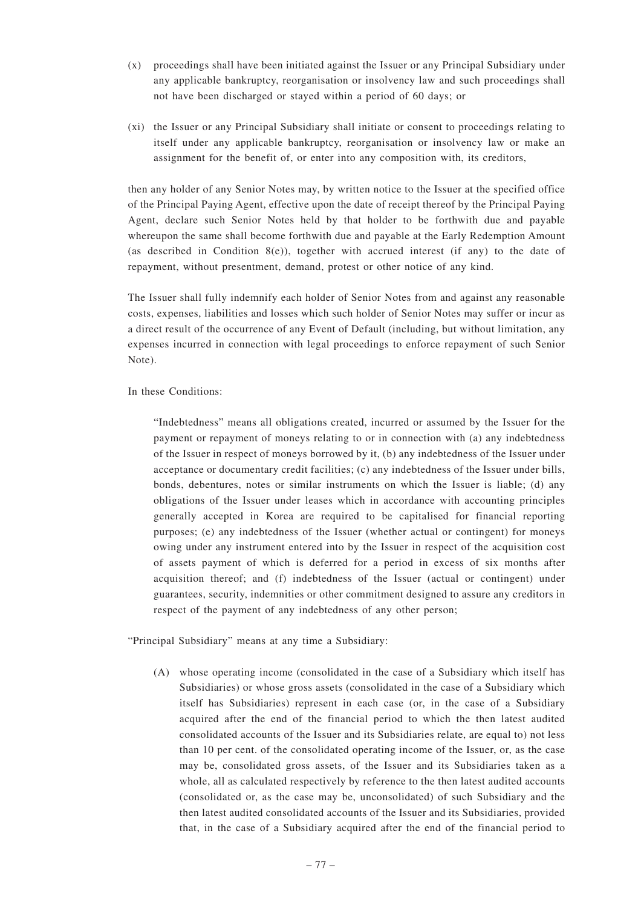- (x) proceedings shall have been initiated against the Issuer or any Principal Subsidiary under any applicable bankruptcy, reorganisation or insolvency law and such proceedings shall not have been discharged or stayed within a period of 60 days; or
- (xi) the Issuer or any Principal Subsidiary shall initiate or consent to proceedings relating to itself under any applicable bankruptcy, reorganisation or insolvency law or make an assignment for the benefit of, or enter into any composition with, its creditors,

then any holder of any Senior Notes may, by written notice to the Issuer at the specified office of the Principal Paying Agent, effective upon the date of receipt thereof by the Principal Paying Agent, declare such Senior Notes held by that holder to be forthwith due and payable whereupon the same shall become forthwith due and payable at the Early Redemption Amount (as described in Condition 8(e)), together with accrued interest (if any) to the date of repayment, without presentment, demand, protest or other notice of any kind.

The Issuer shall fully indemnify each holder of Senior Notes from and against any reasonable costs, expenses, liabilities and losses which such holder of Senior Notes may suffer or incur as a direct result of the occurrence of any Event of Default (including, but without limitation, any expenses incurred in connection with legal proceedings to enforce repayment of such Senior Note).

In these Conditions:

"Indebtedness" means all obligations created, incurred or assumed by the Issuer for the payment or repayment of moneys relating to or in connection with (a) any indebtedness of the Issuer in respect of moneys borrowed by it, (b) any indebtedness of the Issuer under acceptance or documentary credit facilities; (c) any indebtedness of the Issuer under bills, bonds, debentures, notes or similar instruments on which the Issuer is liable; (d) any obligations of the Issuer under leases which in accordance with accounting principles generally accepted in Korea are required to be capitalised for financial reporting purposes; (e) any indebtedness of the Issuer (whether actual or contingent) for moneys owing under any instrument entered into by the Issuer in respect of the acquisition cost of assets payment of which is deferred for a period in excess of six months after acquisition thereof; and (f) indebtedness of the Issuer (actual or contingent) under guarantees, security, indemnities or other commitment designed to assure any creditors in respect of the payment of any indebtedness of any other person;

"Principal Subsidiary" means at any time a Subsidiary:

(A) whose operating income (consolidated in the case of a Subsidiary which itself has Subsidiaries) or whose gross assets (consolidated in the case of a Subsidiary which itself has Subsidiaries) represent in each case (or, in the case of a Subsidiary acquired after the end of the financial period to which the then latest audited consolidated accounts of the Issuer and its Subsidiaries relate, are equal to) not less than 10 per cent. of the consolidated operating income of the Issuer, or, as the case may be, consolidated gross assets, of the Issuer and its Subsidiaries taken as a whole, all as calculated respectively by reference to the then latest audited accounts (consolidated or, as the case may be, unconsolidated) of such Subsidiary and the then latest audited consolidated accounts of the Issuer and its Subsidiaries, provided that, in the case of a Subsidiary acquired after the end of the financial period to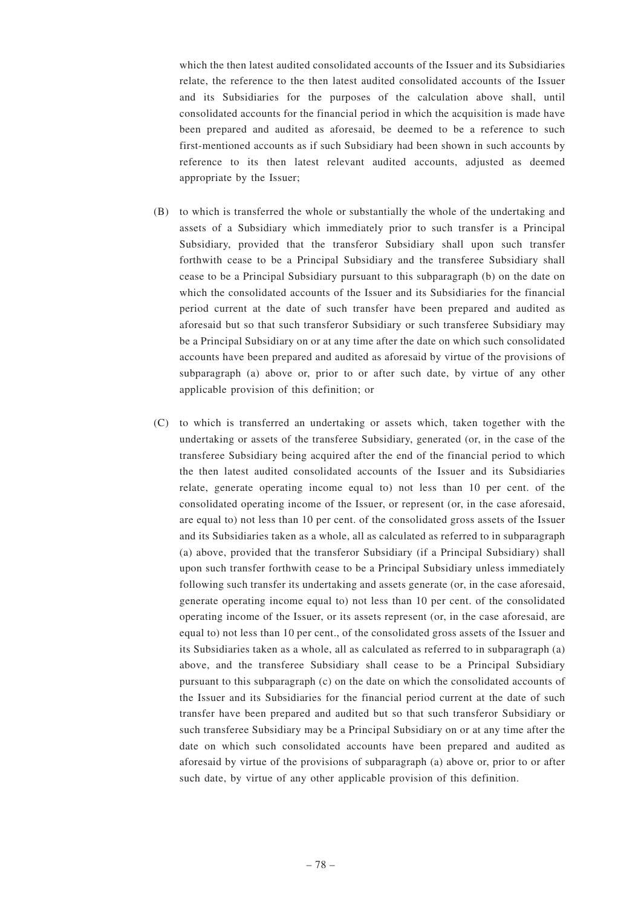which the then latest audited consolidated accounts of the Issuer and its Subsidiaries relate, the reference to the then latest audited consolidated accounts of the Issuer and its Subsidiaries for the purposes of the calculation above shall, until consolidated accounts for the financial period in which the acquisition is made have been prepared and audited as aforesaid, be deemed to be a reference to such first-mentioned accounts as if such Subsidiary had been shown in such accounts by reference to its then latest relevant audited accounts, adjusted as deemed appropriate by the Issuer;

- (B) to which is transferred the whole or substantially the whole of the undertaking and assets of a Subsidiary which immediately prior to such transfer is a Principal Subsidiary, provided that the transferor Subsidiary shall upon such transfer forthwith cease to be a Principal Subsidiary and the transferee Subsidiary shall cease to be a Principal Subsidiary pursuant to this subparagraph (b) on the date on which the consolidated accounts of the Issuer and its Subsidiaries for the financial period current at the date of such transfer have been prepared and audited as aforesaid but so that such transferor Subsidiary or such transferee Subsidiary may be a Principal Subsidiary on or at any time after the date on which such consolidated accounts have been prepared and audited as aforesaid by virtue of the provisions of subparagraph (a) above or, prior to or after such date, by virtue of any other applicable provision of this definition; or
- (C) to which is transferred an undertaking or assets which, taken together with the undertaking or assets of the transferee Subsidiary, generated (or, in the case of the transferee Subsidiary being acquired after the end of the financial period to which the then latest audited consolidated accounts of the Issuer and its Subsidiaries relate, generate operating income equal to) not less than 10 per cent. of the consolidated operating income of the Issuer, or represent (or, in the case aforesaid, are equal to) not less than 10 per cent. of the consolidated gross assets of the Issuer and its Subsidiaries taken as a whole, all as calculated as referred to in subparagraph (a) above, provided that the transferor Subsidiary (if a Principal Subsidiary) shall upon such transfer forthwith cease to be a Principal Subsidiary unless immediately following such transfer its undertaking and assets generate (or, in the case aforesaid, generate operating income equal to) not less than 10 per cent. of the consolidated operating income of the Issuer, or its assets represent (or, in the case aforesaid, are equal to) not less than 10 per cent., of the consolidated gross assets of the Issuer and its Subsidiaries taken as a whole, all as calculated as referred to in subparagraph (a) above, and the transferee Subsidiary shall cease to be a Principal Subsidiary pursuant to this subparagraph (c) on the date on which the consolidated accounts of the Issuer and its Subsidiaries for the financial period current at the date of such transfer have been prepared and audited but so that such transferor Subsidiary or such transferee Subsidiary may be a Principal Subsidiary on or at any time after the date on which such consolidated accounts have been prepared and audited as aforesaid by virtue of the provisions of subparagraph (a) above or, prior to or after such date, by virtue of any other applicable provision of this definition.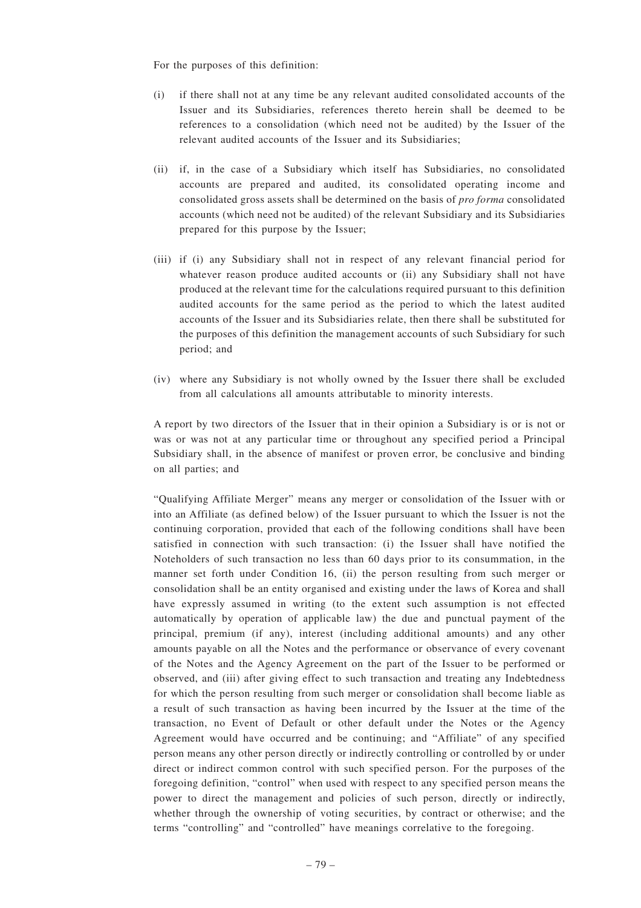For the purposes of this definition:

- (i) if there shall not at any time be any relevant audited consolidated accounts of the Issuer and its Subsidiaries, references thereto herein shall be deemed to be references to a consolidation (which need not be audited) by the Issuer of the relevant audited accounts of the Issuer and its Subsidiaries;
- (ii) if, in the case of a Subsidiary which itself has Subsidiaries, no consolidated accounts are prepared and audited, its consolidated operating income and consolidated gross assets shall be determined on the basis of *pro forma* consolidated accounts (which need not be audited) of the relevant Subsidiary and its Subsidiaries prepared for this purpose by the Issuer;
- (iii) if (i) any Subsidiary shall not in respect of any relevant financial period for whatever reason produce audited accounts or (ii) any Subsidiary shall not have produced at the relevant time for the calculations required pursuant to this definition audited accounts for the same period as the period to which the latest audited accounts of the Issuer and its Subsidiaries relate, then there shall be substituted for the purposes of this definition the management accounts of such Subsidiary for such period; and
- (iv) where any Subsidiary is not wholly owned by the Issuer there shall be excluded from all calculations all amounts attributable to minority interests.

A report by two directors of the Issuer that in their opinion a Subsidiary is or is not or was or was not at any particular time or throughout any specified period a Principal Subsidiary shall, in the absence of manifest or proven error, be conclusive and binding on all parties; and

"Qualifying Affiliate Merger" means any merger or consolidation of the Issuer with or into an Affiliate (as defined below) of the Issuer pursuant to which the Issuer is not the continuing corporation, provided that each of the following conditions shall have been satisfied in connection with such transaction: (i) the Issuer shall have notified the Noteholders of such transaction no less than 60 days prior to its consummation, in the manner set forth under Condition 16, (ii) the person resulting from such merger or consolidation shall be an entity organised and existing under the laws of Korea and shall have expressly assumed in writing (to the extent such assumption is not effected automatically by operation of applicable law) the due and punctual payment of the principal, premium (if any), interest (including additional amounts) and any other amounts payable on all the Notes and the performance or observance of every covenant of the Notes and the Agency Agreement on the part of the Issuer to be performed or observed, and (iii) after giving effect to such transaction and treating any Indebtedness for which the person resulting from such merger or consolidation shall become liable as a result of such transaction as having been incurred by the Issuer at the time of the transaction, no Event of Default or other default under the Notes or the Agency Agreement would have occurred and be continuing; and "Affiliate" of any specified person means any other person directly or indirectly controlling or controlled by or under direct or indirect common control with such specified person. For the purposes of the foregoing definition, "control" when used with respect to any specified person means the power to direct the management and policies of such person, directly or indirectly, whether through the ownership of voting securities, by contract or otherwise; and the terms "controlling" and "controlled" have meanings correlative to the foregoing.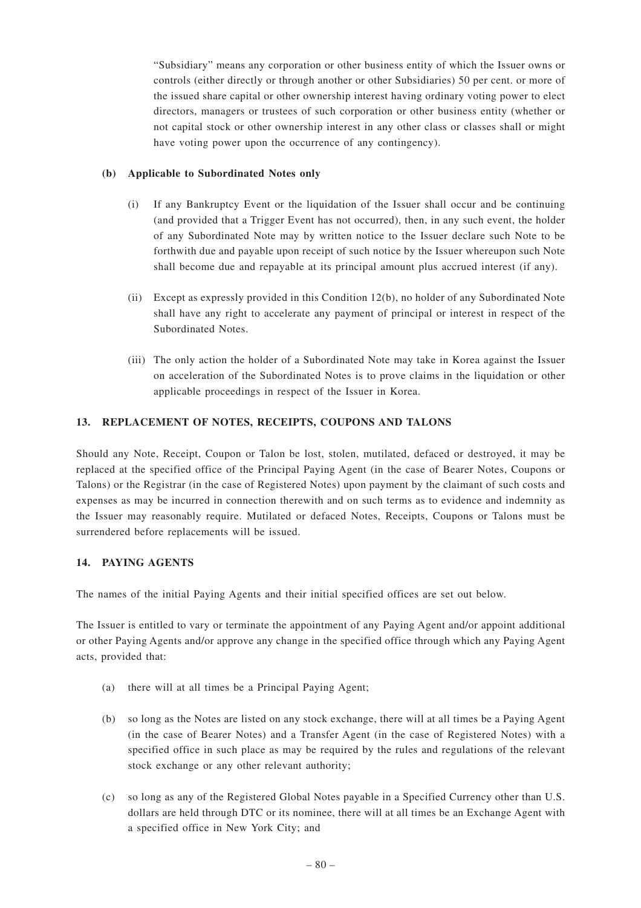"Subsidiary" means any corporation or other business entity of which the Issuer owns or controls (either directly or through another or other Subsidiaries) 50 per cent. or more of the issued share capital or other ownership interest having ordinary voting power to elect directors, managers or trustees of such corporation or other business entity (whether or not capital stock or other ownership interest in any other class or classes shall or might have voting power upon the occurrence of any contingency).

# **(b) Applicable to Subordinated Notes only**

- (i) If any Bankruptcy Event or the liquidation of the Issuer shall occur and be continuing (and provided that a Trigger Event has not occurred), then, in any such event, the holder of any Subordinated Note may by written notice to the Issuer declare such Note to be forthwith due and payable upon receipt of such notice by the Issuer whereupon such Note shall become due and repayable at its principal amount plus accrued interest (if any).
- (ii) Except as expressly provided in this Condition 12(b), no holder of any Subordinated Note shall have any right to accelerate any payment of principal or interest in respect of the Subordinated Notes.
- (iii) The only action the holder of a Subordinated Note may take in Korea against the Issuer on acceleration of the Subordinated Notes is to prove claims in the liquidation or other applicable proceedings in respect of the Issuer in Korea.

# **13. REPLACEMENT OF NOTES, RECEIPTS, COUPONS AND TALONS**

Should any Note, Receipt, Coupon or Talon be lost, stolen, mutilated, defaced or destroyed, it may be replaced at the specified office of the Principal Paying Agent (in the case of Bearer Notes, Coupons or Talons) or the Registrar (in the case of Registered Notes) upon payment by the claimant of such costs and expenses as may be incurred in connection therewith and on such terms as to evidence and indemnity as the Issuer may reasonably require. Mutilated or defaced Notes, Receipts, Coupons or Talons must be surrendered before replacements will be issued.

# **14. PAYING AGENTS**

The names of the initial Paying Agents and their initial specified offices are set out below.

The Issuer is entitled to vary or terminate the appointment of any Paying Agent and/or appoint additional or other Paying Agents and/or approve any change in the specified office through which any Paying Agent acts, provided that:

- (a) there will at all times be a Principal Paying Agent;
- (b) so long as the Notes are listed on any stock exchange, there will at all times be a Paying Agent (in the case of Bearer Notes) and a Transfer Agent (in the case of Registered Notes) with a specified office in such place as may be required by the rules and regulations of the relevant stock exchange or any other relevant authority;
- (c) so long as any of the Registered Global Notes payable in a Specified Currency other than U.S. dollars are held through DTC or its nominee, there will at all times be an Exchange Agent with a specified office in New York City; and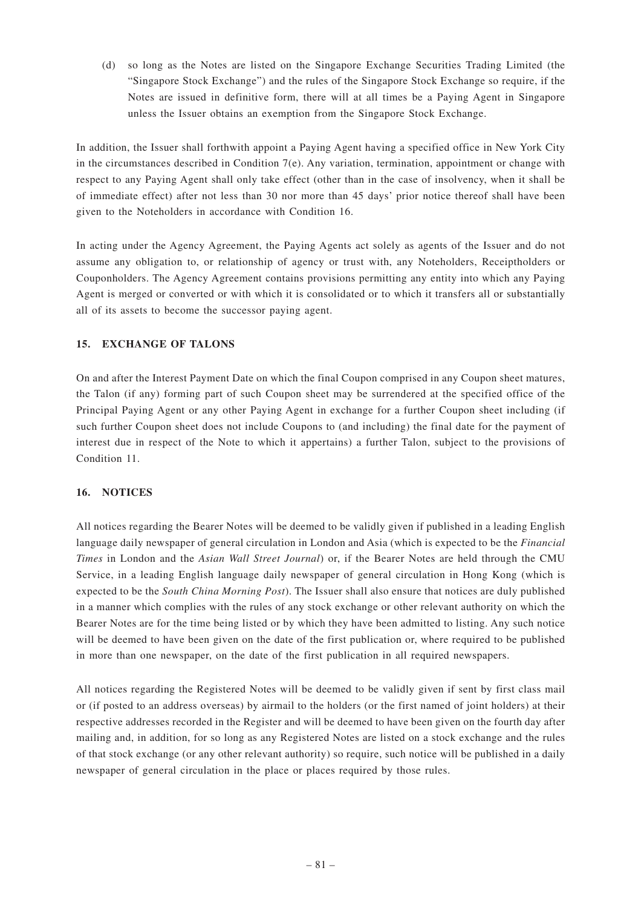(d) so long as the Notes are listed on the Singapore Exchange Securities Trading Limited (the "Singapore Stock Exchange") and the rules of the Singapore Stock Exchange so require, if the Notes are issued in definitive form, there will at all times be a Paying Agent in Singapore unless the Issuer obtains an exemption from the Singapore Stock Exchange.

In addition, the Issuer shall forthwith appoint a Paying Agent having a specified office in New York City in the circumstances described in Condition 7(e). Any variation, termination, appointment or change with respect to any Paying Agent shall only take effect (other than in the case of insolvency, when it shall be of immediate effect) after not less than 30 nor more than 45 days' prior notice thereof shall have been given to the Noteholders in accordance with Condition 16.

In acting under the Agency Agreement, the Paying Agents act solely as agents of the Issuer and do not assume any obligation to, or relationship of agency or trust with, any Noteholders, Receiptholders or Couponholders. The Agency Agreement contains provisions permitting any entity into which any Paying Agent is merged or converted or with which it is consolidated or to which it transfers all or substantially all of its assets to become the successor paying agent.

# **15. EXCHANGE OF TALONS**

On and after the Interest Payment Date on which the final Coupon comprised in any Coupon sheet matures, the Talon (if any) forming part of such Coupon sheet may be surrendered at the specified office of the Principal Paying Agent or any other Paying Agent in exchange for a further Coupon sheet including (if such further Coupon sheet does not include Coupons to (and including) the final date for the payment of interest due in respect of the Note to which it appertains) a further Talon, subject to the provisions of Condition 11.

# **16. NOTICES**

All notices regarding the Bearer Notes will be deemed to be validly given if published in a leading English language daily newspaper of general circulation in London and Asia (which is expected to be the *Financial Times* in London and the *Asian Wall Street Journal*) or, if the Bearer Notes are held through the CMU Service, in a leading English language daily newspaper of general circulation in Hong Kong (which is expected to be the *South China Morning Post*). The Issuer shall also ensure that notices are duly published in a manner which complies with the rules of any stock exchange or other relevant authority on which the Bearer Notes are for the time being listed or by which they have been admitted to listing. Any such notice will be deemed to have been given on the date of the first publication or, where required to be published in more than one newspaper, on the date of the first publication in all required newspapers.

All notices regarding the Registered Notes will be deemed to be validly given if sent by first class mail or (if posted to an address overseas) by airmail to the holders (or the first named of joint holders) at their respective addresses recorded in the Register and will be deemed to have been given on the fourth day after mailing and, in addition, for so long as any Registered Notes are listed on a stock exchange and the rules of that stock exchange (or any other relevant authority) so require, such notice will be published in a daily newspaper of general circulation in the place or places required by those rules.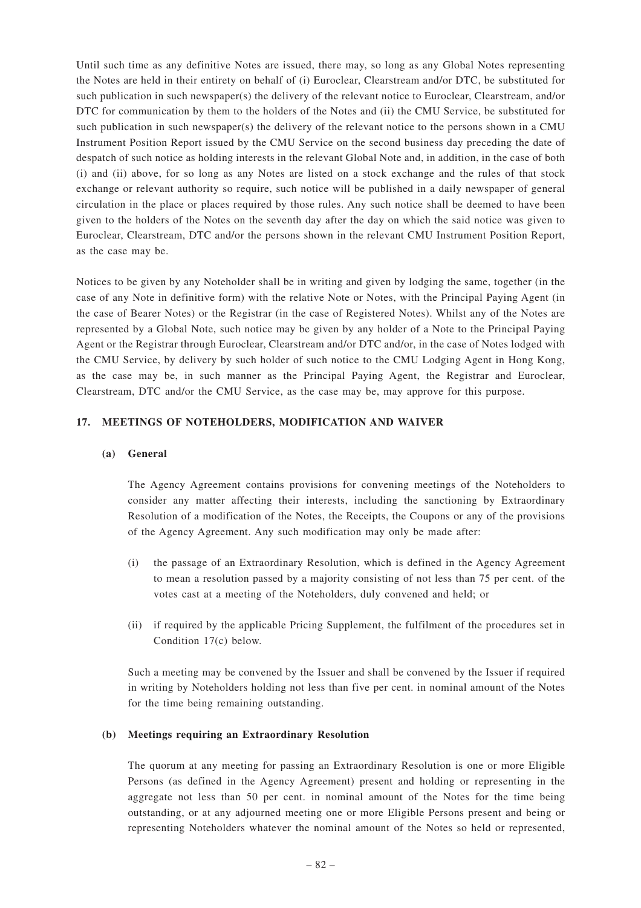Until such time as any definitive Notes are issued, there may, so long as any Global Notes representing the Notes are held in their entirety on behalf of (i) Euroclear, Clearstream and/or DTC, be substituted for such publication in such newspaper(s) the delivery of the relevant notice to Euroclear, Clearstream, and/or DTC for communication by them to the holders of the Notes and (ii) the CMU Service, be substituted for such publication in such newspaper(s) the delivery of the relevant notice to the persons shown in a CMU Instrument Position Report issued by the CMU Service on the second business day preceding the date of despatch of such notice as holding interests in the relevant Global Note and, in addition, in the case of both (i) and (ii) above, for so long as any Notes are listed on a stock exchange and the rules of that stock exchange or relevant authority so require, such notice will be published in a daily newspaper of general circulation in the place or places required by those rules. Any such notice shall be deemed to have been given to the holders of the Notes on the seventh day after the day on which the said notice was given to Euroclear, Clearstream, DTC and/or the persons shown in the relevant CMU Instrument Position Report, as the case may be.

Notices to be given by any Noteholder shall be in writing and given by lodging the same, together (in the case of any Note in definitive form) with the relative Note or Notes, with the Principal Paying Agent (in the case of Bearer Notes) or the Registrar (in the case of Registered Notes). Whilst any of the Notes are represented by a Global Note, such notice may be given by any holder of a Note to the Principal Paying Agent or the Registrar through Euroclear, Clearstream and/or DTC and/or, in the case of Notes lodged with the CMU Service, by delivery by such holder of such notice to the CMU Lodging Agent in Hong Kong, as the case may be, in such manner as the Principal Paying Agent, the Registrar and Euroclear, Clearstream, DTC and/or the CMU Service, as the case may be, may approve for this purpose.

## **17. MEETINGS OF NOTEHOLDERS, MODIFICATION AND WAIVER**

### **(a) General**

The Agency Agreement contains provisions for convening meetings of the Noteholders to consider any matter affecting their interests, including the sanctioning by Extraordinary Resolution of a modification of the Notes, the Receipts, the Coupons or any of the provisions of the Agency Agreement. Any such modification may only be made after:

- (i) the passage of an Extraordinary Resolution, which is defined in the Agency Agreement to mean a resolution passed by a majority consisting of not less than 75 per cent. of the votes cast at a meeting of the Noteholders, duly convened and held; or
- (ii) if required by the applicable Pricing Supplement, the fulfilment of the procedures set in Condition 17(c) below.

Such a meeting may be convened by the Issuer and shall be convened by the Issuer if required in writing by Noteholders holding not less than five per cent. in nominal amount of the Notes for the time being remaining outstanding.

### **(b) Meetings requiring an Extraordinary Resolution**

The quorum at any meeting for passing an Extraordinary Resolution is one or more Eligible Persons (as defined in the Agency Agreement) present and holding or representing in the aggregate not less than 50 per cent. in nominal amount of the Notes for the time being outstanding, or at any adjourned meeting one or more Eligible Persons present and being or representing Noteholders whatever the nominal amount of the Notes so held or represented,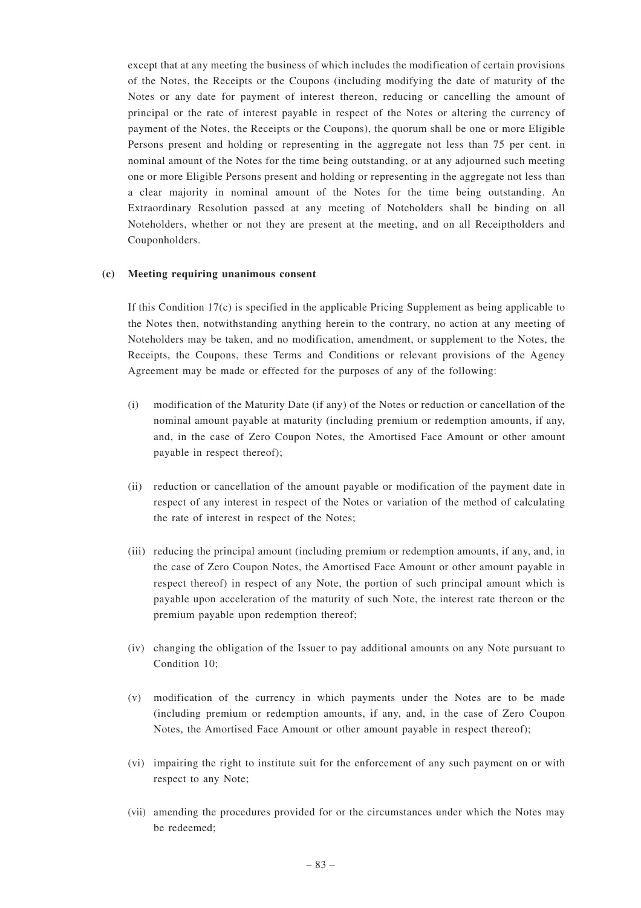except that at any meeting the business of which includes the modification of certain provisions of the Notes, the Receipts or the Coupons (including modifying the date of maturity of the Notes or any date for payment of interest thereon, reducing or cancelling the amount of principal or the rate of interest payable in respect of the Notes or altering the currency of payment of the Notes, the Receipts or the Coupons), the quorum shall be one or more Eligible Persons present and holding or representing in the aggregate not less than 75 per cent. in nominal amount of the Notes for the time being outstanding, or at any adjourned such meeting one or more Eligible Persons present and holding or representing in the aggregate not less than a clear majority in nominal amount of the Notes for the time being outstanding. An Extraordinary Resolution passed at any meeting of Noteholders shall be binding on all Noteholders, whether or not they are present at the meeting, and on all Receiptholders and Couponholders.

### **(c) Meeting requiring unanimous consent**

If this Condition  $17(c)$  is specified in the applicable Pricing Supplement as being applicable to the Notes then, notwithstanding anything herein to the contrary, no action at any meeting of Noteholders may be taken, and no modification, amendment, or supplement to the Notes, the Receipts, the Coupons, these Terms and Conditions or relevant provisions of the Agency Agreement may be made or effected for the purposes of any of the following:

- (i) modification of the Maturity Date (if any) of the Notes or reduction or cancellation of the nominal amount payable at maturity (including premium or redemption amounts, if any, and, in the case of Zero Coupon Notes, the Amortised Face Amount or other amount payable in respect thereof);
- (ii) reduction or cancellation of the amount payable or modification of the payment date in respect of any interest in respect of the Notes or variation of the method of calculating the rate of interest in respect of the Notes;
- (iii) reducing the principal amount (including premium or redemption amounts, if any, and, in the case of Zero Coupon Notes, the Amortised Face Amount or other amount payable in respect thereof) in respect of any Note, the portion of such principal amount which is payable upon acceleration of the maturity of such Note, the interest rate thereon or the premium payable upon redemption thereof;
- (iv) changing the obligation of the Issuer to pay additional amounts on any Note pursuant to Condition 10;
- (v) modification of the currency in which payments under the Notes are to be made (including premium or redemption amounts, if any, and, in the case of Zero Coupon Notes, the Amortised Face Amount or other amount payable in respect thereof);
- (vi) impairing the right to institute suit for the enforcement of any such payment on or with respect to any Note;
- (vii) amending the procedures provided for or the circumstances under which the Notes may be redeemed;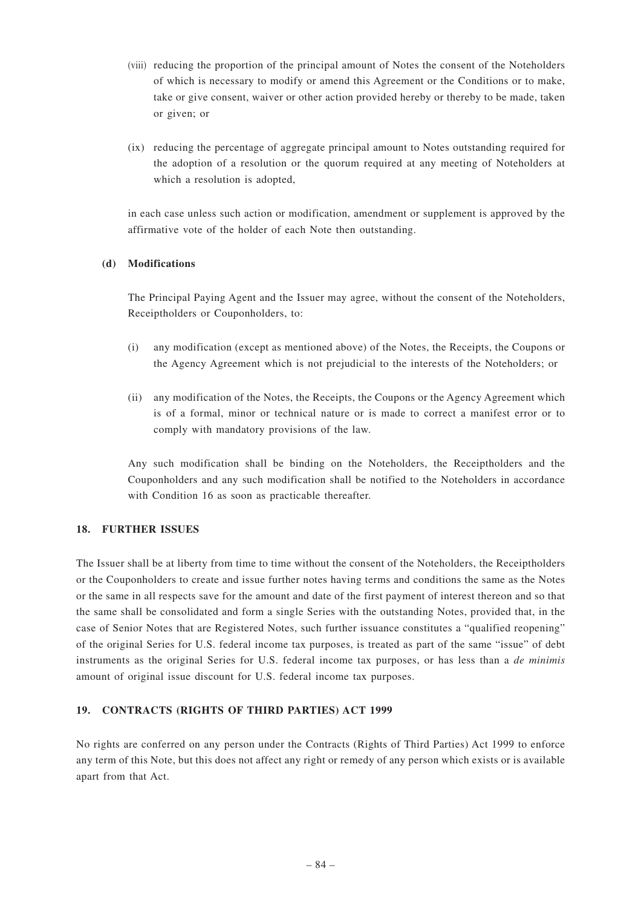- (viii) reducing the proportion of the principal amount of Notes the consent of the Noteholders of which is necessary to modify or amend this Agreement or the Conditions or to make, take or give consent, waiver or other action provided hereby or thereby to be made, taken or given; or
- (ix) reducing the percentage of aggregate principal amount to Notes outstanding required for the adoption of a resolution or the quorum required at any meeting of Noteholders at which a resolution is adopted,

in each case unless such action or modification, amendment or supplement is approved by the affirmative vote of the holder of each Note then outstanding.

## **(d) Modifications**

The Principal Paying Agent and the Issuer may agree, without the consent of the Noteholders, Receiptholders or Couponholders, to:

- (i) any modification (except as mentioned above) of the Notes, the Receipts, the Coupons or the Agency Agreement which is not prejudicial to the interests of the Noteholders; or
- (ii) any modification of the Notes, the Receipts, the Coupons or the Agency Agreement which is of a formal, minor or technical nature or is made to correct a manifest error or to comply with mandatory provisions of the law.

Any such modification shall be binding on the Noteholders, the Receiptholders and the Couponholders and any such modification shall be notified to the Noteholders in accordance with Condition 16 as soon as practicable thereafter.

### **18. FURTHER ISSUES**

The Issuer shall be at liberty from time to time without the consent of the Noteholders, the Receiptholders or the Couponholders to create and issue further notes having terms and conditions the same as the Notes or the same in all respects save for the amount and date of the first payment of interest thereon and so that the same shall be consolidated and form a single Series with the outstanding Notes, provided that, in the case of Senior Notes that are Registered Notes, such further issuance constitutes a "qualified reopening" of the original Series for U.S. federal income tax purposes, is treated as part of the same "issue" of debt instruments as the original Series for U.S. federal income tax purposes, or has less than a *de minimis* amount of original issue discount for U.S. federal income tax purposes.

### **19. CONTRACTS (RIGHTS OF THIRD PARTIES) ACT 1999**

No rights are conferred on any person under the Contracts (Rights of Third Parties) Act 1999 to enforce any term of this Note, but this does not affect any right or remedy of any person which exists or is available apart from that Act.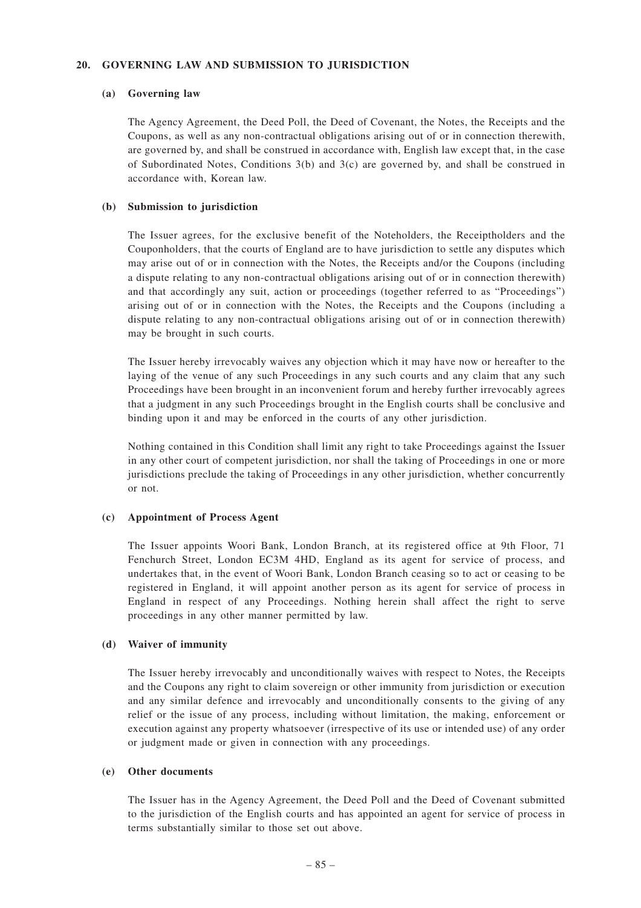### **20. GOVERNING LAW AND SUBMISSION TO JURISDICTION**

#### **(a) Governing law**

The Agency Agreement, the Deed Poll, the Deed of Covenant, the Notes, the Receipts and the Coupons, as well as any non-contractual obligations arising out of or in connection therewith, are governed by, and shall be construed in accordance with, English law except that, in the case of Subordinated Notes, Conditions 3(b) and 3(c) are governed by, and shall be construed in accordance with, Korean law.

### **(b) Submission to jurisdiction**

The Issuer agrees, for the exclusive benefit of the Noteholders, the Receiptholders and the Couponholders, that the courts of England are to have jurisdiction to settle any disputes which may arise out of or in connection with the Notes, the Receipts and/or the Coupons (including a dispute relating to any non-contractual obligations arising out of or in connection therewith) and that accordingly any suit, action or proceedings (together referred to as "Proceedings") arising out of or in connection with the Notes, the Receipts and the Coupons (including a dispute relating to any non-contractual obligations arising out of or in connection therewith) may be brought in such courts.

The Issuer hereby irrevocably waives any objection which it may have now or hereafter to the laying of the venue of any such Proceedings in any such courts and any claim that any such Proceedings have been brought in an inconvenient forum and hereby further irrevocably agrees that a judgment in any such Proceedings brought in the English courts shall be conclusive and binding upon it and may be enforced in the courts of any other jurisdiction.

Nothing contained in this Condition shall limit any right to take Proceedings against the Issuer in any other court of competent jurisdiction, nor shall the taking of Proceedings in one or more jurisdictions preclude the taking of Proceedings in any other jurisdiction, whether concurrently or not.

### **(c) Appointment of Process Agent**

The Issuer appoints Woori Bank, London Branch, at its registered office at 9th Floor, 71 Fenchurch Street, London EC3M 4HD, England as its agent for service of process, and undertakes that, in the event of Woori Bank, London Branch ceasing so to act or ceasing to be registered in England, it will appoint another person as its agent for service of process in England in respect of any Proceedings. Nothing herein shall affect the right to serve proceedings in any other manner permitted by law.

### **(d) Waiver of immunity**

The Issuer hereby irrevocably and unconditionally waives with respect to Notes, the Receipts and the Coupons any right to claim sovereign or other immunity from jurisdiction or execution and any similar defence and irrevocably and unconditionally consents to the giving of any relief or the issue of any process, including without limitation, the making, enforcement or execution against any property whatsoever (irrespective of its use or intended use) of any order or judgment made or given in connection with any proceedings.

### **(e) Other documents**

The Issuer has in the Agency Agreement, the Deed Poll and the Deed of Covenant submitted to the jurisdiction of the English courts and has appointed an agent for service of process in terms substantially similar to those set out above.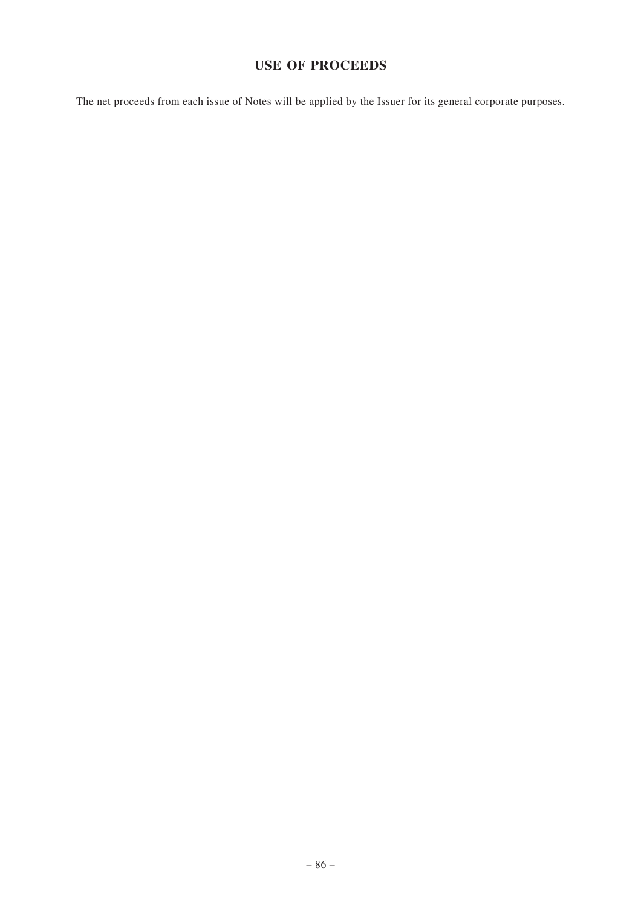# **USE OF PROCEEDS**

The net proceeds from each issue of Notes will be applied by the Issuer for its general corporate purposes.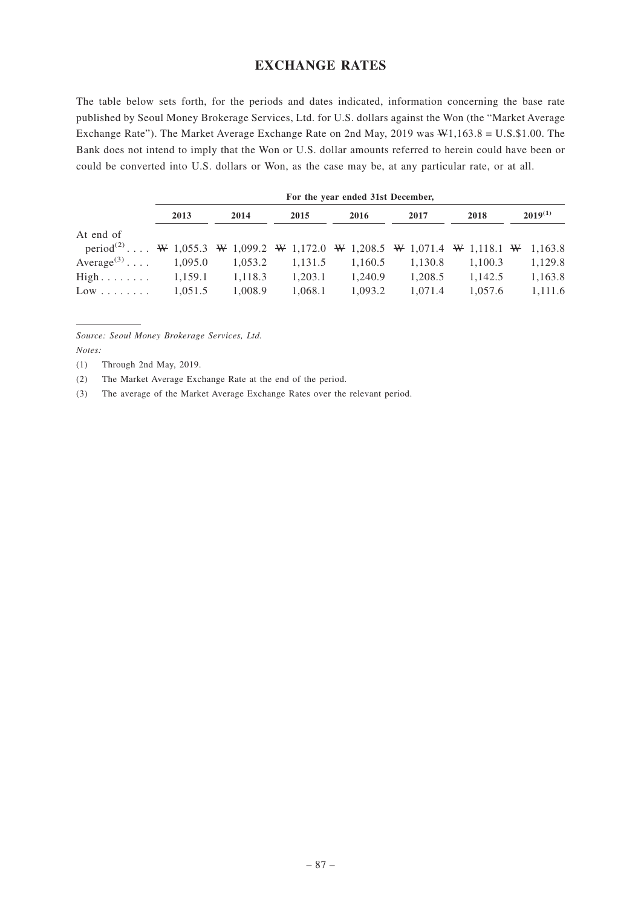## **EXCHANGE RATES**

The table below sets forth, for the periods and dates indicated, information concerning the base rate published by Seoul Money Brokerage Services, Ltd. for U.S. dollars against the Won (the "Market Average Exchange Rate"). The Market Average Exchange Rate on 2nd May, 2019 was W1,163.8 = U.S.\$1.00. The Bank does not intend to imply that the Won or U.S. dollar amounts referred to herein could have been or could be converted into U.S. dollars or Won, as the case may be, at any particular rate, or at all.

|                                                                                             | For the year ended 31st December, |                     |         |         |         |         |              |
|---------------------------------------------------------------------------------------------|-----------------------------------|---------------------|---------|---------|---------|---------|--------------|
|                                                                                             | 2013                              | 2014                | 2015    | 2016    | 2017    | 2018    | $2019^{(1)}$ |
| At end of                                                                                   |                                   |                     |         |         |         |         |              |
| period <sup>(2)</sup> W 1,055.3 W 1,099.2 W 1,172.0 W 1,208.5 W 1,071.4 W 1,118.1 W 1,163.8 |                                   |                     |         |         |         |         |              |
| $Average^{(3)} \dots$                                                                       |                                   | $1,095.0$ $1,053.2$ | 1,131.5 | 1,160.5 | 1,130.8 | 1,100.3 | 1,129.8      |
| $High \dots \dots \dots \dots \quad 1,159.1$                                                |                                   | 1,118.3             | 1.203.1 | 1.240.9 | 1.208.5 | 1,142.5 | 1,163.8      |
| $Low \dots \dots$                                                                           | 1.051.5                           | 1.008.9             | 1.068.1 | 1.093.2 | 1.071.4 | 1.057.6 | 1,111.6      |

*Source: Seoul Money Brokerage Services, Ltd.*

*Notes:*

(1) Through 2nd May, 2019.

(2) The Market Average Exchange Rate at the end of the period.

(3) The average of the Market Average Exchange Rates over the relevant period.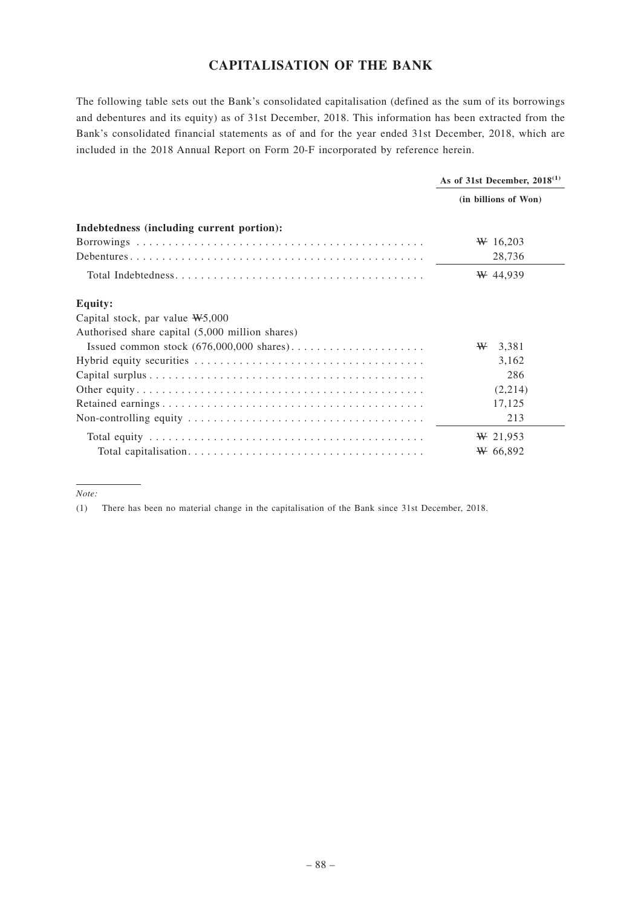# **CAPITALISATION OF THE BANK**

The following table sets out the Bank's consolidated capitalisation (defined as the sum of its borrowings and debentures and its equity) as of 31st December, 2018. This information has been extracted from the Bank's consolidated financial statements as of and for the year ended 31st December, 2018, which are included in the 2018 Annual Report on Form 20-F incorporated by reference herein.

|                                                 | As of 31st December, $2018^{(1)}$ |  |
|-------------------------------------------------|-----------------------------------|--|
|                                                 | (in billions of Won)              |  |
| Indebtedness (including current portion):       |                                   |  |
|                                                 | $W$ 16,203                        |  |
|                                                 | 28,736                            |  |
|                                                 | $W$ 44,939                        |  |
| <b>Equity:</b>                                  |                                   |  |
| Capital stock, par value $W5,000$               |                                   |  |
| Authorised share capital (5,000 million shares) |                                   |  |
|                                                 | ₩<br>3,381                        |  |
|                                                 | 3,162                             |  |
|                                                 | 286                               |  |
|                                                 | (2,214)                           |  |
|                                                 | 17,125                            |  |
|                                                 | 213                               |  |
|                                                 | $W$ 21,953                        |  |
|                                                 | $W$ 66,892                        |  |

*Note:*

<sup>(1)</sup> There has been no material change in the capitalisation of the Bank since 31st December, 2018.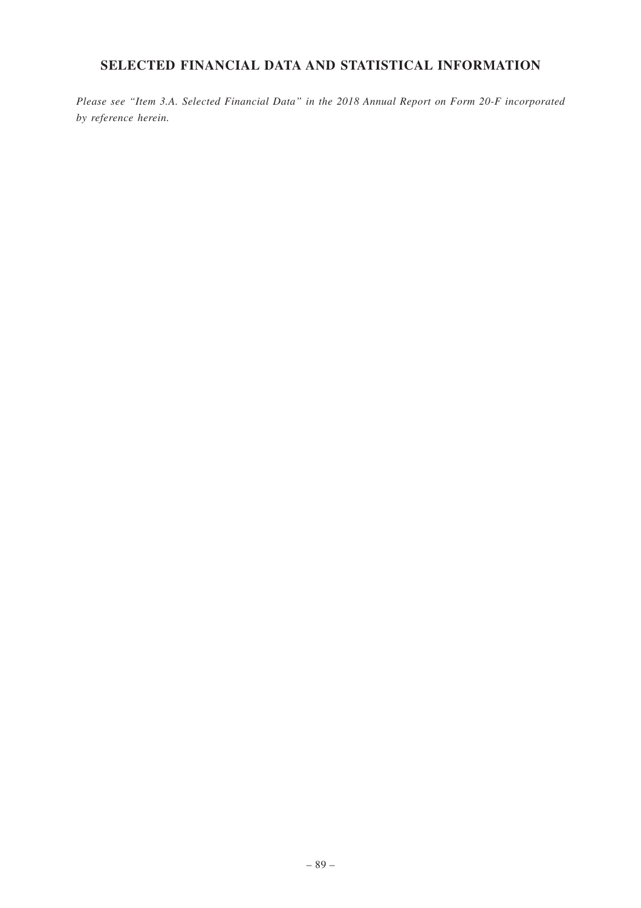# **SELECTED FINANCIAL DATA AND STATISTICAL INFORMATION**

*Please see "Item 3.A. Selected Financial Data" in the 2018 Annual Report on Form 20-F incorporated by reference herein.*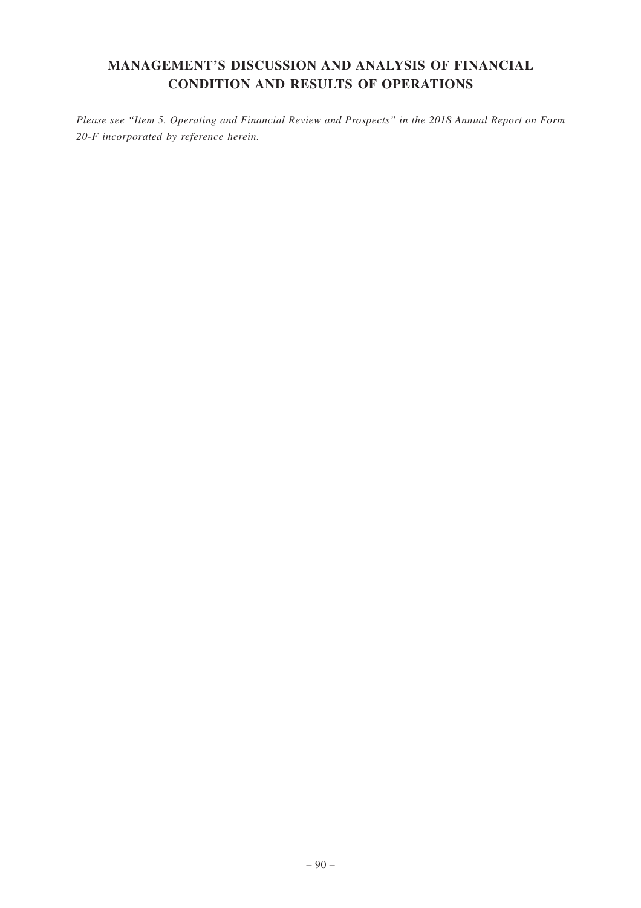# **MANAGEMENT'S DISCUSSION AND ANALYSIS OF FINANCIAL CONDITION AND RESULTS OF OPERATIONS**

*Please see "Item 5. Operating and Financial Review and Prospects" in the 2018 Annual Report on Form 20-F incorporated by reference herein.*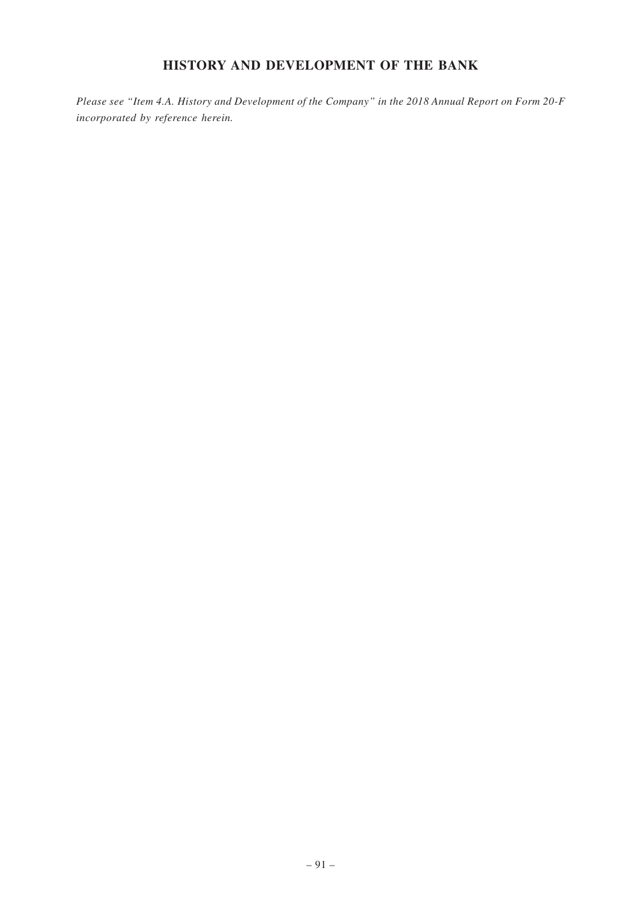# **HISTORY AND DEVELOPMENT OF THE BANK**

*Please see "Item 4.A. History and Development of the Company" in the 2018 Annual Report on Form 20-F incorporated by reference herein.*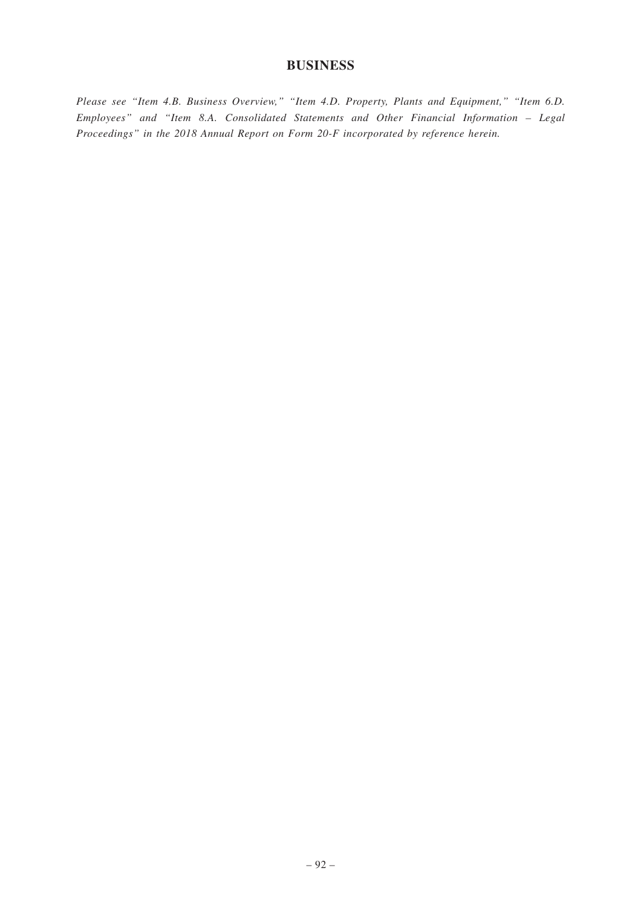## **BUSINESS**

*Please see "Item 4.B. Business Overview," "Item 4.D. Property, Plants and Equipment," "Item 6.D. Employees" and "Item 8.A. Consolidated Statements and Other Financial Information – Legal Proceedings" in the 2018 Annual Report on Form 20-F incorporated by reference herein.*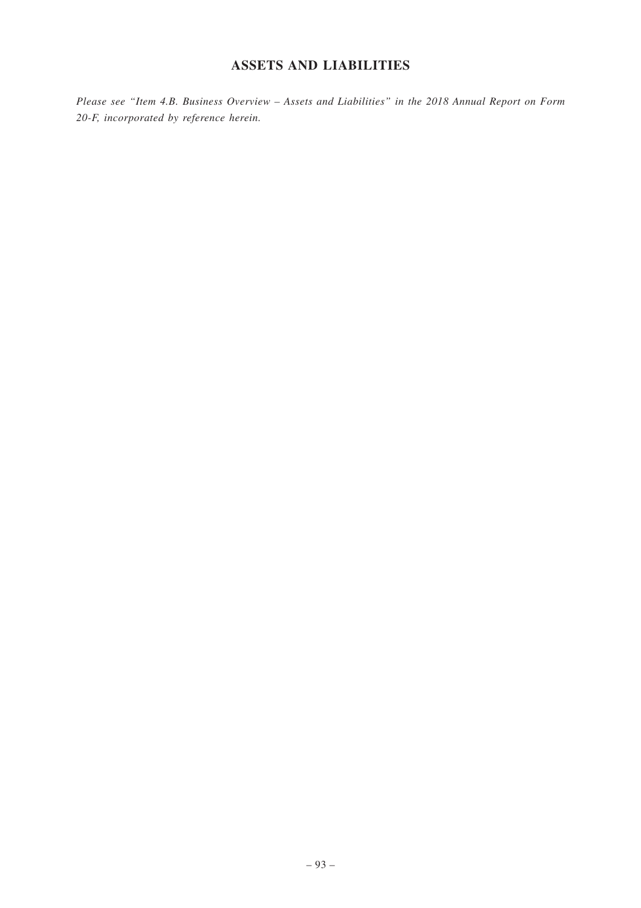# **ASSETS AND LIABILITIES**

*Please see "Item 4.B. Business Overview – Assets and Liabilities" in the 2018 Annual Report on Form 20-F, incorporated by reference herein.*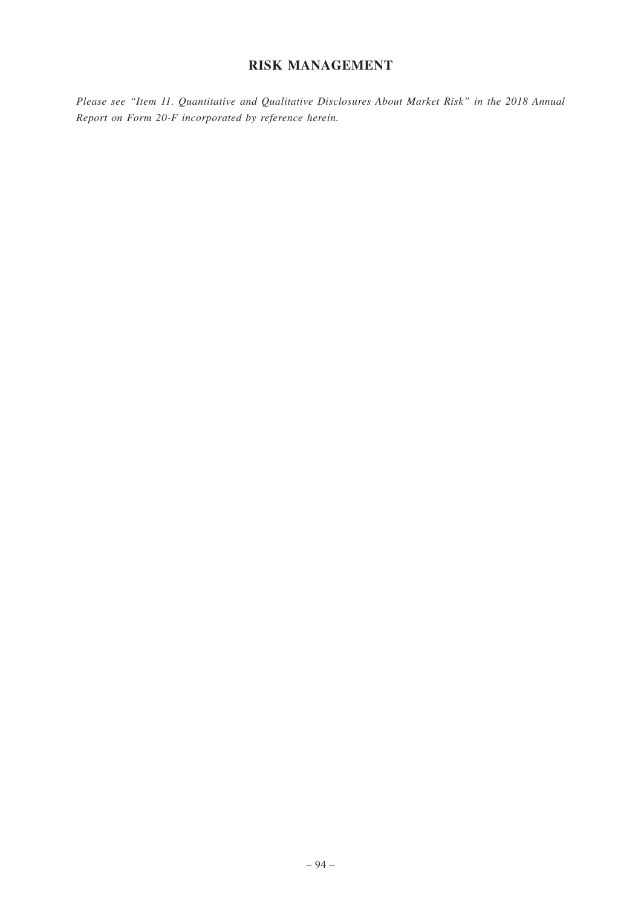## **RISK MANAGEMENT**

*Please see "Item 11. Quantitative and Qualitative Disclosures About Market Risk" in the 2018 Annual Report on Form 20-F incorporated by reference herein.*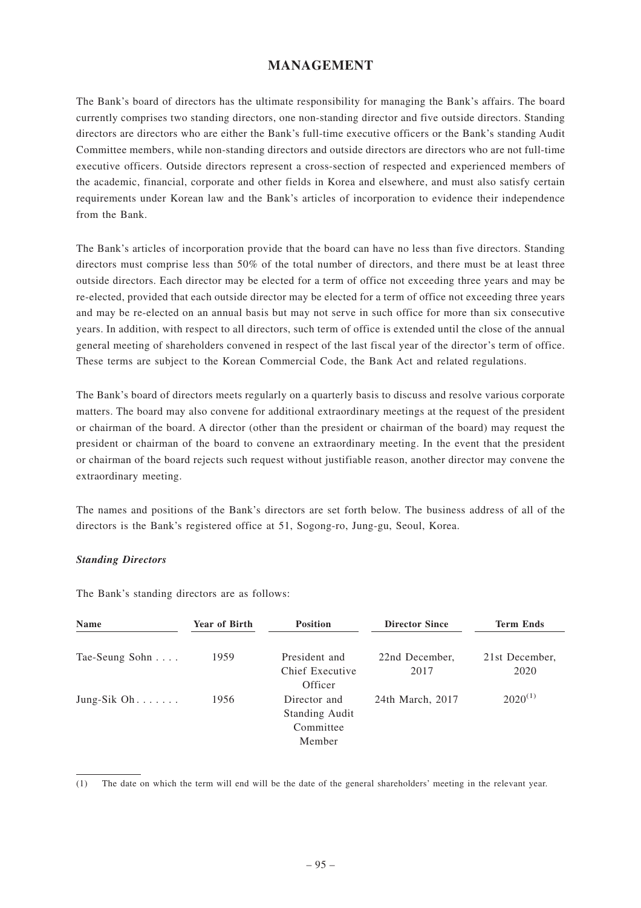## **MANAGEMENT**

The Bank's board of directors has the ultimate responsibility for managing the Bank's affairs. The board currently comprises two standing directors, one non-standing director and five outside directors. Standing directors are directors who are either the Bank's full-time executive officers or the Bank's standing Audit Committee members, while non-standing directors and outside directors are directors who are not full-time executive officers. Outside directors represent a cross-section of respected and experienced members of the academic, financial, corporate and other fields in Korea and elsewhere, and must also satisfy certain requirements under Korean law and the Bank's articles of incorporation to evidence their independence from the Bank.

The Bank's articles of incorporation provide that the board can have no less than five directors. Standing directors must comprise less than 50% of the total number of directors, and there must be at least three outside directors. Each director may be elected for a term of office not exceeding three years and may be re-elected, provided that each outside director may be elected for a term of office not exceeding three years and may be re-elected on an annual basis but may not serve in such office for more than six consecutive years. In addition, with respect to all directors, such term of office is extended until the close of the annual general meeting of shareholders convened in respect of the last fiscal year of the director's term of office. These terms are subject to the Korean Commercial Code, the Bank Act and related regulations.

The Bank's board of directors meets regularly on a quarterly basis to discuss and resolve various corporate matters. The board may also convene for additional extraordinary meetings at the request of the president or chairman of the board. A director (other than the president or chairman of the board) may request the president or chairman of the board to convene an extraordinary meeting. In the event that the president or chairman of the board rejects such request without justifiable reason, another director may convene the extraordinary meeting.

The names and positions of the Bank's directors are set forth below. The business address of all of the directors is the Bank's registered office at 51, Sogong-ro, Jung-gu, Seoul, Korea.

### *Standing Directors*

The Bank's standing directors are as follows:

| Name           | <b>Year of Birth</b> | <b>Position</b>                                              | <b>Director Since</b>  | <b>Term Ends</b>       |
|----------------|----------------------|--------------------------------------------------------------|------------------------|------------------------|
| Tae-Seung Sohn | 1959                 | President and<br>Chief Executive                             | 22nd December,<br>2017 | 21st December,<br>2020 |
|                |                      | Officer                                                      |                        |                        |
| Jung-Sik $Oh$  | 1956                 | Director and<br><b>Standing Audit</b><br>Committee<br>Member | 24th March, 2017       | $2020^{(1)}$           |

(1) The date on which the term will end will be the date of the general shareholders' meeting in the relevant year.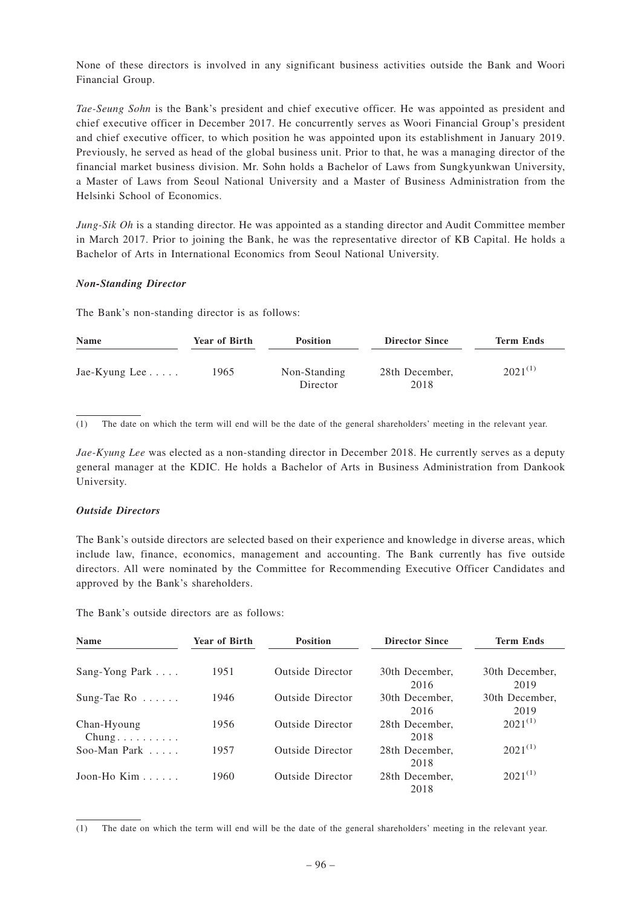None of these directors is involved in any significant business activities outside the Bank and Woori Financial Group.

*Tae-Seung Sohn* is the Bank's president and chief executive officer. He was appointed as president and chief executive officer in December 2017. He concurrently serves as Woori Financial Group's president and chief executive officer, to which position he was appointed upon its establishment in January 2019. Previously, he served as head of the global business unit. Prior to that, he was a managing director of the financial market business division. Mr. Sohn holds a Bachelor of Laws from Sungkyunkwan University, a Master of Laws from Seoul National University and a Master of Business Administration from the Helsinki School of Economics.

*Jung-Sik Oh* is a standing director. He was appointed as a standing director and Audit Committee member in March 2017. Prior to joining the Bank, he was the representative director of KB Capital. He holds a Bachelor of Arts in International Economics from Seoul National University.

#### *Non-Standing Director*

The Bank's non-standing director is as follows:

| <b>Name</b>              | <b>Year of Birth</b> | <b>Position</b>          | <b>Director Since</b>  | <b>Term Ends</b> |
|--------------------------|----------------------|--------------------------|------------------------|------------------|
| Jae-Kyung Lee $\ldots$ . | 1965                 | Non-Standing<br>Director | 28th December,<br>2018 | $2021^{(1)}$     |

(1) The date on which the term will end will be the date of the general shareholders' meeting in the relevant year.

*Jae-Kyung Lee* was elected as a non-standing director in December 2018. He currently serves as a deputy general manager at the KDIC. He holds a Bachelor of Arts in Business Administration from Dankook University.

### *Outside Directors*

The Bank's outside directors are selected based on their experience and knowledge in diverse areas, which include law, finance, economics, management and accounting. The Bank currently has five outside directors. All were nominated by the Committee for Recommending Executive Officer Candidates and approved by the Bank's shareholders.

The Bank's outside directors are as follows:

| <b>Name</b>                                  | <b>Year of Birth</b> | <b>Position</b>         | <b>Director Since</b>  | <b>Term Ends</b>       |  |
|----------------------------------------------|----------------------|-------------------------|------------------------|------------------------|--|
|                                              |                      |                         |                        |                        |  |
| Sang-Yong Park                               | 1951                 | <b>Outside Director</b> | 30th December.<br>2016 | 30th December.<br>2019 |  |
| Sung-Tae Ro $\dots$ .                        | 1946                 | <b>Outside Director</b> | 30th December.<br>2016 | 30th December,<br>2019 |  |
| Chan-Hyoung<br>$Chung. \ldots \ldots \ldots$ | 1956                 | <b>Outside Director</b> | 28th December,<br>2018 | $2021^{(1)}$           |  |
| Soo-Man Park $\ldots$                        | 1957                 | <b>Outside Director</b> | 28th December,<br>2018 | $2021^{(1)}$           |  |
| Joon-Ho Kim $\ldots$                         | 1960                 | <b>Outside Director</b> | 28th December,<br>2018 | $2021^{(1)}$           |  |

<sup>(1)</sup> The date on which the term will end will be the date of the general shareholders' meeting in the relevant year.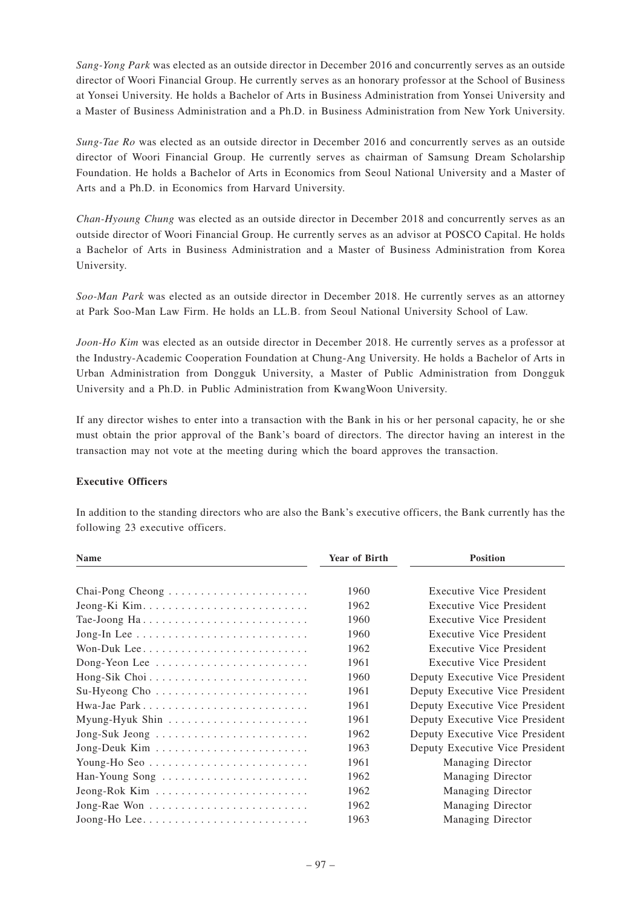*Sang-Yong Park* was elected as an outside director in December 2016 and concurrently serves as an outside director of Woori Financial Group. He currently serves as an honorary professor at the School of Business at Yonsei University. He holds a Bachelor of Arts in Business Administration from Yonsei University and a Master of Business Administration and a Ph.D. in Business Administration from New York University.

*Sung-Tae Ro* was elected as an outside director in December 2016 and concurrently serves as an outside director of Woori Financial Group. He currently serves as chairman of Samsung Dream Scholarship Foundation. He holds a Bachelor of Arts in Economics from Seoul National University and a Master of Arts and a Ph.D. in Economics from Harvard University.

*Chan-Hyoung Chung* was elected as an outside director in December 2018 and concurrently serves as an outside director of Woori Financial Group. He currently serves as an advisor at POSCO Capital. He holds a Bachelor of Arts in Business Administration and a Master of Business Administration from Korea University.

*Soo-Man Park* was elected as an outside director in December 2018. He currently serves as an attorney at Park Soo-Man Law Firm. He holds an LL.B. from Seoul National University School of Law.

*Joon-Ho Kim* was elected as an outside director in December 2018. He currently serves as a professor at the Industry-Academic Cooperation Foundation at Chung-Ang University. He holds a Bachelor of Arts in Urban Administration from Dongguk University, a Master of Public Administration from Dongguk University and a Ph.D. in Public Administration from KwangWoon University.

If any director wishes to enter into a transaction with the Bank in his or her personal capacity, he or she must obtain the prior approval of the Bank's board of directors. The director having an interest in the transaction may not vote at the meeting during which the board approves the transaction.

## **Executive Officers**

| <b>Name</b>                                                      | <b>Year of Birth</b> | <b>Position</b>                 |
|------------------------------------------------------------------|----------------------|---------------------------------|
|                                                                  | 1960                 | <b>Executive Vice President</b> |
|                                                                  | 1962                 | <b>Executive Vice President</b> |
| Tae-Joong Ha                                                     | 1960                 | Executive Vice President        |
|                                                                  | 1960                 | Executive Vice President        |
| Won-Duk Lee                                                      | 1962                 | Executive Vice President        |
| Dong-Yeon Lee                                                    | 1961                 | Executive Vice President        |
| Hong-Sik Choi                                                    | 1960                 | Deputy Executive Vice President |
| Su-Hyeong Cho $\ldots \ldots \ldots \ldots \ldots \ldots \ldots$ | 1961                 | Deputy Executive Vice President |
| Hwa-Jae Park                                                     | 1961                 | Deputy Executive Vice President |
|                                                                  | 1961                 | Deputy Executive Vice President |
| Jong-Suk Jeong                                                   | 1962                 | Deputy Executive Vice President |
|                                                                  | 1963                 | Deputy Executive Vice President |
|                                                                  | 1961                 | Managing Director               |
| Han-Young Song                                                   | 1962                 | Managing Director               |
|                                                                  | 1962                 | Managing Director               |
|                                                                  | 1962                 | Managing Director               |
|                                                                  | 1963                 | Managing Director               |

In addition to the standing directors who are also the Bank's executive officers, the Bank currently has the following 23 executive officers.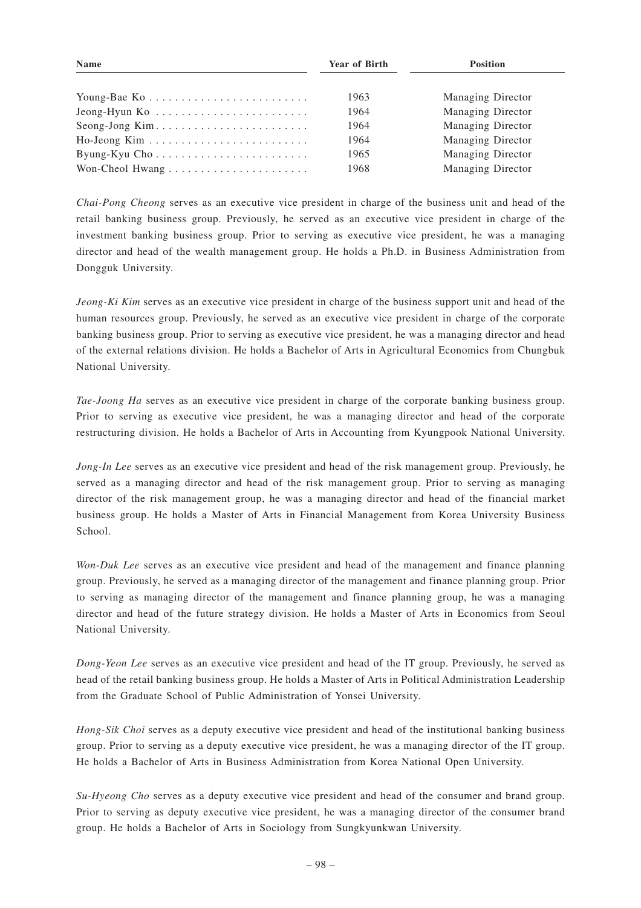| <b>Name</b>    | <b>Year of Birth</b> | <b>Position</b>   |  |
|----------------|----------------------|-------------------|--|
| Young-Bae Ko   | 1963                 | Managing Director |  |
|                | 1964                 | Managing Director |  |
| Seong-Jong Kim | 1964                 | Managing Director |  |
|                | 1964                 | Managing Director |  |
| Byung-Kyu Cho  | 1965                 | Managing Director |  |
|                | 1968                 | Managing Director |  |

*Chai-Pong Cheong* serves as an executive vice president in charge of the business unit and head of the retail banking business group. Previously, he served as an executive vice president in charge of the investment banking business group. Prior to serving as executive vice president, he was a managing director and head of the wealth management group. He holds a Ph.D. in Business Administration from Dongguk University.

*Jeong-Ki Kim* serves as an executive vice president in charge of the business support unit and head of the human resources group. Previously, he served as an executive vice president in charge of the corporate banking business group. Prior to serving as executive vice president, he was a managing director and head of the external relations division. He holds a Bachelor of Arts in Agricultural Economics from Chungbuk National University.

*Tae-Joong Ha* serves as an executive vice president in charge of the corporate banking business group. Prior to serving as executive vice president, he was a managing director and head of the corporate restructuring division. He holds a Bachelor of Arts in Accounting from Kyungpook National University.

*Jong-In Lee* serves as an executive vice president and head of the risk management group. Previously, he served as a managing director and head of the risk management group. Prior to serving as managing director of the risk management group, he was a managing director and head of the financial market business group. He holds a Master of Arts in Financial Management from Korea University Business School.

*Won-Duk Lee* serves as an executive vice president and head of the management and finance planning group. Previously, he served as a managing director of the management and finance planning group. Prior to serving as managing director of the management and finance planning group, he was a managing director and head of the future strategy division. He holds a Master of Arts in Economics from Seoul National University.

*Dong-Yeon Lee* serves as an executive vice president and head of the IT group. Previously, he served as head of the retail banking business group. He holds a Master of Arts in Political Administration Leadership from the Graduate School of Public Administration of Yonsei University.

*Hong-Sik Choi* serves as a deputy executive vice president and head of the institutional banking business group. Prior to serving as a deputy executive vice president, he was a managing director of the IT group. He holds a Bachelor of Arts in Business Administration from Korea National Open University.

*Su-Hyeong Cho* serves as a deputy executive vice president and head of the consumer and brand group. Prior to serving as deputy executive vice president, he was a managing director of the consumer brand group. He holds a Bachelor of Arts in Sociology from Sungkyunkwan University.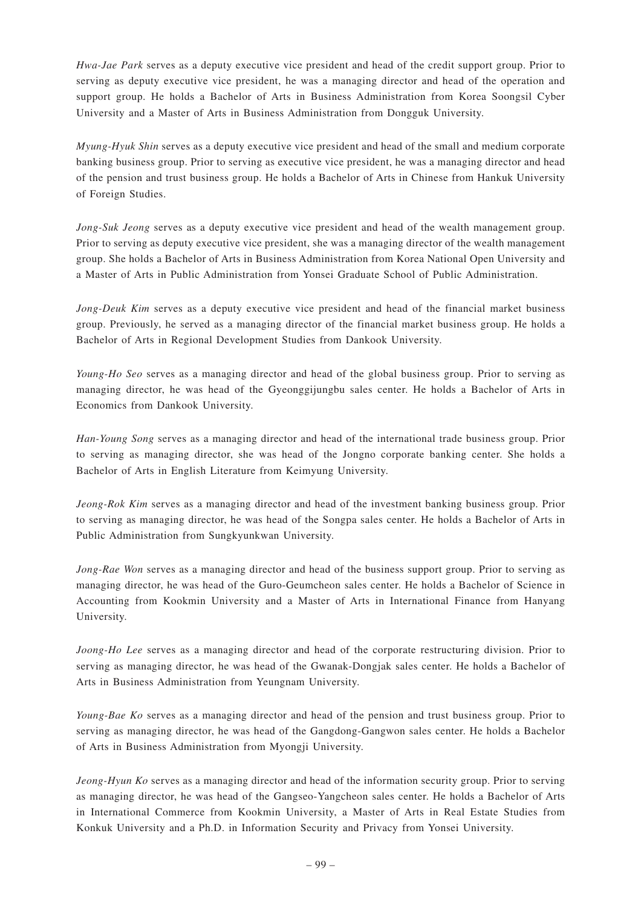*Hwa-Jae Park* serves as a deputy executive vice president and head of the credit support group. Prior to serving as deputy executive vice president, he was a managing director and head of the operation and support group. He holds a Bachelor of Arts in Business Administration from Korea Soongsil Cyber University and a Master of Arts in Business Administration from Dongguk University.

*Myung-Hyuk Shin* serves as a deputy executive vice president and head of the small and medium corporate banking business group. Prior to serving as executive vice president, he was a managing director and head of the pension and trust business group. He holds a Bachelor of Arts in Chinese from Hankuk University of Foreign Studies.

*Jong-Suk Jeong* serves as a deputy executive vice president and head of the wealth management group. Prior to serving as deputy executive vice president, she was a managing director of the wealth management group. She holds a Bachelor of Arts in Business Administration from Korea National Open University and a Master of Arts in Public Administration from Yonsei Graduate School of Public Administration.

*Jong-Deuk Kim* serves as a deputy executive vice president and head of the financial market business group. Previously, he served as a managing director of the financial market business group. He holds a Bachelor of Arts in Regional Development Studies from Dankook University.

*Young-Ho Seo* serves as a managing director and head of the global business group. Prior to serving as managing director, he was head of the Gyeonggijungbu sales center. He holds a Bachelor of Arts in Economics from Dankook University.

*Han-Young Song* serves as a managing director and head of the international trade business group. Prior to serving as managing director, she was head of the Jongno corporate banking center. She holds a Bachelor of Arts in English Literature from Keimyung University.

*Jeong-Rok Kim* serves as a managing director and head of the investment banking business group. Prior to serving as managing director, he was head of the Songpa sales center. He holds a Bachelor of Arts in Public Administration from Sungkyunkwan University.

*Jong-Rae Won* serves as a managing director and head of the business support group. Prior to serving as managing director, he was head of the Guro-Geumcheon sales center. He holds a Bachelor of Science in Accounting from Kookmin University and a Master of Arts in International Finance from Hanyang University.

*Joong-Ho Lee* serves as a managing director and head of the corporate restructuring division. Prior to serving as managing director, he was head of the Gwanak-Dongjak sales center. He holds a Bachelor of Arts in Business Administration from Yeungnam University.

*Young-Bae Ko* serves as a managing director and head of the pension and trust business group. Prior to serving as managing director, he was head of the Gangdong-Gangwon sales center. He holds a Bachelor of Arts in Business Administration from Myongji University.

*Jeong-Hyun Ko* serves as a managing director and head of the information security group. Prior to serving as managing director, he was head of the Gangseo-Yangcheon sales center. He holds a Bachelor of Arts in International Commerce from Kookmin University, a Master of Arts in Real Estate Studies from Konkuk University and a Ph.D. in Information Security and Privacy from Yonsei University.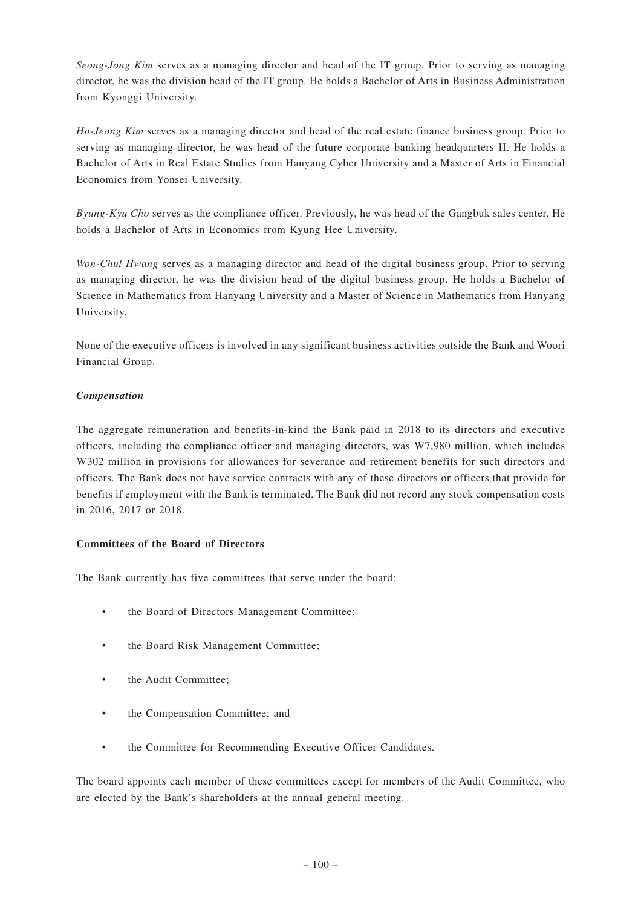*Seong-Jong Kim* serves as a managing director and head of the IT group. Prior to serving as managing director, he was the division head of the IT group. He holds a Bachelor of Arts in Business Administration from Kyonggi University.

*Ho-Jeong Kim* serves as a managing director and head of the real estate finance business group. Prior to serving as managing director, he was head of the future corporate banking headquarters II. He holds a Bachelor of Arts in Real Estate Studies from Hanyang Cyber University and a Master of Arts in Financial Economics from Yonsei University.

*Byung-Kyu Cho* serves as the compliance officer. Previously, he was head of the Gangbuk sales center. He holds a Bachelor of Arts in Economics from Kyung Hee University.

*Won-Chul Hwang* serves as a managing director and head of the digital business group. Prior to serving as managing director, he was the division head of the digital business group. He holds a Bachelor of Science in Mathematics from Hanyang University and a Master of Science in Mathematics from Hanyang University.

None of the executive officers is involved in any significant business activities outside the Bank and Woori Financial Group.

## *Compensation*

The aggregate remuneration and benefits-in-kind the Bank paid in 2018 to its directors and executive officers, including the compliance officer and managing directors, was W7,980 million, which includes W302 million in provisions for allowances for severance and retirement benefits for such directors and officers. The Bank does not have service contracts with any of these directors or officers that provide for benefits if employment with the Bank is terminated. The Bank did not record any stock compensation costs in 2016, 2017 or 2018.

## **Committees of the Board of Directors**

The Bank currently has five committees that serve under the board:

- the Board of Directors Management Committee;
- the Board Risk Management Committee;
- the Audit Committee:
- the Compensation Committee; and
- the Committee for Recommending Executive Officer Candidates.

The board appoints each member of these committees except for members of the Audit Committee, who are elected by the Bank's shareholders at the annual general meeting.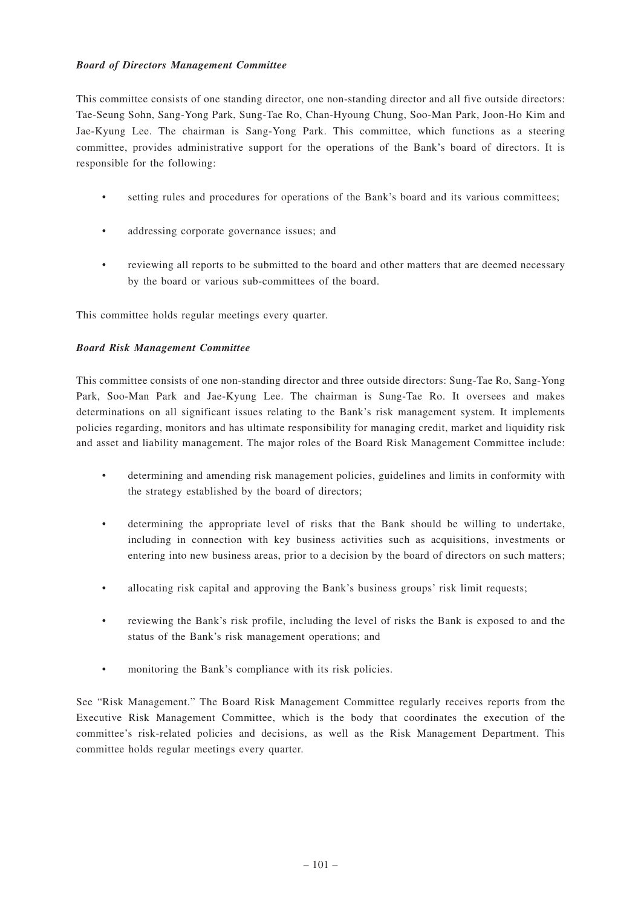## *Board of Directors Management Committee*

This committee consists of one standing director, one non-standing director and all five outside directors: Tae-Seung Sohn, Sang-Yong Park, Sung-Tae Ro, Chan-Hyoung Chung, Soo-Man Park, Joon-Ho Kim and Jae-Kyung Lee. The chairman is Sang-Yong Park. This committee, which functions as a steering committee, provides administrative support for the operations of the Bank's board of directors. It is responsible for the following:

- setting rules and procedures for operations of the Bank's board and its various committees;
- addressing corporate governance issues; and
- reviewing all reports to be submitted to the board and other matters that are deemed necessary by the board or various sub-committees of the board.

This committee holds regular meetings every quarter.

## *Board Risk Management Committee*

This committee consists of one non-standing director and three outside directors: Sung-Tae Ro, Sang-Yong Park, Soo-Man Park and Jae-Kyung Lee. The chairman is Sung-Tae Ro. It oversees and makes determinations on all significant issues relating to the Bank's risk management system. It implements policies regarding, monitors and has ultimate responsibility for managing credit, market and liquidity risk and asset and liability management. The major roles of the Board Risk Management Committee include:

- determining and amending risk management policies, guidelines and limits in conformity with the strategy established by the board of directors;
- determining the appropriate level of risks that the Bank should be willing to undertake, including in connection with key business activities such as acquisitions, investments or entering into new business areas, prior to a decision by the board of directors on such matters;
- allocating risk capital and approving the Bank's business groups' risk limit requests;
- reviewing the Bank's risk profile, including the level of risks the Bank is exposed to and the status of the Bank's risk management operations; and
- monitoring the Bank's compliance with its risk policies.

See "Risk Management." The Board Risk Management Committee regularly receives reports from the Executive Risk Management Committee, which is the body that coordinates the execution of the committee's risk-related policies and decisions, as well as the Risk Management Department. This committee holds regular meetings every quarter.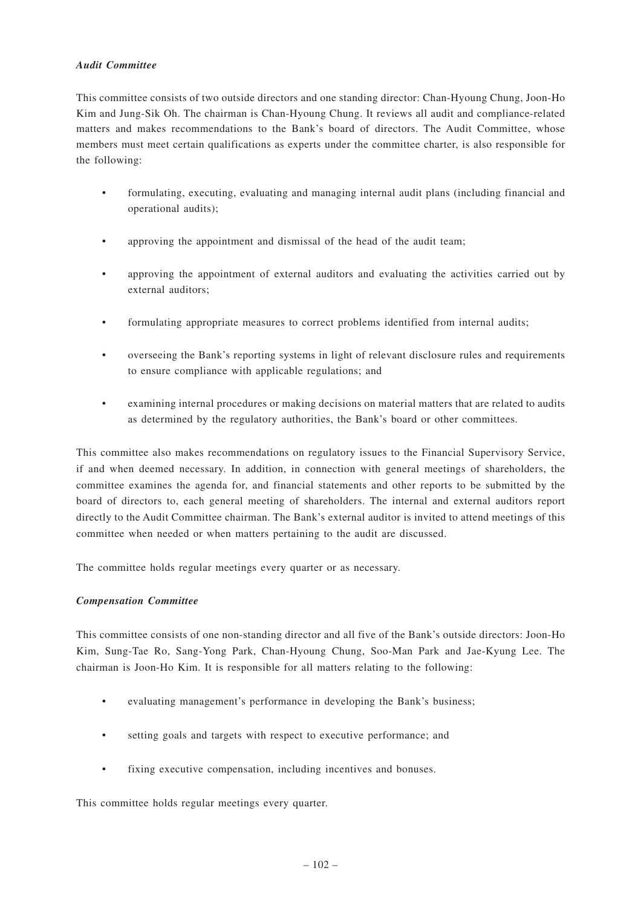## *Audit Committee*

This committee consists of two outside directors and one standing director: Chan-Hyoung Chung, Joon-Ho Kim and Jung-Sik Oh. The chairman is Chan-Hyoung Chung. It reviews all audit and compliance-related matters and makes recommendations to the Bank's board of directors. The Audit Committee, whose members must meet certain qualifications as experts under the committee charter, is also responsible for the following:

- formulating, executing, evaluating and managing internal audit plans (including financial and operational audits);
- approving the appointment and dismissal of the head of the audit team;
- approving the appointment of external auditors and evaluating the activities carried out by external auditors;
- formulating appropriate measures to correct problems identified from internal audits;
- overseeing the Bank's reporting systems in light of relevant disclosure rules and requirements to ensure compliance with applicable regulations; and
- examining internal procedures or making decisions on material matters that are related to audits as determined by the regulatory authorities, the Bank's board or other committees.

This committee also makes recommendations on regulatory issues to the Financial Supervisory Service, if and when deemed necessary. In addition, in connection with general meetings of shareholders, the committee examines the agenda for, and financial statements and other reports to be submitted by the board of directors to, each general meeting of shareholders. The internal and external auditors report directly to the Audit Committee chairman. The Bank's external auditor is invited to attend meetings of this committee when needed or when matters pertaining to the audit are discussed.

The committee holds regular meetings every quarter or as necessary.

## *Compensation Committee*

This committee consists of one non-standing director and all five of the Bank's outside directors: Joon-Ho Kim, Sung-Tae Ro, Sang-Yong Park, Chan-Hyoung Chung, Soo-Man Park and Jae-Kyung Lee. The chairman is Joon-Ho Kim. It is responsible for all matters relating to the following:

- evaluating management's performance in developing the Bank's business;
- setting goals and targets with respect to executive performance; and
- fixing executive compensation, including incentives and bonuses.

This committee holds regular meetings every quarter.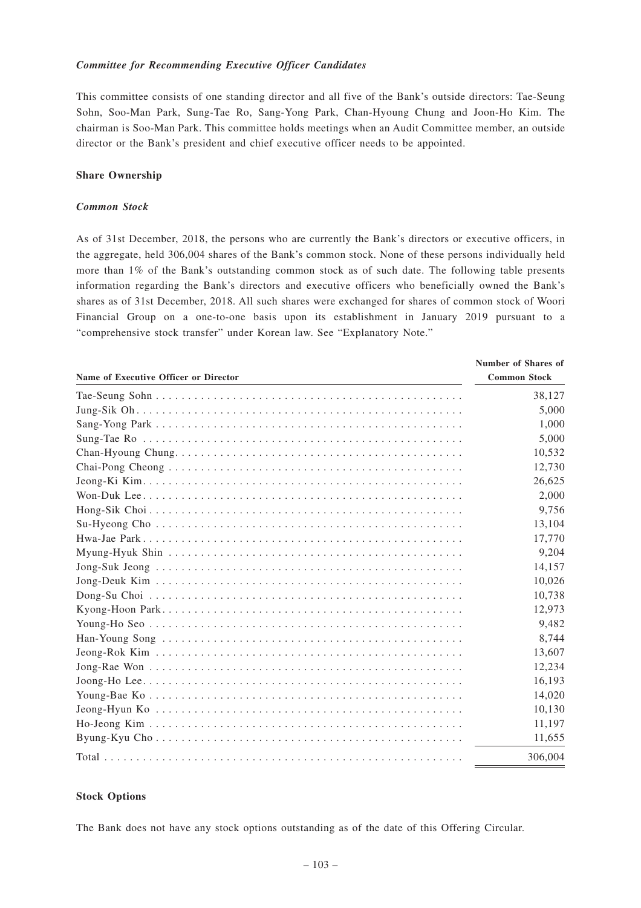#### *Committee for Recommending Executive Officer Candidates*

This committee consists of one standing director and all five of the Bank's outside directors: Tae-Seung Sohn, Soo-Man Park, Sung-Tae Ro, Sang-Yong Park, Chan-Hyoung Chung and Joon-Ho Kim. The chairman is Soo-Man Park. This committee holds meetings when an Audit Committee member, an outside director or the Bank's president and chief executive officer needs to be appointed.

#### **Share Ownership**

## *Common Stock*

As of 31st December, 2018, the persons who are currently the Bank's directors or executive officers, in the aggregate, held 306,004 shares of the Bank's common stock. None of these persons individually held more than 1% of the Bank's outstanding common stock as of such date. The following table presents information regarding the Bank's directors and executive officers who beneficially owned the Bank's shares as of 31st December, 2018. All such shares were exchanged for shares of common stock of Woori Financial Group on a one-to-one basis upon its establishment in January 2019 pursuant to a "comprehensive stock transfer" under Korean law. See "Explanatory Note."

| Name of Executive Officer or Director | <b>Number of Shares of</b><br><b>Common Stock</b> |
|---------------------------------------|---------------------------------------------------|
|                                       | 38,127                                            |
|                                       | 5,000                                             |
|                                       | 1,000                                             |
|                                       | 5,000                                             |
|                                       | 10,532                                            |
|                                       | 12,730                                            |
|                                       | 26,625                                            |
|                                       | 2,000                                             |
|                                       | 9.756                                             |
|                                       | 13,104                                            |
|                                       | 17,770                                            |
|                                       | 9,204                                             |
|                                       | 14,157                                            |
|                                       | 10,026                                            |
|                                       | 10,738                                            |
|                                       | 12,973                                            |
|                                       | 9,482                                             |
|                                       | 8,744                                             |
|                                       | 13,607                                            |
|                                       | 12,234                                            |
|                                       | 16,193                                            |
|                                       | 14,020                                            |
|                                       | 10,130                                            |
|                                       | 11,197                                            |
|                                       | 11,655                                            |
|                                       | 306,004                                           |

#### **Stock Options**

The Bank does not have any stock options outstanding as of the date of this Offering Circular.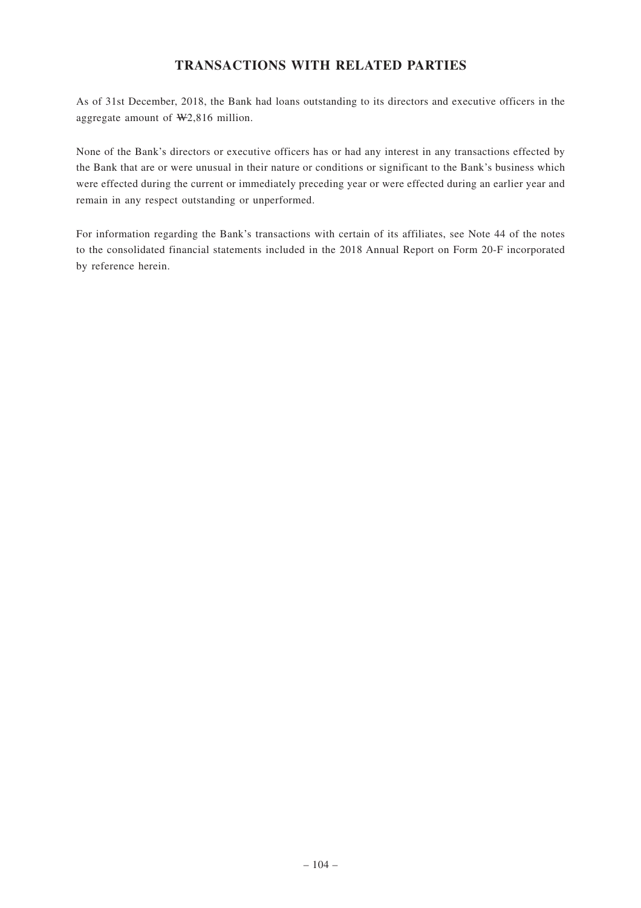## **TRANSACTIONS WITH RELATED PARTIES**

As of 31st December, 2018, the Bank had loans outstanding to its directors and executive officers in the aggregate amount of W2,816 million.

None of the Bank's directors or executive officers has or had any interest in any transactions effected by the Bank that are or were unusual in their nature or conditions or significant to the Bank's business which were effected during the current or immediately preceding year or were effected during an earlier year and remain in any respect outstanding or unperformed.

For information regarding the Bank's transactions with certain of its affiliates, see Note 44 of the notes to the consolidated financial statements included in the 2018 Annual Report on Form 20-F incorporated by reference herein.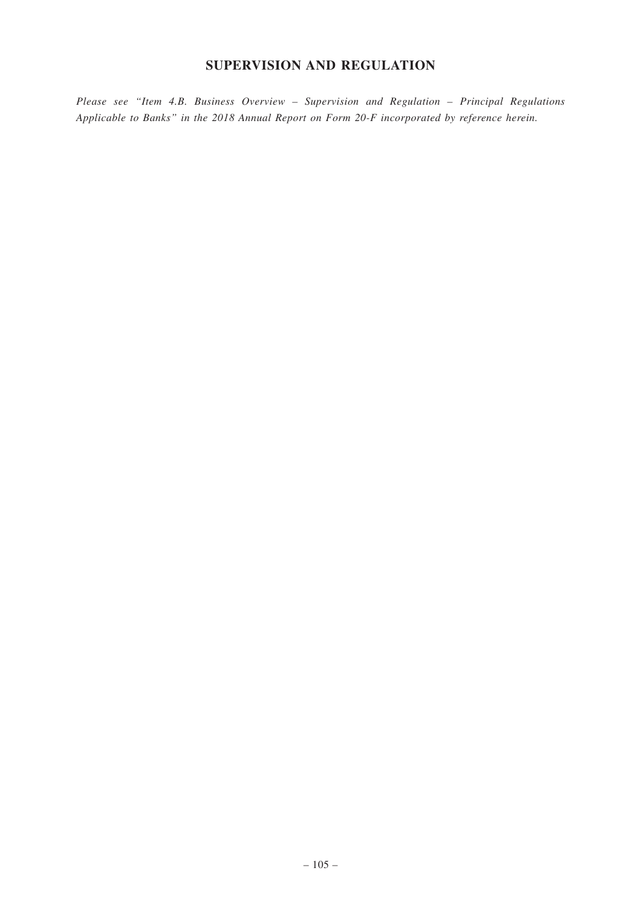# **SUPERVISION AND REGULATION**

*Please see "Item 4.B. Business Overview – Supervision and Regulation – Principal Regulations Applicable to Banks" in the 2018 Annual Report on Form 20-F incorporated by reference herein.*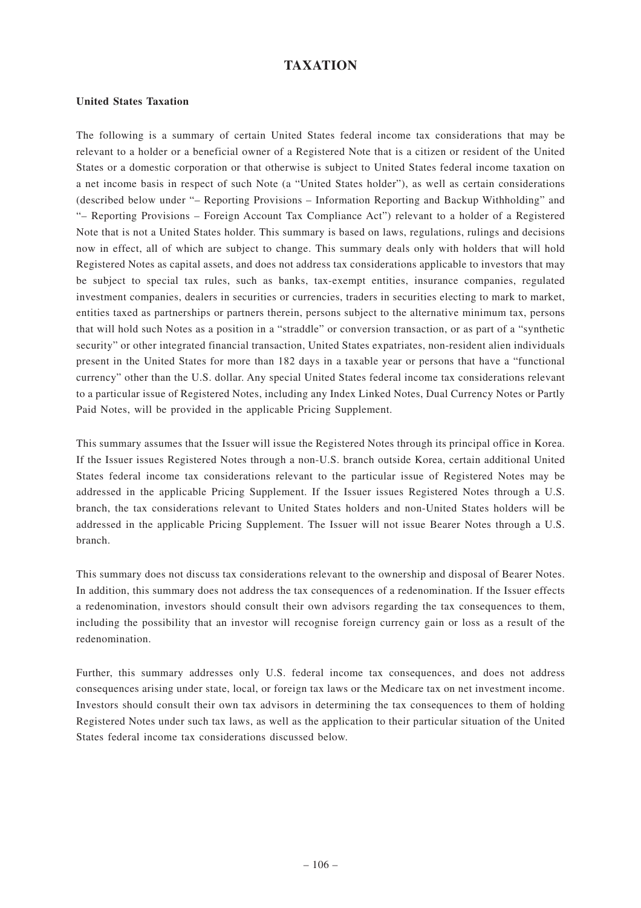## **TAXATION**

## **United States Taxation**

The following is a summary of certain United States federal income tax considerations that may be relevant to a holder or a beneficial owner of a Registered Note that is a citizen or resident of the United States or a domestic corporation or that otherwise is subject to United States federal income taxation on a net income basis in respect of such Note (a "United States holder"), as well as certain considerations (described below under "– Reporting Provisions – Information Reporting and Backup Withholding" and "– Reporting Provisions – Foreign Account Tax Compliance Act") relevant to a holder of a Registered Note that is not a United States holder. This summary is based on laws, regulations, rulings and decisions now in effect, all of which are subject to change. This summary deals only with holders that will hold Registered Notes as capital assets, and does not address tax considerations applicable to investors that may be subject to special tax rules, such as banks, tax-exempt entities, insurance companies, regulated investment companies, dealers in securities or currencies, traders in securities electing to mark to market, entities taxed as partnerships or partners therein, persons subject to the alternative minimum tax, persons that will hold such Notes as a position in a "straddle" or conversion transaction, or as part of a "synthetic security" or other integrated financial transaction, United States expatriates, non-resident alien individuals present in the United States for more than 182 days in a taxable year or persons that have a "functional currency" other than the U.S. dollar. Any special United States federal income tax considerations relevant to a particular issue of Registered Notes, including any Index Linked Notes, Dual Currency Notes or Partly Paid Notes, will be provided in the applicable Pricing Supplement.

This summary assumes that the Issuer will issue the Registered Notes through its principal office in Korea. If the Issuer issues Registered Notes through a non-U.S. branch outside Korea, certain additional United States federal income tax considerations relevant to the particular issue of Registered Notes may be addressed in the applicable Pricing Supplement. If the Issuer issues Registered Notes through a U.S. branch, the tax considerations relevant to United States holders and non-United States holders will be addressed in the applicable Pricing Supplement. The Issuer will not issue Bearer Notes through a U.S. branch.

This summary does not discuss tax considerations relevant to the ownership and disposal of Bearer Notes. In addition, this summary does not address the tax consequences of a redenomination. If the Issuer effects a redenomination, investors should consult their own advisors regarding the tax consequences to them, including the possibility that an investor will recognise foreign currency gain or loss as a result of the redenomination.

Further, this summary addresses only U.S. federal income tax consequences, and does not address consequences arising under state, local, or foreign tax laws or the Medicare tax on net investment income. Investors should consult their own tax advisors in determining the tax consequences to them of holding Registered Notes under such tax laws, as well as the application to their particular situation of the United States federal income tax considerations discussed below.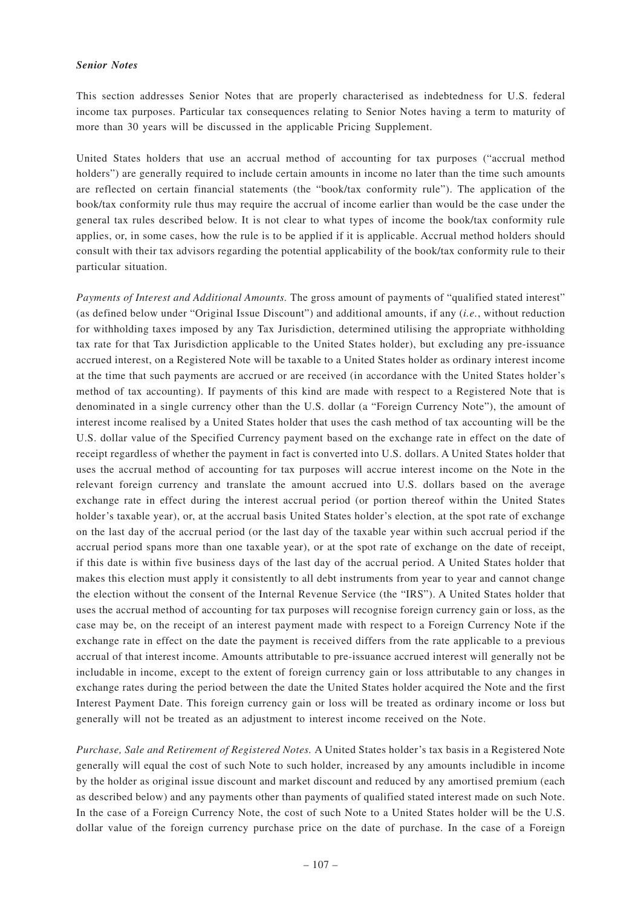#### *Senior Notes*

This section addresses Senior Notes that are properly characterised as indebtedness for U.S. federal income tax purposes. Particular tax consequences relating to Senior Notes having a term to maturity of more than 30 years will be discussed in the applicable Pricing Supplement.

United States holders that use an accrual method of accounting for tax purposes ("accrual method holders") are generally required to include certain amounts in income no later than the time such amounts are reflected on certain financial statements (the "book/tax conformity rule"). The application of the book/tax conformity rule thus may require the accrual of income earlier than would be the case under the general tax rules described below. It is not clear to what types of income the book/tax conformity rule applies, or, in some cases, how the rule is to be applied if it is applicable. Accrual method holders should consult with their tax advisors regarding the potential applicability of the book/tax conformity rule to their particular situation.

*Payments of Interest and Additional Amounts.* The gross amount of payments of "qualified stated interest" (as defined below under "Original Issue Discount") and additional amounts, if any (*i.e.*, without reduction for withholding taxes imposed by any Tax Jurisdiction, determined utilising the appropriate withholding tax rate for that Tax Jurisdiction applicable to the United States holder), but excluding any pre-issuance accrued interest, on a Registered Note will be taxable to a United States holder as ordinary interest income at the time that such payments are accrued or are received (in accordance with the United States holder's method of tax accounting). If payments of this kind are made with respect to a Registered Note that is denominated in a single currency other than the U.S. dollar (a "Foreign Currency Note"), the amount of interest income realised by a United States holder that uses the cash method of tax accounting will be the U.S. dollar value of the Specified Currency payment based on the exchange rate in effect on the date of receipt regardless of whether the payment in fact is converted into U.S. dollars. A United States holder that uses the accrual method of accounting for tax purposes will accrue interest income on the Note in the relevant foreign currency and translate the amount accrued into U.S. dollars based on the average exchange rate in effect during the interest accrual period (or portion thereof within the United States holder's taxable year), or, at the accrual basis United States holder's election, at the spot rate of exchange on the last day of the accrual period (or the last day of the taxable year within such accrual period if the accrual period spans more than one taxable year), or at the spot rate of exchange on the date of receipt, if this date is within five business days of the last day of the accrual period. A United States holder that makes this election must apply it consistently to all debt instruments from year to year and cannot change the election without the consent of the Internal Revenue Service (the "IRS"). A United States holder that uses the accrual method of accounting for tax purposes will recognise foreign currency gain or loss, as the case may be, on the receipt of an interest payment made with respect to a Foreign Currency Note if the exchange rate in effect on the date the payment is received differs from the rate applicable to a previous accrual of that interest income. Amounts attributable to pre-issuance accrued interest will generally not be includable in income, except to the extent of foreign currency gain or loss attributable to any changes in exchange rates during the period between the date the United States holder acquired the Note and the first Interest Payment Date. This foreign currency gain or loss will be treated as ordinary income or loss but generally will not be treated as an adjustment to interest income received on the Note.

*Purchase, Sale and Retirement of Registered Notes.* A United States holder's tax basis in a Registered Note generally will equal the cost of such Note to such holder, increased by any amounts includible in income by the holder as original issue discount and market discount and reduced by any amortised premium (each as described below) and any payments other than payments of qualified stated interest made on such Note. In the case of a Foreign Currency Note, the cost of such Note to a United States holder will be the U.S. dollar value of the foreign currency purchase price on the date of purchase. In the case of a Foreign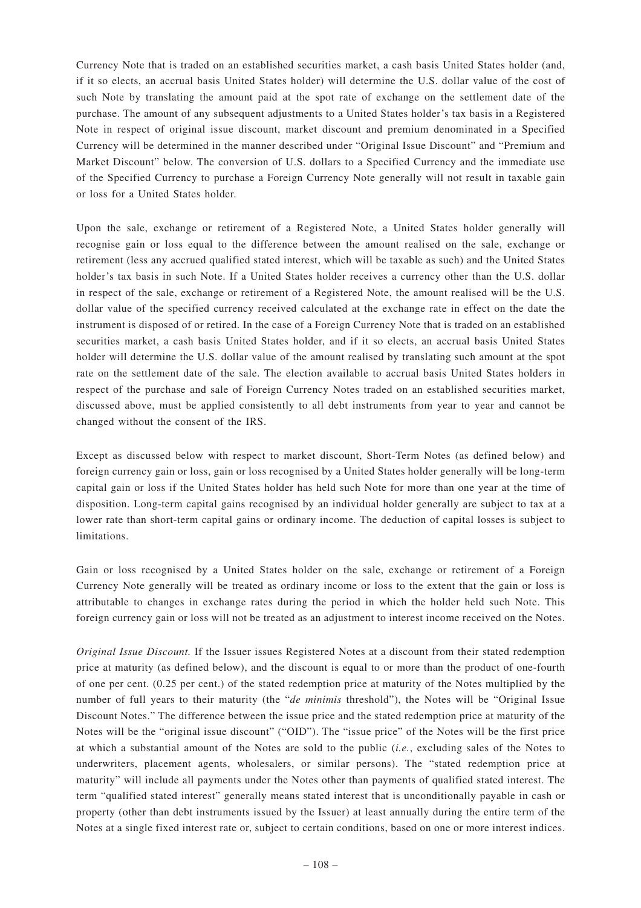Currency Note that is traded on an established securities market, a cash basis United States holder (and, if it so elects, an accrual basis United States holder) will determine the U.S. dollar value of the cost of such Note by translating the amount paid at the spot rate of exchange on the settlement date of the purchase. The amount of any subsequent adjustments to a United States holder's tax basis in a Registered Note in respect of original issue discount, market discount and premium denominated in a Specified Currency will be determined in the manner described under "Original Issue Discount" and "Premium and Market Discount" below. The conversion of U.S. dollars to a Specified Currency and the immediate use of the Specified Currency to purchase a Foreign Currency Note generally will not result in taxable gain or loss for a United States holder.

Upon the sale, exchange or retirement of a Registered Note, a United States holder generally will recognise gain or loss equal to the difference between the amount realised on the sale, exchange or retirement (less any accrued qualified stated interest, which will be taxable as such) and the United States holder's tax basis in such Note. If a United States holder receives a currency other than the U.S. dollar in respect of the sale, exchange or retirement of a Registered Note, the amount realised will be the U.S. dollar value of the specified currency received calculated at the exchange rate in effect on the date the instrument is disposed of or retired. In the case of a Foreign Currency Note that is traded on an established securities market, a cash basis United States holder, and if it so elects, an accrual basis United States holder will determine the U.S. dollar value of the amount realised by translating such amount at the spot rate on the settlement date of the sale. The election available to accrual basis United States holders in respect of the purchase and sale of Foreign Currency Notes traded on an established securities market, discussed above, must be applied consistently to all debt instruments from year to year and cannot be changed without the consent of the IRS.

Except as discussed below with respect to market discount, Short-Term Notes (as defined below) and foreign currency gain or loss, gain or loss recognised by a United States holder generally will be long-term capital gain or loss if the United States holder has held such Note for more than one year at the time of disposition. Long-term capital gains recognised by an individual holder generally are subject to tax at a lower rate than short-term capital gains or ordinary income. The deduction of capital losses is subject to limitations.

Gain or loss recognised by a United States holder on the sale, exchange or retirement of a Foreign Currency Note generally will be treated as ordinary income or loss to the extent that the gain or loss is attributable to changes in exchange rates during the period in which the holder held such Note. This foreign currency gain or loss will not be treated as an adjustment to interest income received on the Notes.

*Original Issue Discount.* If the Issuer issues Registered Notes at a discount from their stated redemption price at maturity (as defined below), and the discount is equal to or more than the product of one-fourth of one per cent. (0.25 per cent.) of the stated redemption price at maturity of the Notes multiplied by the number of full years to their maturity (the "*de minimis* threshold"), the Notes will be "Original Issue Discount Notes." The difference between the issue price and the stated redemption price at maturity of the Notes will be the "original issue discount" ("OID"). The "issue price" of the Notes will be the first price at which a substantial amount of the Notes are sold to the public (*i.e.*, excluding sales of the Notes to underwriters, placement agents, wholesalers, or similar persons). The "stated redemption price at maturity" will include all payments under the Notes other than payments of qualified stated interest. The term "qualified stated interest" generally means stated interest that is unconditionally payable in cash or property (other than debt instruments issued by the Issuer) at least annually during the entire term of the Notes at a single fixed interest rate or, subject to certain conditions, based on one or more interest indices.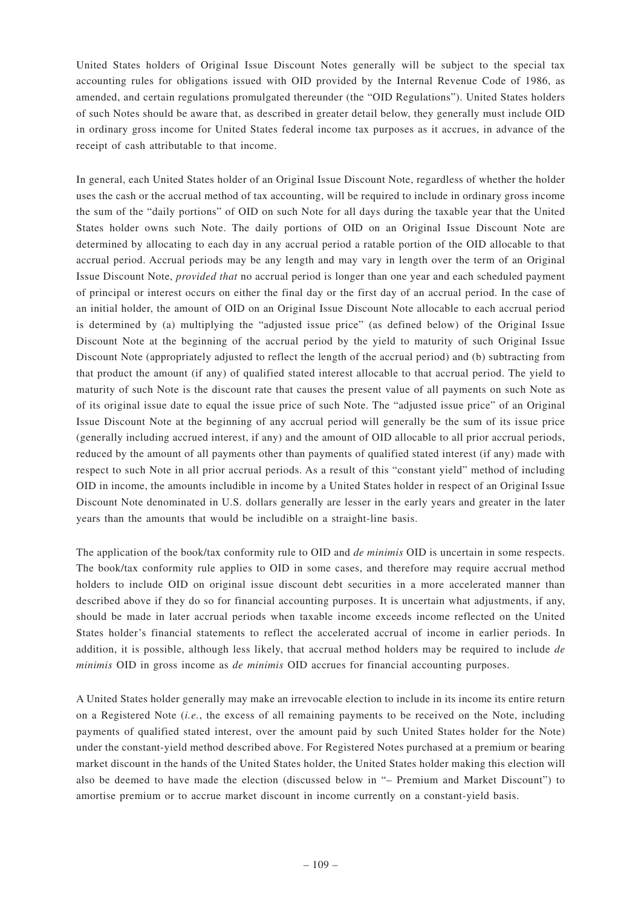United States holders of Original Issue Discount Notes generally will be subject to the special tax accounting rules for obligations issued with OID provided by the Internal Revenue Code of 1986, as amended, and certain regulations promulgated thereunder (the "OID Regulations"). United States holders of such Notes should be aware that, as described in greater detail below, they generally must include OID in ordinary gross income for United States federal income tax purposes as it accrues, in advance of the receipt of cash attributable to that income.

In general, each United States holder of an Original Issue Discount Note, regardless of whether the holder uses the cash or the accrual method of tax accounting, will be required to include in ordinary gross income the sum of the "daily portions" of OID on such Note for all days during the taxable year that the United States holder owns such Note. The daily portions of OID on an Original Issue Discount Note are determined by allocating to each day in any accrual period a ratable portion of the OID allocable to that accrual period. Accrual periods may be any length and may vary in length over the term of an Original Issue Discount Note, *provided that* no accrual period is longer than one year and each scheduled payment of principal or interest occurs on either the final day or the first day of an accrual period. In the case of an initial holder, the amount of OID on an Original Issue Discount Note allocable to each accrual period is determined by (a) multiplying the "adjusted issue price" (as defined below) of the Original Issue Discount Note at the beginning of the accrual period by the yield to maturity of such Original Issue Discount Note (appropriately adjusted to reflect the length of the accrual period) and (b) subtracting from that product the amount (if any) of qualified stated interest allocable to that accrual period. The yield to maturity of such Note is the discount rate that causes the present value of all payments on such Note as of its original issue date to equal the issue price of such Note. The "adjusted issue price" of an Original Issue Discount Note at the beginning of any accrual period will generally be the sum of its issue price (generally including accrued interest, if any) and the amount of OID allocable to all prior accrual periods, reduced by the amount of all payments other than payments of qualified stated interest (if any) made with respect to such Note in all prior accrual periods. As a result of this "constant yield" method of including OID in income, the amounts includible in income by a United States holder in respect of an Original Issue Discount Note denominated in U.S. dollars generally are lesser in the early years and greater in the later years than the amounts that would be includible on a straight-line basis.

The application of the book/tax conformity rule to OID and *de minimis* OID is uncertain in some respects. The book/tax conformity rule applies to OID in some cases, and therefore may require accrual method holders to include OID on original issue discount debt securities in a more accelerated manner than described above if they do so for financial accounting purposes. It is uncertain what adjustments, if any, should be made in later accrual periods when taxable income exceeds income reflected on the United States holder's financial statements to reflect the accelerated accrual of income in earlier periods. In addition, it is possible, although less likely, that accrual method holders may be required to include *de minimis* OID in gross income as *de minimis* OID accrues for financial accounting purposes.

A United States holder generally may make an irrevocable election to include in its income its entire return on a Registered Note (*i.e.*, the excess of all remaining payments to be received on the Note, including payments of qualified stated interest, over the amount paid by such United States holder for the Note) under the constant-yield method described above. For Registered Notes purchased at a premium or bearing market discount in the hands of the United States holder, the United States holder making this election will also be deemed to have made the election (discussed below in "– Premium and Market Discount") to amortise premium or to accrue market discount in income currently on a constant-yield basis.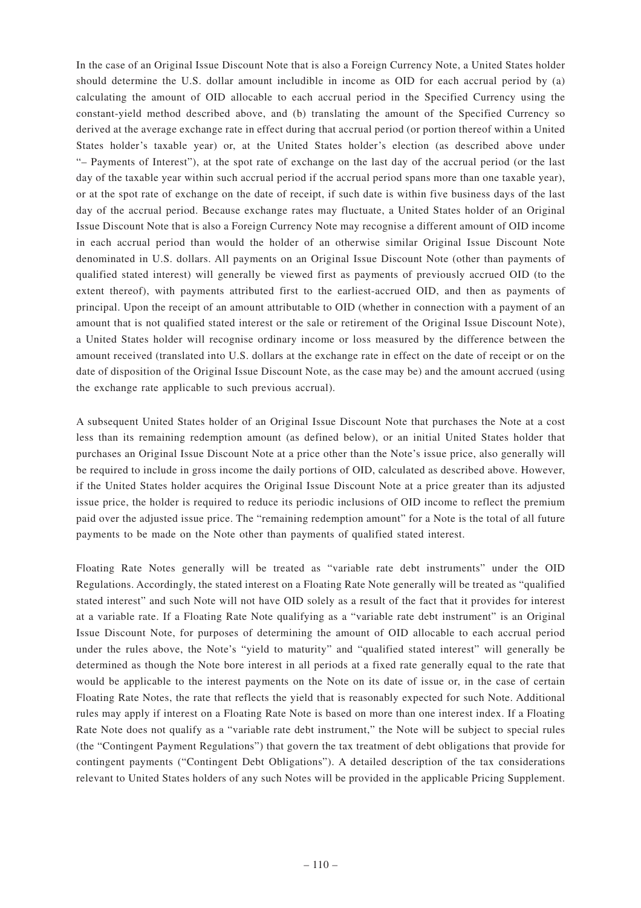In the case of an Original Issue Discount Note that is also a Foreign Currency Note, a United States holder should determine the U.S. dollar amount includible in income as OID for each accrual period by (a) calculating the amount of OID allocable to each accrual period in the Specified Currency using the constant-yield method described above, and (b) translating the amount of the Specified Currency so derived at the average exchange rate in effect during that accrual period (or portion thereof within a United States holder's taxable year) or, at the United States holder's election (as described above under "– Payments of Interest"), at the spot rate of exchange on the last day of the accrual period (or the last day of the taxable year within such accrual period if the accrual period spans more than one taxable year), or at the spot rate of exchange on the date of receipt, if such date is within five business days of the last day of the accrual period. Because exchange rates may fluctuate, a United States holder of an Original Issue Discount Note that is also a Foreign Currency Note may recognise a different amount of OID income in each accrual period than would the holder of an otherwise similar Original Issue Discount Note denominated in U.S. dollars. All payments on an Original Issue Discount Note (other than payments of qualified stated interest) will generally be viewed first as payments of previously accrued OID (to the extent thereof), with payments attributed first to the earliest-accrued OID, and then as payments of principal. Upon the receipt of an amount attributable to OID (whether in connection with a payment of an amount that is not qualified stated interest or the sale or retirement of the Original Issue Discount Note), a United States holder will recognise ordinary income or loss measured by the difference between the amount received (translated into U.S. dollars at the exchange rate in effect on the date of receipt or on the date of disposition of the Original Issue Discount Note, as the case may be) and the amount accrued (using the exchange rate applicable to such previous accrual).

A subsequent United States holder of an Original Issue Discount Note that purchases the Note at a cost less than its remaining redemption amount (as defined below), or an initial United States holder that purchases an Original Issue Discount Note at a price other than the Note's issue price, also generally will be required to include in gross income the daily portions of OID, calculated as described above. However, if the United States holder acquires the Original Issue Discount Note at a price greater than its adjusted issue price, the holder is required to reduce its periodic inclusions of OID income to reflect the premium paid over the adjusted issue price. The "remaining redemption amount" for a Note is the total of all future payments to be made on the Note other than payments of qualified stated interest.

Floating Rate Notes generally will be treated as "variable rate debt instruments" under the OID Regulations. Accordingly, the stated interest on a Floating Rate Note generally will be treated as "qualified stated interest" and such Note will not have OID solely as a result of the fact that it provides for interest at a variable rate. If a Floating Rate Note qualifying as a "variable rate debt instrument" is an Original Issue Discount Note, for purposes of determining the amount of OID allocable to each accrual period under the rules above, the Note's "yield to maturity" and "qualified stated interest" will generally be determined as though the Note bore interest in all periods at a fixed rate generally equal to the rate that would be applicable to the interest payments on the Note on its date of issue or, in the case of certain Floating Rate Notes, the rate that reflects the yield that is reasonably expected for such Note. Additional rules may apply if interest on a Floating Rate Note is based on more than one interest index. If a Floating Rate Note does not qualify as a "variable rate debt instrument," the Note will be subject to special rules (the "Contingent Payment Regulations") that govern the tax treatment of debt obligations that provide for contingent payments ("Contingent Debt Obligations"). A detailed description of the tax considerations relevant to United States holders of any such Notes will be provided in the applicable Pricing Supplement.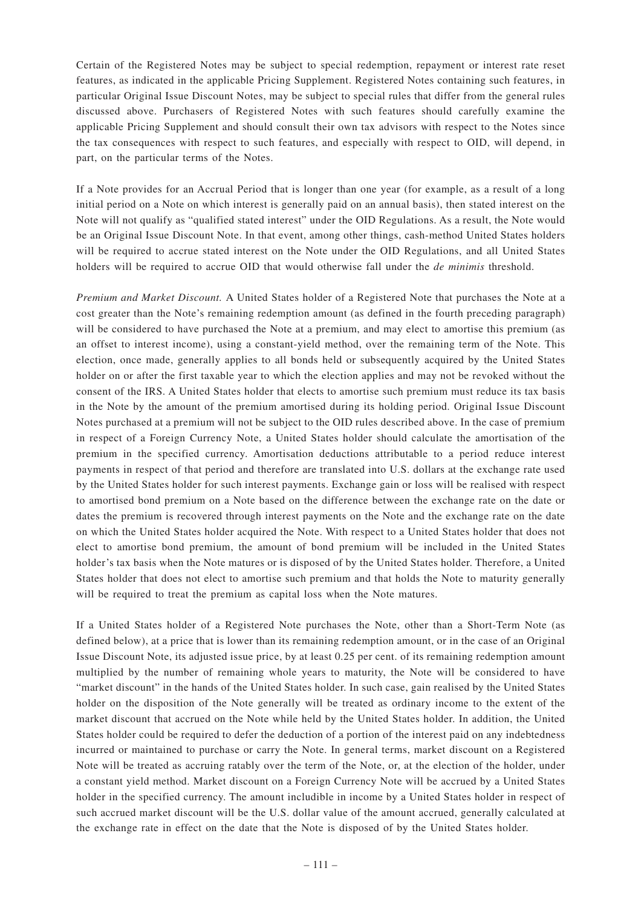Certain of the Registered Notes may be subject to special redemption, repayment or interest rate reset features, as indicated in the applicable Pricing Supplement. Registered Notes containing such features, in particular Original Issue Discount Notes, may be subject to special rules that differ from the general rules discussed above. Purchasers of Registered Notes with such features should carefully examine the applicable Pricing Supplement and should consult their own tax advisors with respect to the Notes since the tax consequences with respect to such features, and especially with respect to OID, will depend, in part, on the particular terms of the Notes.

If a Note provides for an Accrual Period that is longer than one year (for example, as a result of a long initial period on a Note on which interest is generally paid on an annual basis), then stated interest on the Note will not qualify as "qualified stated interest" under the OID Regulations. As a result, the Note would be an Original Issue Discount Note. In that event, among other things, cash-method United States holders will be required to accrue stated interest on the Note under the OID Regulations, and all United States holders will be required to accrue OID that would otherwise fall under the *de minimis* threshold.

*Premium and Market Discount.* A United States holder of a Registered Note that purchases the Note at a cost greater than the Note's remaining redemption amount (as defined in the fourth preceding paragraph) will be considered to have purchased the Note at a premium, and may elect to amortise this premium (as an offset to interest income), using a constant-yield method, over the remaining term of the Note. This election, once made, generally applies to all bonds held or subsequently acquired by the United States holder on or after the first taxable year to which the election applies and may not be revoked without the consent of the IRS. A United States holder that elects to amortise such premium must reduce its tax basis in the Note by the amount of the premium amortised during its holding period. Original Issue Discount Notes purchased at a premium will not be subject to the OID rules described above. In the case of premium in respect of a Foreign Currency Note, a United States holder should calculate the amortisation of the premium in the specified currency. Amortisation deductions attributable to a period reduce interest payments in respect of that period and therefore are translated into U.S. dollars at the exchange rate used by the United States holder for such interest payments. Exchange gain or loss will be realised with respect to amortised bond premium on a Note based on the difference between the exchange rate on the date or dates the premium is recovered through interest payments on the Note and the exchange rate on the date on which the United States holder acquired the Note. With respect to a United States holder that does not elect to amortise bond premium, the amount of bond premium will be included in the United States holder's tax basis when the Note matures or is disposed of by the United States holder. Therefore, a United States holder that does not elect to amortise such premium and that holds the Note to maturity generally will be required to treat the premium as capital loss when the Note matures.

If a United States holder of a Registered Note purchases the Note, other than a Short-Term Note (as defined below), at a price that is lower than its remaining redemption amount, or in the case of an Original Issue Discount Note, its adjusted issue price, by at least 0.25 per cent. of its remaining redemption amount multiplied by the number of remaining whole years to maturity, the Note will be considered to have "market discount" in the hands of the United States holder. In such case, gain realised by the United States holder on the disposition of the Note generally will be treated as ordinary income to the extent of the market discount that accrued on the Note while held by the United States holder. In addition, the United States holder could be required to defer the deduction of a portion of the interest paid on any indebtedness incurred or maintained to purchase or carry the Note. In general terms, market discount on a Registered Note will be treated as accruing ratably over the term of the Note, or, at the election of the holder, under a constant yield method. Market discount on a Foreign Currency Note will be accrued by a United States holder in the specified currency. The amount includible in income by a United States holder in respect of such accrued market discount will be the U.S. dollar value of the amount accrued, generally calculated at the exchange rate in effect on the date that the Note is disposed of by the United States holder.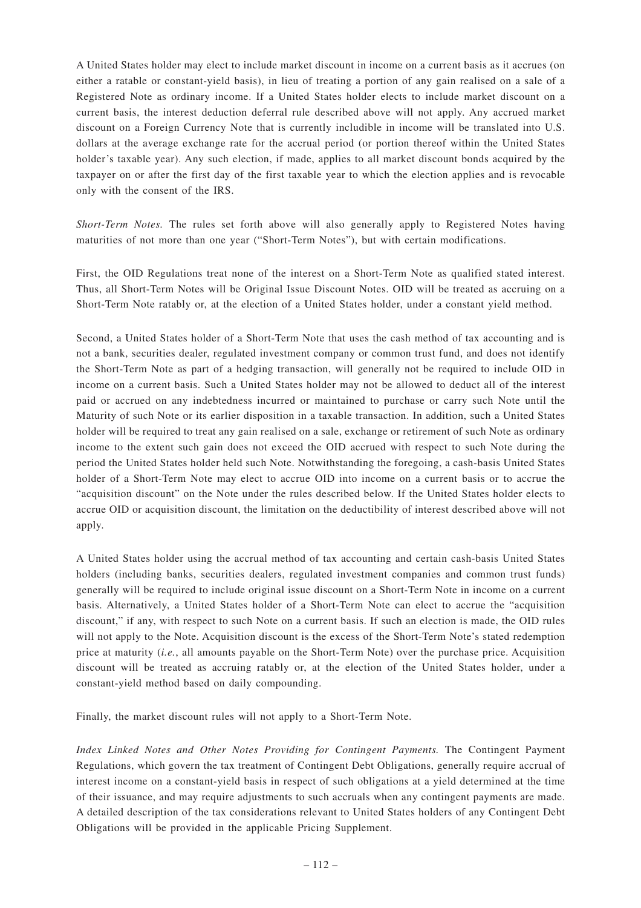A United States holder may elect to include market discount in income on a current basis as it accrues (on either a ratable or constant-yield basis), in lieu of treating a portion of any gain realised on a sale of a Registered Note as ordinary income. If a United States holder elects to include market discount on a current basis, the interest deduction deferral rule described above will not apply. Any accrued market discount on a Foreign Currency Note that is currently includible in income will be translated into U.S. dollars at the average exchange rate for the accrual period (or portion thereof within the United States holder's taxable year). Any such election, if made, applies to all market discount bonds acquired by the taxpayer on or after the first day of the first taxable year to which the election applies and is revocable only with the consent of the IRS.

*Short-Term Notes.* The rules set forth above will also generally apply to Registered Notes having maturities of not more than one year ("Short-Term Notes"), but with certain modifications.

First, the OID Regulations treat none of the interest on a Short-Term Note as qualified stated interest. Thus, all Short-Term Notes will be Original Issue Discount Notes. OID will be treated as accruing on a Short-Term Note ratably or, at the election of a United States holder, under a constant yield method.

Second, a United States holder of a Short-Term Note that uses the cash method of tax accounting and is not a bank, securities dealer, regulated investment company or common trust fund, and does not identify the Short-Term Note as part of a hedging transaction, will generally not be required to include OID in income on a current basis. Such a United States holder may not be allowed to deduct all of the interest paid or accrued on any indebtedness incurred or maintained to purchase or carry such Note until the Maturity of such Note or its earlier disposition in a taxable transaction. In addition, such a United States holder will be required to treat any gain realised on a sale, exchange or retirement of such Note as ordinary income to the extent such gain does not exceed the OID accrued with respect to such Note during the period the United States holder held such Note. Notwithstanding the foregoing, a cash-basis United States holder of a Short-Term Note may elect to accrue OID into income on a current basis or to accrue the "acquisition discount" on the Note under the rules described below. If the United States holder elects to accrue OID or acquisition discount, the limitation on the deductibility of interest described above will not apply.

A United States holder using the accrual method of tax accounting and certain cash-basis United States holders (including banks, securities dealers, regulated investment companies and common trust funds) generally will be required to include original issue discount on a Short-Term Note in income on a current basis. Alternatively, a United States holder of a Short-Term Note can elect to accrue the "acquisition discount," if any, with respect to such Note on a current basis. If such an election is made, the OID rules will not apply to the Note. Acquisition discount is the excess of the Short-Term Note's stated redemption price at maturity (*i.e.*, all amounts payable on the Short-Term Note) over the purchase price. Acquisition discount will be treated as accruing ratably or, at the election of the United States holder, under a constant-yield method based on daily compounding.

Finally, the market discount rules will not apply to a Short-Term Note.

*Index Linked Notes and Other Notes Providing for Contingent Payments.* The Contingent Payment Regulations, which govern the tax treatment of Contingent Debt Obligations, generally require accrual of interest income on a constant-yield basis in respect of such obligations at a yield determined at the time of their issuance, and may require adjustments to such accruals when any contingent payments are made. A detailed description of the tax considerations relevant to United States holders of any Contingent Debt Obligations will be provided in the applicable Pricing Supplement.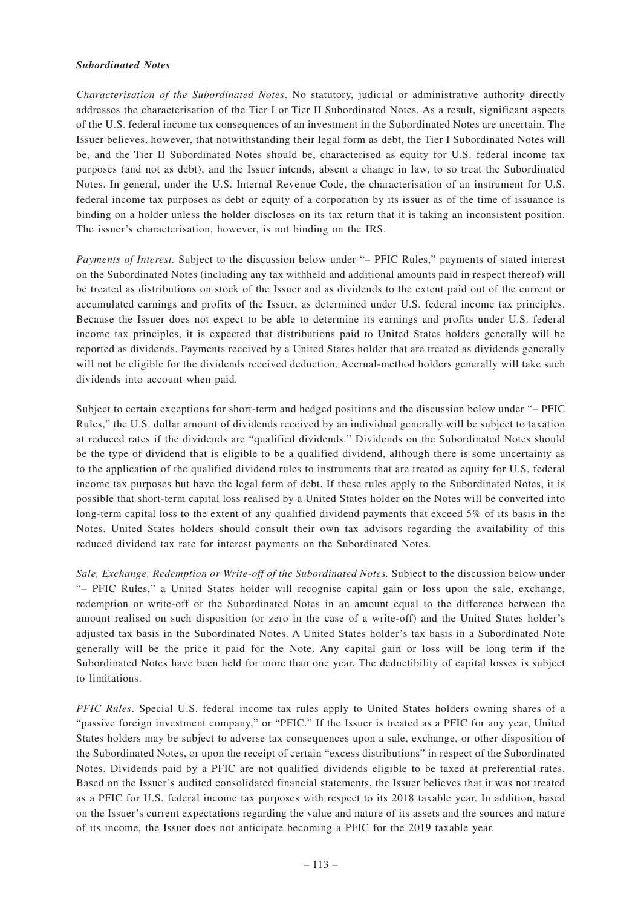### *Subordinated Notes*

*Characterisation of the Subordinated Notes*. No statutory, judicial or administrative authority directly addresses the characterisation of the Tier I or Tier II Subordinated Notes. As a result, significant aspects of the U.S. federal income tax consequences of an investment in the Subordinated Notes are uncertain. The Issuer believes, however, that notwithstanding their legal form as debt, the Tier I Subordinated Notes will be, and the Tier II Subordinated Notes should be, characterised as equity for U.S. federal income tax purposes (and not as debt), and the Issuer intends, absent a change in law, to so treat the Subordinated Notes. In general, under the U.S. Internal Revenue Code, the characterisation of an instrument for U.S. federal income tax purposes as debt or equity of a corporation by its issuer as of the time of issuance is binding on a holder unless the holder discloses on its tax return that it is taking an inconsistent position. The issuer's characterisation, however, is not binding on the IRS.

*Payments of Interest.* Subject to the discussion below under "– PFIC Rules," payments of stated interest on the Subordinated Notes (including any tax withheld and additional amounts paid in respect thereof) will be treated as distributions on stock of the Issuer and as dividends to the extent paid out of the current or accumulated earnings and profits of the Issuer, as determined under U.S. federal income tax principles. Because the Issuer does not expect to be able to determine its earnings and profits under U.S. federal income tax principles, it is expected that distributions paid to United States holders generally will be reported as dividends. Payments received by a United States holder that are treated as dividends generally will not be eligible for the dividends received deduction. Accrual-method holders generally will take such dividends into account when paid.

Subject to certain exceptions for short-term and hedged positions and the discussion below under "– PFIC Rules," the U.S. dollar amount of dividends received by an individual generally will be subject to taxation at reduced rates if the dividends are "qualified dividends." Dividends on the Subordinated Notes should be the type of dividend that is eligible to be a qualified dividend, although there is some uncertainty as to the application of the qualified dividend rules to instruments that are treated as equity for U.S. federal income tax purposes but have the legal form of debt. If these rules apply to the Subordinated Notes, it is possible that short-term capital loss realised by a United States holder on the Notes will be converted into long-term capital loss to the extent of any qualified dividend payments that exceed 5% of its basis in the Notes. United States holders should consult their own tax advisors regarding the availability of this reduced dividend tax rate for interest payments on the Subordinated Notes.

*Sale, Exchange, Redemption or Write-off of the Subordinated Notes.* Subject to the discussion below under "– PFIC Rules," a United States holder will recognise capital gain or loss upon the sale, exchange, redemption or write-off of the Subordinated Notes in an amount equal to the difference between the amount realised on such disposition (or zero in the case of a write-off) and the United States holder's adjusted tax basis in the Subordinated Notes. A United States holder's tax basis in a Subordinated Note generally will be the price it paid for the Note. Any capital gain or loss will be long term if the Subordinated Notes have been held for more than one year. The deductibility of capital losses is subject to limitations.

*PFIC Rules*. Special U.S. federal income tax rules apply to United States holders owning shares of a "passive foreign investment company," or "PFIC." If the Issuer is treated as a PFIC for any year, United States holders may be subject to adverse tax consequences upon a sale, exchange, or other disposition of the Subordinated Notes, or upon the receipt of certain "excess distributions" in respect of the Subordinated Notes. Dividends paid by a PFIC are not qualified dividends eligible to be taxed at preferential rates. Based on the Issuer's audited consolidated financial statements, the Issuer believes that it was not treated as a PFIC for U.S. federal income tax purposes with respect to its 2018 taxable year. In addition, based on the Issuer's current expectations regarding the value and nature of its assets and the sources and nature of its income, the Issuer does not anticipate becoming a PFIC for the 2019 taxable year.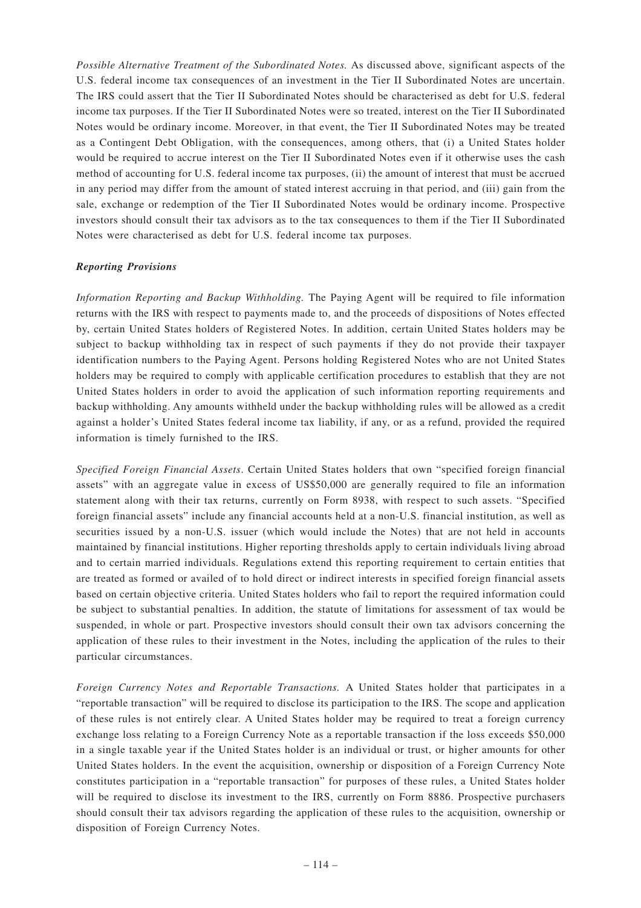*Possible Alternative Treatment of the Subordinated Notes.* As discussed above, significant aspects of the U.S. federal income tax consequences of an investment in the Tier II Subordinated Notes are uncertain. The IRS could assert that the Tier II Subordinated Notes should be characterised as debt for U.S. federal income tax purposes. If the Tier II Subordinated Notes were so treated, interest on the Tier II Subordinated Notes would be ordinary income. Moreover, in that event, the Tier II Subordinated Notes may be treated as a Contingent Debt Obligation, with the consequences, among others, that (i) a United States holder would be required to accrue interest on the Tier II Subordinated Notes even if it otherwise uses the cash method of accounting for U.S. federal income tax purposes, (ii) the amount of interest that must be accrued in any period may differ from the amount of stated interest accruing in that period, and (iii) gain from the sale, exchange or redemption of the Tier II Subordinated Notes would be ordinary income. Prospective investors should consult their tax advisors as to the tax consequences to them if the Tier II Subordinated Notes were characterised as debt for U.S. federal income tax purposes.

## *Reporting Provisions*

*Information Reporting and Backup Withholding.* The Paying Agent will be required to file information returns with the IRS with respect to payments made to, and the proceeds of dispositions of Notes effected by, certain United States holders of Registered Notes. In addition, certain United States holders may be subject to backup withholding tax in respect of such payments if they do not provide their taxpayer identification numbers to the Paying Agent. Persons holding Registered Notes who are not United States holders may be required to comply with applicable certification procedures to establish that they are not United States holders in order to avoid the application of such information reporting requirements and backup withholding. Any amounts withheld under the backup withholding rules will be allowed as a credit against a holder's United States federal income tax liability, if any, or as a refund, provided the required information is timely furnished to the IRS.

*Specified Foreign Financial Assets*. Certain United States holders that own "specified foreign financial assets" with an aggregate value in excess of US\$50,000 are generally required to file an information statement along with their tax returns, currently on Form 8938, with respect to such assets. "Specified foreign financial assets" include any financial accounts held at a non-U.S. financial institution, as well as securities issued by a non-U.S. issuer (which would include the Notes) that are not held in accounts maintained by financial institutions. Higher reporting thresholds apply to certain individuals living abroad and to certain married individuals. Regulations extend this reporting requirement to certain entities that are treated as formed or availed of to hold direct or indirect interests in specified foreign financial assets based on certain objective criteria. United States holders who fail to report the required information could be subject to substantial penalties. In addition, the statute of limitations for assessment of tax would be suspended, in whole or part. Prospective investors should consult their own tax advisors concerning the application of these rules to their investment in the Notes, including the application of the rules to their particular circumstances.

*Foreign Currency Notes and Reportable Transactions.* A United States holder that participates in a "reportable transaction" will be required to disclose its participation to the IRS. The scope and application of these rules is not entirely clear. A United States holder may be required to treat a foreign currency exchange loss relating to a Foreign Currency Note as a reportable transaction if the loss exceeds \$50,000 in a single taxable year if the United States holder is an individual or trust, or higher amounts for other United States holders. In the event the acquisition, ownership or disposition of a Foreign Currency Note constitutes participation in a "reportable transaction" for purposes of these rules, a United States holder will be required to disclose its investment to the IRS, currently on Form 8886. Prospective purchasers should consult their tax advisors regarding the application of these rules to the acquisition, ownership or disposition of Foreign Currency Notes.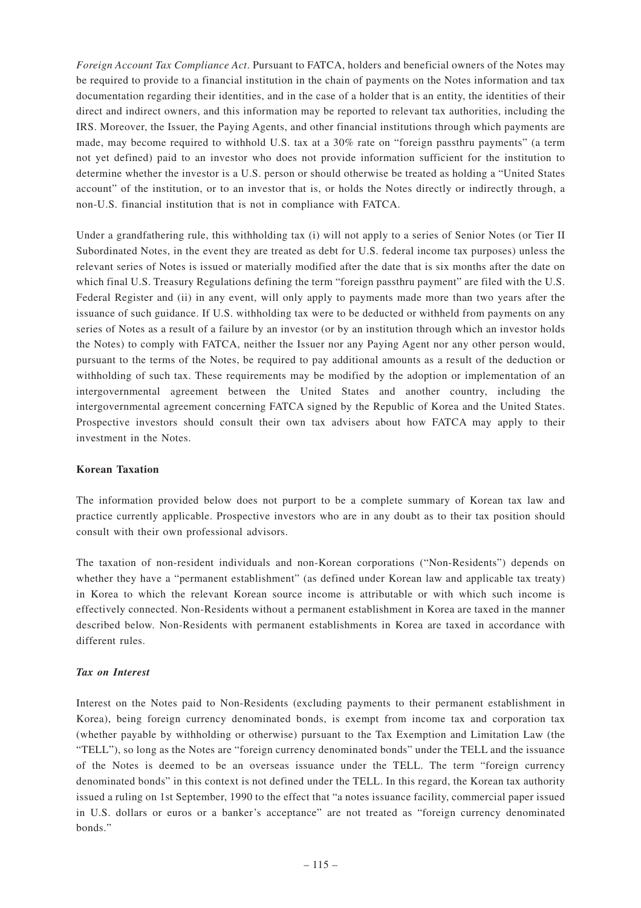*Foreign Account Tax Compliance Act*. Pursuant to FATCA, holders and beneficial owners of the Notes may be required to provide to a financial institution in the chain of payments on the Notes information and tax documentation regarding their identities, and in the case of a holder that is an entity, the identities of their direct and indirect owners, and this information may be reported to relevant tax authorities, including the IRS. Moreover, the Issuer, the Paying Agents, and other financial institutions through which payments are made, may become required to withhold U.S. tax at a 30% rate on "foreign passthru payments" (a term not yet defined) paid to an investor who does not provide information sufficient for the institution to determine whether the investor is a U.S. person or should otherwise be treated as holding a "United States account" of the institution, or to an investor that is, or holds the Notes directly or indirectly through, a non-U.S. financial institution that is not in compliance with FATCA.

Under a grandfathering rule, this withholding tax (i) will not apply to a series of Senior Notes (or Tier II) Subordinated Notes, in the event they are treated as debt for U.S. federal income tax purposes) unless the relevant series of Notes is issued or materially modified after the date that is six months after the date on which final U.S. Treasury Regulations defining the term "foreign passthru payment" are filed with the U.S. Federal Register and (ii) in any event, will only apply to payments made more than two years after the issuance of such guidance. If U.S. withholding tax were to be deducted or withheld from payments on any series of Notes as a result of a failure by an investor (or by an institution through which an investor holds the Notes) to comply with FATCA, neither the Issuer nor any Paying Agent nor any other person would, pursuant to the terms of the Notes, be required to pay additional amounts as a result of the deduction or withholding of such tax. These requirements may be modified by the adoption or implementation of an intergovernmental agreement between the United States and another country, including the intergovernmental agreement concerning FATCA signed by the Republic of Korea and the United States. Prospective investors should consult their own tax advisers about how FATCA may apply to their investment in the Notes.

### **Korean Taxation**

The information provided below does not purport to be a complete summary of Korean tax law and practice currently applicable. Prospective investors who are in any doubt as to their tax position should consult with their own professional advisors.

The taxation of non-resident individuals and non-Korean corporations ("Non-Residents") depends on whether they have a "permanent establishment" (as defined under Korean law and applicable tax treaty) in Korea to which the relevant Korean source income is attributable or with which such income is effectively connected. Non-Residents without a permanent establishment in Korea are taxed in the manner described below. Non-Residents with permanent establishments in Korea are taxed in accordance with different rules.

## *Tax on Interest*

Interest on the Notes paid to Non-Residents (excluding payments to their permanent establishment in Korea), being foreign currency denominated bonds, is exempt from income tax and corporation tax (whether payable by withholding or otherwise) pursuant to the Tax Exemption and Limitation Law (the "TELL"), so long as the Notes are "foreign currency denominated bonds" under the TELL and the issuance of the Notes is deemed to be an overseas issuance under the TELL. The term "foreign currency denominated bonds" in this context is not defined under the TELL. In this regard, the Korean tax authority issued a ruling on 1st September, 1990 to the effect that "a notes issuance facility, commercial paper issued in U.S. dollars or euros or a banker's acceptance" are not treated as "foreign currency denominated bonds."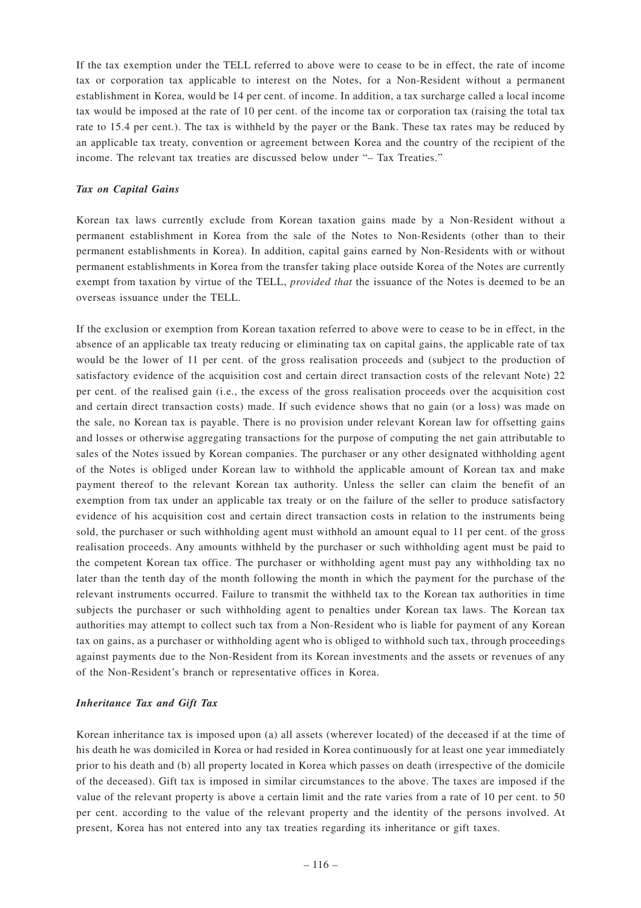If the tax exemption under the TELL referred to above were to cease to be in effect, the rate of income tax or corporation tax applicable to interest on the Notes, for a Non-Resident without a permanent establishment in Korea, would be 14 per cent. of income. In addition, a tax surcharge called a local income tax would be imposed at the rate of 10 per cent. of the income tax or corporation tax (raising the total tax rate to 15.4 per cent.). The tax is withheld by the payer or the Bank. These tax rates may be reduced by an applicable tax treaty, convention or agreement between Korea and the country of the recipient of the income. The relevant tax treaties are discussed below under "– Tax Treaties."

### *Tax on Capital Gains*

Korean tax laws currently exclude from Korean taxation gains made by a Non-Resident without a permanent establishment in Korea from the sale of the Notes to Non-Residents (other than to their permanent establishments in Korea). In addition, capital gains earned by Non-Residents with or without permanent establishments in Korea from the transfer taking place outside Korea of the Notes are currently exempt from taxation by virtue of the TELL, *provided that* the issuance of the Notes is deemed to be an overseas issuance under the TELL.

If the exclusion or exemption from Korean taxation referred to above were to cease to be in effect, in the absence of an applicable tax treaty reducing or eliminating tax on capital gains, the applicable rate of tax would be the lower of 11 per cent. of the gross realisation proceeds and (subject to the production of satisfactory evidence of the acquisition cost and certain direct transaction costs of the relevant Note) 22 per cent. of the realised gain (i.e., the excess of the gross realisation proceeds over the acquisition cost and certain direct transaction costs) made. If such evidence shows that no gain (or a loss) was made on the sale, no Korean tax is payable. There is no provision under relevant Korean law for offsetting gains and losses or otherwise aggregating transactions for the purpose of computing the net gain attributable to sales of the Notes issued by Korean companies. The purchaser or any other designated withholding agent of the Notes is obliged under Korean law to withhold the applicable amount of Korean tax and make payment thereof to the relevant Korean tax authority. Unless the seller can claim the benefit of an exemption from tax under an applicable tax treaty or on the failure of the seller to produce satisfactory evidence of his acquisition cost and certain direct transaction costs in relation to the instruments being sold, the purchaser or such withholding agent must withhold an amount equal to 11 per cent. of the gross realisation proceeds. Any amounts withheld by the purchaser or such withholding agent must be paid to the competent Korean tax office. The purchaser or withholding agent must pay any withholding tax no later than the tenth day of the month following the month in which the payment for the purchase of the relevant instruments occurred. Failure to transmit the withheld tax to the Korean tax authorities in time subjects the purchaser or such withholding agent to penalties under Korean tax laws. The Korean tax authorities may attempt to collect such tax from a Non-Resident who is liable for payment of any Korean tax on gains, as a purchaser or withholding agent who is obliged to withhold such tax, through proceedings against payments due to the Non-Resident from its Korean investments and the assets or revenues of any of the Non-Resident's branch or representative offices in Korea.

## *Inheritance Tax and Gift Tax*

Korean inheritance tax is imposed upon (a) all assets (wherever located) of the deceased if at the time of his death he was domiciled in Korea or had resided in Korea continuously for at least one year immediately prior to his death and (b) all property located in Korea which passes on death (irrespective of the domicile of the deceased). Gift tax is imposed in similar circumstances to the above. The taxes are imposed if the value of the relevant property is above a certain limit and the rate varies from a rate of 10 per cent. to 50 per cent. according to the value of the relevant property and the identity of the persons involved. At present, Korea has not entered into any tax treaties regarding its inheritance or gift taxes.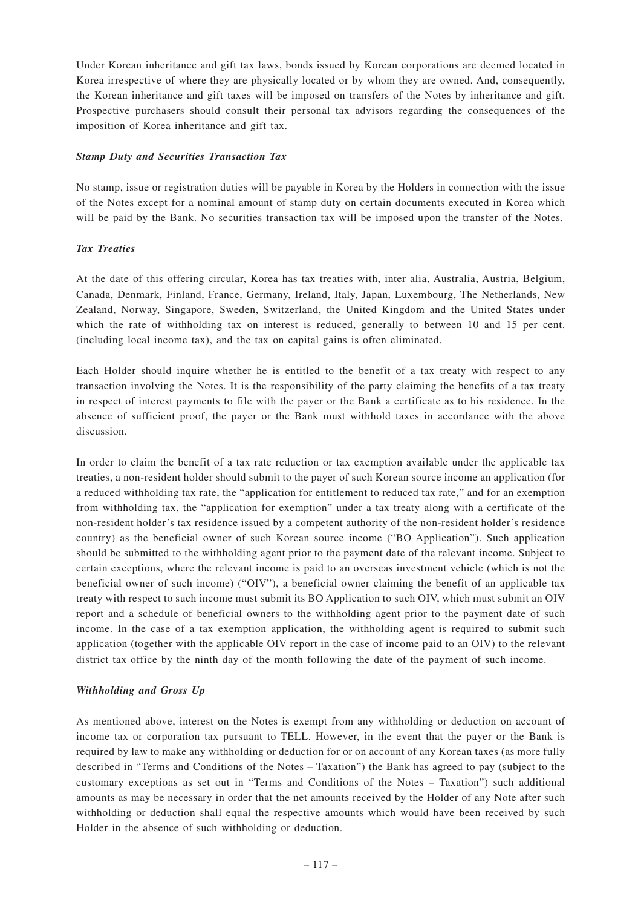Under Korean inheritance and gift tax laws, bonds issued by Korean corporations are deemed located in Korea irrespective of where they are physically located or by whom they are owned. And, consequently, the Korean inheritance and gift taxes will be imposed on transfers of the Notes by inheritance and gift. Prospective purchasers should consult their personal tax advisors regarding the consequences of the imposition of Korea inheritance and gift tax.

## *Stamp Duty and Securities Transaction Tax*

No stamp, issue or registration duties will be payable in Korea by the Holders in connection with the issue of the Notes except for a nominal amount of stamp duty on certain documents executed in Korea which will be paid by the Bank. No securities transaction tax will be imposed upon the transfer of the Notes.

## *Tax Treaties*

At the date of this offering circular, Korea has tax treaties with, inter alia, Australia, Austria, Belgium, Canada, Denmark, Finland, France, Germany, Ireland, Italy, Japan, Luxembourg, The Netherlands, New Zealand, Norway, Singapore, Sweden, Switzerland, the United Kingdom and the United States under which the rate of withholding tax on interest is reduced, generally to between 10 and 15 per cent. (including local income tax), and the tax on capital gains is often eliminated.

Each Holder should inquire whether he is entitled to the benefit of a tax treaty with respect to any transaction involving the Notes. It is the responsibility of the party claiming the benefits of a tax treaty in respect of interest payments to file with the payer or the Bank a certificate as to his residence. In the absence of sufficient proof, the payer or the Bank must withhold taxes in accordance with the above discussion.

In order to claim the benefit of a tax rate reduction or tax exemption available under the applicable tax treaties, a non-resident holder should submit to the payer of such Korean source income an application (for a reduced withholding tax rate, the "application for entitlement to reduced tax rate," and for an exemption from withholding tax, the "application for exemption" under a tax treaty along with a certificate of the non-resident holder's tax residence issued by a competent authority of the non-resident holder's residence country) as the beneficial owner of such Korean source income ("BO Application"). Such application should be submitted to the withholding agent prior to the payment date of the relevant income. Subject to certain exceptions, where the relevant income is paid to an overseas investment vehicle (which is not the beneficial owner of such income) ("OIV"), a beneficial owner claiming the benefit of an applicable tax treaty with respect to such income must submit its BO Application to such OIV, which must submit an OIV report and a schedule of beneficial owners to the withholding agent prior to the payment date of such income. In the case of a tax exemption application, the withholding agent is required to submit such application (together with the applicable OIV report in the case of income paid to an OIV) to the relevant district tax office by the ninth day of the month following the date of the payment of such income.

### *Withholding and Gross Up*

As mentioned above, interest on the Notes is exempt from any withholding or deduction on account of income tax or corporation tax pursuant to TELL. However, in the event that the payer or the Bank is required by law to make any withholding or deduction for or on account of any Korean taxes (as more fully described in "Terms and Conditions of the Notes – Taxation") the Bank has agreed to pay (subject to the customary exceptions as set out in "Terms and Conditions of the Notes – Taxation") such additional amounts as may be necessary in order that the net amounts received by the Holder of any Note after such withholding or deduction shall equal the respective amounts which would have been received by such Holder in the absence of such withholding or deduction.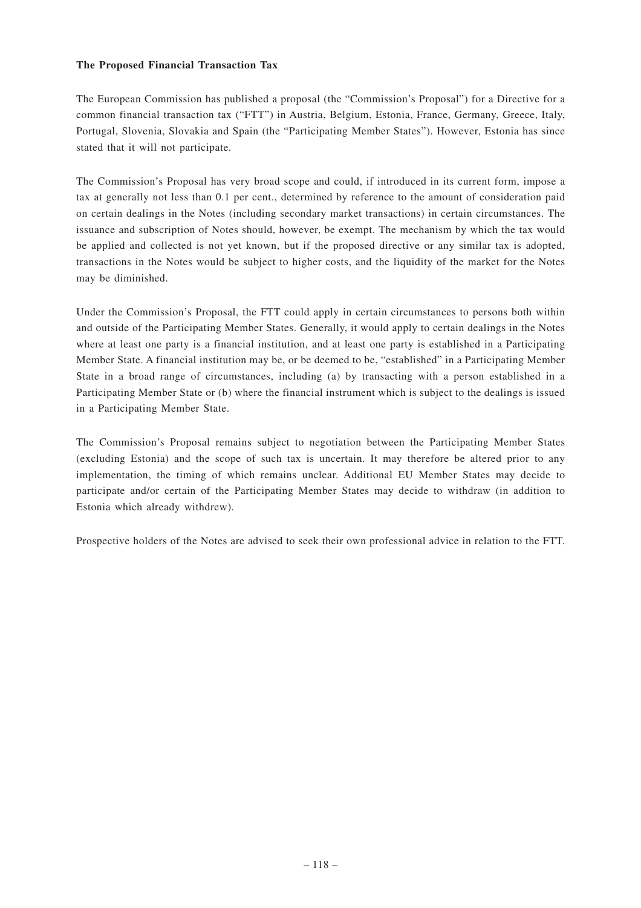#### **The Proposed Financial Transaction Tax**

The European Commission has published a proposal (the "Commission's Proposal") for a Directive for a common financial transaction tax ("FTT") in Austria, Belgium, Estonia, France, Germany, Greece, Italy, Portugal, Slovenia, Slovakia and Spain (the "Participating Member States"). However, Estonia has since stated that it will not participate.

The Commission's Proposal has very broad scope and could, if introduced in its current form, impose a tax at generally not less than 0.1 per cent., determined by reference to the amount of consideration paid on certain dealings in the Notes (including secondary market transactions) in certain circumstances. The issuance and subscription of Notes should, however, be exempt. The mechanism by which the tax would be applied and collected is not yet known, but if the proposed directive or any similar tax is adopted, transactions in the Notes would be subject to higher costs, and the liquidity of the market for the Notes may be diminished.

Under the Commission's Proposal, the FTT could apply in certain circumstances to persons both within and outside of the Participating Member States. Generally, it would apply to certain dealings in the Notes where at least one party is a financial institution, and at least one party is established in a Participating Member State. A financial institution may be, or be deemed to be, "established" in a Participating Member State in a broad range of circumstances, including (a) by transacting with a person established in a Participating Member State or (b) where the financial instrument which is subject to the dealings is issued in a Participating Member State.

The Commission's Proposal remains subject to negotiation between the Participating Member States (excluding Estonia) and the scope of such tax is uncertain. It may therefore be altered prior to any implementation, the timing of which remains unclear. Additional EU Member States may decide to participate and/or certain of the Participating Member States may decide to withdraw (in addition to Estonia which already withdrew).

Prospective holders of the Notes are advised to seek their own professional advice in relation to the FTT.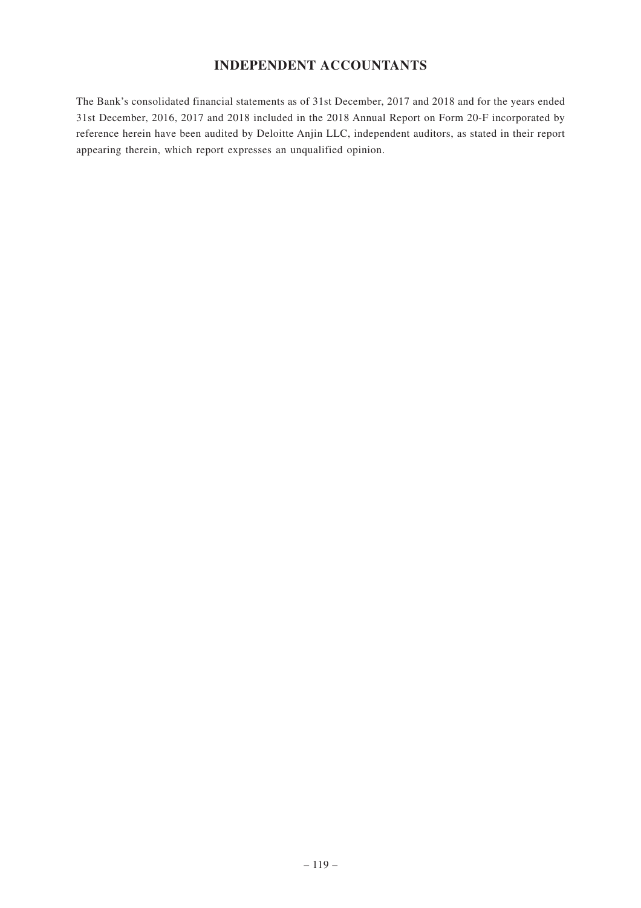# **INDEPENDENT ACCOUNTANTS**

The Bank's consolidated financial statements as of 31st December, 2017 and 2018 and for the years ended 31st December, 2016, 2017 and 2018 included in the 2018 Annual Report on Form 20-F incorporated by reference herein have been audited by Deloitte Anjin LLC, independent auditors, as stated in their report appearing therein, which report expresses an unqualified opinion.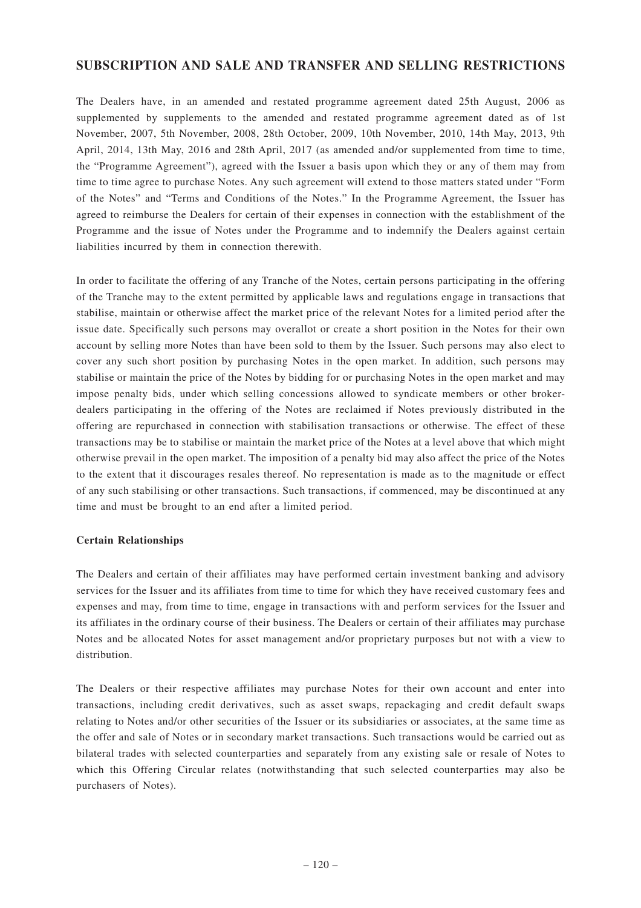# **SUBSCRIPTION AND SALE AND TRANSFER AND SELLING RESTRICTIONS**

The Dealers have, in an amended and restated programme agreement dated 25th August, 2006 as supplemented by supplements to the amended and restated programme agreement dated as of 1st November, 2007, 5th November, 2008, 28th October, 2009, 10th November, 2010, 14th May, 2013, 9th April, 2014, 13th May, 2016 and 28th April, 2017 (as amended and/or supplemented from time to time, the "Programme Agreement"), agreed with the Issuer a basis upon which they or any of them may from time to time agree to purchase Notes. Any such agreement will extend to those matters stated under "Form of the Notes" and "Terms and Conditions of the Notes." In the Programme Agreement, the Issuer has agreed to reimburse the Dealers for certain of their expenses in connection with the establishment of the Programme and the issue of Notes under the Programme and to indemnify the Dealers against certain liabilities incurred by them in connection therewith.

In order to facilitate the offering of any Tranche of the Notes, certain persons participating in the offering of the Tranche may to the extent permitted by applicable laws and regulations engage in transactions that stabilise, maintain or otherwise affect the market price of the relevant Notes for a limited period after the issue date. Specifically such persons may overallot or create a short position in the Notes for their own account by selling more Notes than have been sold to them by the Issuer. Such persons may also elect to cover any such short position by purchasing Notes in the open market. In addition, such persons may stabilise or maintain the price of the Notes by bidding for or purchasing Notes in the open market and may impose penalty bids, under which selling concessions allowed to syndicate members or other brokerdealers participating in the offering of the Notes are reclaimed if Notes previously distributed in the offering are repurchased in connection with stabilisation transactions or otherwise. The effect of these transactions may be to stabilise or maintain the market price of the Notes at a level above that which might otherwise prevail in the open market. The imposition of a penalty bid may also affect the price of the Notes to the extent that it discourages resales thereof. No representation is made as to the magnitude or effect of any such stabilising or other transactions. Such transactions, if commenced, may be discontinued at any time and must be brought to an end after a limited period.

### **Certain Relationships**

The Dealers and certain of their affiliates may have performed certain investment banking and advisory services for the Issuer and its affiliates from time to time for which they have received customary fees and expenses and may, from time to time, engage in transactions with and perform services for the Issuer and its affiliates in the ordinary course of their business. The Dealers or certain of their affiliates may purchase Notes and be allocated Notes for asset management and/or proprietary purposes but not with a view to distribution.

The Dealers or their respective affiliates may purchase Notes for their own account and enter into transactions, including credit derivatives, such as asset swaps, repackaging and credit default swaps relating to Notes and/or other securities of the Issuer or its subsidiaries or associates, at the same time as the offer and sale of Notes or in secondary market transactions. Such transactions would be carried out as bilateral trades with selected counterparties and separately from any existing sale or resale of Notes to which this Offering Circular relates (notwithstanding that such selected counterparties may also be purchasers of Notes).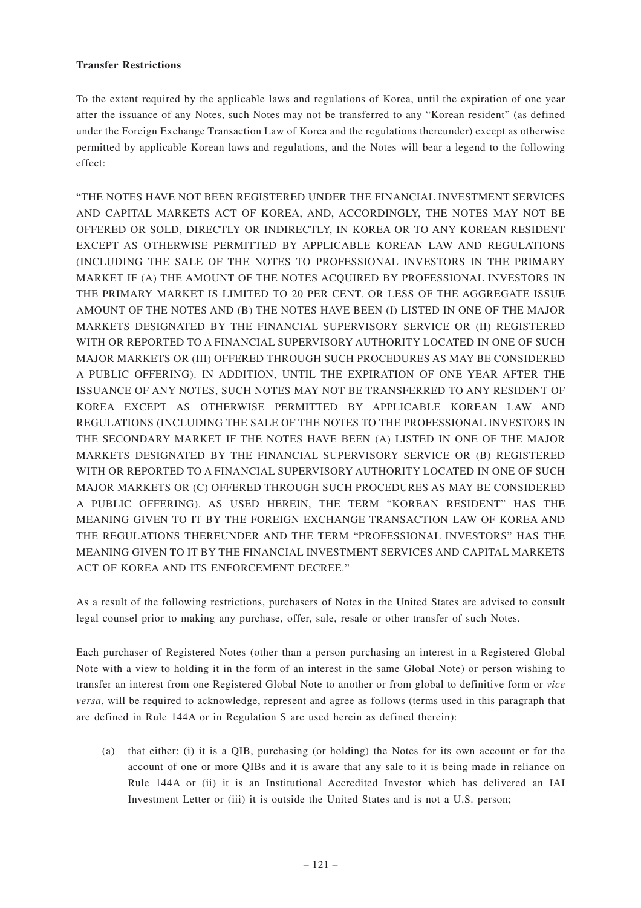### **Transfer Restrictions**

To the extent required by the applicable laws and regulations of Korea, until the expiration of one year after the issuance of any Notes, such Notes may not be transferred to any "Korean resident" (as defined under the Foreign Exchange Transaction Law of Korea and the regulations thereunder) except as otherwise permitted by applicable Korean laws and regulations, and the Notes will bear a legend to the following effect:

"THE NOTES HAVE NOT BEEN REGISTERED UNDER THE FINANCIAL INVESTMENT SERVICES AND CAPITAL MARKETS ACT OF KOREA, AND, ACCORDINGLY, THE NOTES MAY NOT BE OFFERED OR SOLD, DIRECTLY OR INDIRECTLY, IN KOREA OR TO ANY KOREAN RESIDENT EXCEPT AS OTHERWISE PERMITTED BY APPLICABLE KOREAN LAW AND REGULATIONS (INCLUDING THE SALE OF THE NOTES TO PROFESSIONAL INVESTORS IN THE PRIMARY MARKET IF (A) THE AMOUNT OF THE NOTES ACQUIRED BY PROFESSIONAL INVESTORS IN THE PRIMARY MARKET IS LIMITED TO 20 PER CENT. OR LESS OF THE AGGREGATE ISSUE AMOUNT OF THE NOTES AND (B) THE NOTES HAVE BEEN (I) LISTED IN ONE OF THE MAJOR MARKETS DESIGNATED BY THE FINANCIAL SUPERVISORY SERVICE OR (II) REGISTERED WITH OR REPORTED TO A FINANCIAL SUPERVISORY AUTHORITY LOCATED IN ONE OF SUCH MAJOR MARKETS OR (III) OFFERED THROUGH SUCH PROCEDURES AS MAY BE CONSIDERED A PUBLIC OFFERING). IN ADDITION, UNTIL THE EXPIRATION OF ONE YEAR AFTER THE ISSUANCE OF ANY NOTES, SUCH NOTES MAY NOT BE TRANSFERRED TO ANY RESIDENT OF KOREA EXCEPT AS OTHERWISE PERMITTED BY APPLICABLE KOREAN LAW AND REGULATIONS (INCLUDING THE SALE OF THE NOTES TO THE PROFESSIONAL INVESTORS IN THE SECONDARY MARKET IF THE NOTES HAVE BEEN (A) LISTED IN ONE OF THE MAJOR MARKETS DESIGNATED BY THE FINANCIAL SUPERVISORY SERVICE OR (B) REGISTERED WITH OR REPORTED TO A FINANCIAL SUPERVISORY AUTHORITY LOCATED IN ONE OF SUCH MAJOR MARKETS OR (C) OFFERED THROUGH SUCH PROCEDURES AS MAY BE CONSIDERED A PUBLIC OFFERING). AS USED HEREIN, THE TERM "KOREAN RESIDENT" HAS THE MEANING GIVEN TO IT BY THE FOREIGN EXCHANGE TRANSACTION LAW OF KOREA AND THE REGULATIONS THEREUNDER AND THE TERM "PROFESSIONAL INVESTORS" HAS THE MEANING GIVEN TO IT BY THE FINANCIAL INVESTMENT SERVICES AND CAPITAL MARKETS ACT OF KOREA AND ITS ENFORCEMENT DECREE."

As a result of the following restrictions, purchasers of Notes in the United States are advised to consult legal counsel prior to making any purchase, offer, sale, resale or other transfer of such Notes.

Each purchaser of Registered Notes (other than a person purchasing an interest in a Registered Global Note with a view to holding it in the form of an interest in the same Global Note) or person wishing to transfer an interest from one Registered Global Note to another or from global to definitive form or *vice versa*, will be required to acknowledge, represent and agree as follows (terms used in this paragraph that are defined in Rule 144A or in Regulation S are used herein as defined therein):

(a) that either: (i) it is a QIB, purchasing (or holding) the Notes for its own account or for the account of one or more QIBs and it is aware that any sale to it is being made in reliance on Rule 144A or (ii) it is an Institutional Accredited Investor which has delivered an IAI Investment Letter or (iii) it is outside the United States and is not a U.S. person;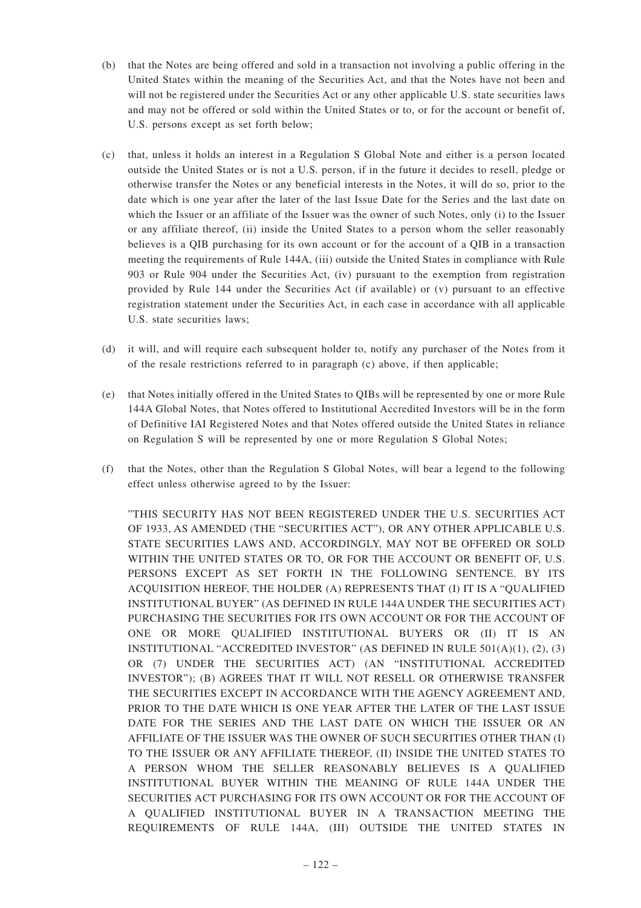- (b) that the Notes are being offered and sold in a transaction not involving a public offering in the United States within the meaning of the Securities Act, and that the Notes have not been and will not be registered under the Securities Act or any other applicable U.S. state securities laws and may not be offered or sold within the United States or to, or for the account or benefit of, U.S. persons except as set forth below;
- (c) that, unless it holds an interest in a Regulation S Global Note and either is a person located outside the United States or is not a U.S. person, if in the future it decides to resell, pledge or otherwise transfer the Notes or any beneficial interests in the Notes, it will do so, prior to the date which is one year after the later of the last Issue Date for the Series and the last date on which the Issuer or an affiliate of the Issuer was the owner of such Notes, only (i) to the Issuer or any affiliate thereof, (ii) inside the United States to a person whom the seller reasonably believes is a QIB purchasing for its own account or for the account of a QIB in a transaction meeting the requirements of Rule 144A, (iii) outside the United States in compliance with Rule 903 or Rule 904 under the Securities Act, (iv) pursuant to the exemption from registration provided by Rule 144 under the Securities Act (if available) or (v) pursuant to an effective registration statement under the Securities Act, in each case in accordance with all applicable U.S. state securities laws;
- (d) it will, and will require each subsequent holder to, notify any purchaser of the Notes from it of the resale restrictions referred to in paragraph (c) above, if then applicable;
- (e) that Notes initially offered in the United States to QIBs will be represented by one or more Rule 144A Global Notes, that Notes offered to Institutional Accredited Investors will be in the form of Definitive IAI Registered Notes and that Notes offered outside the United States in reliance on Regulation S will be represented by one or more Regulation S Global Notes;
- (f) that the Notes, other than the Regulation S Global Notes, will bear a legend to the following effect unless otherwise agreed to by the Issuer:

"THIS SECURITY HAS NOT BEEN REGISTERED UNDER THE U.S. SECURITIES ACT OF 1933, AS AMENDED (THE "SECURITIES ACT"), OR ANY OTHER APPLICABLE U.S. STATE SECURITIES LAWS AND, ACCORDINGLY, MAY NOT BE OFFERED OR SOLD WITHIN THE UNITED STATES OR TO, OR FOR THE ACCOUNT OR BENEFIT OF, U.S. PERSONS EXCEPT AS SET FORTH IN THE FOLLOWING SENTENCE. BY ITS ACQUISITION HEREOF, THE HOLDER (A) REPRESENTS THAT (I) IT IS A "QUALIFIED INSTITUTIONAL BUYER" (AS DEFINED IN RULE 144A UNDER THE SECURITIES ACT) PURCHASING THE SECURITIES FOR ITS OWN ACCOUNT OR FOR THE ACCOUNT OF ONE OR MORE QUALIFIED INSTITUTIONAL BUYERS OR (II) IT IS AN INSTITUTIONAL "ACCREDITED INVESTOR" (AS DEFINED IN RULE 501(A)(1), (2), (3) OR (7) UNDER THE SECURITIES ACT) (AN "INSTITUTIONAL ACCREDITED INVESTOR"); (B) AGREES THAT IT WILL NOT RESELL OR OTHERWISE TRANSFER THE SECURITIES EXCEPT IN ACCORDANCE WITH THE AGENCY AGREEMENT AND, PRIOR TO THE DATE WHICH IS ONE YEAR AFTER THE LATER OF THE LAST ISSUE DATE FOR THE SERIES AND THE LAST DATE ON WHICH THE ISSUER OR AN AFFILIATE OF THE ISSUER WAS THE OWNER OF SUCH SECURITIES OTHER THAN (I) TO THE ISSUER OR ANY AFFILIATE THEREOF, (II) INSIDE THE UNITED STATES TO A PERSON WHOM THE SELLER REASONABLY BELIEVES IS A QUALIFIED INSTITUTIONAL BUYER WITHIN THE MEANING OF RULE 144A UNDER THE SECURITIES ACT PURCHASING FOR ITS OWN ACCOUNT OR FOR THE ACCOUNT OF A QUALIFIED INSTITUTIONAL BUYER IN A TRANSACTION MEETING THE REQUIREMENTS OF RULE 144A, (III) OUTSIDE THE UNITED STATES IN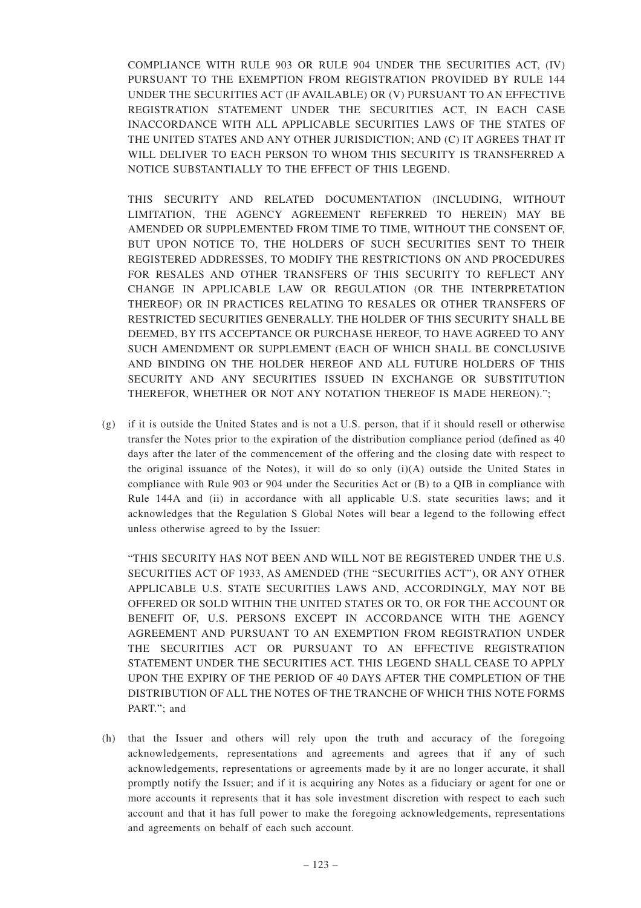COMPLIANCE WITH RULE 903 OR RULE 904 UNDER THE SECURITIES ACT, (IV) PURSUANT TO THE EXEMPTION FROM REGISTRATION PROVIDED BY RULE 144 UNDER THE SECURITIES ACT (IF AVAILABLE) OR (V) PURSUANT TO AN EFFECTIVE REGISTRATION STATEMENT UNDER THE SECURITIES ACT, IN EACH CASE INACCORDANCE WITH ALL APPLICABLE SECURITIES LAWS OF THE STATES OF THE UNITED STATES AND ANY OTHER JURISDICTION; AND (C) IT AGREES THAT IT WILL DELIVER TO EACH PERSON TO WHOM THIS SECURITY IS TRANSFERRED A NOTICE SUBSTANTIALLY TO THE EFFECT OF THIS LEGEND.

THIS SECURITY AND RELATED DOCUMENTATION (INCLUDING, WITHOUT LIMITATION, THE AGENCY AGREEMENT REFERRED TO HEREIN) MAY BE AMENDED OR SUPPLEMENTED FROM TIME TO TIME, WITHOUT THE CONSENT OF, BUT UPON NOTICE TO, THE HOLDERS OF SUCH SECURITIES SENT TO THEIR REGISTERED ADDRESSES, TO MODIFY THE RESTRICTIONS ON AND PROCEDURES FOR RESALES AND OTHER TRANSFERS OF THIS SECURITY TO REFLECT ANY CHANGE IN APPLICABLE LAW OR REGULATION (OR THE INTERPRETATION THEREOF) OR IN PRACTICES RELATING TO RESALES OR OTHER TRANSFERS OF RESTRICTED SECURITIES GENERALLY. THE HOLDER OF THIS SECURITY SHALL BE DEEMED, BY ITS ACCEPTANCE OR PURCHASE HEREOF, TO HAVE AGREED TO ANY SUCH AMENDMENT OR SUPPLEMENT (EACH OF WHICH SHALL BE CONCLUSIVE AND BINDING ON THE HOLDER HEREOF AND ALL FUTURE HOLDERS OF THIS SECURITY AND ANY SECURITIES ISSUED IN EXCHANGE OR SUBSTITUTION THEREFOR, WHETHER OR NOT ANY NOTATION THEREOF IS MADE HEREON).";

(g) if it is outside the United States and is not a U.S. person, that if it should resell or otherwise transfer the Notes prior to the expiration of the distribution compliance period (defined as 40 days after the later of the commencement of the offering and the closing date with respect to the original issuance of the Notes), it will do so only (i)(A) outside the United States in compliance with Rule 903 or 904 under the Securities Act or (B) to a QIB in compliance with Rule 144A and (ii) in accordance with all applicable U.S. state securities laws; and it acknowledges that the Regulation S Global Notes will bear a legend to the following effect unless otherwise agreed to by the Issuer:

"THIS SECURITY HAS NOT BEEN AND WILL NOT BE REGISTERED UNDER THE U.S. SECURITIES ACT OF 1933, AS AMENDED (THE "SECURITIES ACT"), OR ANY OTHER APPLICABLE U.S. STATE SECURITIES LAWS AND, ACCORDINGLY, MAY NOT BE OFFERED OR SOLD WITHIN THE UNITED STATES OR TO, OR FOR THE ACCOUNT OR BENEFIT OF, U.S. PERSONS EXCEPT IN ACCORDANCE WITH THE AGENCY AGREEMENT AND PURSUANT TO AN EXEMPTION FROM REGISTRATION UNDER THE SECURITIES ACT OR PURSUANT TO AN EFFECTIVE REGISTRATION STATEMENT UNDER THE SECURITIES ACT. THIS LEGEND SHALL CEASE TO APPLY UPON THE EXPIRY OF THE PERIOD OF 40 DAYS AFTER THE COMPLETION OF THE DISTRIBUTION OF ALL THE NOTES OF THE TRANCHE OF WHICH THIS NOTE FORMS PART."; and

(h) that the Issuer and others will rely upon the truth and accuracy of the foregoing acknowledgements, representations and agreements and agrees that if any of such acknowledgements, representations or agreements made by it are no longer accurate, it shall promptly notify the Issuer; and if it is acquiring any Notes as a fiduciary or agent for one or more accounts it represents that it has sole investment discretion with respect to each such account and that it has full power to make the foregoing acknowledgements, representations and agreements on behalf of each such account.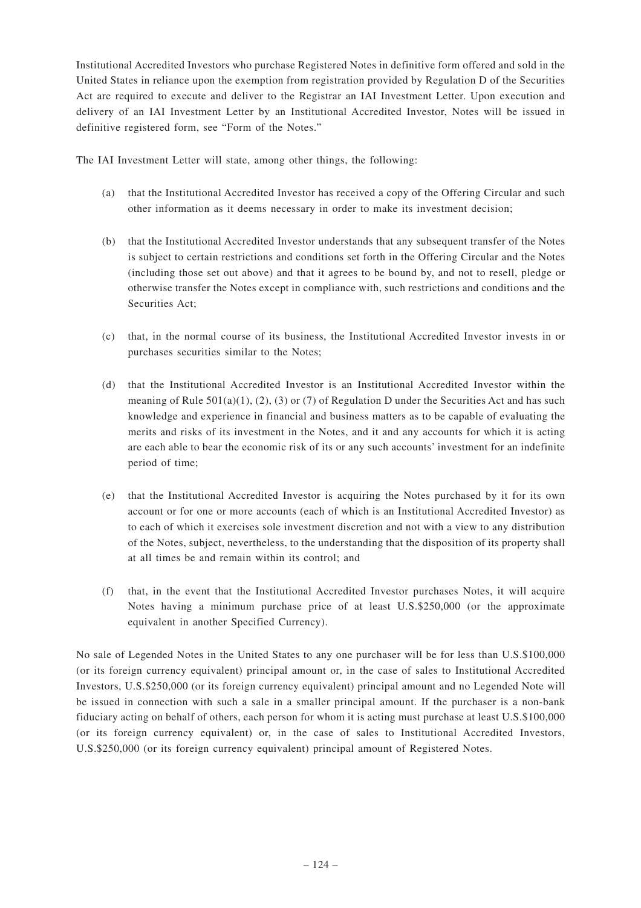Institutional Accredited Investors who purchase Registered Notes in definitive form offered and sold in the United States in reliance upon the exemption from registration provided by Regulation D of the Securities Act are required to execute and deliver to the Registrar an IAI Investment Letter. Upon execution and delivery of an IAI Investment Letter by an Institutional Accredited Investor, Notes will be issued in definitive registered form, see "Form of the Notes."

The IAI Investment Letter will state, among other things, the following:

- (a) that the Institutional Accredited Investor has received a copy of the Offering Circular and such other information as it deems necessary in order to make its investment decision;
- (b) that the Institutional Accredited Investor understands that any subsequent transfer of the Notes is subject to certain restrictions and conditions set forth in the Offering Circular and the Notes (including those set out above) and that it agrees to be bound by, and not to resell, pledge or otherwise transfer the Notes except in compliance with, such restrictions and conditions and the Securities Act:
- (c) that, in the normal course of its business, the Institutional Accredited Investor invests in or purchases securities similar to the Notes;
- (d) that the Institutional Accredited Investor is an Institutional Accredited Investor within the meaning of Rule  $501(a)(1)$ ,  $(2)$ ,  $(3)$  or  $(7)$  of Regulation D under the Securities Act and has such knowledge and experience in financial and business matters as to be capable of evaluating the merits and risks of its investment in the Notes, and it and any accounts for which it is acting are each able to bear the economic risk of its or any such accounts' investment for an indefinite period of time;
- (e) that the Institutional Accredited Investor is acquiring the Notes purchased by it for its own account or for one or more accounts (each of which is an Institutional Accredited Investor) as to each of which it exercises sole investment discretion and not with a view to any distribution of the Notes, subject, nevertheless, to the understanding that the disposition of its property shall at all times be and remain within its control; and
- (f) that, in the event that the Institutional Accredited Investor purchases Notes, it will acquire Notes having a minimum purchase price of at least U.S.\$250,000 (or the approximate equivalent in another Specified Currency).

No sale of Legended Notes in the United States to any one purchaser will be for less than U.S.\$100,000 (or its foreign currency equivalent) principal amount or, in the case of sales to Institutional Accredited Investors, U.S.\$250,000 (or its foreign currency equivalent) principal amount and no Legended Note will be issued in connection with such a sale in a smaller principal amount. If the purchaser is a non-bank fiduciary acting on behalf of others, each person for whom it is acting must purchase at least U.S.\$100,000 (or its foreign currency equivalent) or, in the case of sales to Institutional Accredited Investors, U.S.\$250,000 (or its foreign currency equivalent) principal amount of Registered Notes.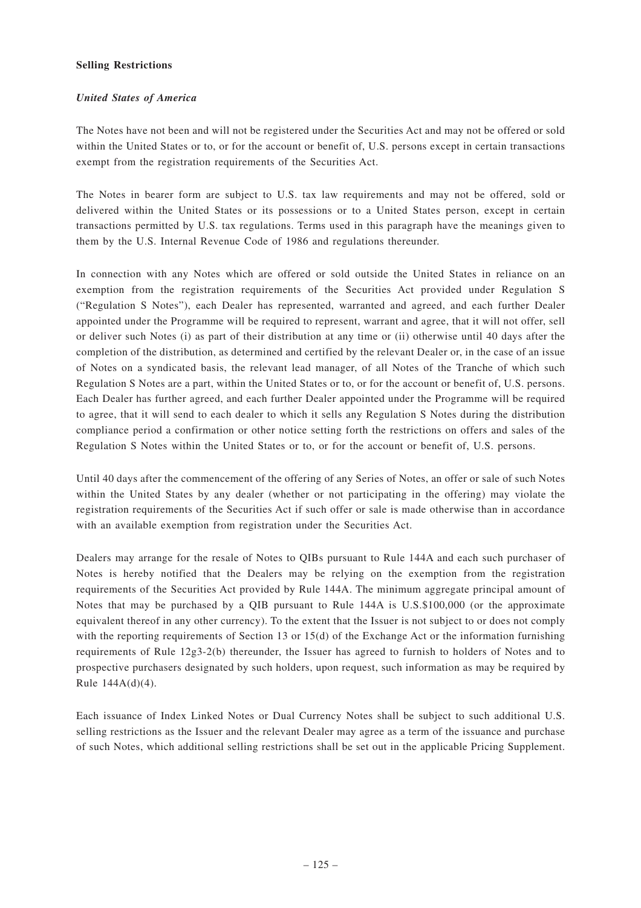### **Selling Restrictions**

### *United States of America*

The Notes have not been and will not be registered under the Securities Act and may not be offered or sold within the United States or to, or for the account or benefit of, U.S. persons except in certain transactions exempt from the registration requirements of the Securities Act.

The Notes in bearer form are subject to U.S. tax law requirements and may not be offered, sold or delivered within the United States or its possessions or to a United States person, except in certain transactions permitted by U.S. tax regulations. Terms used in this paragraph have the meanings given to them by the U.S. Internal Revenue Code of 1986 and regulations thereunder.

In connection with any Notes which are offered or sold outside the United States in reliance on an exemption from the registration requirements of the Securities Act provided under Regulation S ("Regulation S Notes"), each Dealer has represented, warranted and agreed, and each further Dealer appointed under the Programme will be required to represent, warrant and agree, that it will not offer, sell or deliver such Notes (i) as part of their distribution at any time or (ii) otherwise until 40 days after the completion of the distribution, as determined and certified by the relevant Dealer or, in the case of an issue of Notes on a syndicated basis, the relevant lead manager, of all Notes of the Tranche of which such Regulation S Notes are a part, within the United States or to, or for the account or benefit of, U.S. persons. Each Dealer has further agreed, and each further Dealer appointed under the Programme will be required to agree, that it will send to each dealer to which it sells any Regulation S Notes during the distribution compliance period a confirmation or other notice setting forth the restrictions on offers and sales of the Regulation S Notes within the United States or to, or for the account or benefit of, U.S. persons.

Until 40 days after the commencement of the offering of any Series of Notes, an offer or sale of such Notes within the United States by any dealer (whether or not participating in the offering) may violate the registration requirements of the Securities Act if such offer or sale is made otherwise than in accordance with an available exemption from registration under the Securities Act.

Dealers may arrange for the resale of Notes to QIBs pursuant to Rule 144A and each such purchaser of Notes is hereby notified that the Dealers may be relying on the exemption from the registration requirements of the Securities Act provided by Rule 144A. The minimum aggregate principal amount of Notes that may be purchased by a QIB pursuant to Rule 144A is U.S.\$100,000 (or the approximate equivalent thereof in any other currency). To the extent that the Issuer is not subject to or does not comply with the reporting requirements of Section 13 or 15(d) of the Exchange Act or the information furnishing requirements of Rule 12g3-2(b) thereunder, the Issuer has agreed to furnish to holders of Notes and to prospective purchasers designated by such holders, upon request, such information as may be required by Rule 144A(d)(4).

Each issuance of Index Linked Notes or Dual Currency Notes shall be subject to such additional U.S. selling restrictions as the Issuer and the relevant Dealer may agree as a term of the issuance and purchase of such Notes, which additional selling restrictions shall be set out in the applicable Pricing Supplement.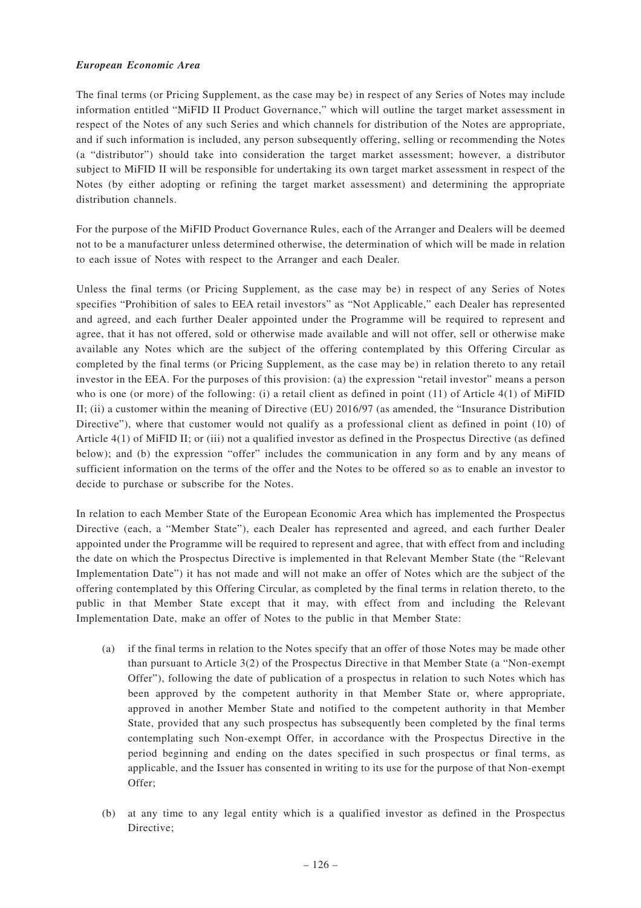### *European Economic Area*

The final terms (or Pricing Supplement, as the case may be) in respect of any Series of Notes may include information entitled "MiFID II Product Governance," which will outline the target market assessment in respect of the Notes of any such Series and which channels for distribution of the Notes are appropriate, and if such information is included, any person subsequently offering, selling or recommending the Notes (a "distributor") should take into consideration the target market assessment; however, a distributor subject to MiFID II will be responsible for undertaking its own target market assessment in respect of the Notes (by either adopting or refining the target market assessment) and determining the appropriate distribution channels.

For the purpose of the MiFID Product Governance Rules, each of the Arranger and Dealers will be deemed not to be a manufacturer unless determined otherwise, the determination of which will be made in relation to each issue of Notes with respect to the Arranger and each Dealer.

Unless the final terms (or Pricing Supplement, as the case may be) in respect of any Series of Notes specifies "Prohibition of sales to EEA retail investors" as "Not Applicable," each Dealer has represented and agreed, and each further Dealer appointed under the Programme will be required to represent and agree, that it has not offered, sold or otherwise made available and will not offer, sell or otherwise make available any Notes which are the subject of the offering contemplated by this Offering Circular as completed by the final terms (or Pricing Supplement, as the case may be) in relation thereto to any retail investor in the EEA. For the purposes of this provision: (a) the expression "retail investor" means a person who is one (or more) of the following: (i) a retail client as defined in point (11) of Article 4(1) of MiFID II; (ii) a customer within the meaning of Directive (EU) 2016/97 (as amended, the "Insurance Distribution Directive"), where that customer would not qualify as a professional client as defined in point (10) of Article 4(1) of MiFID II; or (iii) not a qualified investor as defined in the Prospectus Directive (as defined below); and (b) the expression "offer" includes the communication in any form and by any means of sufficient information on the terms of the offer and the Notes to be offered so as to enable an investor to decide to purchase or subscribe for the Notes.

In relation to each Member State of the European Economic Area which has implemented the Prospectus Directive (each, a "Member State"), each Dealer has represented and agreed, and each further Dealer appointed under the Programme will be required to represent and agree, that with effect from and including the date on which the Prospectus Directive is implemented in that Relevant Member State (the "Relevant Implementation Date") it has not made and will not make an offer of Notes which are the subject of the offering contemplated by this Offering Circular, as completed by the final terms in relation thereto, to the public in that Member State except that it may, with effect from and including the Relevant Implementation Date, make an offer of Notes to the public in that Member State:

- (a) if the final terms in relation to the Notes specify that an offer of those Notes may be made other than pursuant to Article 3(2) of the Prospectus Directive in that Member State (a "Non-exempt Offer"), following the date of publication of a prospectus in relation to such Notes which has been approved by the competent authority in that Member State or, where appropriate, approved in another Member State and notified to the competent authority in that Member State, provided that any such prospectus has subsequently been completed by the final terms contemplating such Non-exempt Offer, in accordance with the Prospectus Directive in the period beginning and ending on the dates specified in such prospectus or final terms, as applicable, and the Issuer has consented in writing to its use for the purpose of that Non-exempt Offer;
- (b) at any time to any legal entity which is a qualified investor as defined in the Prospectus Directive;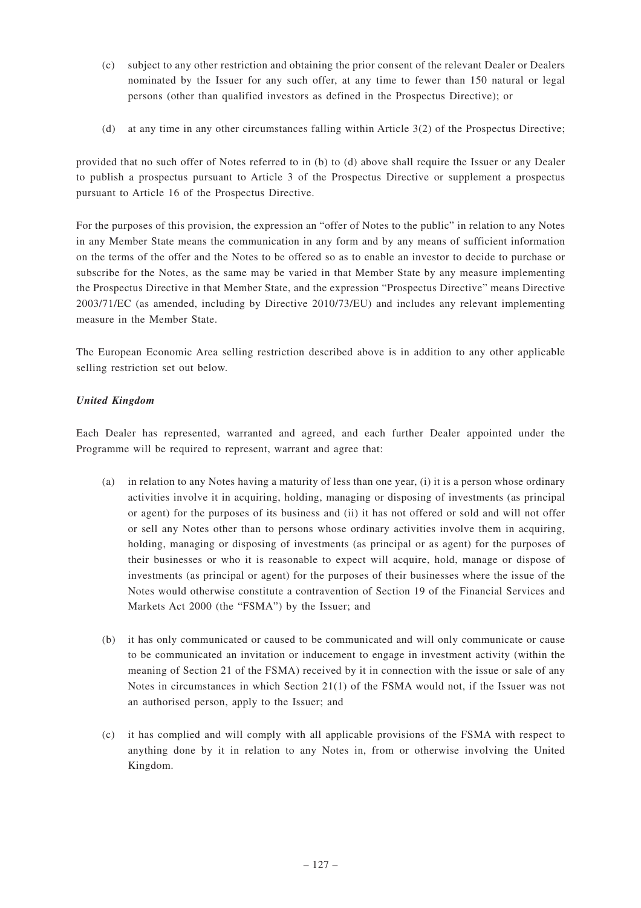- (c) subject to any other restriction and obtaining the prior consent of the relevant Dealer or Dealers nominated by the Issuer for any such offer, at any time to fewer than 150 natural or legal persons (other than qualified investors as defined in the Prospectus Directive); or
- (d) at any time in any other circumstances falling within Article 3(2) of the Prospectus Directive;

provided that no such offer of Notes referred to in (b) to (d) above shall require the Issuer or any Dealer to publish a prospectus pursuant to Article 3 of the Prospectus Directive or supplement a prospectus pursuant to Article 16 of the Prospectus Directive.

For the purposes of this provision, the expression an "offer of Notes to the public" in relation to any Notes in any Member State means the communication in any form and by any means of sufficient information on the terms of the offer and the Notes to be offered so as to enable an investor to decide to purchase or subscribe for the Notes, as the same may be varied in that Member State by any measure implementing the Prospectus Directive in that Member State, and the expression "Prospectus Directive" means Directive 2003/71/EC (as amended, including by Directive 2010/73/EU) and includes any relevant implementing measure in the Member State.

The European Economic Area selling restriction described above is in addition to any other applicable selling restriction set out below.

## *United Kingdom*

Each Dealer has represented, warranted and agreed, and each further Dealer appointed under the Programme will be required to represent, warrant and agree that:

- (a) in relation to any Notes having a maturity of less than one year, (i) it is a person whose ordinary activities involve it in acquiring, holding, managing or disposing of investments (as principal or agent) for the purposes of its business and (ii) it has not offered or sold and will not offer or sell any Notes other than to persons whose ordinary activities involve them in acquiring, holding, managing or disposing of investments (as principal or as agent) for the purposes of their businesses or who it is reasonable to expect will acquire, hold, manage or dispose of investments (as principal or agent) for the purposes of their businesses where the issue of the Notes would otherwise constitute a contravention of Section 19 of the Financial Services and Markets Act 2000 (the "FSMA") by the Issuer; and
- (b) it has only communicated or caused to be communicated and will only communicate or cause to be communicated an invitation or inducement to engage in investment activity (within the meaning of Section 21 of the FSMA) received by it in connection with the issue or sale of any Notes in circumstances in which Section 21(1) of the FSMA would not, if the Issuer was not an authorised person, apply to the Issuer; and
- (c) it has complied and will comply with all applicable provisions of the FSMA with respect to anything done by it in relation to any Notes in, from or otherwise involving the United Kingdom.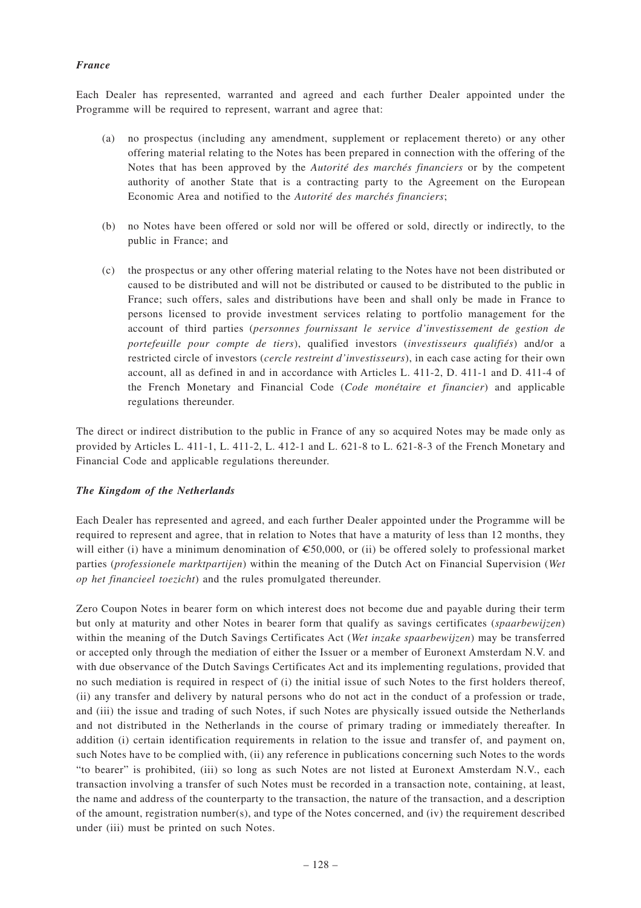### *France*

Each Dealer has represented, warranted and agreed and each further Dealer appointed under the Programme will be required to represent, warrant and agree that:

- (a) no prospectus (including any amendment, supplement or replacement thereto) or any other offering material relating to the Notes has been prepared in connection with the offering of the Notes that has been approved by the *Autorité des marchés financiers* or by the competent authority of another State that is a contracting party to the Agreement on the European Economic Area and notified to the *Autorité des marchés financiers*;
- (b) no Notes have been offered or sold nor will be offered or sold, directly or indirectly, to the public in France; and
- (c) the prospectus or any other offering material relating to the Notes have not been distributed or caused to be distributed and will not be distributed or caused to be distributed to the public in France; such offers, sales and distributions have been and shall only be made in France to persons licensed to provide investment services relating to portfolio management for the account of third parties (*personnes fournissant le service d'investissement de gestion de portefeuille pour compte de tiers*), qualified investors (*investisseurs qualifiés*) and/or a restricted circle of investors (*cercle restreint d'investisseurs*), in each case acting for their own account, all as defined in and in accordance with Articles L. 411-2, D. 411-1 and D. 411-4 of the French Monetary and Financial Code (*Code monétaire et financier*) and applicable regulations thereunder.

The direct or indirect distribution to the public in France of any so acquired Notes may be made only as provided by Articles L. 411-1, L. 411-2, L. 412-1 and L. 621-8 to L. 621-8-3 of the French Monetary and Financial Code and applicable regulations thereunder.

### *The Kingdom of the Netherlands*

Each Dealer has represented and agreed, and each further Dealer appointed under the Programme will be required to represent and agree, that in relation to Notes that have a maturity of less than 12 months, they will either (i) have a minimum denomination of  $\epsilon$ 50,000, or (ii) be offered solely to professional market parties (*professionele marktpartijen*) within the meaning of the Dutch Act on Financial Supervision (*Wet op het financieel toezicht*) and the rules promulgated thereunder.

Zero Coupon Notes in bearer form on which interest does not become due and payable during their term but only at maturity and other Notes in bearer form that qualify as savings certificates (*spaarbewijzen*) within the meaning of the Dutch Savings Certificates Act (*Wet inzake spaarbewijzen*) may be transferred or accepted only through the mediation of either the Issuer or a member of Euronext Amsterdam N.V. and with due observance of the Dutch Savings Certificates Act and its implementing regulations, provided that no such mediation is required in respect of (i) the initial issue of such Notes to the first holders thereof, (ii) any transfer and delivery by natural persons who do not act in the conduct of a profession or trade, and (iii) the issue and trading of such Notes, if such Notes are physically issued outside the Netherlands and not distributed in the Netherlands in the course of primary trading or immediately thereafter. In addition (i) certain identification requirements in relation to the issue and transfer of, and payment on, such Notes have to be complied with, (ii) any reference in publications concerning such Notes to the words "to bearer" is prohibited, (iii) so long as such Notes are not listed at Euronext Amsterdam N.V., each transaction involving a transfer of such Notes must be recorded in a transaction note, containing, at least, the name and address of the counterparty to the transaction, the nature of the transaction, and a description of the amount, registration number(s), and type of the Notes concerned, and (iv) the requirement described under (iii) must be printed on such Notes.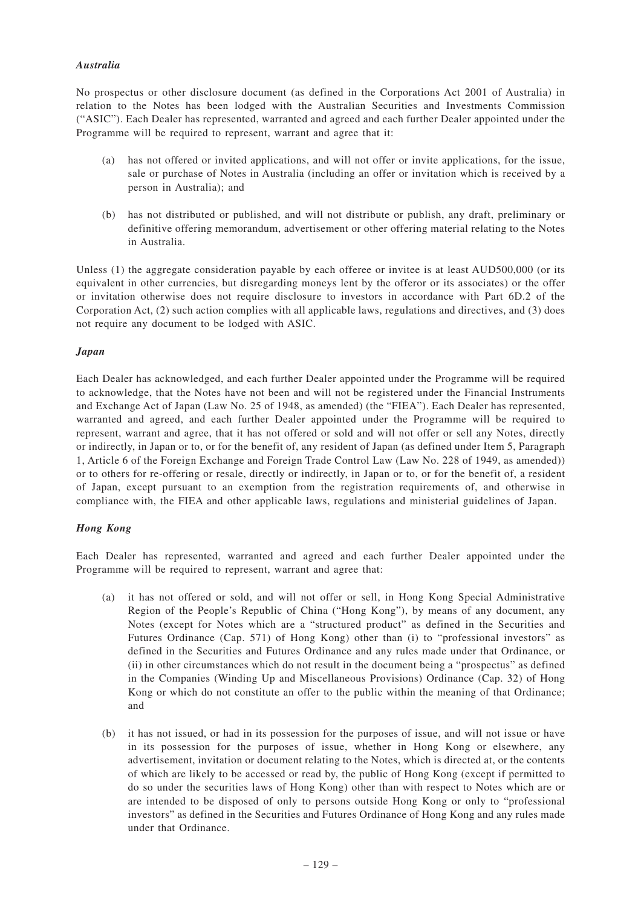### *Australia*

No prospectus or other disclosure document (as defined in the Corporations Act 2001 of Australia) in relation to the Notes has been lodged with the Australian Securities and Investments Commission ("ASIC"). Each Dealer has represented, warranted and agreed and each further Dealer appointed under the Programme will be required to represent, warrant and agree that it:

- (a) has not offered or invited applications, and will not offer or invite applications, for the issue, sale or purchase of Notes in Australia (including an offer or invitation which is received by a person in Australia); and
- (b) has not distributed or published, and will not distribute or publish, any draft, preliminary or definitive offering memorandum, advertisement or other offering material relating to the Notes in Australia.

Unless (1) the aggregate consideration payable by each offeree or invitee is at least AUD500,000 (or its equivalent in other currencies, but disregarding moneys lent by the offeror or its associates) or the offer or invitation otherwise does not require disclosure to investors in accordance with Part 6D.2 of the Corporation Act, (2) such action complies with all applicable laws, regulations and directives, and (3) does not require any document to be lodged with ASIC.

### *Japan*

Each Dealer has acknowledged, and each further Dealer appointed under the Programme will be required to acknowledge, that the Notes have not been and will not be registered under the Financial Instruments and Exchange Act of Japan (Law No. 25 of 1948, as amended) (the "FIEA"). Each Dealer has represented, warranted and agreed, and each further Dealer appointed under the Programme will be required to represent, warrant and agree, that it has not offered or sold and will not offer or sell any Notes, directly or indirectly, in Japan or to, or for the benefit of, any resident of Japan (as defined under Item 5, Paragraph 1, Article 6 of the Foreign Exchange and Foreign Trade Control Law (Law No. 228 of 1949, as amended)) or to others for re-offering or resale, directly or indirectly, in Japan or to, or for the benefit of, a resident of Japan, except pursuant to an exemption from the registration requirements of, and otherwise in compliance with, the FIEA and other applicable laws, regulations and ministerial guidelines of Japan.

### *Hong Kong*

Each Dealer has represented, warranted and agreed and each further Dealer appointed under the Programme will be required to represent, warrant and agree that:

- (a) it has not offered or sold, and will not offer or sell, in Hong Kong Special Administrative Region of the People's Republic of China ("Hong Kong"), by means of any document, any Notes (except for Notes which are a "structured product" as defined in the Securities and Futures Ordinance (Cap. 571) of Hong Kong) other than (i) to "professional investors" as defined in the Securities and Futures Ordinance and any rules made under that Ordinance, or (ii) in other circumstances which do not result in the document being a "prospectus" as defined in the Companies (Winding Up and Miscellaneous Provisions) Ordinance (Cap. 32) of Hong Kong or which do not constitute an offer to the public within the meaning of that Ordinance; and
- (b) it has not issued, or had in its possession for the purposes of issue, and will not issue or have in its possession for the purposes of issue, whether in Hong Kong or elsewhere, any advertisement, invitation or document relating to the Notes, which is directed at, or the contents of which are likely to be accessed or read by, the public of Hong Kong (except if permitted to do so under the securities laws of Hong Kong) other than with respect to Notes which are or are intended to be disposed of only to persons outside Hong Kong or only to "professional investors" as defined in the Securities and Futures Ordinance of Hong Kong and any rules made under that Ordinance.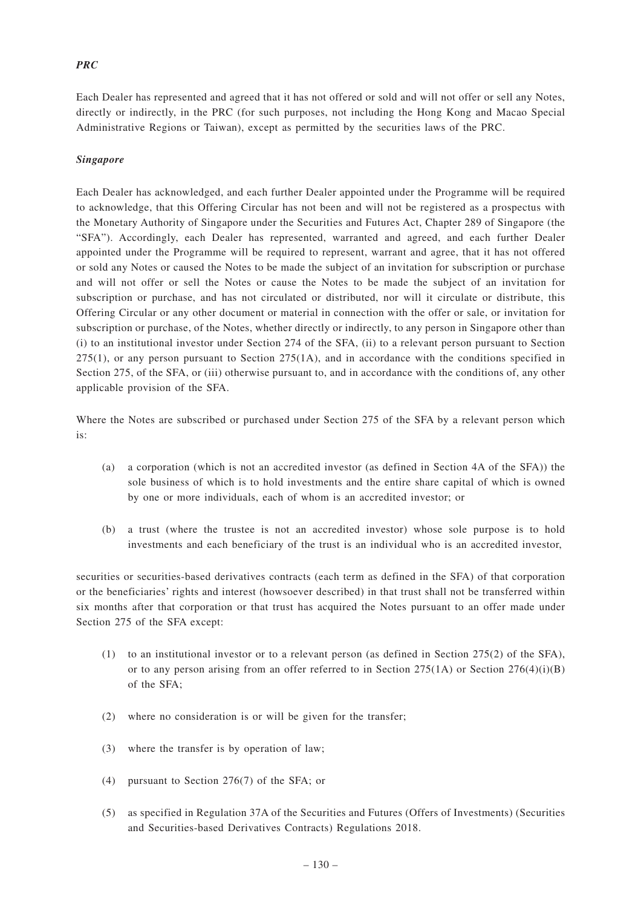## *PRC*

Each Dealer has represented and agreed that it has not offered or sold and will not offer or sell any Notes, directly or indirectly, in the PRC (for such purposes, not including the Hong Kong and Macao Special Administrative Regions or Taiwan), except as permitted by the securities laws of the PRC.

### *Singapore*

Each Dealer has acknowledged, and each further Dealer appointed under the Programme will be required to acknowledge, that this Offering Circular has not been and will not be registered as a prospectus with the Monetary Authority of Singapore under the Securities and Futures Act, Chapter 289 of Singapore (the "SFA"). Accordingly, each Dealer has represented, warranted and agreed, and each further Dealer appointed under the Programme will be required to represent, warrant and agree, that it has not offered or sold any Notes or caused the Notes to be made the subject of an invitation for subscription or purchase and will not offer or sell the Notes or cause the Notes to be made the subject of an invitation for subscription or purchase, and has not circulated or distributed, nor will it circulate or distribute, this Offering Circular or any other document or material in connection with the offer or sale, or invitation for subscription or purchase, of the Notes, whether directly or indirectly, to any person in Singapore other than (i) to an institutional investor under Section 274 of the SFA, (ii) to a relevant person pursuant to Section 275(1), or any person pursuant to Section 275(1A), and in accordance with the conditions specified in Section 275, of the SFA, or (iii) otherwise pursuant to, and in accordance with the conditions of, any other applicable provision of the SFA.

Where the Notes are subscribed or purchased under Section 275 of the SFA by a relevant person which is:

- (a) a corporation (which is not an accredited investor (as defined in Section 4A of the SFA)) the sole business of which is to hold investments and the entire share capital of which is owned by one or more individuals, each of whom is an accredited investor; or
- (b) a trust (where the trustee is not an accredited investor) whose sole purpose is to hold investments and each beneficiary of the trust is an individual who is an accredited investor,

securities or securities-based derivatives contracts (each term as defined in the SFA) of that corporation or the beneficiaries' rights and interest (howsoever described) in that trust shall not be transferred within six months after that corporation or that trust has acquired the Notes pursuant to an offer made under Section 275 of the SFA except:

- (1) to an institutional investor or to a relevant person (as defined in Section 275(2) of the SFA), or to any person arising from an offer referred to in Section 275(1A) or Section 276(4)(i)(B) of the SFA;
- (2) where no consideration is or will be given for the transfer;
- (3) where the transfer is by operation of law;
- (4) pursuant to Section 276(7) of the SFA; or
- (5) as specified in Regulation 37A of the Securities and Futures (Offers of Investments) (Securities and Securities-based Derivatives Contracts) Regulations 2018.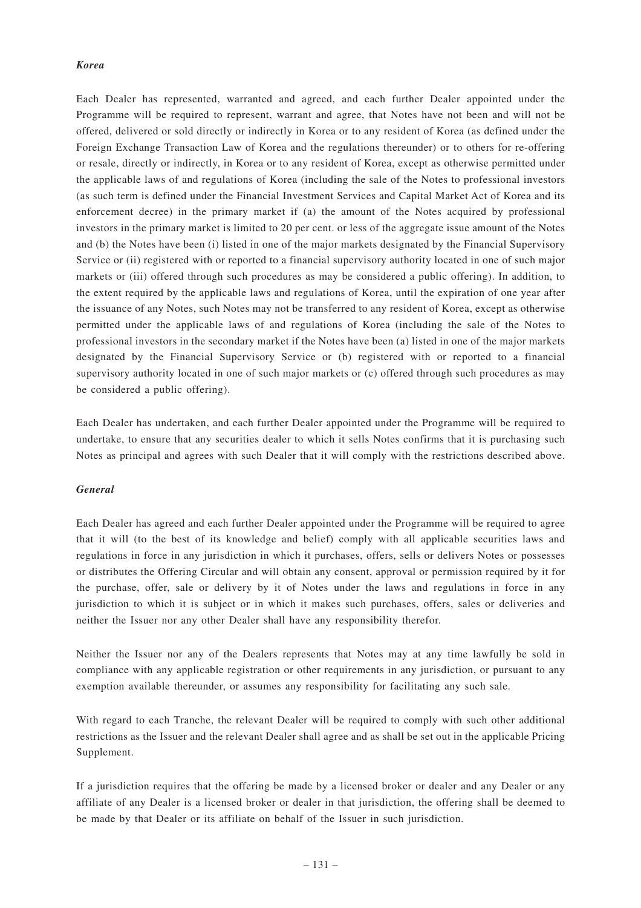#### *Korea*

Each Dealer has represented, warranted and agreed, and each further Dealer appointed under the Programme will be required to represent, warrant and agree, that Notes have not been and will not be offered, delivered or sold directly or indirectly in Korea or to any resident of Korea (as defined under the Foreign Exchange Transaction Law of Korea and the regulations thereunder) or to others for re-offering or resale, directly or indirectly, in Korea or to any resident of Korea, except as otherwise permitted under the applicable laws of and regulations of Korea (including the sale of the Notes to professional investors (as such term is defined under the Financial Investment Services and Capital Market Act of Korea and its enforcement decree) in the primary market if (a) the amount of the Notes acquired by professional investors in the primary market is limited to 20 per cent. or less of the aggregate issue amount of the Notes and (b) the Notes have been (i) listed in one of the major markets designated by the Financial Supervisory Service or (ii) registered with or reported to a financial supervisory authority located in one of such major markets or (iii) offered through such procedures as may be considered a public offering). In addition, to the extent required by the applicable laws and regulations of Korea, until the expiration of one year after the issuance of any Notes, such Notes may not be transferred to any resident of Korea, except as otherwise permitted under the applicable laws of and regulations of Korea (including the sale of the Notes to professional investors in the secondary market if the Notes have been (a) listed in one of the major markets designated by the Financial Supervisory Service or (b) registered with or reported to a financial supervisory authority located in one of such major markets or (c) offered through such procedures as may be considered a public offering).

Each Dealer has undertaken, and each further Dealer appointed under the Programme will be required to undertake, to ensure that any securities dealer to which it sells Notes confirms that it is purchasing such Notes as principal and agrees with such Dealer that it will comply with the restrictions described above.

#### *General*

Each Dealer has agreed and each further Dealer appointed under the Programme will be required to agree that it will (to the best of its knowledge and belief) comply with all applicable securities laws and regulations in force in any jurisdiction in which it purchases, offers, sells or delivers Notes or possesses or distributes the Offering Circular and will obtain any consent, approval or permission required by it for the purchase, offer, sale or delivery by it of Notes under the laws and regulations in force in any jurisdiction to which it is subject or in which it makes such purchases, offers, sales or deliveries and neither the Issuer nor any other Dealer shall have any responsibility therefor.

Neither the Issuer nor any of the Dealers represents that Notes may at any time lawfully be sold in compliance with any applicable registration or other requirements in any jurisdiction, or pursuant to any exemption available thereunder, or assumes any responsibility for facilitating any such sale.

With regard to each Tranche, the relevant Dealer will be required to comply with such other additional restrictions as the Issuer and the relevant Dealer shall agree and as shall be set out in the applicable Pricing Supplement.

If a jurisdiction requires that the offering be made by a licensed broker or dealer and any Dealer or any affiliate of any Dealer is a licensed broker or dealer in that jurisdiction, the offering shall be deemed to be made by that Dealer or its affiliate on behalf of the Issuer in such jurisdiction.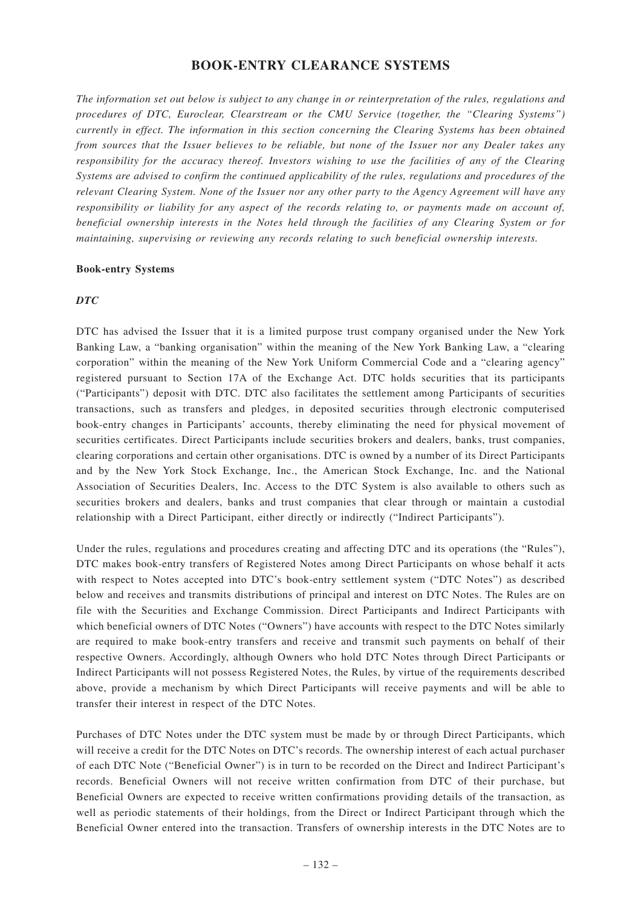## **BOOK-ENTRY CLEARANCE SYSTEMS**

*The information set out below is subject to any change in or reinterpretation of the rules, regulations and procedures of DTC, Euroclear, Clearstream or the CMU Service (together, the "Clearing Systems") currently in effect. The information in this section concerning the Clearing Systems has been obtained from sources that the Issuer believes to be reliable, but none of the Issuer nor any Dealer takes any responsibility for the accuracy thereof. Investors wishing to use the facilities of any of the Clearing Systems are advised to confirm the continued applicability of the rules, regulations and procedures of the relevant Clearing System. None of the Issuer nor any other party to the Agency Agreement will have any responsibility or liability for any aspect of the records relating to, or payments made on account of, beneficial ownership interests in the Notes held through the facilities of any Clearing System or for maintaining, supervising or reviewing any records relating to such beneficial ownership interests.*

### **Book-entry Systems**

### *DTC*

DTC has advised the Issuer that it is a limited purpose trust company organised under the New York Banking Law, a "banking organisation" within the meaning of the New York Banking Law, a "clearing corporation" within the meaning of the New York Uniform Commercial Code and a "clearing agency" registered pursuant to Section 17A of the Exchange Act. DTC holds securities that its participants ("Participants") deposit with DTC. DTC also facilitates the settlement among Participants of securities transactions, such as transfers and pledges, in deposited securities through electronic computerised book-entry changes in Participants' accounts, thereby eliminating the need for physical movement of securities certificates. Direct Participants include securities brokers and dealers, banks, trust companies, clearing corporations and certain other organisations. DTC is owned by a number of its Direct Participants and by the New York Stock Exchange, Inc., the American Stock Exchange, Inc. and the National Association of Securities Dealers, Inc. Access to the DTC System is also available to others such as securities brokers and dealers, banks and trust companies that clear through or maintain a custodial relationship with a Direct Participant, either directly or indirectly ("Indirect Participants").

Under the rules, regulations and procedures creating and affecting DTC and its operations (the "Rules"), DTC makes book-entry transfers of Registered Notes among Direct Participants on whose behalf it acts with respect to Notes accepted into DTC's book-entry settlement system ("DTC Notes") as described below and receives and transmits distributions of principal and interest on DTC Notes. The Rules are on file with the Securities and Exchange Commission. Direct Participants and Indirect Participants with which beneficial owners of DTC Notes ("Owners") have accounts with respect to the DTC Notes similarly are required to make book-entry transfers and receive and transmit such payments on behalf of their respective Owners. Accordingly, although Owners who hold DTC Notes through Direct Participants or Indirect Participants will not possess Registered Notes, the Rules, by virtue of the requirements described above, provide a mechanism by which Direct Participants will receive payments and will be able to transfer their interest in respect of the DTC Notes.

Purchases of DTC Notes under the DTC system must be made by or through Direct Participants, which will receive a credit for the DTC Notes on DTC's records. The ownership interest of each actual purchaser of each DTC Note ("Beneficial Owner") is in turn to be recorded on the Direct and Indirect Participant's records. Beneficial Owners will not receive written confirmation from DTC of their purchase, but Beneficial Owners are expected to receive written confirmations providing details of the transaction, as well as periodic statements of their holdings, from the Direct or Indirect Participant through which the Beneficial Owner entered into the transaction. Transfers of ownership interests in the DTC Notes are to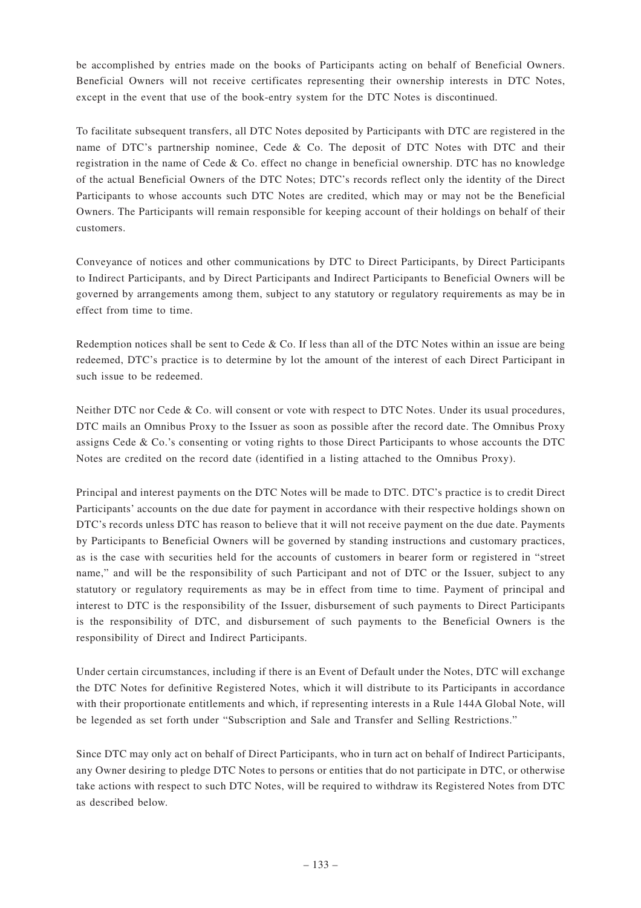be accomplished by entries made on the books of Participants acting on behalf of Beneficial Owners. Beneficial Owners will not receive certificates representing their ownership interests in DTC Notes, except in the event that use of the book-entry system for the DTC Notes is discontinued.

To facilitate subsequent transfers, all DTC Notes deposited by Participants with DTC are registered in the name of DTC's partnership nominee, Cede & Co. The deposit of DTC Notes with DTC and their registration in the name of Cede & Co. effect no change in beneficial ownership. DTC has no knowledge of the actual Beneficial Owners of the DTC Notes; DTC's records reflect only the identity of the Direct Participants to whose accounts such DTC Notes are credited, which may or may not be the Beneficial Owners. The Participants will remain responsible for keeping account of their holdings on behalf of their customers.

Conveyance of notices and other communications by DTC to Direct Participants, by Direct Participants to Indirect Participants, and by Direct Participants and Indirect Participants to Beneficial Owners will be governed by arrangements among them, subject to any statutory or regulatory requirements as may be in effect from time to time.

Redemption notices shall be sent to Cede & Co. If less than all of the DTC Notes within an issue are being redeemed, DTC's practice is to determine by lot the amount of the interest of each Direct Participant in such issue to be redeemed.

Neither DTC nor Cede & Co. will consent or vote with respect to DTC Notes. Under its usual procedures, DTC mails an Omnibus Proxy to the Issuer as soon as possible after the record date. The Omnibus Proxy assigns Cede & Co.'s consenting or voting rights to those Direct Participants to whose accounts the DTC Notes are credited on the record date (identified in a listing attached to the Omnibus Proxy).

Principal and interest payments on the DTC Notes will be made to DTC. DTC's practice is to credit Direct Participants' accounts on the due date for payment in accordance with their respective holdings shown on DTC's records unless DTC has reason to believe that it will not receive payment on the due date. Payments by Participants to Beneficial Owners will be governed by standing instructions and customary practices, as is the case with securities held for the accounts of customers in bearer form or registered in "street name," and will be the responsibility of such Participant and not of DTC or the Issuer, subject to any statutory or regulatory requirements as may be in effect from time to time. Payment of principal and interest to DTC is the responsibility of the Issuer, disbursement of such payments to Direct Participants is the responsibility of DTC, and disbursement of such payments to the Beneficial Owners is the responsibility of Direct and Indirect Participants.

Under certain circumstances, including if there is an Event of Default under the Notes, DTC will exchange the DTC Notes for definitive Registered Notes, which it will distribute to its Participants in accordance with their proportionate entitlements and which, if representing interests in a Rule 144A Global Note, will be legended as set forth under "Subscription and Sale and Transfer and Selling Restrictions."

Since DTC may only act on behalf of Direct Participants, who in turn act on behalf of Indirect Participants, any Owner desiring to pledge DTC Notes to persons or entities that do not participate in DTC, or otherwise take actions with respect to such DTC Notes, will be required to withdraw its Registered Notes from DTC as described below.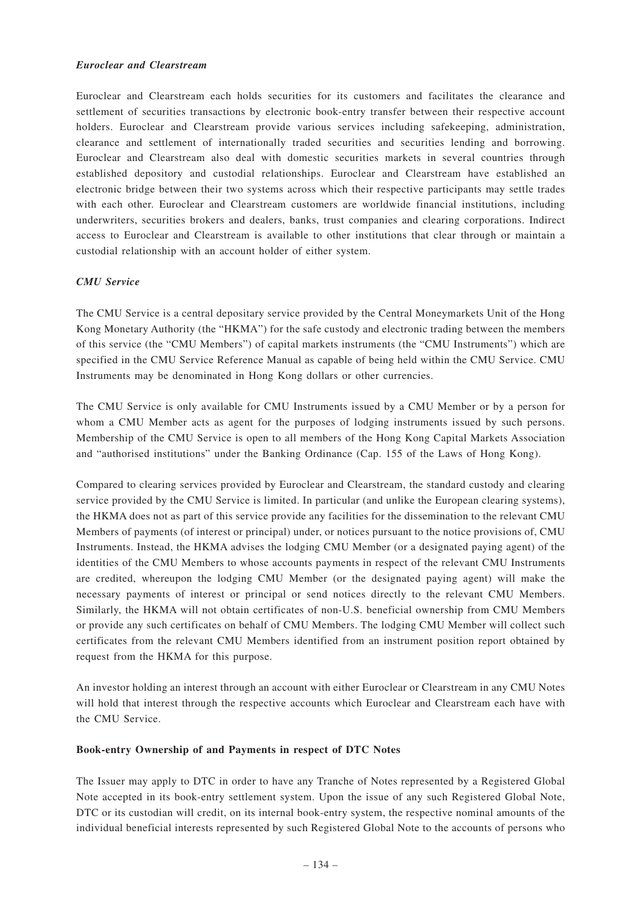### *Euroclear and Clearstream*

Euroclear and Clearstream each holds securities for its customers and facilitates the clearance and settlement of securities transactions by electronic book-entry transfer between their respective account holders. Euroclear and Clearstream provide various services including safekeeping, administration, clearance and settlement of internationally traded securities and securities lending and borrowing. Euroclear and Clearstream also deal with domestic securities markets in several countries through established depository and custodial relationships. Euroclear and Clearstream have established an electronic bridge between their two systems across which their respective participants may settle trades with each other. Euroclear and Clearstream customers are worldwide financial institutions, including underwriters, securities brokers and dealers, banks, trust companies and clearing corporations. Indirect access to Euroclear and Clearstream is available to other institutions that clear through or maintain a custodial relationship with an account holder of either system.

### *CMU Service*

The CMU Service is a central depositary service provided by the Central Moneymarkets Unit of the Hong Kong Monetary Authority (the "HKMA") for the safe custody and electronic trading between the members of this service (the "CMU Members") of capital markets instruments (the "CMU Instruments") which are specified in the CMU Service Reference Manual as capable of being held within the CMU Service. CMU Instruments may be denominated in Hong Kong dollars or other currencies.

The CMU Service is only available for CMU Instruments issued by a CMU Member or by a person for whom a CMU Member acts as agent for the purposes of lodging instruments issued by such persons. Membership of the CMU Service is open to all members of the Hong Kong Capital Markets Association and "authorised institutions" under the Banking Ordinance (Cap. 155 of the Laws of Hong Kong).

Compared to clearing services provided by Euroclear and Clearstream, the standard custody and clearing service provided by the CMU Service is limited. In particular (and unlike the European clearing systems), the HKMA does not as part of this service provide any facilities for the dissemination to the relevant CMU Members of payments (of interest or principal) under, or notices pursuant to the notice provisions of, CMU Instruments. Instead, the HKMA advises the lodging CMU Member (or a designated paying agent) of the identities of the CMU Members to whose accounts payments in respect of the relevant CMU Instruments are credited, whereupon the lodging CMU Member (or the designated paying agent) will make the necessary payments of interest or principal or send notices directly to the relevant CMU Members. Similarly, the HKMA will not obtain certificates of non-U.S. beneficial ownership from CMU Members or provide any such certificates on behalf of CMU Members. The lodging CMU Member will collect such certificates from the relevant CMU Members identified from an instrument position report obtained by request from the HKMA for this purpose.

An investor holding an interest through an account with either Euroclear or Clearstream in any CMU Notes will hold that interest through the respective accounts which Euroclear and Clearstream each have with the CMU Service.

### **Book-entry Ownership of and Payments in respect of DTC Notes**

The Issuer may apply to DTC in order to have any Tranche of Notes represented by a Registered Global Note accepted in its book-entry settlement system. Upon the issue of any such Registered Global Note, DTC or its custodian will credit, on its internal book-entry system, the respective nominal amounts of the individual beneficial interests represented by such Registered Global Note to the accounts of persons who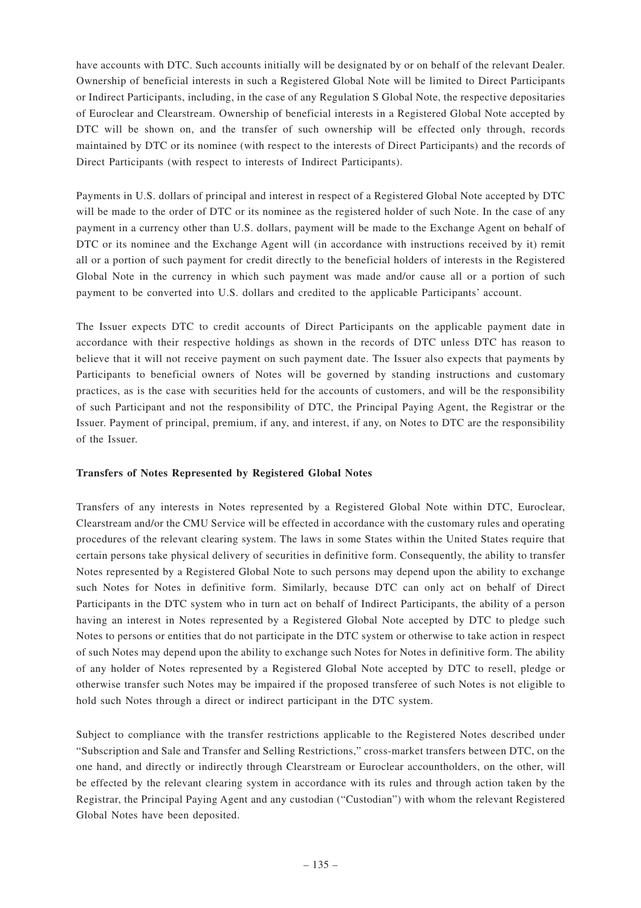have accounts with DTC. Such accounts initially will be designated by or on behalf of the relevant Dealer. Ownership of beneficial interests in such a Registered Global Note will be limited to Direct Participants or Indirect Participants, including, in the case of any Regulation S Global Note, the respective depositaries of Euroclear and Clearstream. Ownership of beneficial interests in a Registered Global Note accepted by DTC will be shown on, and the transfer of such ownership will be effected only through, records maintained by DTC or its nominee (with respect to the interests of Direct Participants) and the records of Direct Participants (with respect to interests of Indirect Participants).

Payments in U.S. dollars of principal and interest in respect of a Registered Global Note accepted by DTC will be made to the order of DTC or its nominee as the registered holder of such Note. In the case of any payment in a currency other than U.S. dollars, payment will be made to the Exchange Agent on behalf of DTC or its nominee and the Exchange Agent will (in accordance with instructions received by it) remit all or a portion of such payment for credit directly to the beneficial holders of interests in the Registered Global Note in the currency in which such payment was made and/or cause all or a portion of such payment to be converted into U.S. dollars and credited to the applicable Participants' account.

The Issuer expects DTC to credit accounts of Direct Participants on the applicable payment date in accordance with their respective holdings as shown in the records of DTC unless DTC has reason to believe that it will not receive payment on such payment date. The Issuer also expects that payments by Participants to beneficial owners of Notes will be governed by standing instructions and customary practices, as is the case with securities held for the accounts of customers, and will be the responsibility of such Participant and not the responsibility of DTC, the Principal Paying Agent, the Registrar or the Issuer. Payment of principal, premium, if any, and interest, if any, on Notes to DTC are the responsibility of the Issuer.

### **Transfers of Notes Represented by Registered Global Notes**

Transfers of any interests in Notes represented by a Registered Global Note within DTC, Euroclear, Clearstream and/or the CMU Service will be effected in accordance with the customary rules and operating procedures of the relevant clearing system. The laws in some States within the United States require that certain persons take physical delivery of securities in definitive form. Consequently, the ability to transfer Notes represented by a Registered Global Note to such persons may depend upon the ability to exchange such Notes for Notes in definitive form. Similarly, because DTC can only act on behalf of Direct Participants in the DTC system who in turn act on behalf of Indirect Participants, the ability of a person having an interest in Notes represented by a Registered Global Note accepted by DTC to pledge such Notes to persons or entities that do not participate in the DTC system or otherwise to take action in respect of such Notes may depend upon the ability to exchange such Notes for Notes in definitive form. The ability of any holder of Notes represented by a Registered Global Note accepted by DTC to resell, pledge or otherwise transfer such Notes may be impaired if the proposed transferee of such Notes is not eligible to hold such Notes through a direct or indirect participant in the DTC system.

Subject to compliance with the transfer restrictions applicable to the Registered Notes described under "Subscription and Sale and Transfer and Selling Restrictions," cross-market transfers between DTC, on the one hand, and directly or indirectly through Clearstream or Euroclear accountholders, on the other, will be effected by the relevant clearing system in accordance with its rules and through action taken by the Registrar, the Principal Paying Agent and any custodian ("Custodian") with whom the relevant Registered Global Notes have been deposited.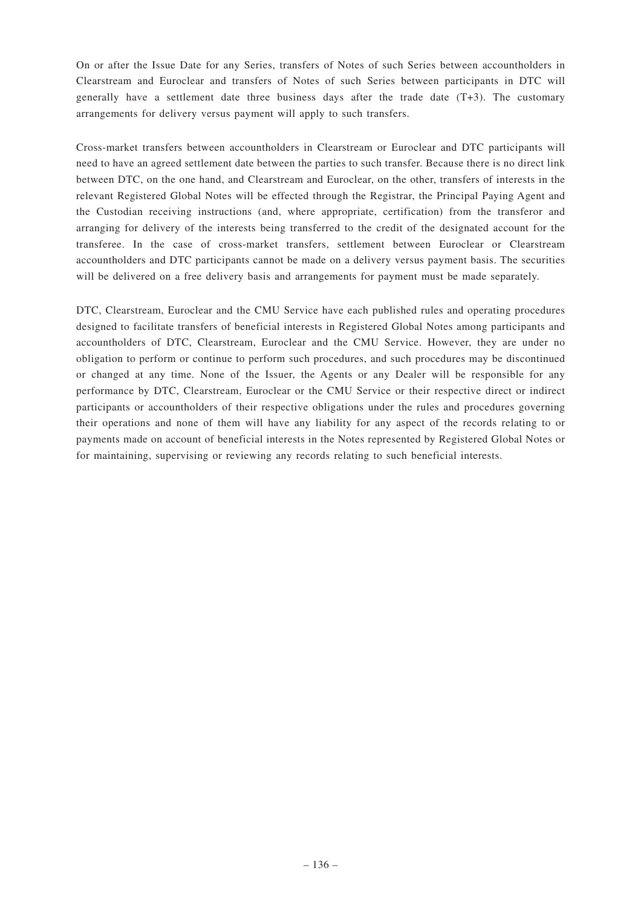On or after the Issue Date for any Series, transfers of Notes of such Series between accountholders in Clearstream and Euroclear and transfers of Notes of such Series between participants in DTC will generally have a settlement date three business days after the trade date  $(T+3)$ . The customary arrangements for delivery versus payment will apply to such transfers.

Cross-market transfers between accountholders in Clearstream or Euroclear and DTC participants will need to have an agreed settlement date between the parties to such transfer. Because there is no direct link between DTC, on the one hand, and Clearstream and Euroclear, on the other, transfers of interests in the relevant Registered Global Notes will be effected through the Registrar, the Principal Paying Agent and the Custodian receiving instructions (and, where appropriate, certification) from the transferor and arranging for delivery of the interests being transferred to the credit of the designated account for the transferee. In the case of cross-market transfers, settlement between Euroclear or Clearstream accountholders and DTC participants cannot be made on a delivery versus payment basis. The securities will be delivered on a free delivery basis and arrangements for payment must be made separately.

DTC, Clearstream, Euroclear and the CMU Service have each published rules and operating procedures designed to facilitate transfers of beneficial interests in Registered Global Notes among participants and accountholders of DTC, Clearstream, Euroclear and the CMU Service. However, they are under no obligation to perform or continue to perform such procedures, and such procedures may be discontinued or changed at any time. None of the Issuer, the Agents or any Dealer will be responsible for any performance by DTC, Clearstream, Euroclear or the CMU Service or their respective direct or indirect participants or accountholders of their respective obligations under the rules and procedures governing their operations and none of them will have any liability for any aspect of the records relating to or payments made on account of beneficial interests in the Notes represented by Registered Global Notes or for maintaining, supervising or reviewing any records relating to such beneficial interests.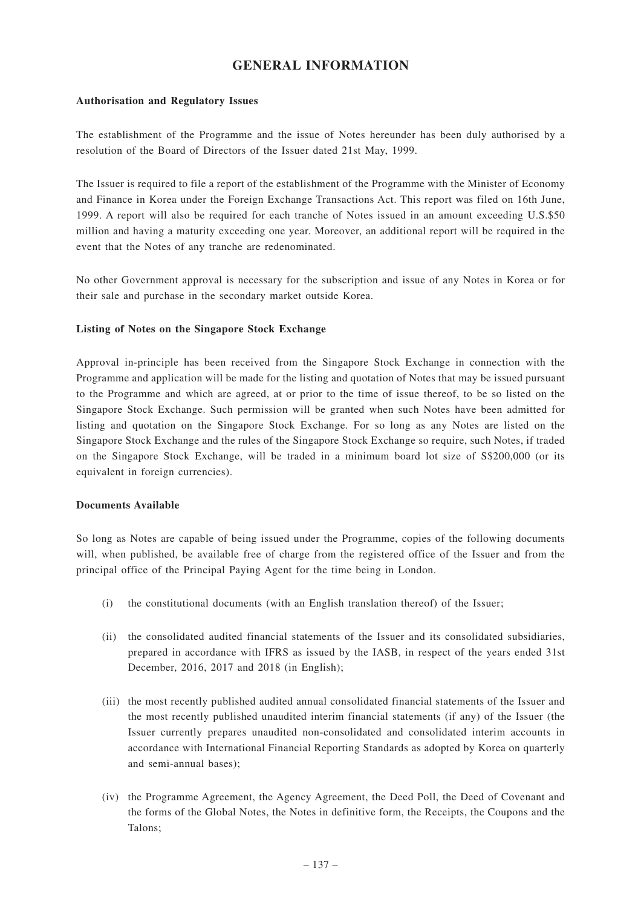# **GENERAL INFORMATION**

#### **Authorisation and Regulatory Issues**

The establishment of the Programme and the issue of Notes hereunder has been duly authorised by a resolution of the Board of Directors of the Issuer dated 21st May, 1999.

The Issuer is required to file a report of the establishment of the Programme with the Minister of Economy and Finance in Korea under the Foreign Exchange Transactions Act. This report was filed on 16th June, 1999. A report will also be required for each tranche of Notes issued in an amount exceeding U.S.\$50 million and having a maturity exceeding one year. Moreover, an additional report will be required in the event that the Notes of any tranche are redenominated.

No other Government approval is necessary for the subscription and issue of any Notes in Korea or for their sale and purchase in the secondary market outside Korea.

#### **Listing of Notes on the Singapore Stock Exchange**

Approval in-principle has been received from the Singapore Stock Exchange in connection with the Programme and application will be made for the listing and quotation of Notes that may be issued pursuant to the Programme and which are agreed, at or prior to the time of issue thereof, to be so listed on the Singapore Stock Exchange. Such permission will be granted when such Notes have been admitted for listing and quotation on the Singapore Stock Exchange. For so long as any Notes are listed on the Singapore Stock Exchange and the rules of the Singapore Stock Exchange so require, such Notes, if traded on the Singapore Stock Exchange, will be traded in a minimum board lot size of S\$200,000 (or its equivalent in foreign currencies).

#### **Documents Available**

So long as Notes are capable of being issued under the Programme, copies of the following documents will, when published, be available free of charge from the registered office of the Issuer and from the principal office of the Principal Paying Agent for the time being in London.

- (i) the constitutional documents (with an English translation thereof) of the Issuer;
- (ii) the consolidated audited financial statements of the Issuer and its consolidated subsidiaries, prepared in accordance with IFRS as issued by the IASB, in respect of the years ended 31st December, 2016, 2017 and 2018 (in English);
- (iii) the most recently published audited annual consolidated financial statements of the Issuer and the most recently published unaudited interim financial statements (if any) of the Issuer (the Issuer currently prepares unaudited non-consolidated and consolidated interim accounts in accordance with International Financial Reporting Standards as adopted by Korea on quarterly and semi-annual bases);
- (iv) the Programme Agreement, the Agency Agreement, the Deed Poll, the Deed of Covenant and the forms of the Global Notes, the Notes in definitive form, the Receipts, the Coupons and the Talons;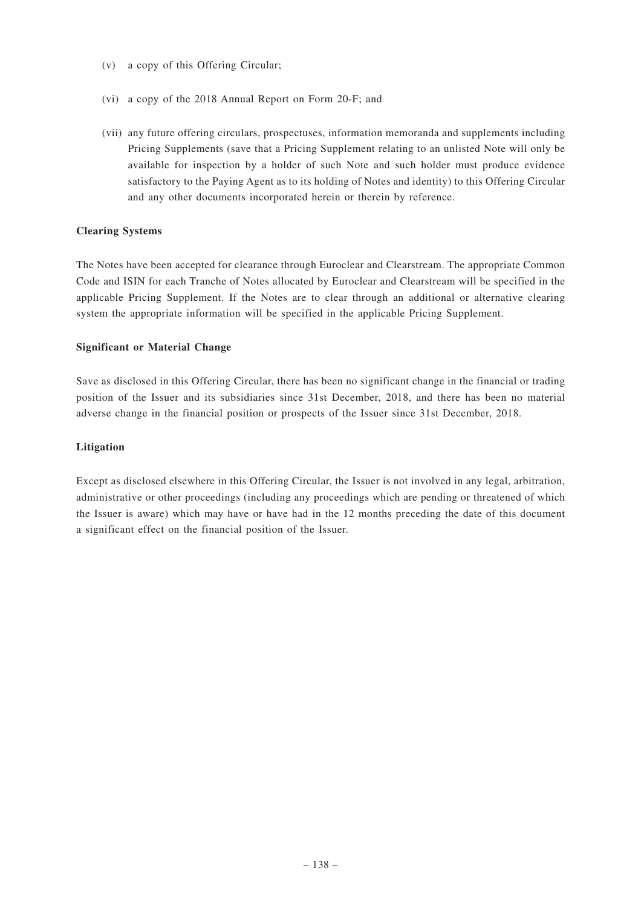- (v) a copy of this Offering Circular;
- (vi) a copy of the 2018 Annual Report on Form 20-F; and
- (vii) any future offering circulars, prospectuses, information memoranda and supplements including Pricing Supplements (save that a Pricing Supplement relating to an unlisted Note will only be available for inspection by a holder of such Note and such holder must produce evidence satisfactory to the Paying Agent as to its holding of Notes and identity) to this Offering Circular and any other documents incorporated herein or therein by reference.

### **Clearing Systems**

The Notes have been accepted for clearance through Euroclear and Clearstream. The appropriate Common Code and ISIN for each Tranche of Notes allocated by Euroclear and Clearstream will be specified in the applicable Pricing Supplement. If the Notes are to clear through an additional or alternative clearing system the appropriate information will be specified in the applicable Pricing Supplement.

### **Significant or Material Change**

Save as disclosed in this Offering Circular, there has been no significant change in the financial or trading position of the Issuer and its subsidiaries since 31st December, 2018, and there has been no material adverse change in the financial position or prospects of the Issuer since 31st December, 2018.

### **Litigation**

Except as disclosed elsewhere in this Offering Circular, the Issuer is not involved in any legal, arbitration, administrative or other proceedings (including any proceedings which are pending or threatened of which the Issuer is aware) which may have or have had in the 12 months preceding the date of this document a significant effect on the financial position of the Issuer.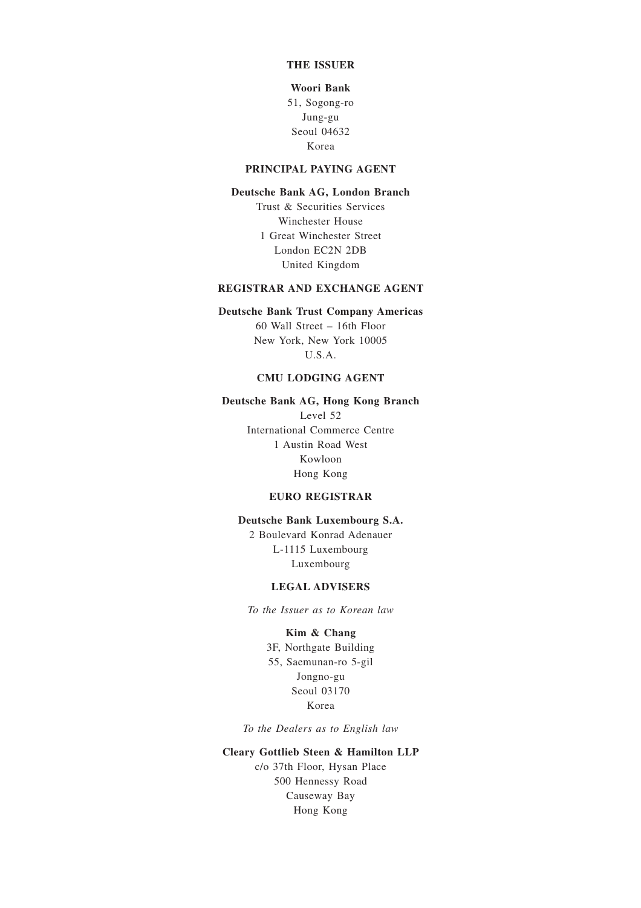### **THE ISSUER**

#### **Woori Bank**

51, Sogong-ro Jung-gu Seoul 04632 Korea

#### **PRINCIPAL PAYING AGENT**

#### **Deutsche Bank AG, London Branch**

Trust & Securities Services Winchester House 1 Great Winchester Street London EC2N 2DB United Kingdom

#### **REGISTRAR AND EXCHANGE AGENT**

#### **Deutsche Bank Trust Company Americas**

60 Wall Street – 16th Floor New York, New York 10005 U.S.A.

### **CMU LODGING AGENT**

### **Deutsche Bank AG, Hong Kong Branch**

Level 52 International Commerce Centre 1 Austin Road West Kowloon Hong Kong

#### **EURO REGISTRAR**

#### **Deutsche Bank Luxembourg S.A.**

2 Boulevard Konrad Adenauer L-1115 Luxembourg Luxembourg

### **LEGAL ADVISERS**

*To the Issuer as to Korean law*

### **Kim & Chang**

3F, Northgate Building 55, Saemunan-ro 5-gil Jongno-gu Seoul 03170 Korea

*To the Dealers as to English law*

### **Cleary Gottlieb Steen & Hamilton LLP**

c/o 37th Floor, Hysan Place 500 Hennessy Road Causeway Bay Hong Kong